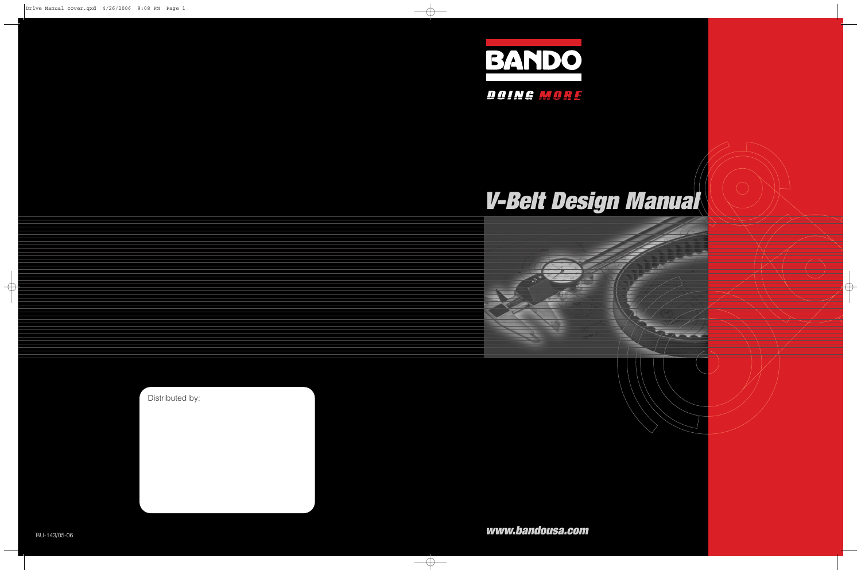

# **V-Belt Design Manual**

 $\bigcap$ 



**www.bandousa.com**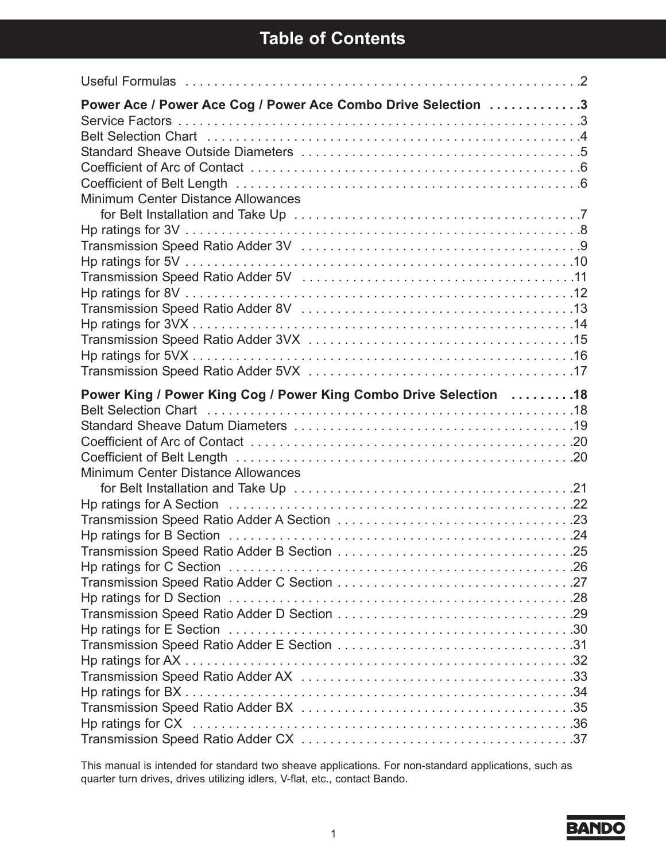# **Table of Contents**

| Power Ace / Power Ace Cog / Power Ace Combo Drive Selection 3<br>Belt Selection Chart (Allergeness Allergeness Allergeness Allergeness Allergeness Allergeness Allergeness All      |  |
|-------------------------------------------------------------------------------------------------------------------------------------------------------------------------------------|--|
| Minimum Center Distance Allowances                                                                                                                                                  |  |
|                                                                                                                                                                                     |  |
|                                                                                                                                                                                     |  |
|                                                                                                                                                                                     |  |
|                                                                                                                                                                                     |  |
| Power King / Power King Cog / Power King Combo Drive Selection  18<br>Belt Selection Chart (Allergeness Allergeness Allergeness Allergeness Allergeness Allergeness Allergeness All |  |
|                                                                                                                                                                                     |  |
|                                                                                                                                                                                     |  |
| Minimum Center Distance Allowances                                                                                                                                                  |  |
|                                                                                                                                                                                     |  |
|                                                                                                                                                                                     |  |
|                                                                                                                                                                                     |  |
|                                                                                                                                                                                     |  |
|                                                                                                                                                                                     |  |
|                                                                                                                                                                                     |  |
|                                                                                                                                                                                     |  |

This manual is intended for standard two sheave applications. For non-standard applications, such as quarter turn drives, drives utilizing idlers, V-flat, etc., contact Bando.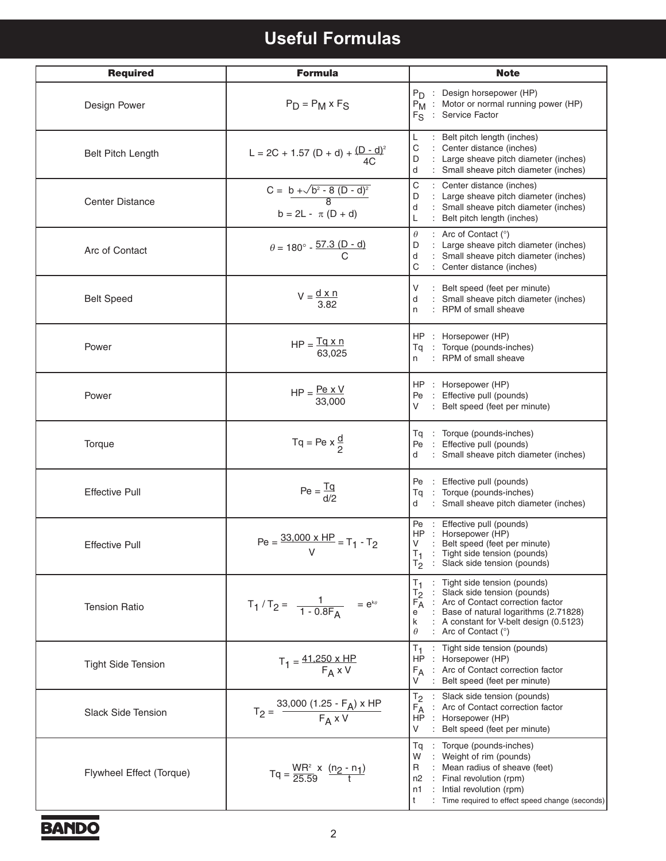# **Useful Formulas**

| <b>Required</b>           | <b>Formula</b>                                                    | <b>Note</b>                                                                                                                                                                                                                                                    |  |  |  |  |
|---------------------------|-------------------------------------------------------------------|----------------------------------------------------------------------------------------------------------------------------------------------------------------------------------------------------------------------------------------------------------------|--|--|--|--|
| Design Power              | $P_D = P_M \times F_S$                                            | Design horsepower (HP)<br>P <sub>D</sub><br>Motor or normal running power (HP)<br>$P_{M}$<br>$F_S$<br>: Service Factor                                                                                                                                         |  |  |  |  |
| <b>Belt Pitch Length</b>  | L = 2C + 1.57 (D + d) + $\frac{(D - d)^2}{4C}$                    | Belt pitch length (inches)<br>L<br>: Center distance (inches)<br>С<br>D<br>: Large sheave pitch diameter (inches)<br>: Small sheave pitch diameter (inches)<br>d                                                                                               |  |  |  |  |
| <b>Center Distance</b>    | $C = b + \sqrt{b^2 - 8 (D - d)^2}$<br>8<br>$b = 2L - \pi (D + d)$ | С<br>: Center distance (inches)<br>: Large sheave pitch diameter (inches)<br>D<br>: Small sheave pitch diameter (inches)<br>d<br>: Belt pitch length (inches)<br>L                                                                                             |  |  |  |  |
| Arc of Contact            | $heta = 180^\circ - \frac{57.3(D - d)}{C}$                        | : Arc of Contact (°)<br>$\theta$<br>: Large sheave pitch diameter (inches)<br>D<br>: Small sheave pitch diameter (inches)<br>d<br>C<br>: Center distance (inches)                                                                                              |  |  |  |  |
| <b>Belt Speed</b>         | $V = \frac{d \times n}{3.82}$                                     | V<br>: Belt speed (feet per minute)<br>Small sheave pitch diameter (inches)<br>d<br>: RPM of small sheave<br>n                                                                                                                                                 |  |  |  |  |
| Power                     | $HP = \frac{Tq \times n}{63,025}$                                 | HP : Horsepower (HP)<br>: Torque (pounds-inches)<br>Τa<br>: RPM of small sheave<br>n                                                                                                                                                                           |  |  |  |  |
| Power                     | $HP = \frac{Pe \times V}{2}$<br>33,000                            | HP : Horsepower (HP)<br>: Effective pull (pounds)<br>Pe<br>V<br>: Belt speed (feet per minute)                                                                                                                                                                 |  |  |  |  |
| Torque                    | Tq = Pe $x \frac{d}{2}$                                           | : Torque (pounds-inches)<br>Tq<br>: Effective pull (pounds)<br>Pe<br>: Small sheave pitch diameter (inches)<br>d                                                                                                                                               |  |  |  |  |
| <b>Effective Pull</b>     | $Pe = \frac{Tq}{d/2}$                                             | : Effective pull (pounds)<br>Pe<br>: Torque (pounds-inches)<br>Τa<br>: Small sheave pitch diameter (inches)<br>d                                                                                                                                               |  |  |  |  |
| <b>Effective Pull</b>     | $Pe = \frac{33,000 \times HP}{T_1 - T_2}$                         | Effective pull (pounds)<br>Pe<br>HP : Horsepower (HP)<br>V<br>Belt speed (feet per minute)<br>Tight side tension (pounds)<br>$\mathbf{1}_{1}$<br>Slack side tension (pounds)<br>То                                                                             |  |  |  |  |
| <b>Tension Ratio</b>      | $T_1/T_2 = \frac{1}{1 - 0.8F_A}$<br>$= e^{k\theta}$               | Tight side tension (pounds)<br>$T_1$<br>: Slack side tension (pounds)<br>$T_{2}$<br>$F_A^-$<br>: Arc of Contact correction factor<br>Base of natural logarithms (2.71828)<br>е<br>k<br>A constant for V-belt design (0.5123)<br>Arc of Contact (°)<br>$\theta$ |  |  |  |  |
| <b>Tight Side Tension</b> | $T_1 = \frac{41,250 \times HP}{F_A \times V}$                     | Tight side tension (pounds)<br>T <sub>1</sub><br>HP<br>: Horsepower (HP)<br>: Arc of Contact correction factor<br>$F_A$<br>Belt speed (feet per minute)<br>v                                                                                                   |  |  |  |  |
| <b>Slack Side Tension</b> | $T_2 = \frac{33,000 (1.25 - F_A) \times HP}{F_A \times V}$        | Slack side tension (pounds)<br>T <sub>2</sub><br>$F_A$<br>: Arc of Contact correction factor<br>HP<br>Horsepower (HP)<br>V<br>Belt speed (feet per minute)                                                                                                     |  |  |  |  |
| Flywheel Effect (Torque)  | Tq = $\frac{\text{WR}^2}{25.59}$ x $\frac{(n_2 - n_1)}{1}$        | Torque (pounds-inches)<br>Τq<br>: Weight of rim (pounds)<br>W<br>: Mean radius of sheave (feet)<br>R<br>: Final revolution (rpm)<br>n2<br>: Intial revolution (rpm)<br>n1<br>: Time required to effect speed change (seconds)                                  |  |  |  |  |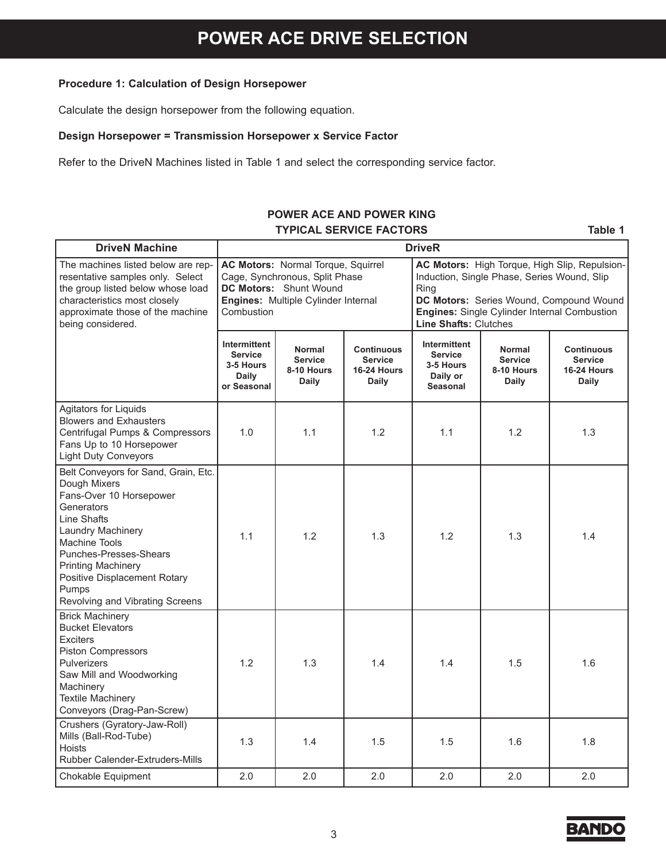#### **Procedure 1: Calculation of Design Horsepower**

Calculate the design horsepower from the following equation.

#### **Design Horsepower = Transmission Horsepower x Service Factor**

Refer to the DriveN Machines listed in Table 1 and select the corresponding service factor.

#### **POWER ACE AND POWER KING TYPICAL SERVICE FACTORS** Table 1

| <b>DriveN Machine</b>                                                                                                                                                                                                                                                                        | <b>DriveR</b>                                                              |                                                                                                                                       |                                                      |                                                                                                                                                                                                                                        |                                                        |                                                                    |  |  |  |  |  |  |
|----------------------------------------------------------------------------------------------------------------------------------------------------------------------------------------------------------------------------------------------------------------------------------------------|----------------------------------------------------------------------------|---------------------------------------------------------------------------------------------------------------------------------------|------------------------------------------------------|----------------------------------------------------------------------------------------------------------------------------------------------------------------------------------------------------------------------------------------|--------------------------------------------------------|--------------------------------------------------------------------|--|--|--|--|--|--|
| The machines listed below are rep-<br>resentative samples only. Select<br>the group listed below whose load<br>characteristics most closely<br>approximate those of the machine<br>being considered.                                                                                         | Combustion                                                                 | AC Motors: Normal Torque, Squirrel<br>Cage, Synchronous, Split Phase<br>DC Motors: Shunt Wound<br>Engines: Multiple Cylinder Internal |                                                      | AC Motors: High Torque, High Slip, Repulsion-<br>Induction, Single Phase, Series Wound, Slip<br>Ring<br>DC Motors: Series Wound, Compound Wound<br><b>Engines: Single Cylinder Internal Combustion</b><br><b>Line Shafts: Clutches</b> |                                                        |                                                                    |  |  |  |  |  |  |
|                                                                                                                                                                                                                                                                                              | Intermittent<br><b>Service</b><br>3-5 Hours<br><b>Daily</b><br>or Seasonal | <b>Normal</b><br><b>Service</b><br>8-10 Hours<br>Daily                                                                                | <b>Continuous</b><br>Service<br>16-24 Hours<br>Daily | Intermittent<br><b>Service</b><br>3-5 Hours<br>Daily or<br><b>Seasonal</b>                                                                                                                                                             | <b>Normal</b><br><b>Service</b><br>8-10 Hours<br>Daily | <b>Continuous</b><br><b>Service</b><br><b>16-24 Hours</b><br>Daily |  |  |  |  |  |  |
| Agitators for Liquids<br><b>Blowers and Exhausters</b><br>Centrifugal Pumps & Compressors<br>Fans Up to 10 Horsepower<br><b>Light Duty Conveyors</b>                                                                                                                                         | 1.0                                                                        | 1.1                                                                                                                                   | 1.2                                                  | 1.1                                                                                                                                                                                                                                    | 1.2                                                    | 1.3                                                                |  |  |  |  |  |  |
| Belt Conveyors for Sand, Grain, Etc.<br>Dough Mixers<br>Fans-Over 10 Horsepower<br>Generators<br>Line Shafts<br>Laundry Machinery<br><b>Machine Tools</b><br>Punches-Presses-Shears<br><b>Printing Machinery</b><br>Positive Displacement Rotary<br>Pumps<br>Revolving and Vibrating Screens | 1.1                                                                        | 1.2                                                                                                                                   | 1.3                                                  | 1.2                                                                                                                                                                                                                                    | 1.3                                                    | 1.4                                                                |  |  |  |  |  |  |
| <b>Brick Machinery</b><br><b>Bucket Elevators</b><br><b>Exciters</b><br><b>Piston Compressors</b><br><b>Pulverizers</b><br>Saw Mill and Woodworking<br>Machinery<br><b>Textile Machinery</b><br>Conveyors (Drag-Pan-Screw)                                                                   | 1.2                                                                        | 1.3                                                                                                                                   | 1.4                                                  | 1.4                                                                                                                                                                                                                                    | 1.5                                                    | 1.6                                                                |  |  |  |  |  |  |
| Crushers (Gyratory-Jaw-Roll)<br>Mills (Ball-Rod-Tube)<br>Hoists<br>Rubber Calender-Extruders-Mills                                                                                                                                                                                           | 1.3                                                                        | 1.4                                                                                                                                   | 1.5                                                  | 1.5                                                                                                                                                                                                                                    | 1.6                                                    | 1.8                                                                |  |  |  |  |  |  |
| Chokable Equipment                                                                                                                                                                                                                                                                           | 2.0                                                                        | 2.0                                                                                                                                   | 2.0                                                  | 2.0                                                                                                                                                                                                                                    | 2.0                                                    | 2.0                                                                |  |  |  |  |  |  |

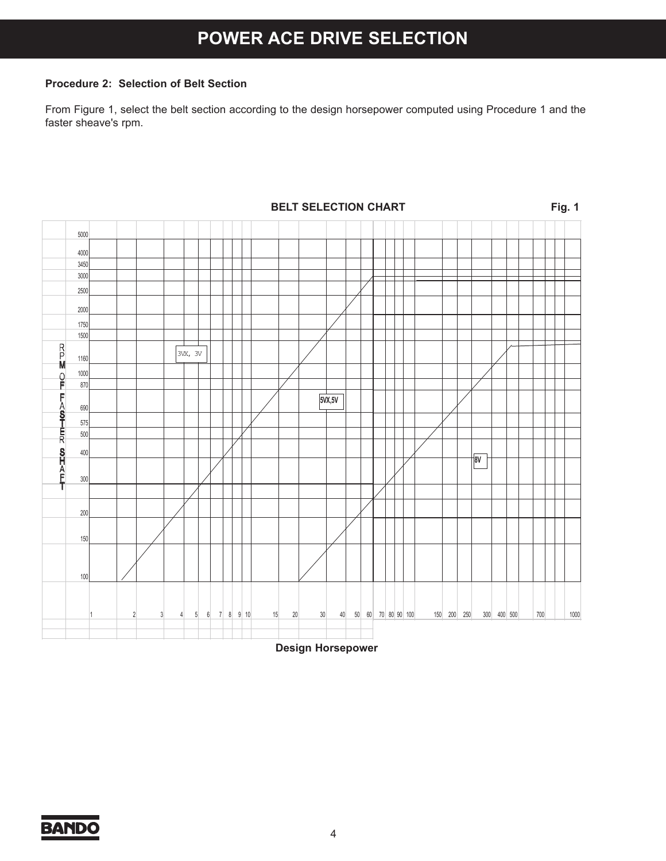#### **Procedure 2: Selection of Belt Section**

From Figure 1, select the belt section according to the design horsepower computed using Procedure 1 and the faster sheave's rpm.



**BELT SELECTION CHART Fig. 1** 

**BAND(**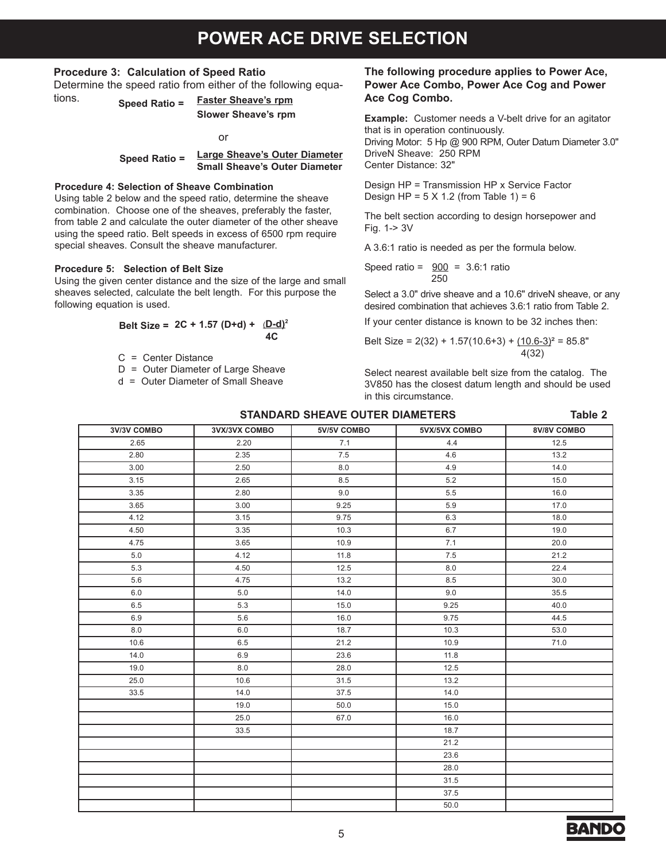#### **Procedure 3: Calculation of Speed Ratio**

Determine the speed ratio from either of the following equa-

tions. **Slower Sheave's rpm Speed Ratio = Faster Sheave's rpm**

or

#### **Speed Ratio = Large Sheave's Outer Diameter Small Sheave's Outer Diameter**

#### **Procedure 4: Selection of Sheave Combination**

Using table 2 below and the speed ratio, determine the sheave combination. Choose one of the sheaves, preferably the faster, from table 2 and calculate the outer diameter of the other sheave using the speed ratio. Belt speeds in excess of 6500 rpm require special sheaves. Consult the sheave manufacturer.

#### **Procedure 5: Selection of Belt Size**

Using the given center distance and the size of the large and small sheaves selected, calculate the belt length. For this purpose the following equation is used.

Belt Size = 
$$
2C + 1.57 (D+d) + (D-d)^2
$$
  
4C

C = Center Distance

D = Outer Diameter of Large Sheave

d = Outer Diameter of Small Sheave

#### **The following procedure applies to Power Ace, Power Ace Combo, Power Ace Cog and Power Ace Cog Combo.**

**Example:** Customer needs a V-belt drive for an agitator that is in operation continuously. Driving Motor: 5 Hp @ 900 RPM, Outer Datum Diameter 3.0" DriveN Sheave: 250 RPM Center Distance: 32"

Design HP = Transmission HP x Service Factor Design HP =  $5 \times 1.2$  (from Table 1) =  $6$ 

The belt section according to design horsepower and Fig. 1-> 3V

A 3.6:1 ratio is needed as per the formula below.

Speed ratio = 
$$
\frac{900}{250}
$$
 = 3.6:1 ratio

Select a 3.0" drive sheave and a 10.6" driveN sheave, or any desired combination that achieves 3.6:1 ratio from Table 2.

If your center distance is known to be 32 inches then:

Belt Size =  $2(32) + 1.57(10.6+3) + (10.6-3)^2 = 85.8$ " 4(32)

Select nearest available belt size from the catalog. The 3V850 has the closest datum length and should be used in this circumstance.

|             | <b>STANDARD SHEAVE OUTER DIAMETERS</b> | Table 2     |               |             |
|-------------|----------------------------------------|-------------|---------------|-------------|
| 3V/3V COMBO | 3VX/3VX COMBO                          | 5V/5V COMBO | 5VX/5VX COMBO | 8V/8V COMBO |
| 2.65        | 2.20                                   | 7.1         | 4.4           | 12.5        |
| 2.80        | 2.35                                   | 7.5         | 4.6           | 13.2        |
| 3.00        | 2.50                                   | 8.0         | 4.9           | 14.0        |
| 3.15        | 2.65                                   | 8.5         | 5.2           | 15.0        |
| 3.35        | 2.80                                   | 9.0         | 5.5           | 16.0        |
| 3.65        | 3.00                                   | 9.25        | 5.9           | 17.0        |
| 4.12        | 3.15                                   | 9.75        | 6.3           | 18.0        |
| 4.50        | 3.35                                   | 10.3        | 6.7           | 19.0        |
| 4.75        | 3.65                                   | 10.9        | 7.1           | 20.0        |
| 5.0         | 4.12                                   | 11.8        | 7.5           | 21.2        |
| 5.3         | 4.50                                   | 12.5        | 8.0           | 22.4        |
| 5.6         | 4.75                                   | 13.2        | 8.5           | 30.0        |
| 6.0         | 5.0                                    | 14.0        | 9.0           | 35.5        |
| 6.5         | 5.3                                    | 15.0        | 9.25          | 40.0        |
| 6.9         | 5.6                                    | 16.0        | 9.75          | 44.5        |
| 8.0         | 6.0                                    | 18.7        | 10.3          | 53.0        |
| 10.6        | 6.5                                    | 21.2        | 10.9          | 71.0        |
| 14.0        | 6.9                                    | 23.6        | 11.8          |             |
| 19.0        | 8.0                                    | 28.0        | 12.5          |             |
| 25.0        | 10.6                                   | 31.5        | 13.2          |             |
| 33.5        | 14.0                                   | 37.5        | 14.0          |             |
|             | 19.0                                   | 50.0        | 15.0          |             |
|             | 25.0                                   | 67.0        | 16.0          |             |
|             | 33.5                                   |             | 18.7          |             |
|             |                                        |             | 21.2          |             |
|             |                                        |             | 23.6          |             |
|             |                                        |             | 28.0          |             |
|             |                                        |             | 31.5          |             |
|             |                                        |             | 37.5          |             |

50.0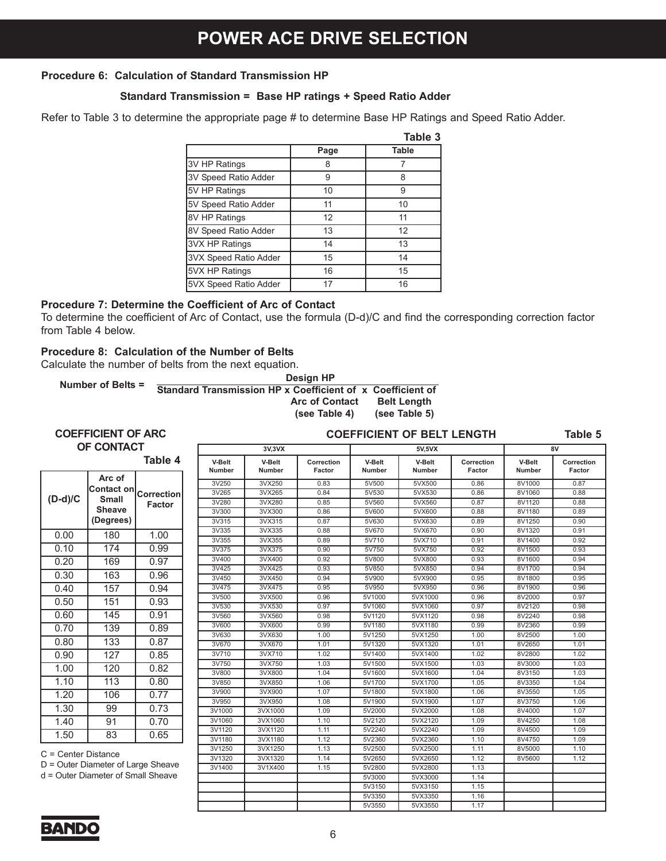#### **Procedure 6: Calculation of Standard Transmission HP**

#### **Standard Transmission = Base HP ratings + Speed Ratio Adder**

Refer to Table 3 to determine the appropriate page # to determine Base HP Ratings and Speed Ratio Adder.

|                       |      | Table 3      |
|-----------------------|------|--------------|
|                       | Page | <b>Table</b> |
| 3V HP Ratings         | 8    |              |
| 3V Speed Ratio Adder  | 9    | 8            |
| 5V HP Ratings         | 10   | 9            |
| 5V Speed Ratio Adder  | 11   | 10           |
| 8V HP Ratings         | 12   | 11           |
| 8V Speed Ratio Adder  | 13   | 12           |
| 3VX HP Ratings        | 14   | 13           |
| 3VX Speed Ratio Adder | 15   | 14           |
| 5VX HP Ratings        | 16   | 15           |
| 5VX Speed Ratio Adder | 17   | 16           |

#### **Procedure 7: Determine the Coefficient of Arc of Contact**

To determine the coefficient of Arc of Contact, use the formula (D-d)/C and find the corresponding correction factor from Table 4 below.

#### **Procedure 8: Calculation of the Number of Belts**

Calculate the number of belts from the next equation.

**Number of Belts = Design HP Standard Transmission HP x Coefficient of x Coefficient of Arc of Contact Belt Length (see Table 4) (see Table 5)**

**COEFFICIENT OF ARC** 

**COEFFICIENT OF BELT LENGTH Table 5**

|                     | <b>OF CONTACT</b>                  |               |                  | 3V, 3VX          |                      |                         | 5V,5VX             |                      | 8V                      |                      |  |
|---------------------|------------------------------------|---------------|------------------|------------------|----------------------|-------------------------|--------------------|----------------------|-------------------------|----------------------|--|
|                     |                                    | Table 4       | V-Belt<br>Number | V-Belt<br>Number | Correction<br>Factor | V-Belt<br><b>Number</b> | V-Belt<br>Number   | Correction<br>Factor | <b>V-Belt</b><br>Number | Correction<br>Factor |  |
|                     | Arc of                             |               | 3V250            | 3VX250           | 0.83                 | 5V500                   | 5VX500             | 0.86                 | 8V1000                  | 0.87                 |  |
|                     | Contact on                         | Correction    | 3V265            | 3VX265           | 0.84                 | 5V530                   | 5VX530             | 0.86                 | 8V1060                  | 0.88                 |  |
| $(D-d)/C$           | <b>Small</b>                       | <b>Factor</b> | 3V280            | 3VX280           | 0.85                 | 5V560                   | 5VX560             | 0.87                 | 8V1120                  | 0.88                 |  |
|                     | <b>Sheave</b>                      |               | 3V300            | 3VX300           | 0.86                 | 5V600                   | 5VX600             | 0.88                 | 8V1180                  | 0.89                 |  |
|                     | (Degrees)                          |               | 3V315            | 3VX315           | 0.87                 | 5V630                   | 5VX630             | 0.89                 | 8V1250                  | 0.90                 |  |
| 0.00                | 180                                | 1.00          | 3V335            | 3VX335           | 0.88                 | 5V670                   | 5VX670             | 0.90                 | 8V1320                  | 0.91                 |  |
|                     |                                    |               | 3V355            | 3VX355           | 0.89                 | 5V710                   | 5VX710             | 0.91                 | 8V1400                  | 0.92                 |  |
| 0.10                | 174                                | 0.99          | 3V375            | 3VX375           | 0.90                 | 5V750                   | 5VX750             | 0.92                 | 8V1500                  | 0.93                 |  |
| 0.20                | 169                                | 0.97          | 3V400            | 3VX400           | 0.92                 | 5V800                   | 5VX800             | 0.93                 | 8V1600                  | 0.94                 |  |
|                     | 163                                | 0.96          | 3V425            | 3VX425           | 0.93                 | 5V850                   | 5VX850             | 0.94                 | 8V1700                  | 0.94                 |  |
| 0.30                |                                    |               | 3V450            | 3VX450           | 0.94                 | 5V900                   | 5VX900             | 0.95                 | 8V1800                  | 0.95                 |  |
| 0.40                | 157                                | 0.94          | 3V475            | 3VX475           | 0.95                 | 5V950                   | 5VX950             | 0.96                 | 8V1900                  | 0.96                 |  |
| 0.50                | 151                                | 0.93          | 3V500            | 3VX500           | 0.96                 | 5V1000                  | 5VX1000            | 0.96                 | 8V2000                  | 0.97                 |  |
|                     |                                    |               | 3V530            | 3VX530           | 0.97                 | 5V1060                  | 5VX1060            | 0.97                 | 8V2120                  | 0.98                 |  |
| 0.60                | 145                                | 0.91          | 3V560            | 3VX560           | 0.98                 | 5V1120                  | 5VX1120            | 0.98                 | 8V2240                  | 0.98                 |  |
| 0.70                | 139                                | 0.89          | 3V600            | 3VX600           | 0.99                 | 5V1180                  | 5VX1180            | 0.99                 | 8V2360                  | 0.99                 |  |
| 0.80                | 133                                | 0.87          | 3V630<br>3V670   | 3VX630<br>3VX670 | 1.00<br>1.01         | 5V1250                  | 5VX1250<br>5VX1320 | 1.00                 | 8V2500                  | 1.00<br>1.01         |  |
|                     |                                    |               | 3V710            |                  |                      | 5V1320<br>5V1400        |                    | 1.01                 | 8V2650                  | 1.02                 |  |
| 0.90                | 127                                | 0.85          | 3V750            | 3VX710<br>3VX750 | 1.02<br>1.03         | 5V1500                  | 5VX1400<br>5VX1500 | 1.02<br>1.03         | 8V2800<br>8V3000        | 1.03                 |  |
| 1.00                | 120                                | 0.82          | 3V800            | 3VX800           | 1.04                 | 5V1600                  | 5VX1600            | 1.04                 | 8V3150                  | 1.03                 |  |
| 1.10                | 113                                | 0.80          | 3V850            | 3VX850           | 1.06                 | 5V1700                  | 5VX1700            | 1.05                 | 8V3350                  | 1.04                 |  |
|                     |                                    |               | 3V900            | 3VX900           | 1.07                 | 5V1800                  | 5VX1800            | 1.06                 | 8V3550                  | 1.05                 |  |
| 1.20                | 106                                | 0.77          | 3V950            | 3VX950           | 1.08                 | 5V1900                  | 5VX1900            | 1.07                 | 8V3750                  | 1.06                 |  |
| 1.30                | 99                                 | 0.73          | 3V1000           | 3VX1000          | 1.09                 | 5V2000                  | 5VX2000            | 1.08                 | 8V4000                  | 1.07                 |  |
| 1.40                | 91                                 | 0.70          | 3V1060           | 3VX1060          | 1.10                 | 5V2120                  | 5VX2120            | 1.09                 | 8V4250                  | 1.08                 |  |
|                     |                                    |               | 3V1120           | 3VX1120          | 1.11                 | 5V2240                  | 5VX2240            | 1.09                 | 8V4500                  | 1.09                 |  |
| 1.50                | 83                                 | 0.65          | 3V1180           | 3VX1180          | 1.12                 | 5V2360                  | 5VX2360            | 1.10                 | 8V4750                  | 1.09                 |  |
|                     |                                    |               | 3V1250           | 3VX1250          | 1.13                 | 5V2500                  | 5VX2500            | 1.11                 | 8V5000                  | 1.10                 |  |
| C = Center Distance |                                    |               | 3V1320           | 3VX1320          | 1.14                 | 5V2650                  | 5VX2650            | 1.12                 | 8V5600                  | 1.12                 |  |
|                     | D = Outer Diameter of Large Sheave |               | 3V1400           | 3V1X400          | 1.15                 | 5V2800                  | 5VX2800            | 1.13                 |                         |                      |  |
|                     | d = Outer Diameter of Small Sheave |               |                  |                  |                      | 5V3000                  | 5VX3000            | 1.14                 |                         |                      |  |
|                     |                                    |               |                  |                  |                      | 5V3150                  | 5VX3150            | 1.15                 |                         |                      |  |
|                     |                                    |               |                  |                  |                      | 5V3350                  | 5VX3350            | 1.16                 |                         |                      |  |
|                     |                                    |               |                  |                  |                      | 5V3550                  | 5VX3550            | 1.17                 |                         |                      |  |

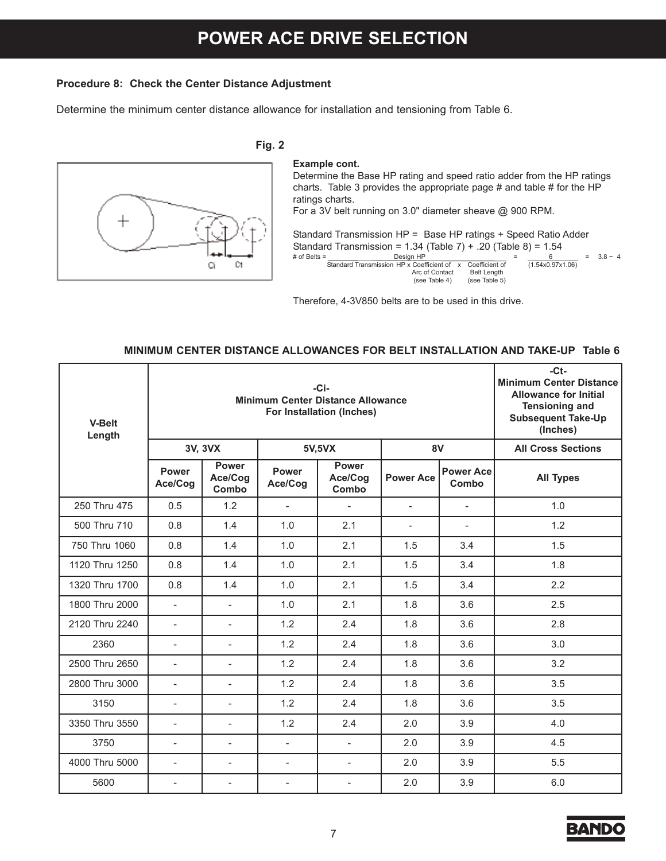#### **Procedure 8: Check the Center Distance Adjustment**

Determine the minimum center distance allowance for installation and tensioning from Table 6.



#### **Fig. 2**



Therefore, 4-3V850 belts are to be used in this drive.

| <b>V-Belt</b><br>Length |                          | <b>Minimum Center Distance Allowance</b> |                         | $-C$ t $-$<br><b>Minimum Center Distance</b><br><b>Allowance for Initial</b><br><b>Tensioning and</b><br><b>Subsequent Take-Up</b><br>(Inches) |                  |                           |                           |  |  |
|-------------------------|--------------------------|------------------------------------------|-------------------------|------------------------------------------------------------------------------------------------------------------------------------------------|------------------|---------------------------|---------------------------|--|--|
|                         |                          | 3V, 3VX                                  |                         | 5V,5VX                                                                                                                                         | 8V               |                           | <b>All Cross Sections</b> |  |  |
|                         | <b>Power</b><br>Ace/Cog  | <b>Power</b><br>Ace/Cog<br>Combo         | <b>Power</b><br>Ace/Cog | Power<br>Ace/Cog<br>Combo                                                                                                                      | <b>Power Ace</b> | <b>Power Ace</b><br>Combo | <b>All Types</b>          |  |  |
| 250 Thru 475            | 0.5                      | 1.2                                      | $\blacksquare$          | $\overline{\phantom{a}}$                                                                                                                       | $\overline{a}$   | $\blacksquare$            | 1.0                       |  |  |
| 500 Thru 710            | 0.8                      | 1.4                                      | 1.0                     | 2.1                                                                                                                                            | $\overline{a}$   | $\blacksquare$            | 1.2                       |  |  |
| 750 Thru 1060           | 0.8                      | 1.4                                      | 1.0                     | 2.1                                                                                                                                            | 1.5              | 3.4                       | 1.5                       |  |  |
| 1120 Thru 1250          | 0.8                      | 1.4                                      | 1.0                     | 2.1                                                                                                                                            | 1.5              | 3.4                       | 1.8                       |  |  |
| 1320 Thru 1700          | 0.8                      | 1.4                                      | 1.0                     | 2.1                                                                                                                                            | 1.5              | 3.4                       | 2.2                       |  |  |
| 1800 Thru 2000          | $\sim$                   | $\blacksquare$                           | 1.0                     | 2.1                                                                                                                                            | 1.8<br>3.6       |                           | 2.5                       |  |  |
| 2120 Thru 2240          | $\overline{a}$           | $\overline{\phantom{0}}$                 | 1.2                     | 2.4                                                                                                                                            | 1.8              | 3.6                       | 2.8                       |  |  |
| 2360                    | $\overline{\phantom{0}}$ | $\blacksquare$                           | 1.2                     | 2.4                                                                                                                                            | 1.8              | 3.6                       | 3.0                       |  |  |
| 2500 Thru 2650          | $\overline{a}$           | $\overline{\phantom{a}}$                 | 1.2                     | 2.4                                                                                                                                            | 1.8              | 3.6                       | 3.2                       |  |  |
| 2800 Thru 3000          | $\overline{a}$           | $\overline{a}$                           | 1.2                     | 2.4                                                                                                                                            | 1.8              | 3.6                       | 3.5                       |  |  |
| 3150                    | $\overline{a}$           | $\overline{a}$                           | 1.2                     | 2.4                                                                                                                                            | 1.8              | 3.6                       | 3.5                       |  |  |
| 3350 Thru 3550          | $\overline{a}$           | $\overline{\phantom{a}}$                 | 1.2                     | 2.4                                                                                                                                            | 2.0              | 3.9                       | 4.0                       |  |  |
| 3750                    | $\bar{\phantom{a}}$      | $\blacksquare$                           | $\blacksquare$          | $\sim$                                                                                                                                         | 2.0              | 3.9                       | 4.5                       |  |  |
| 4000 Thru 5000          | $\overline{a}$           | $\overline{\phantom{a}}$                 | $\overline{a}$          | $\overline{\phantom{a}}$                                                                                                                       | 2.0              | 3.9                       | 5.5                       |  |  |
| 5600                    | $\overline{\phantom{0}}$ | $\overline{\phantom{0}}$                 | ÷                       | $\overline{\phantom{a}}$                                                                                                                       | 2.0              | 3.9                       | 6.0                       |  |  |

#### **MINIMUM CENTER DISTANCE ALLOWANCES FOR BELT INSTALLATION AND TAKE-UP Table 6**

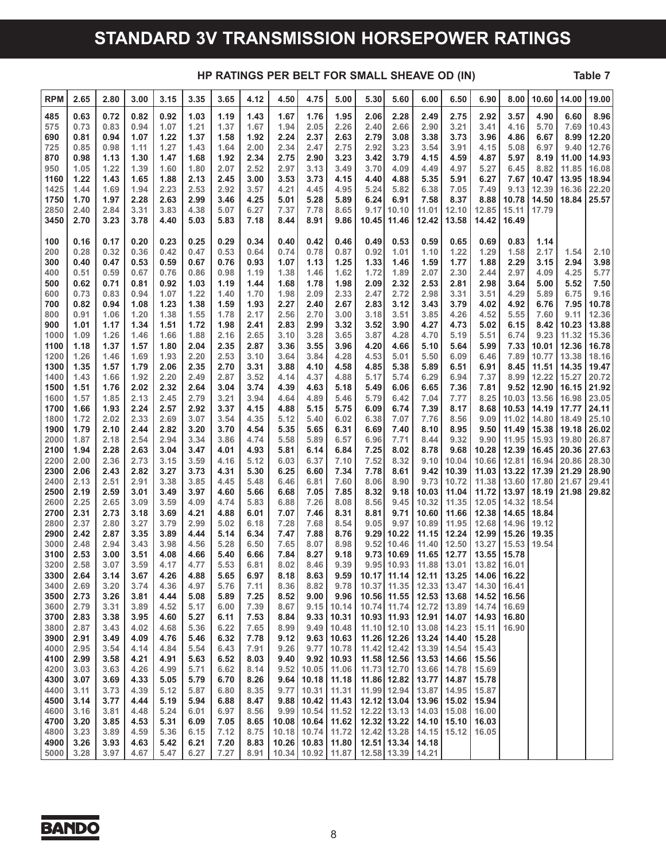### **STANDARD 3V TRANSMISSION HORSEPOWER RATINGS**

#### **HP RATINGS PER BELT FOR SMALL SHEAVE OD (IN) Table 7**

| <b>RPM</b>   | 2.65         | 2.80         | 3.00         | 3.15         | 3.35         | 3.65         | 4.12         | 4.50           | 4.75              | 5.00                   | 5.30               | 5.60                       | 6.00            | 6.50            | 6.90                  | 8.00           | 10.60          | 14.00                | 19.00          |
|--------------|--------------|--------------|--------------|--------------|--------------|--------------|--------------|----------------|-------------------|------------------------|--------------------|----------------------------|-----------------|-----------------|-----------------------|----------------|----------------|----------------------|----------------|
| 485          | 0.63         | 0.72         | 0.82         | 0.92         | 1.03         | 1.19         | 1.43         | 1.67           | 1.76              | 1.95                   | 2.06               | 2.28                       | 2.49            | 2.75            | 2.92                  | 3.57           | 4.90           | 6.60                 | 8.96           |
| 575          | 0.73         | 0.83         | 0.94         | 1.07         | 1.21         | 1.37         | 1.67         | 1.94           | 2.05              | 2.26                   | 2.40               | 2.66                       | 2.90            | 3.21            | 3.41                  | 4.16           | 5.70           | 7.69                 | 10.43          |
| 690          | 0.81         | 0.94         | 1.07         | 1.22         | 1.37         | 1.58         | 1.92         | 2.24           | 2.37              | 2.63                   | 2.79               | 3.08                       | 3.38            | 3.73            | 3.96                  | 4.86           | 6.67           | 8.99                 | 12.20          |
| 725          | 0.85         | 0.98         | 1.11         | 1.27         | 1.43         | 1.64         | 2.00         | 2.34           | 2.47              | 2.75                   | 2.92               | 3.23                       | 3.54            | 3.91            | 4.15                  | 5.08           | 6.97           | 9.40                 | 12.76          |
| 870          | 0.98         | 1.13         | 1.30         | 1.47         | 1.68         | 1.92         | 2.34         | 2.75           | 2.90              | 3.23                   | 3.42               | 3.79                       | 4.15            | 4.59            | 4.87                  | 5.97           | 8.19           | 11.00                | 14.93          |
| 950          | 1.05<br>1.22 | 1.22<br>1.43 | 1.39<br>1.65 | 1.60<br>1.88 | 1.80<br>2.13 | 2.07<br>2.45 | 2.52<br>3.00 | 2.97<br>3.53   | 3.13<br>3.73      | 3.49<br>4.15           | 3.70<br>4.40       | 4.09<br>4.88               | 4.49<br>5.35    | 4.97<br>5.91    | 5.27<br>6.27          | 6.45<br>7.67   | 8.82           | 11.85<br>13.95       | 16.08<br>18.94 |
| 1160<br>1425 | 1.44         | 1.69         | 1.94         | 2.23         | 2.53         | 2.92         | 3.57         | 4.21           | 4.45              | 4.95                   | 5.24               | 5.82                       | 6.38            | 7.05            | 7.49                  | 9.13           | 10.47<br>12.39 | 16.36                | 22.20          |
| 1750         | 1.70         | 1.97         | 2.28         | 2.63         | 2.99         | 3.46         | 4.25         | 5.01           | 5.28              | 5.89                   | 6.24               | 6.91                       | 7.58            | 8.37            | 8.88                  | 10.78          | 14.50          | 18.84                | 25.57          |
| 2850         | 2.40         | 2.84         | 3.31         | 3.83         | 4.38         | 5.07         | 6.27         | 7.37           | 7.78              | 8.65                   | 9.17               | 10.10                      | 11.01           | 12.10           | 12.85                 | 15.11          | 17.79          |                      |                |
| 3450         | 2.70         | 3.23         | 3.78         | 4.40         | 5.03         | 5.83         | 7.18         | 8.44           | 8.91              | 9.86                   | 10.45              | 11.46                      | 12.42           | 13.58           | 14.42                 | 16.49          |                |                      |                |
| 100          | 0.16         | 0.17         | 0.20         | 0.23         | 0.25         | 0.29         | 0.34         | 0.40           | 0.42              | 0.46                   | 0.49               | 0.53                       | 0.59            | 0.65            | 0.69                  | 0.83           | 1.14           |                      |                |
| 200          | 0.28         | 0.32         | 0.36         | 0.42         | 0.47         | 0.53         | 0.64         | 0.74           | 0.78              | 0.87                   | 0.92               | 1.01                       | 1.10            | 1.22            | 1.29                  | 1.58<br>2.29   | 2.17           | 1.54                 | 2.10           |
| 300<br>400   | 0.40<br>0.51 | 0.47<br>0.59 | 0.53<br>0.67 | 0.59<br>0.76 | 0.67<br>0.86 | 0.76<br>0.98 | 0.93<br>1.19 | 1.07<br>1.38   | 1.13<br>1.46      | 1.25<br>1.62           | 1.33<br>1.72       | 1.46<br>1.89               | 1.59<br>2.07    | 1.77<br>2.30    | 1.88<br>2.44          | 2.97           | 3.15<br>4.09   | 2.94<br>4.25         | 3.98<br>5.77   |
| 500          | 0.62         | 0.71         | 0.81         | 0.92         | 1.03         | 1.19         | 1.44         | 1.68           | 1.78              | 1.98                   | 2.09               | 2.32                       | 2.53            | 2.81            | 2.98                  | 3.64           | 5.00           | 5.52                 | 7.50           |
| 600          | 0.73         | 0.83         | 0.94         | 1.07         | 1.22         | 1.40         | 1.70         | 1.98           | 2.09              | 2.33                   | 2.47               | 2.72                       | 2.98            | 3.31            | 3.51                  | 4.29           | 5.89           | 6.75                 | 9.16           |
| 700          | 0.82         | 0.94         | 1.08         | 1.23         | 1.38         | 1.59         | 1.93         | 2.27           | 2.40              | 2.67                   | 2.83               | 3.12                       | 3.43            | 3.79            | 4.02                  | 4.92           | 6.76           | 7.95                 | 10.78          |
| 800          | 0.91         | 1.06         | 1.20         | 1.38         | 1.55         | 1.78         | 2.17         | 2.56           | 2.70              | 3.00                   | 3.18               | 3.51                       | 3.85            | 4.26            | 4.52                  | 5.55           | 7.60           | 9.11                 | 12.36          |
| 900          | 1.01         | 1.17         | 1.34<br>1.46 | 1.51         | 1.72         | 1.98         | 2.41         | 2.83           | 2.99              | 3.32                   | 3.52               | 3.90<br>4.28               | 4.27            | 4.73            | 5.02                  | 6.15           | 8.42           | 10.23                | 13.88          |
| 1000<br>1100 | 1.09<br>1.18 | 1.26<br>1.37 | 1.57         | 1.66<br>1.80 | 1.88<br>2.04 | 2.16<br>2.35 | 2.65<br>2.87 | 3.10<br>3.36   | 3.28<br>3.55      | 3.65<br>3.96           | 3.87<br>4.20       | 4.66                       | 4.70<br>5.10    | 5.19<br>5.64    | 5.51<br>5.99          | 6.74<br>7.33   | 9.23<br>10.01  | 11.32<br>12.36       | 15.36<br>16.78 |
| 1200         | 1.26         | 1.46         | 1.69         | 1.93         | 2.20         | 2.53         | 3.10         | 3.64           | 3.84              | 4.28                   | 4.53               | 5.01                       | 5.50            | 6.09            | 6.46                  | 7.89           | 10.77          | 13.38                | 18.16          |
| 1300         | 1.35         | 1.57         | 1.79         | 2.06         | 2.35         | 2.70         | 3.31         | 3.88           | 4.10              | 4.58                   | 4.85               | 5.38                       | 5.89            | 6.51            | 6.91                  | 8.45           | 11.51          | 14.35                | 19.47          |
| 1400         | 1.43         | 1.66         | 1.92         | 2.20         | 2.49         | 2.87         | 3.52         | 4.14           | 4.37              | 4.88                   | 5.17               | 5.74                       | 6.29            | 6.94            | 7.37                  | 8.99           | 12.22          | 15.27                | 20.72          |
| 1500         | 1.51         | 1.76         | 2.02         | 2.32         | 2.64         | 3.04         | 3.74         | 4.39           | 4.63              | 5.18                   | 5.49               | 6.06                       | 6.65            | 7.36            | 7.81                  | 9.52           | 12.90          | 16.15                | 21.92          |
| 1600<br>1700 | 1.57<br>1.66 | 1.85<br>1.93 | 2.13<br>2.24 | 2.45<br>2.57 | 2.79<br>2.92 | 3.21<br>3.37 | 3.94<br>4.15 | 4.64<br>4.88   | 4.89<br>5.15      | 5.46<br>5.75           | 5.79<br>6.09       | 6.42<br>6.74               | 7.04<br>7.39    | 7.77<br>8.17    | 8.25<br>8.68          | 10.03<br>10.53 | 13.56<br>14.19 | 16.98 23.05<br>17.77 | 24.11          |
| 1800         | 1.72         | 2.02         | 2.33         | 2.69         | 3.07         | 3.54         | 4.35         | 5.12           | 5.40              | 6.02                   | 6.38               | 7.07                       | 7.76            | 8.56            | 9.09                  | 11.02          | 14.80          | 18.49 25.10          |                |
| 1900         | 1.79         | 2.10         | 2.44         | 2.82         | 3.20         | 3.70         | 4.54         | 5.35           | 5.65              | 6.31                   | 6.69               | 7.40                       | 8.10            | 8.95            | 9.50                  | 11.49          | 15.38          | 19.18                | 26.02          |
| 2000         | 1.87         | 2.18         | 2.54         | 2.94         | 3.34         | 3.86         | 4.74         | 5.58           | 5.89              | 6.57                   | 6.96               | 7.71                       | 8.44            | 9.32            | 9.90                  | 11.95          | 15.93          | 19.80                | 26.87          |
| 2100         | 1.94         | 2.28         | 2.63         | 3.04         | 3.47         | 4.01         | 4.93         | 5.81           | 6.14              | 6.84                   | 7.25               | 8.02                       | 8.78            | 9.68            | 10.28                 | 12.39          | 16.45          | 20.36 27.63          |                |
| 2200<br>2300 | 2.00<br>2.06 | 2.36<br>2.43 | 2.73<br>2.82 | 3.15<br>3.27 | 3.59<br>3.73 | 4.16<br>4.31 | 5.12<br>5.30 | 6.03<br>6.25   | 6.37<br>6.60      | 7.10<br>7.34           | 7.52<br>7.78       | 8.32<br>8.61               | 9.10<br>9.42    | 10.04<br>10.39  | 10.66<br>11.03        | 12.81<br>13.22 | 16.94<br>17.39 | 20.86<br>21.29       | 28.30<br>28.90 |
| 2400         | 2.13         | 2.51         | 2.91         | 3.38         | 3.85         | 4.45         | 5.48         | 6.46           | 6.81              | 7.60                   | 8.06               | 8.90                       | 9.73            | 10.72           | 11.38                 | 13.60          | 17.80          | 21.67                | 29.41          |
| 2500         | 2.19         | 2.59         | 3.01         | 3.49         | 3.97         | 4.60         | 5.66         | 6.68           | 7.05              | 7.85                   | 8.32               | 9.18                       | 10.03           | 11.04           | 11.72                 | 13.97          | 18.19          | 21.98                | 29.82          |
| 2600         | 2.25         | 2.65         | 3.09         | 3.59         | 4.09         | 4.74         | 5.83         | 6.88           | 7.26              | 8.08                   | 8.56               | 9.45                       | 10.32           | 11.35           | 12.05                 | 14.32          | 18.54          |                      |                |
| 2700         | 2.31         | 2.73         | 3.18         | 3.69         | 4.21         | 4.88         | 6.01         | 7.07           | 7.46              | 8.31                   | 8.81               | 9.71                       | 10.60           | 11.66           | 12.38                 | 14.65          | 18.84          |                      |                |
| 2800         | 2.37         | 2.80         | 3.27         | 3.79         | 2.99         | 5.02         | 6.18         | 7.28           | 7.68              | 8.54                   | 9.05               | 9.97                       | 10.89           | 11.95           | 12.68                 | 14.96          | 19.12          |                      |                |
| 2900<br>3000 | 2.42<br>2.48 | 2.87<br>2.94 | 3.35<br>3.43 | 3.89<br>3.98 | 4.44<br>4.56 | 5.14<br>5.28 | 6.34<br>6.50 | 7.47<br>7.65   | 7.88<br>8.07      | 8.76<br>8.98           | 9.29<br>9.52       | 10.22<br>10.46             | 11.15<br>11.40  | 12.24<br>12.50  | 12.99<br>13.27        | 15.26<br>15.53 | 19.35<br>19.54 |                      |                |
| 3100         | 2.53         | 3.00         | 3.51         | 4.08         | 4.66         | 5.40         | 6.66         | 7.84           | 8.27              | 9.18                   |                    | $9.73$ 10.69               | 11.65           | 12.77           | 13.55                 | 15.78          |                |                      |                |
| 3200         | 2.58         | 3.07         | 3.59         | 4.17         | 4.77         | 5.53         | 6.81         | 8.02           | 8.46              | 9.39                   |                    | $9.95$ 10.93               |                 | 11.88 13.01     | 13.82 16.01           |                |                |                      |                |
| 3300         | 2.64         | 3.14         | 3.67         | 4.26         | 4.88         | 5.65         | 6.97         | 8.18           | 8.63              |                        | $9.59$ 10.17 11.14 |                            |                 |                 | 12.11   13.25   14.06 | 16.22          |                |                      |                |
| 3400         | 2.69         | 3.20         | 3.74         | 4.36         | 4.97         | 5.76         | 7.11         | 8.36           | 8.82              | 9.78                   | 10.37 11.35        |                            | 12.33           | 13.47           | 14.30                 | 16.41          |                |                      |                |
| 3500<br>3600 | 2.73<br>2.79 | 3.26<br>3.31 | 3.81<br>3.89 | 4.44<br>4.52 | 5.08<br>5.17 | 5.89<br>6.00 | 7.25<br>7.39 | 8.52<br>8.67   | 9.00              | 9.96<br>$9.15$ 10.14   |                    | 10.56 11.55<br>10.74 11.74 | 12.53<br>12.72  | 13.68<br>13.89  | 14.52<br>14.74 16.69  | 16.56          |                |                      |                |
| 3700         | 2.83         | 3.38         | 3.95         | 4.60         | 5.27         | 6.11         | 7.53         | 8.84           | 9.33              | 10.31                  | 10.93 11.93        |                            | 12.91           | 14.07           | 14.93                 | 16.80          |                |                      |                |
| 3800         | 2.87         | 3.43         | 4.02         | 4.68         | 5.36         | 6.22         | 7.65         | 8.99           |                   | $9.49$ 10.48           | $11.10$ 12.10      |                            | 13.08           | 14.23           | 15.11                 | 16.90          |                |                      |                |
| 3900         | 2.91         | 3.49         | 4.09         | 4.76         | 5.46         | 6.32         | 7.78         | 9.12           | 9.63              | 10.63                  | 11.26 12.26        |                            | 13.24           | 14.40           | 15.28                 |                |                |                      |                |
| 4000         | 2.95         | 3.54         | 4.14         | 4.84         | 5.54         | 6.43         | 7.91         | 9.26           | 9.77              | 10.78                  | 11.42 12.42        |                            | 13.39           | 14.54           | 15.43                 |                |                |                      |                |
| 4100         | 2.99         | 3.58         | 4.21         | 4.91         | 5.63         | 6.52         | 8.03         | 9.40           |                   | $9.92$   10.93         |                    | 11.58 12.56                | $13.53$   14.66 |                 | 15.56                 |                |                |                      |                |
| 4200<br>4300 | 3.03<br>3.07 | 3.63<br>3.69 | 4.26<br>4.33 | 4.99<br>5.05 | 5.71<br>5.79 | 6.62<br>6.70 | 8.14<br>8.26 | 9.52<br>9.64   | 10.05             | 11.06<br>$10.18$ 11.18 | 11.73 12.70        | 11.86 12.82                | 13.66<br>13.77  | 14.78<br> 14.87 | 15.69<br>15.78        |                |                |                      |                |
| 4400         | 3.11         | 3.73         | 4.39         | 5.12         | 5.87         | 6.80         | 8.35         | 9.77           | 10.31             | 11.31                  | 11.99 12.94        |                            | 13.87           | 14.95           | 15.87                 |                |                |                      |                |
| 4500         | 3.14         | 3.77         | 4.44         | 5.19         | 5.94         | 6.88         | 8.47         | 9.88           | 10.42             | 11.43                  |                    | 12.12 13.04                | 13.96           | 15.02           | 15.94                 |                |                |                      |                |
| 4600         | 3.16         | 3.81         | 4.48         | 5.24         | 6.01         | 6.97         | 8.56         | 9.99           | 10.54             | 11.52                  |                    | $12.22$ 13.13              |                 | 14.03   15.08   | 16.00                 |                |                |                      |                |
| 4700         | 3.20         | 3.85         | 4.53         | 5.31         | 6.09         | 7.05         | 8.65         | 10.08          | 10.64             | 11.62                  | 12.32 13.22        |                            | 14.10           | 15.10           | 16.03                 |                |                |                      |                |
| 4800<br>4900 | 3.23<br>3.26 | 3.89<br>3.93 | 4.59<br>4.63 | 5.36<br>5.42 | 6.15<br>6.21 | 7.12<br>7.20 | 8.75<br>8.83 | 10.18<br>10.26 | 10.74<br>10.83    | 11.72<br>11.80         | 12.42 13.28        | 12.51 13.34                | 14.15<br>14.18  | 15.12           | 16.05                 |                |                |                      |                |
| 5000         | 3.28         | 3.97         | 4.67         | 5.47         | 6.27         | 7.27         | 8.91         |                | 10.34 10.92 11.87 |                        | 12.58 13.39        |                            | 14.21           |                 |                       |                |                |                      |                |

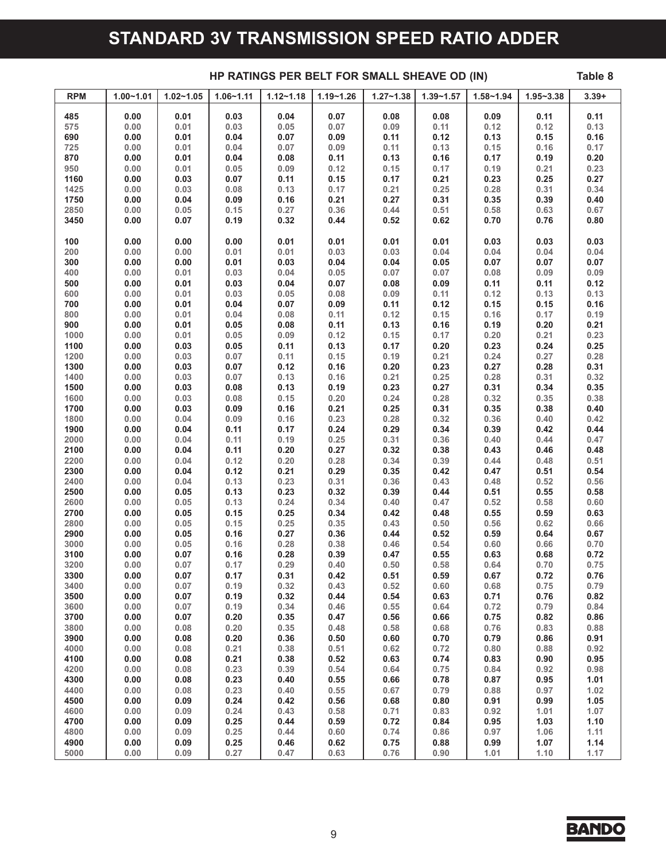### **STANDARD 3V TRANSMISSION SPEED RATIO ADDER**

#### **HP RATINGS PER BELT FOR SMALL SHEAVE OD (IN) Table 8**

| <b>RPM</b>   | $1.00 - 1.01$ | $1.02 - 1.05$ | $1.06 - 1.11$ | $1.12 - 1.18$ | $1.19 - 1.26$ | $1.27 - 1.38$ | $1.39 - 1.57$ | $1.58 - 1.94$ | $1.95 - 3.38$ | $3.39+$      |
|--------------|---------------|---------------|---------------|---------------|---------------|---------------|---------------|---------------|---------------|--------------|
| 485          | 0.00          | 0.01          | 0.03          | 0.04          | 0.07          | 0.08          | 0.08          | 0.09          | 0.11          | 0.11         |
| 575          | 0.00          | 0.01          | 0.03          | 0.05          | 0.07          | 0.09          | 0.11          | 0.12          | 0.12          | 0.13         |
| 690          | 0.00          | 0.01          | 0.04          | 0.07          | 0.09          | 0.11          | 0.12          | 0.13          | 0.15          | 0.16         |
| 725          | 0.00          | 0.01          | 0.04          | 0.07          | 0.09          | 0.11          | 0.13          | 0.15          | 0.16          | 0.17         |
| 870<br>950   | 0.00          | 0.01          | 0.04<br>0.05  | 0.08          | 0.11          | 0.13          | 0.16          | 0.17          | 0.19          | 0.20<br>0.23 |
| 1160         | 0.00<br>0.00  | 0.01<br>0.03  | 0.07          | 0.09<br>0.11  | 0.12<br>0.15  | 0.15<br>0.17  | 0.17<br>0.21  | 0.19<br>0.23  | 0.21<br>0.25  | 0.27         |
| 1425         | 0.00          | 0.03          | 0.08          | 0.13          | 0.17          | 0.21          | 0.25          | 0.28          | 0.31          | 0.34         |
| 1750         | 0.00          | 0.04          | 0.09          | 0.16          | 0.21          | 0.27          | 0.31          | 0.35          | 0.39          | 0.40         |
| 2850         | 0.00          | 0.05          | 0.15          | 0.27          | 0.36          | 0.44          | 0.51          | 0.58          | 0.63          | 0.67         |
| 3450         | 0.00          | 0.07          | 0.19          | 0.32          | 0.44          | 0.52          | 0.62          | 0.70          | 0.76          | 0.80         |
| 100          | 0.00          | 0.00          | 0.00          | 0.01          | 0.01          | 0.01          | 0.01          | 0.03          | 0.03          | 0.03         |
| 200<br>300   | 0.00<br>0.00  | 0.00<br>0.00  | 0.01<br>0.01  | 0.01<br>0.03  | 0.03<br>0.04  | 0.03<br>0.04  | 0.04<br>0.05  | 0.04<br>0.07  | 0.04<br>0.07  | 0.04<br>0.07 |
| 400          | 0.00          | 0.01          | 0.03          | 0.04          | 0.05          | 0.07          | 0.07          | 0.08          | 0.09          | 0.09         |
| 500          | 0.00          | 0.01          | 0.03          | 0.04          | 0.07          | 0.08          | 0.09          | 0.11          | 0.11          | 0.12         |
| 600          | 0.00          | 0.01          | 0.03          | 0.05          | 0.08          | 0.09          | 0.11          | 0.12          | 0.13          | 0.13         |
| 700          | 0.00          | 0.01          | 0.04          | 0.07          | 0.09          | 0.11          | 0.12          | 0.15          | 0.15          | 0.16         |
| 800          | 0.00          | 0.01          | 0.04          | 0.08          | 0.11          | 0.12          | 0.15          | 0.16          | 0.17          | 0.19         |
| 900          | 0.00          | 0.01          | 0.05          | 0.08          | 0.11          | 0.13          | 0.16          | 0.19          | 0.20          | 0.21         |
| 1000         | 0.00          | 0.01          | 0.05          | 0.09          | 0.12          | 0.15          | 0.17          | 0.20          | 0.21          | 0.23         |
| 1100<br>1200 | 0.00<br>0.00  | 0.03<br>0.03  | 0.05<br>0.07  | 0.11<br>0.11  | 0.13<br>0.15  | 0.17<br>0.19  | 0.20<br>0.21  | 0.23<br>0.24  | 0.24<br>0.27  | 0.25<br>0.28 |
| 1300         | 0.00          | 0.03          | 0.07          | 0.12          | 0.16          | 0.20          | 0.23          | 0.27          | 0.28          | 0.31         |
| 1400         | 0.00          | 0.03          | 0.07          | 0.13          | 0.16          | 0.21          | 0.25          | 0.28          | 0.31          | 0.32         |
| 1500         | 0.00          | 0.03          | 0.08          | 0.13          | 0.19          | 0.23          | 0.27          | 0.31          | 0.34          | 0.35         |
| 1600         | 0.00          | 0.03          | 0.08          | 0.15          | 0.20          | 0.24          | 0.28          | 0.32          | 0.35          | 0.38         |
| 1700         | 0.00          | 0.03          | 0.09          | 0.16          | 0.21          | 0.25          | 0.31          | 0.35          | 0.38          | 0.40         |
| 1800         | 0.00          | 0.04          | 0.09          | 0.16          | 0.23          | 0.28          | 0.32          | 0.36          | 0.40          | 0.42         |
| 1900<br>2000 | 0.00<br>0.00  | 0.04<br>0.04  | 0.11          | 0.17          | 0.24<br>0.25  | 0.29          | 0.34          | 0.39<br>0.40  | 0.42<br>0.44  | 0.44<br>0.47 |
| 2100         | 0.00          | 0.04          | 0.11<br>0.11  | 0.19<br>0.20  | 0.27          | 0.31<br>0.32  | 0.36<br>0.38  | 0.43          | 0.46          | 0.48         |
| 2200         | 0.00          | 0.04          | 0.12          | 0.20          | 0.28          | 0.34          | 0.39          | 0.44          | 0.48          | 0.51         |
| 2300         | 0.00          | 0.04          | 0.12          | 0.21          | 0.29          | 0.35          | 0.42          | 0.47          | 0.51          | 0.54         |
| 2400         | 0.00          | 0.04          | 0.13          | 0.23          | 0.31          | 0.36          | 0.43          | 0.48          | 0.52          | 0.56         |
| 2500         | 0.00          | 0.05          | 0.13          | 0.23          | 0.32          | 0.39          | 0.44          | 0.51          | 0.55          | 0.58         |
| 2600         | 0.00          | 0.05          | 0.13          | 0.24          | 0.34          | 0.40          | 0.47          | 0.52          | 0.58          | 0.60         |
| 2700<br>2800 | 0.00<br>0.00  | 0.05          | 0.15          | 0.25          | 0.34          | 0.42          | 0.48          | 0.55<br>0.56  | 0.59          | 0.63         |
| 2900         | 0.00          | 0.05<br>0.05  | 0.15<br>0.16  | 0.25<br>0.27  | 0.35<br>0.36  | 0.43<br>0.44  | 0.50<br>0.52  | 0.59          | 0.62<br>0.64  | 0.66<br>0.67 |
| 3000         | 0.00          | 0.05          | 0.16          | 0.28          | 0.38          | 0.46          | 0.54          | 0.60          | 0.66          | 0.70         |
| 3100         | 0.00          | 0.07          | 0.16          | 0.28          | 0.39          | 0.47          | 0.55          | 0.63          | 0.68          | 0.72         |
| 3200         | 0.00          | 0.07          | 0.17          | 0.29          | 0.40          | 0.50          | 0.58          | 0.64          | 0.70          | 0.75         |
| 3300         | 0.00          | 0.07          | 0.17          | 0.31          | 0.42          | 0.51          | 0.59          | 0.67          | 0.72          | 0.76         |
| 3400         | 0.00          | 0.07          | 0.19          | 0.32          | 0.43          | 0.52          | 0.60          | 0.68          | 0.75          | 0.79         |
| 3500         | 0.00          | 0.07          | 0.19          | 0.32          | 0.44          | 0.54          | 0.63          | 0.71          | 0.76          | 0.82         |
| 3600         | 0.00          | 0.07          | 0.19          | 0.34          | 0.46          | 0.55          | 0.64          | 0.72          | 0.79          | 0.84         |
| 3700<br>3800 | 0.00<br>0.00  | 0.07<br>0.08  | 0.20<br>0.20  | 0.35<br>0.35  | 0.47<br>0.48  | 0.56<br>0.58  | 0.66<br>0.68  | 0.75<br>0.76  | 0.82<br>0.83  | 0.86<br>0.88 |
| 3900         | 0.00          | 0.08          | 0.20          | 0.36          | 0.50          | 0.60          | 0.70          | 0.79          | 0.86          | 0.91         |
| 4000         | 0.00          | 0.08          | 0.21          | 0.38          | 0.51          | 0.62          | 0.72          | 0.80          | 0.88          | 0.92         |
| 4100         | 0.00          | 0.08          | 0.21          | 0.38          | 0.52          | 0.63          | 0.74          | 0.83          | 0.90          | 0.95         |
| 4200         | 0.00          | 0.08          | 0.23          | 0.39          | 0.54          | 0.64          | 0.75          | 0.84          | 0.92          | 0.98         |
| 4300         | 0.00          | 0.08          | 0.23          | 0.40          | 0.55          | 0.66          | 0.78          | 0.87          | 0.95          | 1.01         |
| 4400         | 0.00          | 0.08          | 0.23          | 0.40          | 0.55          | 0.67          | 0.79          | 0.88          | 0.97          | 1.02         |
| 4500         | 0.00          | 0.09          | 0.24          | 0.42          | 0.56          | 0.68          | 0.80          | 0.91          | 0.99          | 1.05         |
| 4600<br>4700 | 0.00<br>0.00  | 0.09          | 0.24          | 0.43<br>0.44  | 0.58<br>0.59  | 0.71<br>0.72  | 0.83          | 0.92<br>0.95  | 1.01<br>1.03  | 1.07<br>1.10 |
| 4800         | 0.00          | 0.09<br>0.09  | 0.25<br>0.25  | 0.44          | 0.60          | 0.74          | 0.84<br>0.86  | 0.97          | 1.06          | 1.11         |
| 4900         | 0.00          | 0.09          | 0.25          | 0.46          | 0.62          | 0.75          | 0.88          | 0.99          | 1.07          | 1.14         |
| 5000         | 0.00          | 0.09          | 0.27          | 0.47          | 0.63          | 0.76          | 0.90          | 1.01          | 1.10          | 1.17         |

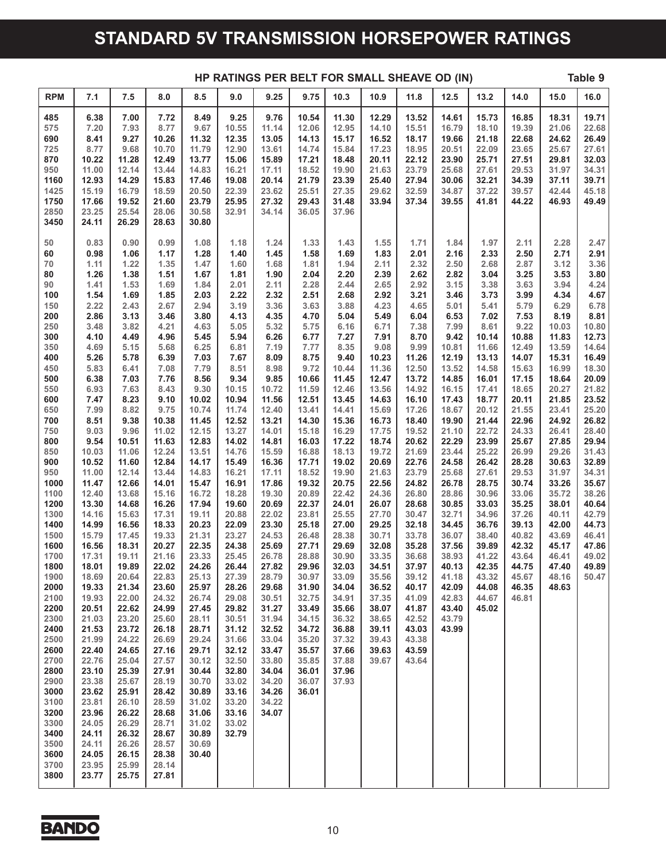### **STANDARD 5V TRANSMISSION HORSEPOWER RATINGS**

|              | HP RATINGS PER BELT FOR SMALL SHEAVE OD (IN) |                |                |                |                |                |                |                |                |                |                |                |                | Table 9        |                |
|--------------|----------------------------------------------|----------------|----------------|----------------|----------------|----------------|----------------|----------------|----------------|----------------|----------------|----------------|----------------|----------------|----------------|
| <b>RPM</b>   | 7.1                                          | 7.5            | 8.0            | 8.5            | 9.0            | 9.25           | 9.75           | 10.3           | 10.9           | 11.8           | 12.5           | 13.2           | 14.0           | 15.0           | 16.0           |
| 485          | 6.38                                         | 7.00           | 7.72           | 8.49           | 9.25           | 9.76           | 10.54          | 11.30          | 12.29          | 13.52          | 14.61          | 15.73          | 16.85          | 18.31          | 19.71          |
| 575          | 7.20                                         | 7.93           | 8.77           | 9.67           | 10.55          | 11.14          | 12.06          | 12.95          | 14.10          | 15.51          | 16.79          | 18.10          | 19.39          | 21.06          | 22.68          |
| 690          | 8.41                                         | 9.27           | 10.26          | 11.32          | 12.35          | 13.05          | 14.13          | 15.17          | 16.52          | 18.17          | 19.66          | 21.18          | 22.68          | 24.62          | 26.49          |
| 725<br>870   | 8.77<br>10.22                                | 9.68<br>11.28  | 10.70<br>12.49 | 11.79<br>13.77 | 12.90<br>15.06 | 13.61<br>15.89 | 14.74<br>17.21 | 15.84<br>18.48 | 17.23<br>20.11 | 18.95<br>22.12 | 20.51<br>23.90 | 22.09<br>25.71 | 23.65<br>27.51 | 25.67<br>29.81 | 27.61<br>32.03 |
| 950          | 11.00                                        | 12.14          | 13.44          | 14.83          | 16.21          | 17.11          | 18.52          | 19.90          | 21.63          | 23.79          | 25.68          | 27.61          | 29.53          | 31.97          | 34.31          |
| 1160         | 12.93                                        | 14.29          | 15.83          | 17.46          | 19.08          | 20.14          | 21.79          | 23.39          | 25.40          | 27.94          | 30.06          | 32.21          | 34.39          | 37.11          | 39.71          |
| 1425         | 15.19                                        | 16.79          | 18.59          | 20.50          | 22.39          | 23.62          | 25.51          | 27.35          | 29.62          | 32.59          | 34.87          | 37.22          | 39.57          | 42.44          | 45.18          |
| 1750         | 17.66                                        | 19.52          | 21.60          | 23.79          | 25.95          | 27.32          | 29.43          | 31.48          | 33.94          | 37.34          | 39.55          | 41.81          | 44.22          | 46.93          | 49.49          |
| 2850         | 23.25                                        | 25.54          | 28.06          | 30.58          | 32.91          | 34.14          | 36.05          | 37.96          |                |                |                |                |                |                |                |
| 3450         | 24.11                                        | 26.29          | 28.63          | 30.80          |                |                |                |                |                |                |                |                |                |                |                |
| 50           | 0.83                                         | 0.90           | 0.99           | 1.08           | 1.18           | 1.24           | 1.33           | 1.43           | 1.55           | 1.71           | 1.84           | 1.97           | 2.11           | 2.28           | 2.47           |
| 60           | 0.98                                         | 1.06           | 1.17           | 1.28           | 1.40           | 1.45           | 1.58           | 1.69           | 1.83           | 2.01           | 2.16           | 2.33           | 2.50           | 2.71           | 2.91           |
| 70           | 1.11                                         | 1.22           | 1.35           | 1.47           | 1.60           | 1.68           | 1.81           | 1.94           | 2.11           | 2.32           | 2.50           | 2.68           | 2.87           | 3.12           | 3.36           |
| 80           | 1.26                                         | 1.38           | 1.51           | 1.67           | 1.81           | 1.90           | 2.04           | 2.20           | 2.39           | 2.62           | 2.82           | 3.04           | 3.25           | 3.53           | 3.80           |
| 90           | 1.41                                         | 1.53           | 1.69           | 1.84           | 2.01           | 2.11           | 2.28           | 2.44           | 2.65           | 2.92           | 3.15           | 3.38           | 3.63           | 3.94           | 4.24           |
| 100          | 1.54                                         | 1.69           | 1.85           | 2.03           | 2.22           | 2.32           | 2.51           | 2.68           | 2.92           | 3.21           | 3.46           | 3.73           | 3.99           | 4.34           | 4.67           |
| 150<br>200   | 2.22<br>2.86                                 | 2.43<br>3.13   | 2.67<br>3.46   | 2.94<br>3.80   | 3.19<br>4.13   | 3.36<br>4.35   | 3.63<br>4.70   | 3.88<br>5.04   | 4.23<br>5.49   | 4.65<br>6.04   | 5.01<br>6.53   | 5.41<br>7.02   | 5.79<br>7.53   | 6.29<br>8.19   | 6.78<br>8.81   |
| 250          | 3.48                                         | 3.82           | 4.21           | 4.63           | 5.05           | 5.32           | 5.75           | 6.16           | 6.71           | 7.38           | 7.99           | 8.61           | 9.22           | 10.03          | 10.80          |
| 300          | 4.10                                         | 4.49           | 4.96           | 5.45           | 5.94           | 6.26           | 6.77           | 7.27           | 7.91           | 8.70           | 9.42           | 10.14          | 10.88          | 11.83          | 12.73          |
| 350          | 4.69                                         | 5.15           | 5.68           | 6.25           | 6.81           | 7.19           | 7.77           | 8.35           | 9.08           | 9.99           | 10.81          | 11.66          | 12.49          | 13.59          | 14.64          |
| 400          | 5.26                                         | 5.78           | 6.39           | 7.03           | 7.67           | 8.09           | 8.75           | 9.40           | 10.23          | 11.26          | 12.19          | 13.13          | 14.07          | 15.31          | 16.49          |
| 450          | 5.83                                         | 6.41           | 7.08           | 7.79           | 8.51           | 8.98           | 9.72           | 10.44          | 11.36          | 12.50          | 13.52          | 14.58          | 15.63          | 16.99          | 18.30          |
| 500          | 6.38                                         | 7.03           | 7.76           | 8.56           | 9.34           | 9.85           | 10.66          | 11.45          | 12.47          | 13.72          | 14.85          | 16.01          | 17.15          | 18.64          | 20.09          |
| 550          | 6.93                                         | 7.63           | 8.43           | 9.30           | 10.15          | 10.72          | 11.59          | 12.46          | 13.56          | 14.92          | 16.15          | 17.41          | 18.65          | 20.27          | 21.82          |
| 600          | 7.47                                         | 8.23           | 9.10           | 10.02          | 10.94          | 11.56          | 12.51          | 13.45          | 14.63          | 16.10          | 17.43          | 18.77          | 20.11          | 21.85          | 23.52          |
| 650<br>700   | 7.99<br>8.51                                 | 8.82<br>9.38   | 9.75<br>10.38  | 10.74<br>11.45 | 11.74<br>12.52 | 12.40<br>13.21 | 13.41<br>14.30 | 14.41<br>15.36 | 15.69<br>16.73 | 17.26<br>18.40 | 18.67<br>19.90 | 20.12<br>21.44 | 21.55<br>22.96 | 23.41<br>24.92 | 25.20<br>26.82 |
| 750          | 9.03                                         | 9.96           | 11.02          | 12.15          | 13.27          | 14.01          | 15.18          | 16.29          | 17.75          | 19.52          | 21.10          | 22.72          | 24.33          | 26.41          | 28.40          |
| 800          | 9.54                                         | 10.51          | 11.63          | 12.83          | 14.02          | 14.81          | 16.03          | 17.22          | 18.74          | 20.62          | 22.29          | 23.99          | 25.67          | 27.85          | 29.94          |
| 850          | 10.03                                        | 11.06          | 12.24          | 13.51          | 14.76          | 15.59          | 16.88          | 18.13          | 19.72          | 21.69          | 23.44          | 25.22          | 26.99          | 29.26          | 31.43          |
| 900          | 10.52                                        | 11.60          | 12.84          | 14.17          | 15.49          | 16.36          | 17.71          | 19.02          | 20.69          | 22.76          | 24.58          | 26.42          | 28.28          | 30.63          | 32.89          |
| 950          | 11.00                                        | 12.14          | 13.44          | 14.83          | 16.21          | 17.11          | 18.52          | 19.90          | 21.63          | 23.79          | 25.68          | 27.61          | 29.53          | 31.97          | 34.31          |
| 1000         | 11.47                                        | 12.66          | 14.01          | 15.47          | 16.91          | 17.86          | 19.32          | 20.75          | 22.56          | 24.82          | 26.78          | 28.75          | 30.74          | 33.26          | 35.67          |
| 1100         | 12.40                                        | 13.68          | 15.16          | 16.72          | 18.28          | 19.30          | 20.89          | 22.42          | 24.36          | 26.80          | 28.86          | 30.96          | 33.06          | 35.72          | 38.26          |
| 1200<br>1300 | 13.30<br>14.16                               | 14.68<br>15.63 | 16.26<br>17.31 | 17.94<br>19.11 | 19.60<br>20.88 | 20.69<br>22.02 | 22.37<br>23.81 | 24.01<br>25.55 | 26.07<br>27.70 | 28.68<br>30.47 | 30.85<br>32.71 | 33.03<br>34.96 | 35.25<br>37.26 | 38.01<br>40.11 | 40.64<br>42.79 |
| 1400         | 14.99                                        | 16.56          | 18.33          | 20.23          | 22.09          | 23.30          | 25.18          | 27.00          | 29.25          | 32.18          | 34.45          | 36.76          | 39.13          | 42.00          | 44.73          |
| 1500         | 15.79                                        | 17.45          | 19.33          | 21.31          | 23.27          | 24.53          | 26.48          | 28.38          | 30.71          | 33.78          | 36.07          | 38.40          | 40.82          | 43.69          | 46.41          |
| 1600         | 16.56                                        | 18.31          | 20.27          | 22.35          | 24.38          | 25.69          | 27.71          | 29.69          | 32.08          | 35.28          | 37.56          | 39.89          | 42.32          | 45.17          | 47.86          |
| 1700         | 17.31                                        | 19.11          | 21.16          | 23.33          | 25.45          | 26.78          | 28.88          | 30.90          | 33.35          | 36.68          | 38.93          | 41.22          | 43.64          | 46.41          | 49.02          |
| 1800         | 18.01                                        | 19.89          | 22.02          | 24.26          | 26.44          | 27.82          | 29.96          | 32.03          | 34.51          | 37.97          | 40.13          | 42.35          | 44.75          | 47.40          | 49.89          |
| 1900         | 18.69                                        | 20.64          | 22.83          | 25.13          | 27.39          | 28.79          | 30.97          | 33.09          | 35.56          | 39.12          | 41.18          | 43.32          | 45.67          | 48.16          | 50.47          |
| 2000         | 19.33                                        | 21.34          | 23.60          | 25.97          | 28.26          | 29.68          | 31.90          | 34.04          | 36.52          | 40.17          | 42.09          | 44.08          | 46.35          | 48.63          |                |
| 2100<br>2200 | 19.93<br>20.51                               | 22.00<br>22.62 | 24.32<br>24.99 | 26.74<br>27.45 | 29.08<br>29.82 | 30.51<br>31.27 | 32.75<br>33.49 | 34.91<br>35.66 | 37.35<br>38.07 | 41.09<br>41.87 | 42.83<br>43.40 | 44.67<br>45.02 | 46.81          |                |                |
| 2300         | 21.03                                        | 23.20          | 25.60          | 28.11          | 30.51          | 31.94          | 34.15          | 36.32          | 38.65          | 42.52          | 43.79          |                |                |                |                |
| 2400         | 21.53                                        | 23.72          | 26.18          | 28.71          | 31.12          | 32.52          | 34.72          | 36.88          | 39.11          | 43.03          | 43.99          |                |                |                |                |
| 2500         | 21.99                                        | 24.22          | 26.69          | 29.24          | 31.66          | 33.04          | 35.20          | 37.32          | 39.43          | 43.38          |                |                |                |                |                |
| 2600         | 22.40                                        | 24.65          | 27.16          | 29.71          | 32.12          | 33.47          | 35.57          | 37.66          | 39.63          | 43.59          |                |                |                |                |                |
| 2700         | 22.76                                        | 25.04          | 27.57          | 30.12          | 32.50          | 33.80          | 35.85          | 37.88          | 39.67          | 43.64          |                |                |                |                |                |
| 2800         | 23.10                                        | 25.39          | 27.91          | 30.44          | 32.80          | 34.04          | 36.01          | 37.96          |                |                |                |                |                |                |                |
| 2900         | 23.38                                        | 25.67          | 28.19          | 30.70          | 33.02          | 34.20          | 36.07          | 37.93          |                |                |                |                |                |                |                |
| 3000         | 23.62                                        | 25.91          | 28.42          | 30.89          | 33.16          | 34.26          | 36.01          |                |                |                |                |                |                |                |                |
| 3100<br>3200 | 23.81<br>23.96                               | 26.10<br>26.22 | 28.59<br>28.68 | 31.02<br>31.06 | 33.20<br>33.16 | 34.22<br>34.07 |                |                |                |                |                |                |                |                |                |
| 3300         | 24.05                                        | 26.29          | 28.71          | 31.02          | 33.02          |                |                |                |                |                |                |                |                |                |                |
| 3400         | 24.11                                        | 26.32          | 28.67          | 30.89          | 32.79          |                |                |                |                |                |                |                |                |                |                |
| 3500         | 24.11                                        | 26.26          | 28.57          | 30.69          |                |                |                |                |                |                |                |                |                |                |                |
| 3600         | 24.05                                        | 26.15          | 28.38          | 30.40          |                |                |                |                |                |                |                |                |                |                |                |
| 3700         | 23.95                                        | 25.99          | 28.14          |                |                |                |                |                |                |                |                |                |                |                |                |
| 3800         | 23.77                                        | 25.75          | 27.81          |                |                |                |                |                |                |                |                |                |                |                |                |
|              |                                              |                |                |                |                |                |                |                |                |                |                |                |                |                |                |

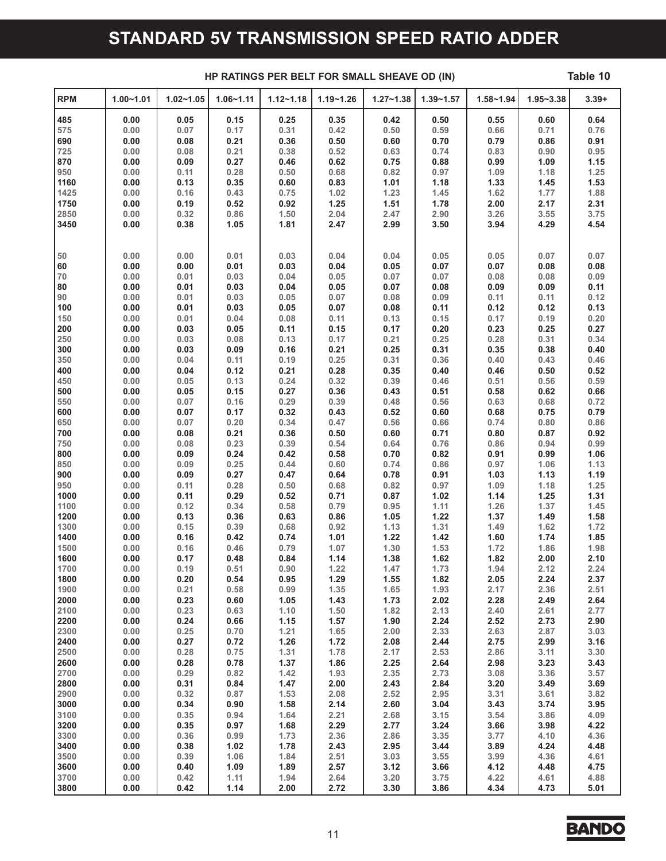### **STANDARD 5V TRANSMISSION SPEED RATIO ADDER**

| Table 10<br>HP RATINGS PER BELT FOR SMALL SHEAVE OD (IN) |               |               |               |               |               |               |               |               |               |         |  |
|----------------------------------------------------------|---------------|---------------|---------------|---------------|---------------|---------------|---------------|---------------|---------------|---------|--|
| <b>RPM</b>                                               | $1.00 - 1.01$ | $1.02 - 1.05$ | $1.06 - 1.11$ | $1.12 - 1.18$ | $1.19 - 1.26$ | $1.27 - 1.38$ | $1.39 - 1.57$ | $1.58 - 1.94$ | $1.95 - 3.38$ | $3.39+$ |  |
| 485                                                      | 0.00          | 0.05          | 0.15          | 0.25          | 0.35          | 0.42          | 0.50          | 0.55          | 0.60          | 0.64    |  |
| 575                                                      | 0.00          | 0.07          | 0.17          | 0.31          | 0.42          | 0.50          | 0.59          | 0.66          | 0.71          | 0.76    |  |
| 690                                                      | 0.00          | 0.08          | 0.21          | 0.36          | 0.50          | 0.60          | 0.70          | 0.79          | 0.86          | 0.91    |  |
| 725                                                      | 0.00          | 0.08          | 0.21          | 0.38          | 0.52          | 0.63          | 0.74          | 0.83          | 0.90          | 0.95    |  |
| 870                                                      | 0.00          | 0.09          | 0.27          | 0.46          | 0.62          | 0.75          | 0.88          | 0.99          | 1.09          | 1.15    |  |
| 950                                                      | 0.00          | 0.11          | 0.28          | 0.50          | 0.68          | 0.82          | 0.97          | 1.09          | 1.18          | 1.25    |  |
| 1160                                                     | 0.00          | 0.13          | 0.35          | 0.60          | 0.83          | 1.01          | 1.18          | 1.33          | 1.45          | 1.53    |  |
| 1425                                                     | 0.00          | 0.16          | 0.43          |               | 1.02          |               | 1.45          |               | 1.77          | 1.88    |  |
|                                                          |               |               |               | 0.75          |               | 1.23          |               | 1.62          |               | 2.31    |  |
| 1750                                                     | 0.00          | 0.19          | 0.52          | 0.92          | 1.25          | 1.51          | 1.78          | 2.00          | 2.17          |         |  |
| 2850                                                     | 0.00          | 0.32          | 0.86          | 1.50          | 2.04          | 2.47          | 2.90          | 3.26          | 3.55          | 3.75    |  |
| 3450                                                     | 0.00          | 0.38          | 1.05          | 1.81          | 2.47          | 2.99          | 3.50          | 3.94          | 4.29          | 4.54    |  |
| 50                                                       | 0.00          | 0.00          | 0.01          | 0.03          | 0.04          | 0.04          | 0.05          | 0.05          | 0.07          | 0.07    |  |
| 60                                                       | 0.00          | 0.00          | 0.01          | 0.03          | 0.04          | 0.05          | 0.07          | 0.07          | 0.08          | 0.08    |  |
| $70$                                                     | 0.00          | 0.01          | 0.03          | 0.04          | 0.05          | 0.07          | 0.07          | 0.08          | 0.08          | 0.09    |  |
| 80                                                       | 0.00          | 0.01          | 0.03          | 0.04          | 0.05          | 0.07          | 0.08          | 0.09          | 0.09          | 0.11    |  |
| 90                                                       | 0.00          | 0.01          | 0.03          | 0.05          | 0.07          |               | 0.09          |               | 0.11          | 0.12    |  |
|                                                          |               |               |               |               |               | 0.08          |               | 0.11          |               |         |  |
| 100                                                      | 0.00          | 0.01          | 0.03          | 0.05          | 0.07          | 0.08          | 0.11          | 0.12          | 0.12          | 0.13    |  |
| 150                                                      | 0.00          | 0.01          | 0.04          | 0.08          | 0.11          | 0.13          | 0.15          | 0.17          | 0.19          | 0.20    |  |
| 200                                                      | 0.00          | 0.03          | 0.05          | 0.11          | 0.15          | 0.17          | 0.20          | 0.23          | 0.25          | 0.27    |  |
| 250                                                      | 0.00          | 0.03          | 0.08          | 0.13          | 0.17          | 0.21          | 0.25          | 0.28          | 0.31          | 0.34    |  |
| 300                                                      | 0.00          | 0.03          | 0.09          | 0.16          | 0.21          | 0.25          | 0.31          | 0.35          | 0.38          | 0.40    |  |
| 350                                                      | 0.00          | 0.04          | 0.11          | 0.19          | 0.25          | 0.31          | 0.36          | 0.40          | 0.43          | 0.46    |  |
| 400                                                      | 0.00          | 0.04          | 0.12          | 0.21          | 0.28          | 0.35          | 0.40          | 0.46          | 0.50          | 0.52    |  |
| 450                                                      | 0.00          | 0.05          | 0.13          | 0.24          | 0.32          | 0.39          | 0.46          | 0.51          | 0.56          | 0.59    |  |
| 500                                                      | 0.00          | 0.05          | 0.15          | 0.27          | 0.36          | 0.43          | 0.51          | 0.58          | 0.62          | 0.66    |  |
| 550                                                      | 0.00          | 0.07          | 0.16          | 0.29          | 0.39          | 0.48          | 0.56          | 0.63          | 0.68          | 0.72    |  |
| 600                                                      | 0.00          | 0.07          | 0.17          | 0.32          | 0.43          | 0.52          | 0.60          | 0.68          | 0.75          | 0.79    |  |
| 650                                                      | 0.00          | 0.07          | 0.20          | 0.34          | 0.47          | 0.56          | 0.66          | 0.74          | 0.80          | 0.86    |  |
| 700                                                      | 0.00          | 0.08          | 0.21          | 0.36          | 0.50          | 0.60          | 0.71          | 0.80          | 0.87          | 0.92    |  |
| 750                                                      | 0.00          | 0.08          | 0.23          | 0.39          | 0.54          | 0.64          | 0.76          | 0.86          | 0.94          | 0.99    |  |
|                                                          |               |               |               |               |               |               |               |               |               |         |  |
| 800                                                      | 0.00          | 0.09          | 0.24          | 0.42          | 0.58          | 0.70          | 0.82          | 0.91          | 0.99          | 1.06    |  |
| 850                                                      | 0.00          | 0.09          | 0.25          | 0.44          | 0.60          | 0.74          | 0.86          | 0.97          | 1.06          | 1.13    |  |
| 900                                                      | 0.00          | 0.09          | 0.27          | 0.47          | 0.64          | 0.78          | 0.91          | 1.03          | 1.13          | 1.19    |  |
| 950                                                      | 0.00          | 0.11          | 0.28          | 0.50          | 0.68          | 0.82          | 0.97          | 1.09          | 1.18          | 1.25    |  |
| 1000                                                     | 0.00          | 0.11          | 0.29          | 0.52          | 0.71          | 0.87          | 1.02          | 1.14          | 1.25          | 1.31    |  |
| 1100                                                     | 0.00          | 0.12          | 0.34          | 0.58          | 0.79          | 0.95          | 1.11          | 1.26          | 1.37          | 1.45    |  |
| 1200                                                     | 0.00          | 0.13          | 0.36          | 0.63          | 0.86          | 1.05          | 1.22          | 1.37          | 1.49          | 1.58    |  |
| 1300                                                     | 0.00          | 0.15          | 0.39          | 0.68          | 0.92          | 1.13          | 1.31          | 1.49          | 1.62          | 1.72    |  |
| 1400                                                     | 0.00          | 0.16          | 0.42          | 0.74          | 1.01          | 1.22          | 1.42          | 1.60          | 1.74          | 1.85    |  |
| 1500                                                     | 0.00          | 0.16          | 0.46          | 0.79          | 1.07          | 1.30          | 1.53          | 1.72          | 1.86          | 1.98    |  |
| 1600                                                     | 0.00          | 0.17          | 0.48          | 0.84          | 1.14          | 1.38          | 1.62          | 1.82          | 2.00          | 2.10    |  |
| 1700                                                     | 0.00          | 0.19          | 0.51          | 0.90          | 1.22          | 1.47          | 1.73          | 1.94          | 2.12          | 2.24    |  |
| 1800                                                     | 0.00          | 0.20          | 0.54          | 0.95          | 1.29          | 1.55          | 1.82          | 2.05          | 2.24          | 2.37    |  |
| 1900                                                     | 0.00          | 0.21          | 0.58          | 0.99          | 1.35          | 1.65          | 1.93          | 2.17          | 2.36          | 2.51    |  |
| 2000                                                     | 0.00          | 0.23          | 0.60          | 1.05          | 1.43          | 1.73          | 2.02          | 2.28          | 2.49          | 2.64    |  |
| 2100                                                     | 0.00          | 0.23          | 0.63          | 1.10          | 1.50          | 1.82          | 2.13          | 2.40          | 2.61          | 2.77    |  |
|                                                          |               |               |               |               |               |               |               |               |               |         |  |
| 2200                                                     | 0.00          | 0.24          | 0.66          | 1.15          | 1.57          | 1.90          | 2.24          | 2.52          | 2.73          | 2.90    |  |
| 2300                                                     | 0.00          | 0.25          | 0.70          | 1.21          | 1.65          | 2.00          | 2.33          | 2.63          | 2.87          | 3.03    |  |
| 2400                                                     | 0.00          | 0.27          | 0.72          | 1.26          | 1.72          | 2.08          | 2.44          | 2.75          | 2.99          | 3.16    |  |
| 2500                                                     | 0.00          | 0.28          | 0.75          | 1.31          | 1.78          | 2.17          | 2.53          | 2.86          | 3.11          | 3.30    |  |
| 2600                                                     | 0.00          | 0.28          | 0.78          | 1.37          | 1.86          | 2.25          | 2.64          | 2.98          | 3.23          | 3.43    |  |
| 2700                                                     | 0.00          | 0.29          | 0.82          | 1.42          | 1.93          | 2.35          | 2.73          | 3.08          | 3.36          | 3.57    |  |
| 2800                                                     | 0.00          | 0.31          | 0.84          | 1.47          | 2.00          | 2.43          | 2.84          | 3.20          | 3.49          | 3.69    |  |
| 2900                                                     | 0.00          | 0.32          | 0.87          | 1.53          | 2.08          | 2.52          | 2.95          | 3.31          | 3.61          | 3.82    |  |
| 3000                                                     | 0.00          | 0.34          | 0.90          | 1.58          | 2.14          | 2.60          | 3.04          | 3.43          | 3.74          | 3.95    |  |
| 3100                                                     | 0.00          | 0.35          | 0.94          | 1.64          | 2.21          | 2.68          | 3.15          | 3.54          | 3.86          | 4.09    |  |
| 3200                                                     | 0.00          | 0.35          | 0.97          | 1.68          | 2.29          | 2.77          | 3.24          | 3.66          | 3.98          | 4.22    |  |
| 3300                                                     | 0.00          | 0.36          | 0.99          | 1.73          | 2.36          | 2.86          | 3.35          | 3.77          | 4.10          | 4.36    |  |
| 3400                                                     | 0.00          | 0.38          | 1.02          | 1.78          | 2.43          | 2.95          | 3.44          | 3.89          | 4.24          | 4.48    |  |
| 3500                                                     | 0.00          | 0.39          | 1.06          | 1.84          | 2.51          | 3.03          | 3.55          | 3.99          | 4.36          | 4.61    |  |
|                                                          |               |               |               |               |               |               |               |               |               |         |  |
| 3600                                                     | 0.00          | 0.40          | 1.09          | 1.89          | 2.57          | 3.12          | 3.66          | 4.12          | 4.48          | 4.75    |  |
| 3700                                                     | 0.00          | 0.42          | 1.11          | 1.94          | 2.64          | 3.20          | 3.75          | 4.22          | 4.61          | 4.88    |  |
| 3800                                                     | 0.00          | 0.42          | 1.14          | 2.00          | 2.72          | 3.30          | 3.86          | 4.34          | 4.73          | 5.01    |  |

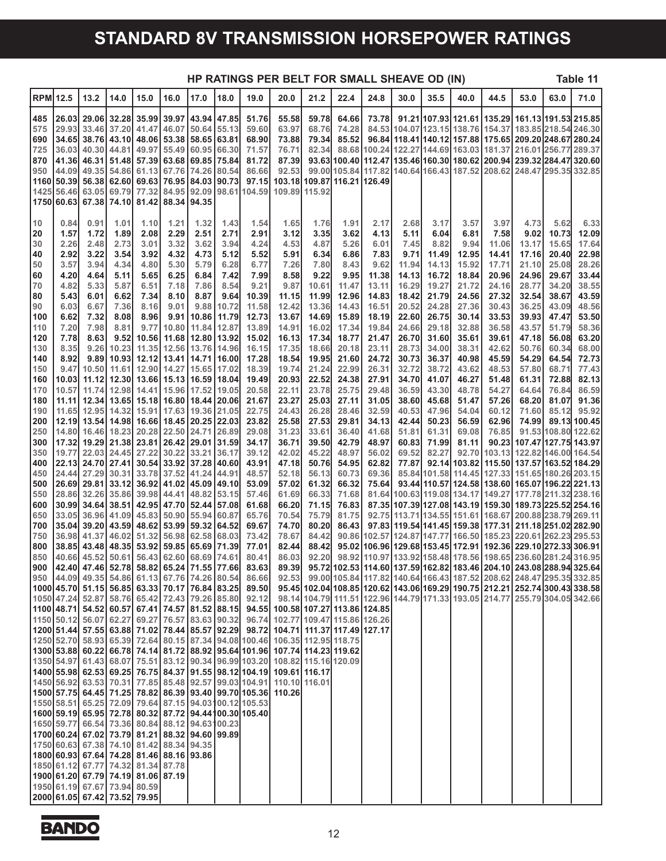### **STANDARD 8V TRANSMISSION HORSEPOWER RATINGS**

|                 | HP RATINGS PER BELT FOR SMALL SHEAVE OD (IN)<br>Table 11 |                                                                                            |                |              |                                                                                |                       |              |                                                        |                                                                                                                                                          |                             |                |                |                |                |                |                                                                                                                                                                                                 |                            |                     |                |
|-----------------|----------------------------------------------------------|--------------------------------------------------------------------------------------------|----------------|--------------|--------------------------------------------------------------------------------|-----------------------|--------------|--------------------------------------------------------|----------------------------------------------------------------------------------------------------------------------------------------------------------|-----------------------------|----------------|----------------|----------------|----------------|----------------|-------------------------------------------------------------------------------------------------------------------------------------------------------------------------------------------------|----------------------------|---------------------|----------------|
| <b>RPM 12.5</b> |                                                          | 13.2                                                                                       | 14.0           | 15.0         | 16.0                                                                           | 17.0                  | 18.0         | 19.0                                                   | 20.0                                                                                                                                                     | 21.2                        | 22.4           | 24.8           | 30.0           | 35.5           | 40.0           | 44.5                                                                                                                                                                                            | 53.0                       | 63.0                | 71.0           |
| 485             | 26.03                                                    |                                                                                            | 29.06 32.28    |              | 35.99 39.97                                                                    | 43.94 47.85           |              | 51.76                                                  | 55.58                                                                                                                                                    | 59.78                       | 64.66          | 73.78          |                |                |                | 91.21 107.93 121.61 135.29 161.13 191.53 215.85                                                                                                                                                 |                            |                     |                |
| 575             | 29.93                                                    | 33.46 37.20                                                                                |                |              | 41.47 46.07 50.64 55.13                                                        |                       |              | 59.60                                                  | 63.97                                                                                                                                                    | 68.76                       | 74.28          |                |                |                |                | 84.53 104.07 123.15 138.76 154.37 183.85 218.54 246.30                                                                                                                                          |                            |                     |                |
| 690             | 34.65                                                    | 38.76 43.10                                                                                |                |              | 48.06 53.38 58.65 63.81                                                        |                       |              | 68.90                                                  | 73.88                                                                                                                                                    | 79.34                       | 85.52          |                |                |                |                | 96.84 118.41 140.12 157.88 175.65 209.20 248.67 280.24                                                                                                                                          |                            |                     |                |
| 725<br>870      | 36.03<br>41.36                                           | 40.30 44.81                                                                                |                |              | 49.97 55.49 60.95 66.30<br>46.31 51.48 57.39 63.68 69.85 75.84                 |                       |              | 71.57<br>81.72                                         | 76.71<br>87.39                                                                                                                                           | 82.34                       |                |                |                |                |                | 88.68 100.24 122.27 144.69 163.03 181.37 216.01 256.77 289.37<br>93.63 100.40 112.47 135.46 160.30 180.62 200.94 239.32 284.47 320.60                                                           |                            |                     |                |
| 950             | 44.09                                                    |                                                                                            | 49.35 54.86    |              | 61.13 67.76 74.26 80.54                                                        |                       |              | 86.66                                                  | 92.53                                                                                                                                                    |                             |                |                |                |                |                | 99.00 105.84 117.82 140.64 166.43 187.52 208.62 248.47 295.35 332.85                                                                                                                            |                            |                     |                |
|                 | 1160 50.39                                               |                                                                                            |                |              | 56.38 62.60 69.63 76.95 84.03 90.73                                            |                       |              | 97.15                                                  |                                                                                                                                                          | 103.18 109.87 116.21 126.49 |                |                |                |                |                |                                                                                                                                                                                                 |                            |                     |                |
|                 | 1425 56.46                                               |                                                                                            | 63.05 69.79    |              |                                                                                |                       |              | 77.32 84.95 92.09 98.61 104.59                         | 109.89 115.92                                                                                                                                            |                             |                |                |                |                |                |                                                                                                                                                                                                 |                            |                     |                |
| 1750            | 60.63                                                    |                                                                                            |                |              | 67.38 74.10 81.42 88.34 94.35                                                  |                       |              |                                                        |                                                                                                                                                          |                             |                |                |                |                |                |                                                                                                                                                                                                 |                            |                     |                |
| 10              | 0.84                                                     | 0.91                                                                                       | 1.01           | 1.10         | 1.21                                                                           | 1.32                  | 1.43         | 1.54                                                   | 1.65                                                                                                                                                     | 1.76                        | 1.91           | 2.17           | 2.68           | 3.17           | 3.57           | 3.97                                                                                                                                                                                            | 4.73                       | 5.62                | 6.33           |
| 20              | 1.57                                                     | 1.72                                                                                       | 1.89           | 2.08         | 2.29                                                                           | 2.51                  | 2.71         | 2.91                                                   | 3.12                                                                                                                                                     | 3.35                        | 3.62           | 4.13           | 5.11           | 6.04           | 6.81           | 7.58                                                                                                                                                                                            | 9.02                       | 10.73               | 12.09          |
| 30              | 2.26                                                     | 2.48                                                                                       | 2.73           | 3.01         | 3.32                                                                           | 3.62                  | 3.94         | 4.24                                                   | 4.53                                                                                                                                                     | 4.87                        | 5.26           | 6.01           | 7.45           | 8.82           | 9.94           | 11.06                                                                                                                                                                                           | 13.17                      | 15.65               | 17.64          |
| 40              | 2.92                                                     | 3.22                                                                                       | 3.54           | 3.92         | 4.32                                                                           | 4.73                  | 5.12         | 5.52                                                   | 5.91                                                                                                                                                     | 6.34                        | 6.86           | 7.83           | 9.71           | 11.49          | 12.95          | 14.41                                                                                                                                                                                           | 17.16                      | 20.40               | 22.98          |
| 50              | 3.57                                                     | 3.94                                                                                       | 4.34           | 4.80         | 5.30                                                                           | 5.79                  | 6.28         | 6.77                                                   | 7.26                                                                                                                                                     | 7.80                        | 8.43           | 9.62           | 11.94          | 14.13          | 15.92          | 17.71                                                                                                                                                                                           | 21.10                      | 25.08               | 28.26          |
| 60              | 4.20                                                     | 4.64                                                                                       | 5.11           | 5.65         | 6.25                                                                           | 6.84                  | 7.42         | 7.99                                                   | 8.58                                                                                                                                                     | 9.22                        | 9.95           | 11.38          | 14.13          | 16.72          | 18.84          | 20.96                                                                                                                                                                                           | 24.96                      | 29.67               | 33.44          |
| 70<br>80        | 4.82<br>5.43                                             | 5.33                                                                                       | 5.87           | 6.51         | 7.18                                                                           | 7.86<br>8.87          | 8.54<br>9.64 | 9.21                                                   | 9.87                                                                                                                                                     | 10.61                       | 11.47          | 13.11          | 16.29          | 19.27<br>21.79 | 21.72<br>24.56 | 24.16<br>27.32                                                                                                                                                                                  | 28.77<br>32.54             | 34.20<br>38.67      | 38.55<br>43.59 |
| 90              | 6.03                                                     | 6.01<br>6.67                                                                               | 6.62<br>7.36   | 7.34<br>8.16 | 8.10<br>9.01                                                                   | 9.88                  | 10.72        | 10.39<br>11.58                                         | 11.15<br>12.42                                                                                                                                           | 11.99<br>13.36              | 12.96<br>14.43 | 14.83<br>16.51 | 18.42<br>20.52 | 24.28          | 27.36          | 30.43                                                                                                                                                                                           | 36.25                      | 43.09               | 48.56          |
| 100             | 6.62                                                     | 7.32                                                                                       | 8.08           | 8.96         |                                                                                | 9.91 10.86 11.79      |              | 12.73                                                  | 13.67                                                                                                                                                    | 14.69                       | 15.89          | 18.19          | 22.60          | 26.75          | 30.14          | 33.53                                                                                                                                                                                           | 39.93                      | 47.47               | 53.50          |
| 110             | 7.20                                                     | 7.98                                                                                       | 8.81           | 9.77         | 10.80                                                                          | 11.84 12.87           |              | 13.89                                                  | 14.91                                                                                                                                                    | 16.02                       | 17.34          | 19.84          | 24.66          | 29.18          | 32.88          | 36.58                                                                                                                                                                                           | 43.57                      | 51.79               | 58.36          |
| 120             | 7.78                                                     | 8.63                                                                                       | 9.52           | 10.56        |                                                                                | 11.68   12.80   13.92 |              | 15.02                                                  | 16.13                                                                                                                                                    | 17.34                       | 18.77          | 21.47          | 26.70          | 31.60          | 35.61          | 39.61                                                                                                                                                                                           | 47.18                      | 56.08               | 63.20          |
| 130             | 8.35                                                     |                                                                                            | $9.26$ 10.23   |              | 11.35 12.56 13.76 14.96                                                        |                       |              | 16.15                                                  | 17.35                                                                                                                                                    | 18.66                       | 20.18          | 23.11          | 28.73          | 34.00          | 38.31          | 42.62                                                                                                                                                                                           | 50.76                      | 60.34               | 68.00          |
| 140             | 8.92                                                     |                                                                                            | $9.89$   10.93 |              | 12.12 13.41 14.71 16.00                                                        |                       |              | 17.28                                                  | 18.54                                                                                                                                                    | 19.95                       | 21.60          | 24.72          | 30.73          | 36.37          | 40.98          | 45.59                                                                                                                                                                                           | 54.29                      | 64.54               | 72.73          |
| 150             | 9.47                                                     |                                                                                            |                |              | 10.50 11.61 12.90 14.27 15.65 17.02                                            |                       |              | 18.39                                                  | 19.74                                                                                                                                                    | 21.24                       | 22.99          | 26.31          | 32.72          | 38.72          | 43.62          | 48.53                                                                                                                                                                                           | 57.80                      | 68.71               | 77.43          |
| 160             | 10.03                                                    |                                                                                            | 11.12 12.30    |              | 13.66   15.13   16.59   18.04                                                  |                       |              | 19.49                                                  | 20.93                                                                                                                                                    | 22.52                       | 24.38          | 27.91          | 34.70          | 41.07          | 46.27          | 51.48                                                                                                                                                                                           | 61.31                      | 72.88               | 82.13<br>86.59 |
| 170<br>180      | 10.57<br>11.11                                           |                                                                                            | 11.74 12.98    |              | 14.41   15.96   17.52   19.05<br>12.34   13.65   15.18   16.80   18.44   20.06 |                       |              | 20.58<br>21.67                                         | 22.11<br>23.27                                                                                                                                           | 23.78<br>25.03              | 25.75<br>27.11 | 29.48<br>31.05 | 36.59<br>38.60 | 43.30<br>45.68 | 48.78<br>51.47 | 54.27<br>57.26                                                                                                                                                                                  | 64.64<br>68.20             | 76.84<br>81.07      | 91.36          |
| 190             | 11.65                                                    |                                                                                            | 12.95 14.32    |              | 15.91 17.63 19.36 21.05                                                        |                       |              | 22.75                                                  | 24.43                                                                                                                                                    | 26.28                       | 28.46          | 32.59          | 40.53          | 47.96          | 54.04          | 60.12                                                                                                                                                                                           | 71.60                      | 85.12               | 95.92          |
| 200             | 12.19                                                    |                                                                                            |                |              | 13.54   14.98   16.66   18.45   20.25   22.03                                  |                       |              | 23.82                                                  | 25.58                                                                                                                                                    | 27.53                       | 29.81          | 34.13          | 42.44          | 50.23          | 56.59          | 62.96                                                                                                                                                                                           | 74.99                      |                     | 89.13 100.45   |
| 250             | 14.80                                                    |                                                                                            | 16.46 18.23    |              | 20.28 22.50 24.71                                                              |                       | 26.89        | 29.08                                                  | 31.23                                                                                                                                                    | 33.61                       | 36.40          | 41.68          | 51.81          | 61.31          | 69.08          | 76.85                                                                                                                                                                                           |                            | 91.53 108.80 122.62 |                |
| 300             |                                                          | 17.32 19.29 21.38 23.81 26.42 29.01 31.59                                                  |                |              |                                                                                |                       |              | 34.17                                                  | 36.71                                                                                                                                                    | 39.50                       | 42.79          | 48.97          | 60.83          | 71.99          | 81.11          |                                                                                                                                                                                                 | 90.23 107.47 127.75 143.97 |                     |                |
| 350             | 19.77                                                    |                                                                                            |                |              | 22.03 24.45 27.22 30.22 33.21 36.17                                            |                       |              | 39.12                                                  | 42.02                                                                                                                                                    | 45.22                       | 48.97          | 56.02          | 69.52          | 82.27          |                | 92.70 103.13 122.82 146.00 164.54                                                                                                                                                               |                            |                     |                |
| 400             | 22.13                                                    |                                                                                            | 24.70 27.41    |              | 30.54 33.92 37.28 40.60                                                        |                       |              | 43.91                                                  | 47.18                                                                                                                                                    | 50.76                       | 54.95          | 62.82          | 77.87          |                |                | 92.14 103.82 115.50 137.57 163.52 184.29                                                                                                                                                        |                            |                     |                |
| 450<br>500      | 24.44<br>26.69                                           | 29.81 33.12                                                                                |                |              | 27.29 30.31 33.78 37.52 41.24 44.91<br>36.92 41.02 45.09 49.10                 |                       |              | 48.57<br>53.09                                         | 52.18<br>57.02                                                                                                                                           | 56.13<br>61.32              | 60.73<br>66.32 | 69.36<br>75.64 |                |                |                | 85.84 101.58 114.45 127.33 151.65 180.26 203.15<br>93.44 110.57 124.58 138.60 165.07 196.22 221.13                                                                                              |                            |                     |                |
| 550             | 28.86                                                    |                                                                                            | 32.26 35.86    |              | 39.98 44.41 48.82 53.15                                                        |                       |              | 57.46                                                  | 61.69                                                                                                                                                    | 66.33                       | 71.68          |                |                |                |                | 81.64 100.63 119.08 134.17 149.27 177.78 211.32 238.16                                                                                                                                          |                            |                     |                |
| 600             | 30.99                                                    |                                                                                            |                |              | 34.64 38.51 42.95 47.70 52.44 57.08                                            |                       |              | 61.68                                                  | 66.20                                                                                                                                                    | 71.15                       | 76.83          |                |                |                |                | 87.35 107.39 127.08 143.19 159.30 189.73 225.52 254.16                                                                                                                                          |                            |                     |                |
| 650             | 33.05                                                    |                                                                                            | 36.96 41.09    |              | 45.83 50.90 55.94 60.87                                                        |                       |              | 65.76                                                  | 70.54                                                                                                                                                    | 75.79                       | 81.75          |                |                |                |                | 92.75 113.71 134.55 151.61 168.67 200.88 238.79 269.11                                                                                                                                          |                            |                     |                |
| 700             | 35.04                                                    |                                                                                            |                |              | 39.20 43.59 48.62 53.99 59.32 64.52                                            |                       |              | 69.67                                                  | 74.70                                                                                                                                                    | 80.20                       | 86.43          |                |                |                |                | 97.83 119.54 141.45 159.38 177.31 211.18 251.02 282.90                                                                                                                                          |                            |                     |                |
| 750             | 36.98                                                    | 41.37                                                                                      | 46.02          |              | 51.32 56.98 62.58 68.03                                                        |                       |              | 73.42                                                  | 78.67                                                                                                                                                    | 84.42                       | 90.86          |                |                |                |                | 102.57 124.87 147.77 166.50 185.23 220.61 262.23 295.53                                                                                                                                         |                            |                     |                |
| 800             |                                                          | 38.85  43.48  48.35  53.92  59.85   65.69   71.39                                          |                |              |                                                                                |                       |              | 77.01                                                  | 82.44                                                                                                                                                    | 88.42                       |                |                |                |                |                | 95.02 106.96 129.68 153.45 172.91 192.36 229.10 272.33 306.91                                                                                                                                   |                            |                     |                |
| 850             |                                                          | 40.66 45.52 50.61 56.43 62.60 68.69 74.61                                                  |                |              |                                                                                |                       |              | 80.41                                                  | 86.03                                                                                                                                                    | 92.20                       |                |                |                |                |                | 98.92 110.97 133.92 158.48 178.56 198.65 236.60 281.24 316.95<br>900 42.40 47.46 52.78 58.82 65.24 71.55 77.66 83.63 89.39 95.72 102.53 114.60 137.59 162.82 183.46 204.10 243.08 288.94 325.64 |                            |                     |                |
|                 |                                                          |                                                                                            |                |              |                                                                                |                       |              |                                                        |                                                                                                                                                          |                             |                |                |                |                |                | 950 44.09 49.35 54.86 61.13 67.76 74.26 80.54 86.66 92.53 99.00 105.84 117.82 140.64 166.43 187.52 208.62 248.47 295.35 332.85                                                                  |                            |                     |                |
|                 |                                                          |                                                                                            |                |              |                                                                                |                       |              |                                                        |                                                                                                                                                          |                             |                |                |                |                |                | 1000 45.70 51.15 56.85 63.33 70.17 76.84 83.25 89.50 95.45 102.04 108.85 120.62 143.06 169.29 190.75 212.21 252.74 300.43 338.58                                                                |                            |                     |                |
|                 |                                                          |                                                                                            |                |              |                                                                                |                       |              |                                                        |                                                                                                                                                          |                             |                |                |                |                |                | 1050 47.24 52.87 58.76 65.42 72.43 79.26 85.80 92.12 98.14 104.79 111.51 122.96 144.79 171.33 193.05 214.77 255.79 304.05 342.66                                                                |                            |                     |                |
|                 |                                                          |                                                                                            |                |              |                                                                                |                       |              |                                                        | 100 48.71 54.52 60.57 67.41 74.57 81.52 88.15 94.55 100.58 107.27 113.86 124.85                                                                          |                             |                |                |                |                |                |                                                                                                                                                                                                 |                            |                     |                |
|                 |                                                          |                                                                                            |                |              |                                                                                |                       |              |                                                        | 1150 50.12 56.07 62.27 69.27 76.57 83.63 90.32 96.74 102.77 109.47 115.86 126.26                                                                         |                             |                |                |                |                |                |                                                                                                                                                                                                 |                            |                     |                |
|                 |                                                          |                                                                                            |                |              |                                                                                |                       |              |                                                        | 1200  51.44 57.55 63.88 71.02 78.44 85.57 92.29 98.72 104.71 111.37 117.49 127.17                                                                        |                             |                |                |                |                |                |                                                                                                                                                                                                 |                            |                     |                |
|                 |                                                          |                                                                                            |                |              |                                                                                |                       |              |                                                        | 1250 52.70 58.93 65.39 72.64 80.15 87.34 94.08 100.46 106.35 112.95 118.75<br>1300 53.88 60.22 66.78 74.14 81.72 88.92 95.64 101.96 107.74 114.23 119.62 |                             |                |                |                |                |                |                                                                                                                                                                                                 |                            |                     |                |
|                 |                                                          |                                                                                            |                |              |                                                                                |                       |              |                                                        | 1350 54.97 61.43 68.07 75.51 83.12 90.34 96.99 103.20 108.82 115.16 120.09                                                                               |                             |                |                |                |                |                |                                                                                                                                                                                                 |                            |                     |                |
|                 |                                                          |                                                                                            |                |              |                                                                                |                       |              |                                                        | 1400  55.98  62.53  69.25  76.75  84.37  91.55  98.12  104.19  109.61  116.17                                                                            |                             |                |                |                |                |                |                                                                                                                                                                                                 |                            |                     |                |
|                 |                                                          |                                                                                            |                |              |                                                                                |                       |              |                                                        | 1450 56.92 63.53 70.31 77.85 85.48 92.57 99.03 104.91 110.10 116.01                                                                                      |                             |                |                |                |                |                |                                                                                                                                                                                                 |                            |                     |                |
|                 |                                                          |                                                                                            |                |              |                                                                                |                       |              |                                                        | 1500 57.75 64.45 71.25 78.82 86.39 93.40 99.70 105.36 110.26                                                                                             |                             |                |                |                |                |                |                                                                                                                                                                                                 |                            |                     |                |
|                 |                                                          |                                                                                            |                |              |                                                                                |                       |              | 1550 58.51 65.25 72.09 79.64 87.15 94.03 100.12 105.53 |                                                                                                                                                          |                             |                |                |                |                |                |                                                                                                                                                                                                 |                            |                     |                |
|                 |                                                          |                                                                                            |                |              |                                                                                |                       |              | 1600 59.19 65.95 72.78 80.32 87.72 94.44 100.30 105.40 |                                                                                                                                                          |                             |                |                |                |                |                |                                                                                                                                                                                                 |                            |                     |                |
|                 |                                                          | 1650 59.77 66.54 73.36 80.84 88.12 94.63 00.23                                             |                |              |                                                                                |                       |              |                                                        |                                                                                                                                                          |                             |                |                |                |                |                |                                                                                                                                                                                                 |                            |                     |                |
|                 |                                                          | 1700 60.24 67.02 73.79 81.21 88.32 94.60 99.89<br>1750 60.63 67.38 74.10 81.42 88.34 94.35 |                |              |                                                                                |                       |              |                                                        |                                                                                                                                                          |                             |                |                |                |                |                |                                                                                                                                                                                                 |                            |                     |                |
|                 |                                                          | 1800 60.93 67.64 74.28 81.46 88.16 93.86                                                   |                |              |                                                                                |                       |              |                                                        |                                                                                                                                                          |                             |                |                |                |                |                |                                                                                                                                                                                                 |                            |                     |                |
|                 |                                                          | 1850 61.12 67.77 74.32 81.34 87.78                                                         |                |              |                                                                                |                       |              |                                                        |                                                                                                                                                          |                             |                |                |                |                |                |                                                                                                                                                                                                 |                            |                     |                |
|                 |                                                          | 1900 61.20 67.79 74.19 81.06 87.19                                                         |                |              |                                                                                |                       |              |                                                        |                                                                                                                                                          |                             |                |                |                |                |                |                                                                                                                                                                                                 |                            |                     |                |
|                 |                                                          | 1950 61.19 67.67 73.94 80.59                                                               |                |              |                                                                                |                       |              |                                                        |                                                                                                                                                          |                             |                |                |                |                |                |                                                                                                                                                                                                 |                            |                     |                |
|                 |                                                          | 2000 61.05 67.42 73.52 79.95                                                               |                |              |                                                                                |                       |              |                                                        |                                                                                                                                                          |                             |                |                |                |                |                |                                                                                                                                                                                                 |                            |                     |                |

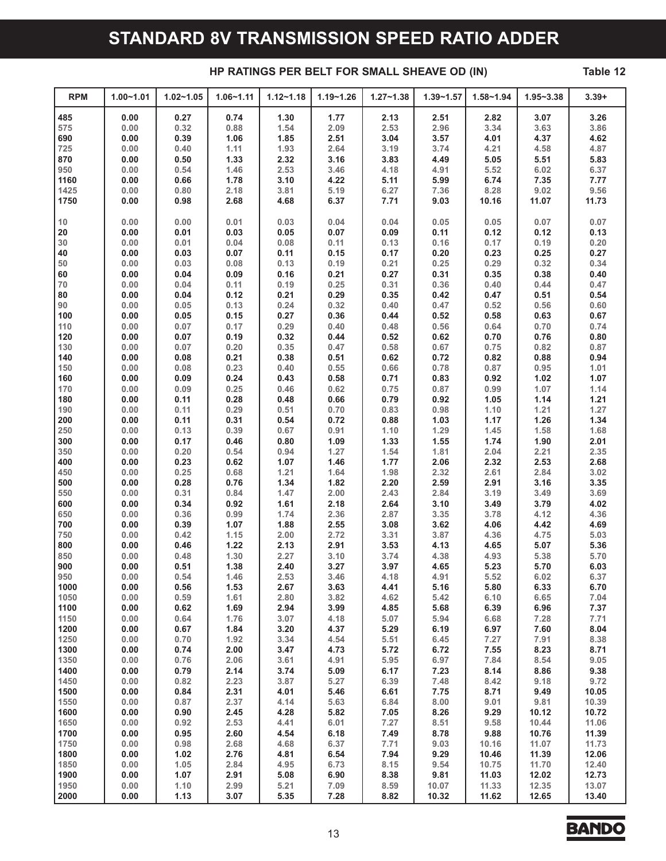### **STANDARD 8V TRANSMISSION SPEED RATIO ADDER**

#### **HP RATINGS PER BELT FOR SMALL SHEAVE OD (IN) Table 12**

| <b>RPM</b>   | $1.00 - 1.01$ | $1.02 - 1.05$ | $1.06 - 1.11$ | $1.12 - 1.18$ | $1.19 - 1.26$ | $1.27 - 1.38$ | $1.39 - 1.57$  | $1.58 - 1.94$  | $1.95 - 3.38$  | $3.39 +$       |
|--------------|---------------|---------------|---------------|---------------|---------------|---------------|----------------|----------------|----------------|----------------|
| 485          | 0.00          | 0.27          | 0.74          | 1.30          | 1.77          | 2.13          | 2.51           | 2.82           | 3.07           | 3.26           |
| 575          | 0.00          | 0.32          | 0.88          | 1.54          | 2.09          | 2.53          | 2.96           | 3.34           | 3.63           | 3.86           |
| 690          | 0.00          | 0.39          | 1.06          | 1.85          | 2.51          | 3.04          | 3.57           | 4.01           | 4.37           | 4.62           |
| 725          | 0.00          | 0.40          | 1.11          | 1.93          | 2.64          | 3.19          | 3.74           | 4.21           | 4.58           | 4.87           |
| 870          | 0.00          | 0.50          | 1.33          | 2.32          | 3.16          | 3.83          | 4.49           | 5.05           | 5.51           | 5.83           |
| 950          | 0.00          | 0.54          | 1.46          | 2.53          | 3.46          | 4.18          | 4.91           | 5.52           | 6.02           | 6.37           |
| 1160         | 0.00          | 0.66          | 1.78          | 3.10          | 4.22          | 5.11          | 5.99           | 6.74           | 7.35           | 7.77           |
| 1425         | 0.00          | 0.80          | 2.18          | 3.81          | 5.19          | 6.27          | 7.36           | 8.28           | 9.02           | 9.56           |
| 1750         | 0.00          | 0.98          | 2.68          | 4.68          | 6.37          | 7.71          | 9.03           | 10.16          | 11.07          | 11.73          |
| 10           | 0.00          | 0.00          | 0.01          | 0.03          | 0.04          | 0.04          | 0.05           | 0.05           | 0.07           | 0.07           |
| 20           | 0.00          | 0.01          | 0.03          | 0.05          | 0.07          | 0.09          | 0.11           | 0.12           | 0.12           | 0.13           |
| 30           | 0.00          | 0.01          | 0.04          | 0.08          | 0.11          | 0.13          | 0.16           | 0.17           | 0.19           | 0.20           |
| 40           | 0.00          | 0.03          | 0.07          | 0.11          | 0.15          | 0.17          | 0.20           | 0.23           | 0.25           | 0.27           |
| 50           | 0.00          | 0.03          | 0.08          | 0.13          | 0.19          | 0.21          | 0.25           | 0.29           | 0.32           | 0.34           |
| 60           | 0.00          | 0.04          | 0.09          | 0.16          | 0.21          | 0.27          | 0.31           | 0.35           | 0.38           | 0.40           |
| 70<br>80     | 0.00<br>0.00  | 0.04          | 0.11          | 0.19<br>0.21  | 0.25<br>0.29  | 0.31          | 0.36           | 0.40<br>0.47   | 0.44<br>0.51   | 0.47<br>0.54   |
| 90           | 0.00          | 0.04<br>0.05  | 0.12<br>0.13  | 0.24          | 0.32          | 0.35<br>0.40  | 0.42<br>0.47   | 0.52           | 0.56           | 0.60           |
| 100          | 0.00          | 0.05          | 0.15          | 0.27          | 0.36          | 0.44          | 0.52           | 0.58           | 0.63           | 0.67           |
| 110          | 0.00          | 0.07          | 0.17          | 0.29          | 0.40          | 0.48          | 0.56           | 0.64           | 0.70           | 0.74           |
| 120          | 0.00          | 0.07          | 0.19          | 0.32          | 0.44          | 0.52          | 0.62           | 0.70           | 0.76           | 0.80           |
| 130          | 0.00          | 0.07          | 0.20          | 0.35          | 0.47          | 0.58          | 0.67           | 0.75           | 0.82           | 0.87           |
| 140          | 0.00          | 0.08          | 0.21          | 0.38          | 0.51          | 0.62          | 0.72           | 0.82           | 0.88           | 0.94           |
| 150          | 0.00          | 0.08          | 0.23          | 0.40          | 0.55          | 0.66          | 0.78           | 0.87           | 0.95           | 1.01           |
| 160          | 0.00          | 0.09          | 0.24          | 0.43          | 0.58          | 0.71          | 0.83           | 0.92           | 1.02           | 1.07           |
| 170          | 0.00          | 0.09          | 0.25          | 0.46          | 0.62          | 0.75          | 0.87           | 0.99           | 1.07           | 1.14           |
| 180          | 0.00          | 0.11          | 0.28          | 0.48          | 0.66          | 0.79          | 0.92           | 1.05           | 1.14           | 1.21           |
| 190          | 0.00          | 0.11          | 0.29          | 0.51          | 0.70          | 0.83          | 0.98           | 1.10           | 1.21           | 1.27           |
| 200          | 0.00          | 0.11          | 0.31          | 0.54          | 0.72          | 0.88          | 1.03           | 1.17           | 1.26           | 1.34           |
| 250          | 0.00          | 0.13          | 0.39          | 0.67          | 0.91          | 1.10          | 1.29           | 1.45           | 1.58           | 1.68           |
| 300          | 0.00          | 0.17          | 0.46          | 0.80          | 1.09          | 1.33          | 1.55           | 1.74           | 1.90           | 2.01           |
| 350<br>400   | 0.00          | 0.20          | 0.54          | 0.94<br>1.07  | 1.27          | 1.54          | 1.81           | 2.04           | 2.21<br>2.53   | 2.35           |
| 450          | 0.00<br>0.00  | 0.23<br>0.25  | 0.62<br>0.68  | 1.21          | 1.46<br>1.64  | 1.77<br>1.98  | 2.06<br>2.32   | 2.32<br>2.61   | 2.84           | 2.68<br>3.02   |
| 500          | 0.00          | 0.28          | 0.76          | 1.34          | 1.82          | 2.20          | 2.59           | 2.91           | 3.16           | 3.35           |
| 550          | 0.00          | 0.31          | 0.84          | 1.47          | 2.00          | 2.43          | 2.84           | 3.19           | 3.49           | 3.69           |
| 600          | 0.00          | 0.34          | 0.92          | 1.61          | 2.18          | 2.64          | 3.10           | 3.49           | 3.79           | 4.02           |
| 650          | 0.00          | 0.36          | 0.99          | 1.74          | 2.36          | 2.87          | 3.35           | 3.78           | 4.12           | 4.36           |
| 700          | 0.00          | 0.39          | 1.07          | 1.88          | 2.55          | 3.08          | 3.62           | 4.06           | 4.42           | 4.69           |
| 750          | 0.00          | 0.42          | 1.15          | 2.00          | 2.72          | 3.31          | 3.87           | 4.36           | 4.75           | 5.03           |
| 800          | 0.00          | 0.46          | 1.22          | 2.13          | 2.91          | 3.53          | 4.13           | 4.65           | 5.07           | 5.36           |
| 850          | 0.00          | 0.48          | 1.30          | 2.27          | 3.10          | 3.74          | 4.38           | 4.93           | 5.38           | 5.70           |
| 900          | 0.00          | 0.51          | 1.38          | 2.40          | 3.27          | 3.97          | 4.65           | 5.23           | 5.70           | 6.03           |
| 950          | 0.00          | 0.54          | 1.46          | 2.53          | 3.46          | 4.18          | 4.91           | 5.52           | 6.02           | 6.37           |
| 1000         | 0.00          | 0.56          | 1.53          | 2.67          | 3.63          | 4.41          | 5.16           | 5.80           | 6.33           | 6.70           |
| 1050         | 0.00          | 0.59          | 1.61          | 2.80          | 3.82          | 4.62          | 5.42           | 6.10           | 6.65           | 7.04           |
| 1100<br>1150 | 0.00<br>0.00  | 0.62          | 1.69<br>1.76  | 2.94          | 3.99          | 4.85          | 5.68           | 6.39           | 6.96           | 7.37           |
| 1200         | 0.00          | 0.64<br>0.67  | 1.84          | 3.07<br>3.20  | 4.18<br>4.37  | 5.07<br>5.29  | 5.94<br>6.19   | 6.68<br>6.97   | 7.28<br>7.60   | 7.71<br>8.04   |
| 1250         | 0.00          | 0.70          | 1.92          | 3.34          | 4.54          | 5.51          | 6.45           | 7.27           | 7.91           | 8.38           |
| 1300         | 0.00          | 0.74          | 2.00          | 3.47          | 4.73          | 5.72          | 6.72           | 7.55           | 8.23           | 8.71           |
| 1350         | 0.00          | 0.76          | 2.06          | 3.61          | 4.91          | 5.95          | 6.97           | 7.84           | 8.54           | 9.05           |
| 1400         | 0.00          | 0.79          | 2.14          | 3.74          | 5.09          | 6.17          | 7.23           | 8.14           | 8.86           | 9.38           |
| 1450         | 0.00          | 0.82          | 2.23          | 3.87          | 5.27          | 6.39          | 7.48           | 8.42           | 9.18           | 9.72           |
| 1500         | 0.00          | 0.84          | 2.31          | 4.01          | 5.46          | 6.61          | 7.75           | 8.71           | 9.49           | 10.05          |
| 1550         | 0.00          | 0.87          | 2.37          | 4.14          | 5.63          | 6.84          | 8.00           | 9.01           | 9.81           | 10.39          |
| 1600         | 0.00          | 0.90          | 2.45          | 4.28          | 5.82          | 7.05          | 8.26           | 9.29           | 10.12          | 10.72          |
| 1650         | 0.00          | 0.92          | 2.53          | 4.41          | 6.01          | 7.27          | 8.51           | 9.58           | 10.44          | 11.06          |
| 1700         | 0.00          | 0.95          | 2.60          | 4.54          | 6.18          | 7.49          | 8.78           | 9.88           | 10.76          | 11.39          |
| 1750         | 0.00          | 0.98          | 2.68          | 4.68          | 6.37          | 7.71          | 9.03           | 10.16          | 11.07          | 11.73          |
| 1800         | 0.00          | 1.02          | 2.76          | 4.81          | 6.54          | 7.94          | 9.29           | 10.46          | 11.39          | 12.06          |
| 1850         | 0.00          | 1.05          | 2.84          | 4.95          | 6.73          | 8.15          | 9.54           | 10.75          | 11.70          | 12.40          |
| 1900         | 0.00          | 1.07          | 2.91          | 5.08          | 6.90          | 8.38          | 9.81           | 11.03          | 12.02          | 12.73          |
| 1950<br>2000 | 0.00<br>0.00  | 1.10<br>1.13  | 2.99<br>3.07  | 5.21<br>5.35  | 7.09<br>7.28  | 8.59<br>8.82  | 10.07<br>10.32 | 11.33<br>11.62 | 12.35<br>12.65 | 13.07<br>13.40 |
|              |               |               |               |               |               |               |                |                |                |                |

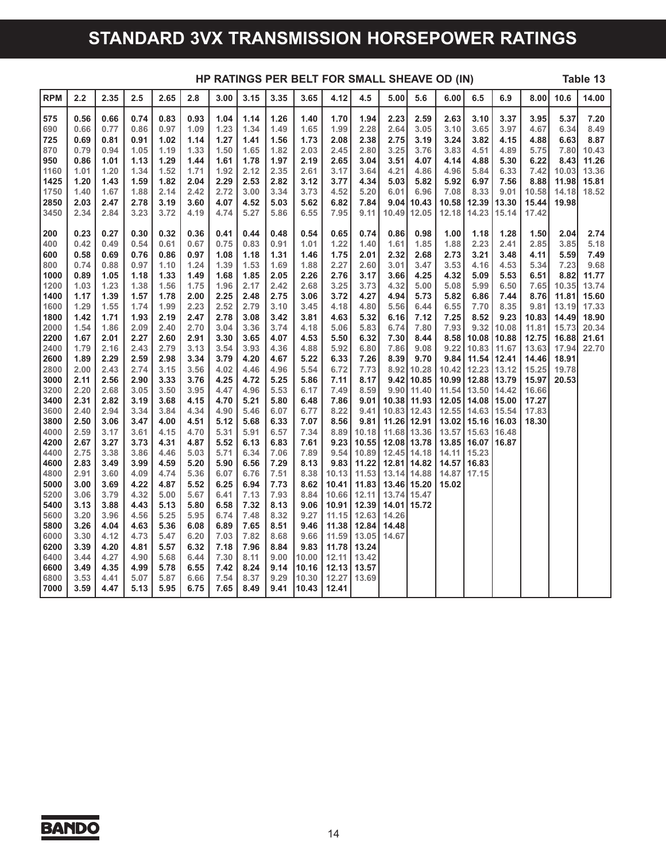### **STANDARD 3VX TRANSMISSION HORSEPOWER RATINGS**

| HP RATINGS PER BELT FOR SMALL SHEAVE OD (IN)<br>Table 13 |                      |                      |                      |                      |                      |                      |                      |                      |                      |                         |                         |                      |                                             |                                     |                                                     |                         |                         |                         |                         |
|----------------------------------------------------------|----------------------|----------------------|----------------------|----------------------|----------------------|----------------------|----------------------|----------------------|----------------------|-------------------------|-------------------------|----------------------|---------------------------------------------|-------------------------------------|-----------------------------------------------------|-------------------------|-------------------------|-------------------------|-------------------------|
| <b>RPM</b>                                               | 2.2                  | 2.35                 | 2.5                  | 2.65                 | 2.8                  | 3.00                 | 3.15                 | 3.35                 | 3.65                 | 4.12                    | 4.5                     | 5.00                 | 5.6                                         | 6.00                                | 6.5                                                 | 6.9                     | 8.00                    | 10.6                    | 14.00                   |
| 575<br>690<br>725                                        | 0.56<br>0.66<br>0.69 | 0.66<br>0.77<br>0.81 | 0.74<br>0.86<br>0.91 | 0.83<br>0.97<br>1.02 | 0.93<br>1.09<br>1.14 | 1.04<br>1.23<br>1.27 | 1.14<br>1.34<br>1.41 | 1.26<br>1.49<br>1.56 | 1.40<br>1.65<br>1.73 | 1.70<br>1.99<br>2.08    | 1.94<br>2.28<br>2.38    | 2.23<br>2.64<br>2.75 | 2.59<br>3.05<br>3.19                        | 2.63<br>3.10<br>3.24                | 3.10<br>3.65<br>3.82                                | 3.37<br>3.97<br>4.15    | 3.95<br>4.67<br>4.88    | 5.37<br>6.34<br>6.63    | 7.20<br>8.49<br>8.87    |
| 870<br>950<br>1160                                       | 0.79<br>0.86<br>1.01 | 0.94<br>1.01<br>1.20 | 1.05<br>1.13<br>1.34 | 1.19<br>1.29<br>1.52 | 1.33<br>1.44<br>1.71 | 1.50<br>1.61<br>1.92 | 1.65<br>1.78<br>2.12 | 1.82<br>1.97<br>2.35 | 2.03<br>2.19<br>2.61 | 2.45<br>2.65<br>3.17    | 2.80<br>3.04<br>3.64    | 3.25<br>3.51<br>4.21 | 3.76<br>4.07<br>4.86                        | 3.83<br>4.14<br>4.96                | 4.51<br>4.88<br>5.84                                | 4.89<br>5.30<br>6.33    | 5.75<br>6.22<br>7.42    | 7.80<br>8.43<br>10.03   | 10.43<br>11.26<br>13.36 |
| 1425<br>1750<br>2850                                     | 1.20<br>1.40<br>2.03 | 1.43<br>1.67<br>2.47 | 1.59<br>1.88<br>2.78 | 1.82<br>2.14<br>3.19 | 2.04<br>2.42<br>3.60 | 2.29<br>2.72<br>4.07 | 2.53<br>3.00<br>4.52 | 2.82<br>3.34<br>5.03 | 3.12<br>3.73<br>5.62 | 3.77<br>4.52<br>6.82    | 4.34<br>5.20<br>7.84    | 5.03<br>6.01<br>9.04 | 5.82<br>6.96<br>10.43                       | 5.92<br>7.08<br>10.58               | 6.97<br>8.33<br>12.39                               | 7.56<br>9.01<br>13.30   | 8.88<br>10.58<br>15.44  | 11.98<br>14.18<br>19.98 | 15.81<br>18.52          |
| 3450                                                     | 2.34                 | 2.84                 | 3.23                 | 3.72                 | 4.19                 | 4.74                 | 5.27                 | 5.86                 | 6.55                 | 7.95                    | 9.11                    | 10.49                | 12.05                                       | 12.18                               | 14.23                                               | 15.14                   | 17.42                   |                         |                         |
| 200<br>400                                               | 0.23<br>0.42         | 0.27<br>0.49         | 0.30<br>0.54         | 0.32<br>0.61         | 0.36<br>0.67         | 0.41<br>0.75         | 0.44<br>0.83         | 0.48<br>0.91         | 0.54<br>1.01         | 0.65<br>1.22            | 0.74<br>1.40            | 0.86<br>1.61         | 0.98<br>1.85                                | 1.00<br>1.88                        | 1.18<br>2.23                                        | 1.28<br>2.41            | 1.50<br>2.85            | 2.04<br>3.85            | 2.74<br>5.18            |
| 600<br>800<br>1000                                       | 0.58<br>0.74<br>0.89 | 0.69<br>0.88<br>1.05 | 0.76<br>0.97<br>1.18 | 0.86<br>1.10<br>1.33 | 0.97<br>1.24<br>1.49 | 1.08<br>1.39<br>1.68 | 1.18<br>1.53<br>1.85 | 1.31<br>1.69<br>2.05 | 1.46<br>1.88<br>2.26 | 1.75<br>2.27<br>2.76    | 2.01<br>2.60<br>3.17    | 2.32<br>3.01<br>3.66 | 2.68<br>3.47<br>4.25                        | 2.73<br>3.53<br>4.32                | 3.21<br>4.16<br>5.09                                | 3.48<br>4.53<br>5.53    | 4.11<br>5.34<br>6.51    | 5.59<br>7.23<br>8.82    | 7.49<br>9.68<br>11.77   |
| 1200<br>1400                                             | 1.03<br>1.17         | 1.23<br>1.39         | 1.38<br>1.57         | 1.56<br>1.78         | 1.75<br>2.00         | 1.96<br>2.25         | 2.17<br>2.48         | 2.42<br>2.75         | 2.68<br>3.06         | 3.25<br>3.72            | 3.73<br>4.27            | 4.32<br>4.94         | 5.00<br>5.73                                | 5.08<br>5.82                        | 5.99<br>6.86                                        | 6.50<br>7.44            | 7.65<br>8.76            | 10.35<br>11.81          | 13.74<br>15.60          |
| 1600<br>1800<br>2000                                     | 1.29<br>1.42<br>1.54 | 1.55<br>1.71<br>1.86 | 1.74<br>1.93<br>2.09 | 1.99<br>2.19<br>2.40 | 2.23<br>2.47<br>2.70 | 2.52<br>2.78<br>3.04 | 2.79<br>3.08<br>3.36 | 3.10<br>3.42<br>3.74 | 3.45<br>3.81<br>4.18 | 4.18<br>4.63<br>5.06    | 4.80<br>5.32<br>5.83    | 5.56<br>6.16<br>6.74 | 6.44<br>7.12<br>7.80                        | 6.55<br>7.25<br>7.93                | 7.70<br>8.52<br>9.32                                | 8.35<br>9.23<br>10.08   | 9.81<br>10.83<br>11.81  | 13.19<br>14.49<br>15.73 | 17.33<br>18.90<br>20.34 |
| 2200<br>2400                                             | 1.67<br>1.79         | 2.01<br>2.16         | 2.27<br>2.43         | 2.60<br>2.79         | 2.91<br>3.13         | 3.30<br>3.54         | 3.65<br>3.93         | 4.07<br>4.36         | 4.53<br>4.88         | 5.50<br>5.92            | 6.32<br>6.80            | 7.30<br>7.86         | 8.44<br>9.08                                | 8.58<br>9.22                        | 10.08<br>10.83                                      | 10.88<br>11.67          | 12.75<br>13.63          | 16.88<br>17.94          | 21.61<br>22.70          |
| 2600<br>2800<br>3000                                     | 1.89<br>2.00<br>2.11 | 2.29<br>2.43<br>2.56 | 2.59<br>2.74<br>2.90 | 2.98<br>3.15<br>3.33 | 3.34<br>3.56<br>3.76 | 3.79<br>4.02<br>4.25 | 4.20<br>4.46<br>4.72 | 4.67<br>4.96<br>5.25 | 5.22<br>5.54<br>5.86 | 6.33<br>6.72<br>7.11    | 7.26<br>7.73<br>8.17    | 8.39<br>8.92         | 9.70<br>10.28<br>9.42 10.85                 | 9.84<br>10.42<br>10.99 <sup>1</sup> | 11.54<br>12.23<br>12.88                             | 12.41<br>13.12<br>13.79 | 14.46<br>15.25<br>15.97 | 18.91<br>19.78<br>20.53 |                         |
| 3200<br>3400                                             | 2.20<br>2.31         | 2.68<br>2.82         | 3.05<br>3.19         | 3.50<br>3.68         | 3.95<br>4.15         | 4.47<br>4.70         | 4.96<br>5.21         | 5.53<br>5.80         | 6.17<br>6.48         | 7.49<br>7.86            | 8.59<br>9.01            |                      | $9.90$ 11.40<br>10.38 11.93                 | 11.54                               | 13.50<br>12.05   14.08   15.00                      | 14.42                   | 16.66<br>17.27          |                         |                         |
| 3600<br>3800<br>4000                                     | 2.40<br>2.50<br>2.59 | 2.94<br>3.06<br>3.17 | 3.34<br>3.47<br>3.61 | 3.84<br>4.00<br>4.15 | 4.34<br>4.51<br>4.70 | 4.90<br>5.12<br>5.31 | 5.46<br>5.68<br>5.91 | 6.07<br>6.33<br>6.57 | 6.77<br>7.07<br>7.34 | 8.22<br>8.56<br>8.89    | 9.41<br>9.81<br>10.18   |                      | 10.83 12.43<br>11.26 12.91<br>11.68 13.36   | 12.55<br>13.57                      | 14.63 15.54<br>13.02   15.16   16.03<br>15.63 16.48 |                         | 17.83<br>18.30          |                         |                         |
| 4200<br>4400                                             | 2.67<br>2.75         | 3.27<br>3.38         | 3.73<br>3.86         | 4.31<br>4.46         | 4.87<br>5.03         | 5.52<br>5.71         | 6.13<br>6.34         | 6.83<br>7.06         | 7.61<br>7.89         | 9.23<br>9.54            | 10.55<br>10.89          |                      | 12.08 13.78<br>12.45 14.18                  | 13.85<br>14.11                      | 16.07<br>15.23                                      | 16.87                   |                         |                         |                         |
| 4600<br>4800<br>5000                                     | 2.83<br>2.91<br>3.00 | 3.49<br>3.60<br>3.69 | 3.99<br>4.09<br>4.22 | 4.59<br>4.74<br>4.87 | 5.20<br>5.36<br>5.52 | 5.90<br>6.07<br>6.25 | 6.56<br>6.76<br>6.94 | 7.29<br>7.51<br>7.73 | 8.13<br>8.38<br>8.62 | 9.83<br>10.13<br>10.41  | 11.22<br>11.53<br>11.83 |                      | 12.81   14.82<br>13.14 14.88<br>13.46 15.20 | 14.57<br>14.87<br>15.02             | 16.83<br>17.15                                      |                         |                         |                         |                         |
| 5200<br>5400                                             | 3.06<br>3.13         | 3.79<br>3.88         | 4.32<br>4.43         | 5.00<br>5.13         | 5.67<br>5.80         | 6.41<br>6.58         | 7.13<br>7.32         | 7.93<br>8.13         | 8.84<br>9.06         | 10.66<br>10.91          | 12.11<br>12.39          | 14.01                | 13.74 15.47<br>15.72                        |                                     |                                                     |                         |                         |                         |                         |
| 5600<br>5800                                             | 3.20<br>3.26<br>3.30 | 3.96<br>4.04<br>4.12 | 4.56<br>4.63<br>4.73 | 5.25<br>5.36         | 5.95<br>6.08<br>6.20 | 6.74<br>6.89         | 7.48<br>7.65         | 8.32<br>8.51<br>8.68 | 9.27<br>9.46<br>9.66 | 11.15<br>11.38          | 12.63<br>12.84          | 14.26<br>14.48       |                                             |                                     |                                                     |                         |                         |                         |                         |
| 6000<br>6200<br>6400                                     | 3.39<br>3.44         | 4.20<br>4.27         | 4.81<br>4.90         | 5.47<br>5.57<br>5.68 | 6.32<br>6.44         | 7.03<br>7.18<br>7.30 | 7.82<br>7.96<br>8.11 | 8.84<br>9.00         | 9.83<br>10.00        | 11.59<br>11.78<br>12.11 | 13.05<br>13.24<br>13.42 | 14.67                |                                             |                                     |                                                     |                         |                         |                         |                         |
| 6600<br>6800                                             | 3.49<br>3.53         | 4.35<br>4.41         | 4.99<br>5.07         | 5.78<br>5.87         | 6.55<br>6.66         | 7.42<br>7.54         | 8.24<br>8.37         | 9.14<br>9.29         | 10.16<br>10.30       | 12.13<br>12.27          | 13.57<br>13.69          |                      |                                             |                                     |                                                     |                         |                         |                         |                         |
| 7000                                                     | 3.59                 | 4.47                 | 5.13                 | 5.95                 | 6.75                 | 7.65                 | 8.49                 | 9.41                 | 10.43                | 12.41                   |                         |                      |                                             |                                     |                                                     |                         |                         |                         |                         |

**BANDO**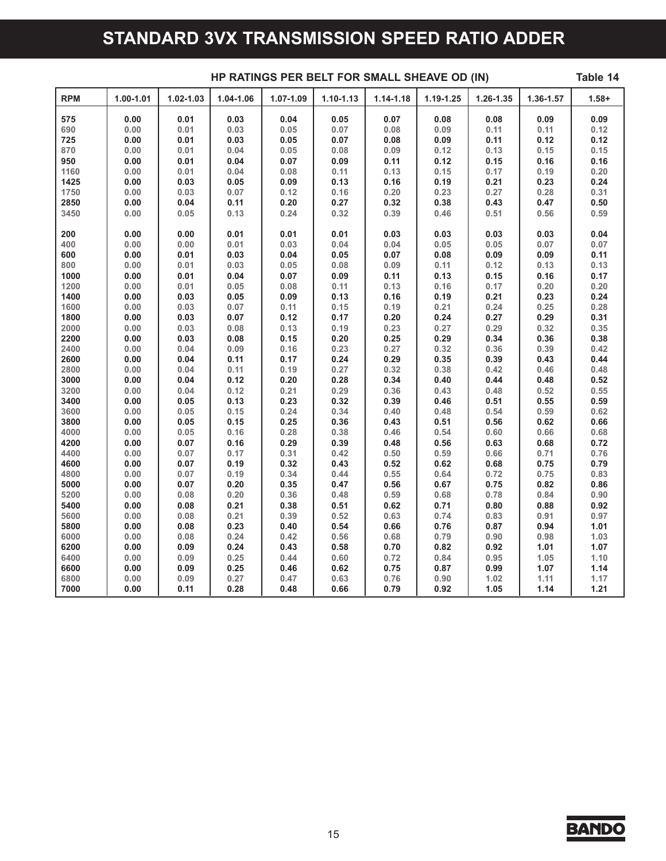### **STANDARD 3VX TRANSMISSION SPEED RATIO ADDER**

| $1.00 - 1.01$<br>$1.02 - 1.03$<br>1.07-1.09<br>$1.14 - 1.18$<br>$1.19 - 1.25$<br>$1.26 - 1.35$<br><b>RPM</b><br>1.04-1.06<br>$1.10 - 1.13$<br>1.36-1.57<br>$1.58 +$<br>0.04<br>0.00<br>0.01<br>0.03<br>0.05<br>0.07<br>0.08<br>0.08<br>0.09<br>0.09<br>575<br>690<br>0.00<br>0.01<br>0.03<br>0.05<br>0.07<br>0.08<br>0.09<br>0.11<br>0.11<br>0.12<br>0.00<br>0.01<br>0.03<br>0.07<br>0.08<br>0.09<br>0.12<br>725<br>0.05<br>0.11<br>0.12<br>0.08<br>0.15<br>870<br>0.00<br>0.01<br>0.04<br>0.05<br>0.09<br>0.12<br>0.13<br>0.15<br>0.00<br>0.01<br>0.04<br>0.09<br>0.12<br>0.16<br>950<br>0.07<br>0.11<br>0.15<br>0.16<br>0.11<br>0.20<br>1160<br>0.00<br>0.01<br>0.04<br>0.08<br>0.13<br>0.15<br>0.17<br>0.19<br>0.03<br>0.13<br>0.19<br>0.24<br>1425<br>0.00<br>0.05<br>0.09<br>0.16<br>0.21<br>0.23<br>0.00<br>0.03<br>0.07<br>0.16<br>0.20<br>0.23<br>0.31<br>1750<br>0.12<br>0.27<br>0.28<br>0.04<br>0.38<br>0.50<br>2850<br>0.00<br>0.11<br>0.27<br>0.32<br>0.47<br>0.20<br>0.43<br>0.00<br>0.05<br>0.32<br>0.39<br>0.59<br>3450<br>0.13<br>0.24<br>0.46<br>0.51<br>0.56<br>0.00<br>0.01<br>0.03<br>0.04<br>200<br>0.00<br>0.01<br>0.01<br>0.03<br>0.03<br>0.03<br>0.00<br>0.04<br>0.05<br>0.00<br>0.01<br>0.03<br>0.04<br>0.05<br>0.07<br>0.07<br>400<br>0.01<br>0.11<br>600<br>0.00<br>0.03<br>0.04<br>0.05<br>0.07<br>0.08<br>0.09<br>0.09<br>0.01<br>0.00<br>0.03<br>0.08<br>0.09<br>0.11<br>0.13<br>800<br>0.05<br>0.12<br>0.13<br>0.17<br>1000<br>0.00<br>0.01<br>0.04<br>0.07<br>0.09<br>0.11<br>0.13<br>0.15<br>0.16<br>0.01<br>0.20<br>1200<br>0.00<br>0.05<br>0.11<br>0.13<br>0.16<br>0.20<br>0.08<br>0.17<br>0.24<br>0.00<br>0.03<br>0.05<br>0.09<br>0.13<br>0.16<br>0.19<br>0.21<br>0.23<br>1400<br>0.03<br>0.00<br>0.15<br>0.19<br>0.21<br>0.28<br>1600<br>0.07<br>0.11<br>0.24<br>0.25<br>0.31<br>0.00<br>0.03<br>0.07<br>0.17<br>0.20<br>0.24<br>0.27<br>0.29<br>1800<br>0.12<br>0.00<br>0.03<br>0.19<br>0.27<br>0.35<br>2000<br>0.08<br>0.13<br>0.23<br>0.29<br>0.32<br>0.03<br>0.38<br>2200<br>0.00<br>0.08<br>0.15<br>0.20<br>0.25<br>0.29<br>0.34<br>0.36<br>0.04<br>0.27<br>0.32<br>2400<br>0.00<br>0.09<br>0.23<br>0.36<br>0.39<br>0.42<br>0.16<br>0.04<br>0.24<br>0.29<br>0.35<br>0.44<br>2600<br>0.00<br>0.11<br>0.17<br>0.39<br>0.43<br>0.04<br>0.38<br>0.48<br>2800<br>0.00<br>0.11<br>0.27<br>0.32<br>0.19<br>0.42<br>0.46<br>0.04<br>0.28<br>0.40<br>0.52<br>3000<br>0.00<br>0.12<br>0.20<br>0.34<br>0.44<br>0.48<br>0.00<br>0.04<br>0.29<br>0.36<br>0.43<br>3200<br>0.12<br>0.21<br>0.48<br>0.52<br>0.55<br>0.32<br>0.00<br>0.05<br>0.13<br>0.23<br>0.39<br>0.46<br>0.55<br>0.59<br>3400<br>0.51<br>0.00<br>0.05<br>0.34<br>0.48<br>0.62<br>3600<br>0.15<br>0.24<br>0.40<br>0.54<br>0.59<br>0.66<br>3800<br>0.00<br>0.05<br>0.15<br>0.25<br>0.36<br>0.43<br>0.51<br>0.62<br>0.56<br>0.00<br>0.05<br>0.38<br>0.46<br>0.54<br>0.68<br>4000<br>0.16<br>0.28<br>0.60<br>0.66<br>0.39<br>0.72<br>4200<br>0.00<br>0.07<br>0.16<br>0.29<br>0.48<br>0.56<br>0.63<br>0.68<br>0.07<br>0.59<br>0.76<br>4400<br>0.00<br>0.17<br>0.31<br>0.42<br>0.50<br>0.66<br>0.71<br>0.00<br>0.07<br>0.43<br>0.62<br>0.79<br>4600<br>0.19<br>0.32<br>0.52<br>0.68<br>0.75<br>0.00<br>0.07<br>0.44<br>0.64<br>0.83<br>4800<br>0.19<br>0.34<br>0.55<br>0.72<br>0.75<br>0.00<br>0.07<br>0.47<br>0.67<br>0.86<br>5000<br>0.20<br>0.35<br>0.56<br>0.75<br>0.82<br>0.00<br>0.08<br>0.68<br>0.84<br>0.90<br>5200<br>0.20<br>0.36<br>0.48<br>0.59<br>0.78<br>0.92<br>0.00<br>0.08<br>0.21<br>0.38<br>0.51<br>0.62<br>0.71<br>0.80<br>0.88<br>5400<br>0.00<br>0.08<br>0.21<br>0.52<br>0.63<br>0.74<br>0.91<br>0.97<br>5600<br>0.39<br>0.83<br>1.01<br>5800<br>0.00<br>0.08<br>0.23<br>0.40<br>0.54<br>0.66<br>0.76<br>0.87<br>0.94<br>1.03<br>0.00<br>0.08<br>0.24<br>0.56<br>0.79<br>6000<br>0.42<br>0.68<br>0.90<br>0.98<br>1.07<br>0.00<br>0.09<br>0.24<br>0.82<br>6200<br>0.43<br>0.58<br>0.70<br>0.92<br>1.01<br>0.00<br>0.09<br>0.84<br>1.10<br>6400<br>0.25<br>0.44<br>0.60<br>0.72<br>0.95<br>1.05<br>1.14<br>6600<br>0.00<br>0.09<br>0.25<br>0.46<br>0.62<br>0.75<br>0.87<br>0.99<br>1.07<br>1.17<br>6800<br>0.00<br>0.09<br>0.27<br>0.63<br>0.76<br>0.90<br>1.02<br>0.47<br>1.11<br>1.21<br>0.00<br>0.11<br>0.28<br>0.66<br>0.79<br>1.14<br>7000<br>0.48<br>0.92<br>1.05 |  | וייו שט |  |  |  |  |  |  |  |  |  |
|------------------------------------------------------------------------------------------------------------------------------------------------------------------------------------------------------------------------------------------------------------------------------------------------------------------------------------------------------------------------------------------------------------------------------------------------------------------------------------------------------------------------------------------------------------------------------------------------------------------------------------------------------------------------------------------------------------------------------------------------------------------------------------------------------------------------------------------------------------------------------------------------------------------------------------------------------------------------------------------------------------------------------------------------------------------------------------------------------------------------------------------------------------------------------------------------------------------------------------------------------------------------------------------------------------------------------------------------------------------------------------------------------------------------------------------------------------------------------------------------------------------------------------------------------------------------------------------------------------------------------------------------------------------------------------------------------------------------------------------------------------------------------------------------------------------------------------------------------------------------------------------------------------------------------------------------------------------------------------------------------------------------------------------------------------------------------------------------------------------------------------------------------------------------------------------------------------------------------------------------------------------------------------------------------------------------------------------------------------------------------------------------------------------------------------------------------------------------------------------------------------------------------------------------------------------------------------------------------------------------------------------------------------------------------------------------------------------------------------------------------------------------------------------------------------------------------------------------------------------------------------------------------------------------------------------------------------------------------------------------------------------------------------------------------------------------------------------------------------------------------------------------------------------------------------------------------------------------------------------------------------------------------------------------------------------------------------------------------------------------------------------------------------------------------------------------------------------------------------------------------------------------------------------------------------------------------------------------------------------------------------------------------------------------------------------------------------------------------------------------------------------------------------------------------------------------------------------------------------------------------------------------------------------------------------------------------------------------------------------------------------------------------------------------------------------------------------------------------------------------------------------------------------------------------------------------------------------------------------------------------------------------------------|--|---------|--|--|--|--|--|--|--|--|--|
|                                                                                                                                                                                                                                                                                                                                                                                                                                                                                                                                                                                                                                                                                                                                                                                                                                                                                                                                                                                                                                                                                                                                                                                                                                                                                                                                                                                                                                                                                                                                                                                                                                                                                                                                                                                                                                                                                                                                                                                                                                                                                                                                                                                                                                                                                                                                                                                                                                                                                                                                                                                                                                                                                                                                                                                                                                                                                                                                                                                                                                                                                                                                                                                                                                                                                                                                                                                                                                                                                                                                                                                                                                                                                                                                                                                                                                                                                                                                                                                                                                                                                                                                                                                                                                                                                    |  |         |  |  |  |  |  |  |  |  |  |
|                                                                                                                                                                                                                                                                                                                                                                                                                                                                                                                                                                                                                                                                                                                                                                                                                                                                                                                                                                                                                                                                                                                                                                                                                                                                                                                                                                                                                                                                                                                                                                                                                                                                                                                                                                                                                                                                                                                                                                                                                                                                                                                                                                                                                                                                                                                                                                                                                                                                                                                                                                                                                                                                                                                                                                                                                                                                                                                                                                                                                                                                                                                                                                                                                                                                                                                                                                                                                                                                                                                                                                                                                                                                                                                                                                                                                                                                                                                                                                                                                                                                                                                                                                                                                                                                                    |  |         |  |  |  |  |  |  |  |  |  |
|                                                                                                                                                                                                                                                                                                                                                                                                                                                                                                                                                                                                                                                                                                                                                                                                                                                                                                                                                                                                                                                                                                                                                                                                                                                                                                                                                                                                                                                                                                                                                                                                                                                                                                                                                                                                                                                                                                                                                                                                                                                                                                                                                                                                                                                                                                                                                                                                                                                                                                                                                                                                                                                                                                                                                                                                                                                                                                                                                                                                                                                                                                                                                                                                                                                                                                                                                                                                                                                                                                                                                                                                                                                                                                                                                                                                                                                                                                                                                                                                                                                                                                                                                                                                                                                                                    |  |         |  |  |  |  |  |  |  |  |  |
|                                                                                                                                                                                                                                                                                                                                                                                                                                                                                                                                                                                                                                                                                                                                                                                                                                                                                                                                                                                                                                                                                                                                                                                                                                                                                                                                                                                                                                                                                                                                                                                                                                                                                                                                                                                                                                                                                                                                                                                                                                                                                                                                                                                                                                                                                                                                                                                                                                                                                                                                                                                                                                                                                                                                                                                                                                                                                                                                                                                                                                                                                                                                                                                                                                                                                                                                                                                                                                                                                                                                                                                                                                                                                                                                                                                                                                                                                                                                                                                                                                                                                                                                                                                                                                                                                    |  |         |  |  |  |  |  |  |  |  |  |
|                                                                                                                                                                                                                                                                                                                                                                                                                                                                                                                                                                                                                                                                                                                                                                                                                                                                                                                                                                                                                                                                                                                                                                                                                                                                                                                                                                                                                                                                                                                                                                                                                                                                                                                                                                                                                                                                                                                                                                                                                                                                                                                                                                                                                                                                                                                                                                                                                                                                                                                                                                                                                                                                                                                                                                                                                                                                                                                                                                                                                                                                                                                                                                                                                                                                                                                                                                                                                                                                                                                                                                                                                                                                                                                                                                                                                                                                                                                                                                                                                                                                                                                                                                                                                                                                                    |  |         |  |  |  |  |  |  |  |  |  |
|                                                                                                                                                                                                                                                                                                                                                                                                                                                                                                                                                                                                                                                                                                                                                                                                                                                                                                                                                                                                                                                                                                                                                                                                                                                                                                                                                                                                                                                                                                                                                                                                                                                                                                                                                                                                                                                                                                                                                                                                                                                                                                                                                                                                                                                                                                                                                                                                                                                                                                                                                                                                                                                                                                                                                                                                                                                                                                                                                                                                                                                                                                                                                                                                                                                                                                                                                                                                                                                                                                                                                                                                                                                                                                                                                                                                                                                                                                                                                                                                                                                                                                                                                                                                                                                                                    |  |         |  |  |  |  |  |  |  |  |  |
|                                                                                                                                                                                                                                                                                                                                                                                                                                                                                                                                                                                                                                                                                                                                                                                                                                                                                                                                                                                                                                                                                                                                                                                                                                                                                                                                                                                                                                                                                                                                                                                                                                                                                                                                                                                                                                                                                                                                                                                                                                                                                                                                                                                                                                                                                                                                                                                                                                                                                                                                                                                                                                                                                                                                                                                                                                                                                                                                                                                                                                                                                                                                                                                                                                                                                                                                                                                                                                                                                                                                                                                                                                                                                                                                                                                                                                                                                                                                                                                                                                                                                                                                                                                                                                                                                    |  |         |  |  |  |  |  |  |  |  |  |
|                                                                                                                                                                                                                                                                                                                                                                                                                                                                                                                                                                                                                                                                                                                                                                                                                                                                                                                                                                                                                                                                                                                                                                                                                                                                                                                                                                                                                                                                                                                                                                                                                                                                                                                                                                                                                                                                                                                                                                                                                                                                                                                                                                                                                                                                                                                                                                                                                                                                                                                                                                                                                                                                                                                                                                                                                                                                                                                                                                                                                                                                                                                                                                                                                                                                                                                                                                                                                                                                                                                                                                                                                                                                                                                                                                                                                                                                                                                                                                                                                                                                                                                                                                                                                                                                                    |  |         |  |  |  |  |  |  |  |  |  |
|                                                                                                                                                                                                                                                                                                                                                                                                                                                                                                                                                                                                                                                                                                                                                                                                                                                                                                                                                                                                                                                                                                                                                                                                                                                                                                                                                                                                                                                                                                                                                                                                                                                                                                                                                                                                                                                                                                                                                                                                                                                                                                                                                                                                                                                                                                                                                                                                                                                                                                                                                                                                                                                                                                                                                                                                                                                                                                                                                                                                                                                                                                                                                                                                                                                                                                                                                                                                                                                                                                                                                                                                                                                                                                                                                                                                                                                                                                                                                                                                                                                                                                                                                                                                                                                                                    |  |         |  |  |  |  |  |  |  |  |  |
|                                                                                                                                                                                                                                                                                                                                                                                                                                                                                                                                                                                                                                                                                                                                                                                                                                                                                                                                                                                                                                                                                                                                                                                                                                                                                                                                                                                                                                                                                                                                                                                                                                                                                                                                                                                                                                                                                                                                                                                                                                                                                                                                                                                                                                                                                                                                                                                                                                                                                                                                                                                                                                                                                                                                                                                                                                                                                                                                                                                                                                                                                                                                                                                                                                                                                                                                                                                                                                                                                                                                                                                                                                                                                                                                                                                                                                                                                                                                                                                                                                                                                                                                                                                                                                                                                    |  |         |  |  |  |  |  |  |  |  |  |
|                                                                                                                                                                                                                                                                                                                                                                                                                                                                                                                                                                                                                                                                                                                                                                                                                                                                                                                                                                                                                                                                                                                                                                                                                                                                                                                                                                                                                                                                                                                                                                                                                                                                                                                                                                                                                                                                                                                                                                                                                                                                                                                                                                                                                                                                                                                                                                                                                                                                                                                                                                                                                                                                                                                                                                                                                                                                                                                                                                                                                                                                                                                                                                                                                                                                                                                                                                                                                                                                                                                                                                                                                                                                                                                                                                                                                                                                                                                                                                                                                                                                                                                                                                                                                                                                                    |  |         |  |  |  |  |  |  |  |  |  |
|                                                                                                                                                                                                                                                                                                                                                                                                                                                                                                                                                                                                                                                                                                                                                                                                                                                                                                                                                                                                                                                                                                                                                                                                                                                                                                                                                                                                                                                                                                                                                                                                                                                                                                                                                                                                                                                                                                                                                                                                                                                                                                                                                                                                                                                                                                                                                                                                                                                                                                                                                                                                                                                                                                                                                                                                                                                                                                                                                                                                                                                                                                                                                                                                                                                                                                                                                                                                                                                                                                                                                                                                                                                                                                                                                                                                                                                                                                                                                                                                                                                                                                                                                                                                                                                                                    |  |         |  |  |  |  |  |  |  |  |  |
|                                                                                                                                                                                                                                                                                                                                                                                                                                                                                                                                                                                                                                                                                                                                                                                                                                                                                                                                                                                                                                                                                                                                                                                                                                                                                                                                                                                                                                                                                                                                                                                                                                                                                                                                                                                                                                                                                                                                                                                                                                                                                                                                                                                                                                                                                                                                                                                                                                                                                                                                                                                                                                                                                                                                                                                                                                                                                                                                                                                                                                                                                                                                                                                                                                                                                                                                                                                                                                                                                                                                                                                                                                                                                                                                                                                                                                                                                                                                                                                                                                                                                                                                                                                                                                                                                    |  |         |  |  |  |  |  |  |  |  |  |
|                                                                                                                                                                                                                                                                                                                                                                                                                                                                                                                                                                                                                                                                                                                                                                                                                                                                                                                                                                                                                                                                                                                                                                                                                                                                                                                                                                                                                                                                                                                                                                                                                                                                                                                                                                                                                                                                                                                                                                                                                                                                                                                                                                                                                                                                                                                                                                                                                                                                                                                                                                                                                                                                                                                                                                                                                                                                                                                                                                                                                                                                                                                                                                                                                                                                                                                                                                                                                                                                                                                                                                                                                                                                                                                                                                                                                                                                                                                                                                                                                                                                                                                                                                                                                                                                                    |  |         |  |  |  |  |  |  |  |  |  |
|                                                                                                                                                                                                                                                                                                                                                                                                                                                                                                                                                                                                                                                                                                                                                                                                                                                                                                                                                                                                                                                                                                                                                                                                                                                                                                                                                                                                                                                                                                                                                                                                                                                                                                                                                                                                                                                                                                                                                                                                                                                                                                                                                                                                                                                                                                                                                                                                                                                                                                                                                                                                                                                                                                                                                                                                                                                                                                                                                                                                                                                                                                                                                                                                                                                                                                                                                                                                                                                                                                                                                                                                                                                                                                                                                                                                                                                                                                                                                                                                                                                                                                                                                                                                                                                                                    |  |         |  |  |  |  |  |  |  |  |  |
|                                                                                                                                                                                                                                                                                                                                                                                                                                                                                                                                                                                                                                                                                                                                                                                                                                                                                                                                                                                                                                                                                                                                                                                                                                                                                                                                                                                                                                                                                                                                                                                                                                                                                                                                                                                                                                                                                                                                                                                                                                                                                                                                                                                                                                                                                                                                                                                                                                                                                                                                                                                                                                                                                                                                                                                                                                                                                                                                                                                                                                                                                                                                                                                                                                                                                                                                                                                                                                                                                                                                                                                                                                                                                                                                                                                                                                                                                                                                                                                                                                                                                                                                                                                                                                                                                    |  |         |  |  |  |  |  |  |  |  |  |
|                                                                                                                                                                                                                                                                                                                                                                                                                                                                                                                                                                                                                                                                                                                                                                                                                                                                                                                                                                                                                                                                                                                                                                                                                                                                                                                                                                                                                                                                                                                                                                                                                                                                                                                                                                                                                                                                                                                                                                                                                                                                                                                                                                                                                                                                                                                                                                                                                                                                                                                                                                                                                                                                                                                                                                                                                                                                                                                                                                                                                                                                                                                                                                                                                                                                                                                                                                                                                                                                                                                                                                                                                                                                                                                                                                                                                                                                                                                                                                                                                                                                                                                                                                                                                                                                                    |  |         |  |  |  |  |  |  |  |  |  |
|                                                                                                                                                                                                                                                                                                                                                                                                                                                                                                                                                                                                                                                                                                                                                                                                                                                                                                                                                                                                                                                                                                                                                                                                                                                                                                                                                                                                                                                                                                                                                                                                                                                                                                                                                                                                                                                                                                                                                                                                                                                                                                                                                                                                                                                                                                                                                                                                                                                                                                                                                                                                                                                                                                                                                                                                                                                                                                                                                                                                                                                                                                                                                                                                                                                                                                                                                                                                                                                                                                                                                                                                                                                                                                                                                                                                                                                                                                                                                                                                                                                                                                                                                                                                                                                                                    |  |         |  |  |  |  |  |  |  |  |  |
|                                                                                                                                                                                                                                                                                                                                                                                                                                                                                                                                                                                                                                                                                                                                                                                                                                                                                                                                                                                                                                                                                                                                                                                                                                                                                                                                                                                                                                                                                                                                                                                                                                                                                                                                                                                                                                                                                                                                                                                                                                                                                                                                                                                                                                                                                                                                                                                                                                                                                                                                                                                                                                                                                                                                                                                                                                                                                                                                                                                                                                                                                                                                                                                                                                                                                                                                                                                                                                                                                                                                                                                                                                                                                                                                                                                                                                                                                                                                                                                                                                                                                                                                                                                                                                                                                    |  |         |  |  |  |  |  |  |  |  |  |
|                                                                                                                                                                                                                                                                                                                                                                                                                                                                                                                                                                                                                                                                                                                                                                                                                                                                                                                                                                                                                                                                                                                                                                                                                                                                                                                                                                                                                                                                                                                                                                                                                                                                                                                                                                                                                                                                                                                                                                                                                                                                                                                                                                                                                                                                                                                                                                                                                                                                                                                                                                                                                                                                                                                                                                                                                                                                                                                                                                                                                                                                                                                                                                                                                                                                                                                                                                                                                                                                                                                                                                                                                                                                                                                                                                                                                                                                                                                                                                                                                                                                                                                                                                                                                                                                                    |  |         |  |  |  |  |  |  |  |  |  |
|                                                                                                                                                                                                                                                                                                                                                                                                                                                                                                                                                                                                                                                                                                                                                                                                                                                                                                                                                                                                                                                                                                                                                                                                                                                                                                                                                                                                                                                                                                                                                                                                                                                                                                                                                                                                                                                                                                                                                                                                                                                                                                                                                                                                                                                                                                                                                                                                                                                                                                                                                                                                                                                                                                                                                                                                                                                                                                                                                                                                                                                                                                                                                                                                                                                                                                                                                                                                                                                                                                                                                                                                                                                                                                                                                                                                                                                                                                                                                                                                                                                                                                                                                                                                                                                                                    |  |         |  |  |  |  |  |  |  |  |  |
|                                                                                                                                                                                                                                                                                                                                                                                                                                                                                                                                                                                                                                                                                                                                                                                                                                                                                                                                                                                                                                                                                                                                                                                                                                                                                                                                                                                                                                                                                                                                                                                                                                                                                                                                                                                                                                                                                                                                                                                                                                                                                                                                                                                                                                                                                                                                                                                                                                                                                                                                                                                                                                                                                                                                                                                                                                                                                                                                                                                                                                                                                                                                                                                                                                                                                                                                                                                                                                                                                                                                                                                                                                                                                                                                                                                                                                                                                                                                                                                                                                                                                                                                                                                                                                                                                    |  |         |  |  |  |  |  |  |  |  |  |
|                                                                                                                                                                                                                                                                                                                                                                                                                                                                                                                                                                                                                                                                                                                                                                                                                                                                                                                                                                                                                                                                                                                                                                                                                                                                                                                                                                                                                                                                                                                                                                                                                                                                                                                                                                                                                                                                                                                                                                                                                                                                                                                                                                                                                                                                                                                                                                                                                                                                                                                                                                                                                                                                                                                                                                                                                                                                                                                                                                                                                                                                                                                                                                                                                                                                                                                                                                                                                                                                                                                                                                                                                                                                                                                                                                                                                                                                                                                                                                                                                                                                                                                                                                                                                                                                                    |  |         |  |  |  |  |  |  |  |  |  |
|                                                                                                                                                                                                                                                                                                                                                                                                                                                                                                                                                                                                                                                                                                                                                                                                                                                                                                                                                                                                                                                                                                                                                                                                                                                                                                                                                                                                                                                                                                                                                                                                                                                                                                                                                                                                                                                                                                                                                                                                                                                                                                                                                                                                                                                                                                                                                                                                                                                                                                                                                                                                                                                                                                                                                                                                                                                                                                                                                                                                                                                                                                                                                                                                                                                                                                                                                                                                                                                                                                                                                                                                                                                                                                                                                                                                                                                                                                                                                                                                                                                                                                                                                                                                                                                                                    |  |         |  |  |  |  |  |  |  |  |  |
|                                                                                                                                                                                                                                                                                                                                                                                                                                                                                                                                                                                                                                                                                                                                                                                                                                                                                                                                                                                                                                                                                                                                                                                                                                                                                                                                                                                                                                                                                                                                                                                                                                                                                                                                                                                                                                                                                                                                                                                                                                                                                                                                                                                                                                                                                                                                                                                                                                                                                                                                                                                                                                                                                                                                                                                                                                                                                                                                                                                                                                                                                                                                                                                                                                                                                                                                                                                                                                                                                                                                                                                                                                                                                                                                                                                                                                                                                                                                                                                                                                                                                                                                                                                                                                                                                    |  |         |  |  |  |  |  |  |  |  |  |
|                                                                                                                                                                                                                                                                                                                                                                                                                                                                                                                                                                                                                                                                                                                                                                                                                                                                                                                                                                                                                                                                                                                                                                                                                                                                                                                                                                                                                                                                                                                                                                                                                                                                                                                                                                                                                                                                                                                                                                                                                                                                                                                                                                                                                                                                                                                                                                                                                                                                                                                                                                                                                                                                                                                                                                                                                                                                                                                                                                                                                                                                                                                                                                                                                                                                                                                                                                                                                                                                                                                                                                                                                                                                                                                                                                                                                                                                                                                                                                                                                                                                                                                                                                                                                                                                                    |  |         |  |  |  |  |  |  |  |  |  |
|                                                                                                                                                                                                                                                                                                                                                                                                                                                                                                                                                                                                                                                                                                                                                                                                                                                                                                                                                                                                                                                                                                                                                                                                                                                                                                                                                                                                                                                                                                                                                                                                                                                                                                                                                                                                                                                                                                                                                                                                                                                                                                                                                                                                                                                                                                                                                                                                                                                                                                                                                                                                                                                                                                                                                                                                                                                                                                                                                                                                                                                                                                                                                                                                                                                                                                                                                                                                                                                                                                                                                                                                                                                                                                                                                                                                                                                                                                                                                                                                                                                                                                                                                                                                                                                                                    |  |         |  |  |  |  |  |  |  |  |  |
|                                                                                                                                                                                                                                                                                                                                                                                                                                                                                                                                                                                                                                                                                                                                                                                                                                                                                                                                                                                                                                                                                                                                                                                                                                                                                                                                                                                                                                                                                                                                                                                                                                                                                                                                                                                                                                                                                                                                                                                                                                                                                                                                                                                                                                                                                                                                                                                                                                                                                                                                                                                                                                                                                                                                                                                                                                                                                                                                                                                                                                                                                                                                                                                                                                                                                                                                                                                                                                                                                                                                                                                                                                                                                                                                                                                                                                                                                                                                                                                                                                                                                                                                                                                                                                                                                    |  |         |  |  |  |  |  |  |  |  |  |
|                                                                                                                                                                                                                                                                                                                                                                                                                                                                                                                                                                                                                                                                                                                                                                                                                                                                                                                                                                                                                                                                                                                                                                                                                                                                                                                                                                                                                                                                                                                                                                                                                                                                                                                                                                                                                                                                                                                                                                                                                                                                                                                                                                                                                                                                                                                                                                                                                                                                                                                                                                                                                                                                                                                                                                                                                                                                                                                                                                                                                                                                                                                                                                                                                                                                                                                                                                                                                                                                                                                                                                                                                                                                                                                                                                                                                                                                                                                                                                                                                                                                                                                                                                                                                                                                                    |  |         |  |  |  |  |  |  |  |  |  |
|                                                                                                                                                                                                                                                                                                                                                                                                                                                                                                                                                                                                                                                                                                                                                                                                                                                                                                                                                                                                                                                                                                                                                                                                                                                                                                                                                                                                                                                                                                                                                                                                                                                                                                                                                                                                                                                                                                                                                                                                                                                                                                                                                                                                                                                                                                                                                                                                                                                                                                                                                                                                                                                                                                                                                                                                                                                                                                                                                                                                                                                                                                                                                                                                                                                                                                                                                                                                                                                                                                                                                                                                                                                                                                                                                                                                                                                                                                                                                                                                                                                                                                                                                                                                                                                                                    |  |         |  |  |  |  |  |  |  |  |  |
|                                                                                                                                                                                                                                                                                                                                                                                                                                                                                                                                                                                                                                                                                                                                                                                                                                                                                                                                                                                                                                                                                                                                                                                                                                                                                                                                                                                                                                                                                                                                                                                                                                                                                                                                                                                                                                                                                                                                                                                                                                                                                                                                                                                                                                                                                                                                                                                                                                                                                                                                                                                                                                                                                                                                                                                                                                                                                                                                                                                                                                                                                                                                                                                                                                                                                                                                                                                                                                                                                                                                                                                                                                                                                                                                                                                                                                                                                                                                                                                                                                                                                                                                                                                                                                                                                    |  |         |  |  |  |  |  |  |  |  |  |
|                                                                                                                                                                                                                                                                                                                                                                                                                                                                                                                                                                                                                                                                                                                                                                                                                                                                                                                                                                                                                                                                                                                                                                                                                                                                                                                                                                                                                                                                                                                                                                                                                                                                                                                                                                                                                                                                                                                                                                                                                                                                                                                                                                                                                                                                                                                                                                                                                                                                                                                                                                                                                                                                                                                                                                                                                                                                                                                                                                                                                                                                                                                                                                                                                                                                                                                                                                                                                                                                                                                                                                                                                                                                                                                                                                                                                                                                                                                                                                                                                                                                                                                                                                                                                                                                                    |  |         |  |  |  |  |  |  |  |  |  |
|                                                                                                                                                                                                                                                                                                                                                                                                                                                                                                                                                                                                                                                                                                                                                                                                                                                                                                                                                                                                                                                                                                                                                                                                                                                                                                                                                                                                                                                                                                                                                                                                                                                                                                                                                                                                                                                                                                                                                                                                                                                                                                                                                                                                                                                                                                                                                                                                                                                                                                                                                                                                                                                                                                                                                                                                                                                                                                                                                                                                                                                                                                                                                                                                                                                                                                                                                                                                                                                                                                                                                                                                                                                                                                                                                                                                                                                                                                                                                                                                                                                                                                                                                                                                                                                                                    |  |         |  |  |  |  |  |  |  |  |  |
|                                                                                                                                                                                                                                                                                                                                                                                                                                                                                                                                                                                                                                                                                                                                                                                                                                                                                                                                                                                                                                                                                                                                                                                                                                                                                                                                                                                                                                                                                                                                                                                                                                                                                                                                                                                                                                                                                                                                                                                                                                                                                                                                                                                                                                                                                                                                                                                                                                                                                                                                                                                                                                                                                                                                                                                                                                                                                                                                                                                                                                                                                                                                                                                                                                                                                                                                                                                                                                                                                                                                                                                                                                                                                                                                                                                                                                                                                                                                                                                                                                                                                                                                                                                                                                                                                    |  |         |  |  |  |  |  |  |  |  |  |
|                                                                                                                                                                                                                                                                                                                                                                                                                                                                                                                                                                                                                                                                                                                                                                                                                                                                                                                                                                                                                                                                                                                                                                                                                                                                                                                                                                                                                                                                                                                                                                                                                                                                                                                                                                                                                                                                                                                                                                                                                                                                                                                                                                                                                                                                                                                                                                                                                                                                                                                                                                                                                                                                                                                                                                                                                                                                                                                                                                                                                                                                                                                                                                                                                                                                                                                                                                                                                                                                                                                                                                                                                                                                                                                                                                                                                                                                                                                                                                                                                                                                                                                                                                                                                                                                                    |  |         |  |  |  |  |  |  |  |  |  |
|                                                                                                                                                                                                                                                                                                                                                                                                                                                                                                                                                                                                                                                                                                                                                                                                                                                                                                                                                                                                                                                                                                                                                                                                                                                                                                                                                                                                                                                                                                                                                                                                                                                                                                                                                                                                                                                                                                                                                                                                                                                                                                                                                                                                                                                                                                                                                                                                                                                                                                                                                                                                                                                                                                                                                                                                                                                                                                                                                                                                                                                                                                                                                                                                                                                                                                                                                                                                                                                                                                                                                                                                                                                                                                                                                                                                                                                                                                                                                                                                                                                                                                                                                                                                                                                                                    |  |         |  |  |  |  |  |  |  |  |  |
|                                                                                                                                                                                                                                                                                                                                                                                                                                                                                                                                                                                                                                                                                                                                                                                                                                                                                                                                                                                                                                                                                                                                                                                                                                                                                                                                                                                                                                                                                                                                                                                                                                                                                                                                                                                                                                                                                                                                                                                                                                                                                                                                                                                                                                                                                                                                                                                                                                                                                                                                                                                                                                                                                                                                                                                                                                                                                                                                                                                                                                                                                                                                                                                                                                                                                                                                                                                                                                                                                                                                                                                                                                                                                                                                                                                                                                                                                                                                                                                                                                                                                                                                                                                                                                                                                    |  |         |  |  |  |  |  |  |  |  |  |
|                                                                                                                                                                                                                                                                                                                                                                                                                                                                                                                                                                                                                                                                                                                                                                                                                                                                                                                                                                                                                                                                                                                                                                                                                                                                                                                                                                                                                                                                                                                                                                                                                                                                                                                                                                                                                                                                                                                                                                                                                                                                                                                                                                                                                                                                                                                                                                                                                                                                                                                                                                                                                                                                                                                                                                                                                                                                                                                                                                                                                                                                                                                                                                                                                                                                                                                                                                                                                                                                                                                                                                                                                                                                                                                                                                                                                                                                                                                                                                                                                                                                                                                                                                                                                                                                                    |  |         |  |  |  |  |  |  |  |  |  |
|                                                                                                                                                                                                                                                                                                                                                                                                                                                                                                                                                                                                                                                                                                                                                                                                                                                                                                                                                                                                                                                                                                                                                                                                                                                                                                                                                                                                                                                                                                                                                                                                                                                                                                                                                                                                                                                                                                                                                                                                                                                                                                                                                                                                                                                                                                                                                                                                                                                                                                                                                                                                                                                                                                                                                                                                                                                                                                                                                                                                                                                                                                                                                                                                                                                                                                                                                                                                                                                                                                                                                                                                                                                                                                                                                                                                                                                                                                                                                                                                                                                                                                                                                                                                                                                                                    |  |         |  |  |  |  |  |  |  |  |  |
|                                                                                                                                                                                                                                                                                                                                                                                                                                                                                                                                                                                                                                                                                                                                                                                                                                                                                                                                                                                                                                                                                                                                                                                                                                                                                                                                                                                                                                                                                                                                                                                                                                                                                                                                                                                                                                                                                                                                                                                                                                                                                                                                                                                                                                                                                                                                                                                                                                                                                                                                                                                                                                                                                                                                                                                                                                                                                                                                                                                                                                                                                                                                                                                                                                                                                                                                                                                                                                                                                                                                                                                                                                                                                                                                                                                                                                                                                                                                                                                                                                                                                                                                                                                                                                                                                    |  |         |  |  |  |  |  |  |  |  |  |
|                                                                                                                                                                                                                                                                                                                                                                                                                                                                                                                                                                                                                                                                                                                                                                                                                                                                                                                                                                                                                                                                                                                                                                                                                                                                                                                                                                                                                                                                                                                                                                                                                                                                                                                                                                                                                                                                                                                                                                                                                                                                                                                                                                                                                                                                                                                                                                                                                                                                                                                                                                                                                                                                                                                                                                                                                                                                                                                                                                                                                                                                                                                                                                                                                                                                                                                                                                                                                                                                                                                                                                                                                                                                                                                                                                                                                                                                                                                                                                                                                                                                                                                                                                                                                                                                                    |  |         |  |  |  |  |  |  |  |  |  |
|                                                                                                                                                                                                                                                                                                                                                                                                                                                                                                                                                                                                                                                                                                                                                                                                                                                                                                                                                                                                                                                                                                                                                                                                                                                                                                                                                                                                                                                                                                                                                                                                                                                                                                                                                                                                                                                                                                                                                                                                                                                                                                                                                                                                                                                                                                                                                                                                                                                                                                                                                                                                                                                                                                                                                                                                                                                                                                                                                                                                                                                                                                                                                                                                                                                                                                                                                                                                                                                                                                                                                                                                                                                                                                                                                                                                                                                                                                                                                                                                                                                                                                                                                                                                                                                                                    |  |         |  |  |  |  |  |  |  |  |  |
|                                                                                                                                                                                                                                                                                                                                                                                                                                                                                                                                                                                                                                                                                                                                                                                                                                                                                                                                                                                                                                                                                                                                                                                                                                                                                                                                                                                                                                                                                                                                                                                                                                                                                                                                                                                                                                                                                                                                                                                                                                                                                                                                                                                                                                                                                                                                                                                                                                                                                                                                                                                                                                                                                                                                                                                                                                                                                                                                                                                                                                                                                                                                                                                                                                                                                                                                                                                                                                                                                                                                                                                                                                                                                                                                                                                                                                                                                                                                                                                                                                                                                                                                                                                                                                                                                    |  |         |  |  |  |  |  |  |  |  |  |
|                                                                                                                                                                                                                                                                                                                                                                                                                                                                                                                                                                                                                                                                                                                                                                                                                                                                                                                                                                                                                                                                                                                                                                                                                                                                                                                                                                                                                                                                                                                                                                                                                                                                                                                                                                                                                                                                                                                                                                                                                                                                                                                                                                                                                                                                                                                                                                                                                                                                                                                                                                                                                                                                                                                                                                                                                                                                                                                                                                                                                                                                                                                                                                                                                                                                                                                                                                                                                                                                                                                                                                                                                                                                                                                                                                                                                                                                                                                                                                                                                                                                                                                                                                                                                                                                                    |  |         |  |  |  |  |  |  |  |  |  |
|                                                                                                                                                                                                                                                                                                                                                                                                                                                                                                                                                                                                                                                                                                                                                                                                                                                                                                                                                                                                                                                                                                                                                                                                                                                                                                                                                                                                                                                                                                                                                                                                                                                                                                                                                                                                                                                                                                                                                                                                                                                                                                                                                                                                                                                                                                                                                                                                                                                                                                                                                                                                                                                                                                                                                                                                                                                                                                                                                                                                                                                                                                                                                                                                                                                                                                                                                                                                                                                                                                                                                                                                                                                                                                                                                                                                                                                                                                                                                                                                                                                                                                                                                                                                                                                                                    |  |         |  |  |  |  |  |  |  |  |  |
|                                                                                                                                                                                                                                                                                                                                                                                                                                                                                                                                                                                                                                                                                                                                                                                                                                                                                                                                                                                                                                                                                                                                                                                                                                                                                                                                                                                                                                                                                                                                                                                                                                                                                                                                                                                                                                                                                                                                                                                                                                                                                                                                                                                                                                                                                                                                                                                                                                                                                                                                                                                                                                                                                                                                                                                                                                                                                                                                                                                                                                                                                                                                                                                                                                                                                                                                                                                                                                                                                                                                                                                                                                                                                                                                                                                                                                                                                                                                                                                                                                                                                                                                                                                                                                                                                    |  |         |  |  |  |  |  |  |  |  |  |
|                                                                                                                                                                                                                                                                                                                                                                                                                                                                                                                                                                                                                                                                                                                                                                                                                                                                                                                                                                                                                                                                                                                                                                                                                                                                                                                                                                                                                                                                                                                                                                                                                                                                                                                                                                                                                                                                                                                                                                                                                                                                                                                                                                                                                                                                                                                                                                                                                                                                                                                                                                                                                                                                                                                                                                                                                                                                                                                                                                                                                                                                                                                                                                                                                                                                                                                                                                                                                                                                                                                                                                                                                                                                                                                                                                                                                                                                                                                                                                                                                                                                                                                                                                                                                                                                                    |  |         |  |  |  |  |  |  |  |  |  |

### **HP RATINGS PER BELT FOR SMALL SHEAVE OD (IN) Table 14**

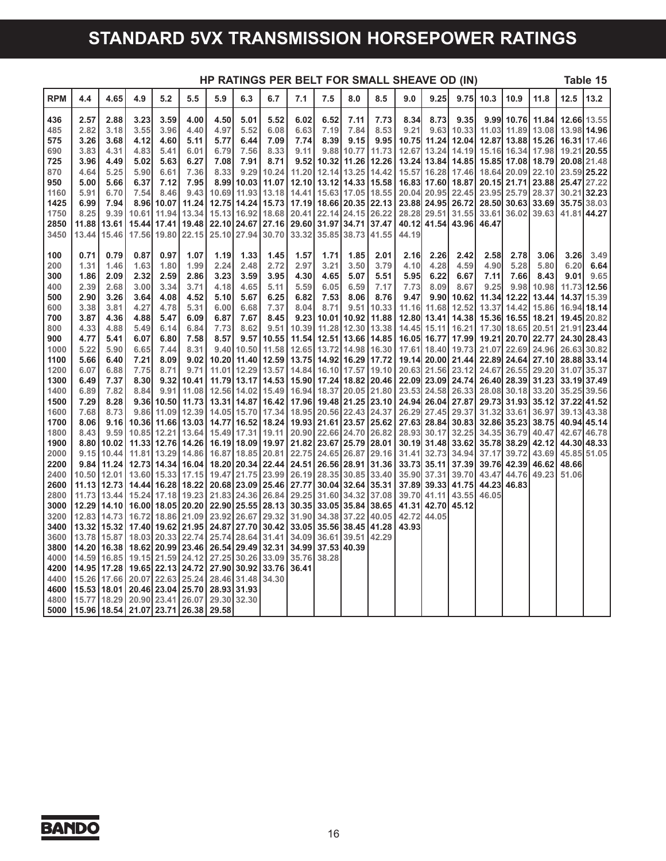### **STANDARD 5VX TRANSMISSION HORSEPOWER RATINGS**

|              | HP RATINGS PER BELT FOR SMALL SHEAVE OD (IN) |                                       |               |                   |                                       |                                                                                               |              |                                                       |             |                                  |                                                    |                                           |       |                                                                            | Table 15 |                         |                   |                                        |       |                            |
|--------------|----------------------------------------------|---------------------------------------|---------------|-------------------|---------------------------------------|-----------------------------------------------------------------------------------------------|--------------|-------------------------------------------------------|-------------|----------------------------------|----------------------------------------------------|-------------------------------------------|-------|----------------------------------------------------------------------------|----------|-------------------------|-------------------|----------------------------------------|-------|----------------------------|
| <b>RPM</b>   | 4.4                                          | 4.65                                  | 4.9           | 5.2               | 5.5                                   | 5.9                                                                                           | 6.3          | 6.7                                                   | 7.1         | 7.5                              | 8.0                                                | 8.5                                       | 9.0   | 9.25                                                                       |          | $9.75$ 10.3 10.9        |                   | 11.8                                   | 12.5  | 13.2                       |
| 436          | 2.57                                         | 2.88                                  | 3.23          | 3.59              | 4.00                                  | 4.50                                                                                          | 5.01         | 5.52                                                  | 6.02        | 6.52                             | 7.11                                               | 7.73                                      | 8.34  | 8.73                                                                       | 9.35     |                         |                   | 9.99 10.76 11.84                       |       | 12.66 13.55                |
| 485          | 2.82                                         | 3.18                                  | 3.55          | 3.96              | 4.40                                  | 4.97                                                                                          | 5.52         | 6.08                                                  | 6.63        | 7.19                             | 7.84                                               | 8.53                                      | 9.21  | 9.63                                                                       | 10.33    |                         |                   | 11.03 11.89 13.08                      |       | 13.98 14.96                |
| 575          | 3.26                                         | 3.68                                  | 4.12          | 4.60              | 5.11                                  | 5.77                                                                                          | 6.44         | 7.09                                                  | 7.74        | 8.39                             | 9.15                                               | 9.95                                      |       | 10.75 11.24 12.04                                                          |          |                         |                   | 12.87 13.88 15.26                      |       | 16.31 17.46                |
| 690          | 3.83                                         | 4.31                                  | 4.83          | 5.41              | 6.01                                  | 6.79                                                                                          | 7.56         | 8.33                                                  | 9.11        |                                  | 9.88 10.77 11.73                                   |                                           |       | 12.67 13.24 14.19 15.16 16.34 17.98                                        |          |                         |                   |                                        |       | 19.21 20.55                |
| 725          | 3.96                                         | 4.49                                  | 5.02          | 5.63              | 6.27                                  | 7.08                                                                                          | 7.91         | 8.71                                                  | 9.52        |                                  | 10.32 11.26                                        | 12.26                                     |       | 13.24 13.84                                                                |          | 14.85 15.85 17.08 18.79 |                   |                                        |       | 20.08 21.48                |
| 870          | 4.64                                         | 5.25                                  | 5.90          | 6.61              | 7.36                                  | 8.33                                                                                          |              | $9.29$ 10.24                                          |             |                                  | 11.20 12.14 13.25 14.42                            |                                           |       | 15.57 16.28 17.46 18.64 20.09 22.10                                        |          |                         |                   |                                        |       | 23.59 25.22                |
| 950          | 5.00                                         | 5.66                                  | 6.37          | 7.12              | 7.95                                  |                                                                                               | 8.99 10.03   | 11.07                                                 | 12.10       |                                  | 13.12 14.33 15.58                                  |                                           |       | 16.83 17.60 18.87                                                          |          |                         |                   | 20.15 21.71 23.88                      |       | 25.47 27.22                |
| 1160         | 5.91                                         | 6.70                                  | 7.54          | 8.46              | 9.43                                  |                                                                                               |              |                                                       |             |                                  |                                                    | 10.69 11.93 13.18 14.41 15.63 17.05 18.55 |       | 20.04 20.95 22.45 23.95 25.79 28.37                                        |          |                         |                   |                                        |       | 30.21 32.23                |
| 1425<br>1750 | 6.99<br>8.25                                 | 7.94<br>9.39                          | 8.96<br>10.61 | 10.07<br>11.94    | 11.24<br>13.34                        |                                                                                               | 12.75 14.24  | 15.73 <br>15.13 16.92 18.68 20.41 22.14 24.15 26.22   |             |                                  | 17.19 18.66 20.35 22.13                            |                                           |       | 23.88 24.95 26.72 28.50 30.63 33.69<br>28.28 29.51 31.55 33.61 36.02 39.63 |          |                         |                   |                                        |       | 35.75 38.03<br>41.81 44.27 |
| 2850         | 11.88                                        | 13.61                                 |               | 15.44 17.41 19.48 |                                       |                                                                                               |              | 22.10 24.67 27.16 29.60 31.97 34.71 37.47             |             |                                  |                                                    |                                           |       | 40.12 41.54 43.96 46.47                                                    |          |                         |                   |                                        |       |                            |
| 3450         | 13.44                                        | 15.46                                 | 17.56         |                   | 19.80 22.15                           |                                                                                               |              | 25.10 27.94 30.70                                     |             |                                  | 33.32 35.85 38.73 41.55                            |                                           | 44.19 |                                                                            |          |                         |                   |                                        |       |                            |
|              |                                              |                                       |               |                   |                                       |                                                                                               |              |                                                       |             |                                  |                                                    |                                           |       |                                                                            |          |                         |                   |                                        |       |                            |
| 100          | 0.71                                         | 0.79                                  | 0.87          | 0.97              | 1.07                                  | 1.19                                                                                          | 1.33         | 1.45                                                  | 1.57        | 1.71                             | 1.85                                               | 2.01                                      | 2.16  | 2.26                                                                       | 2.42     | 2.58                    | 2.78              | 3.06                                   | 3.26  | 3.49                       |
| 200          | 1.31                                         | 1.46                                  | 1.63          | 1.80              | 1.99                                  | 2.24                                                                                          | 2.48         | 2.72                                                  | 2.97        | 3.21                             | 3.50                                               | 3.79                                      | 4.10  | 4.28                                                                       | 4.59     | 4.90                    | 5.28              | 5.80                                   | 6.20  | 6.64                       |
| 300          | 1.86                                         | 2.09                                  | 2.32          | 2.59              | 2.86                                  | 3.23                                                                                          | 3.59         | 3.95                                                  | 4.30        | 4.65                             | 5.07                                               | 5.51                                      | 5.95  | 6.22                                                                       | 6.67     | 7.11                    | 7.66              | 8.43                                   | 9.01  | 9.65                       |
| 400          | 2.39                                         | 2.68                                  | 3.00          | 3.34              | 3.71                                  | 4.18                                                                                          | 4.65         | 5.11                                                  | 5.59        | 6.05                             | 6.59                                               | 7.17                                      | 7.73  | 8.09                                                                       | 8.67     | 9.25                    | 9.98              | 10.98                                  |       | 11.73 12.56                |
| 500          | 2.90                                         | 3.26                                  | 3.64          | 4.08              | 4.52                                  | 5.10                                                                                          | 5.67         | 6.25                                                  | 6.82        | 7.53                             | 8.06                                               | 8.76                                      | 9.47  | 9.90                                                                       | 10.62    |                         | 11.34 12.22 13.44 |                                        |       | 14.37 15.39                |
| 600          | 3.38                                         | 3.81                                  | 4.27          | 4.78              | 5.31                                  | 6.00                                                                                          | 6.68         | 7.37                                                  | 8.04        | 8.71                             | 9.51                                               | 10.33                                     |       | 11.16 11.68                                                                | 12.52    | 13.37                   |                   | 14.42 15.86                            |       | 16.94 18.14                |
| 700          | 3.87                                         | 4.36                                  | 4.88          | 5.47              | 6.09                                  | 6.87                                                                                          | 7.67         | 8.45                                                  | 9.23        |                                  | $10.01$ 10.92                                      | 11.88                                     |       | 12.80 13.41   14.38   15.36   16.55   18.21                                |          |                         |                   |                                        |       | 19.45 20.82                |
| 800          | 4.33                                         | 4.88                                  | 5.49          | 6.14              | 6.84                                  | 7.73                                                                                          | 8.62         | 9.51                                                  | 10.39       |                                  | 11.28 12.30                                        | 13.38                                     |       | 14.45 15.11                                                                | 16.21    | 17.30                   |                   | 18.65 20.51                            |       | 21.91 23.44                |
| 900          | 4.77                                         | 5.41                                  | 6.07          | 6.80              | 7.58                                  | 8.57                                                                                          |              | $9.57$ 10.55                                          |             |                                  | 11.54 12.51 13.66 14.85                            |                                           |       | 16.05 16.77 17.99 19.21 20.70 22.77                                        |          |                         |                   |                                        |       | 24.30 28.43                |
| 1000         | 5.22                                         | 5.90                                  | 6.65          | 7.44              | 8.31                                  |                                                                                               | $9.40$ 10.50 | 11.58                                                 |             |                                  | 12.65 13.72 14.98 16.30                            |                                           |       | 17.61 18.40 19.73                                                          |          |                         |                   | 21.07 22.69 24.96                      |       | 26.63 30.82                |
| 1100         | 5.66                                         | 6.40                                  | 7.21          | 8.09              | 9.02                                  |                                                                                               |              | 10.20 11.40 12.59                                     |             |                                  | 13.75 14.92 16.29 17.72                            |                                           |       | 19.14 20.00 21.44                                                          |          |                         |                   | 22.89 24.64 27.10                      |       | 28.88 33.14                |
| 1200<br>1300 | 6.07<br>6.49                                 | 6.88<br>7.37                          | 7.75<br>8.30  | 8.71              | 9.71<br>$9.32$   10.41                |                                                                                               | 11.79 13.17  | 11.01 12.29 13.57<br>14.53                            |             |                                  | 14.84 16.10 17.57 19.10<br>15.90 17.24 18.82 20.46 |                                           |       | 20.63 21.56 23.12<br>22.09 23.09 24.74                                     |          |                         |                   | 24.67 26.55 29.20<br>26.40 28.39 31.23 |       | 31.07 35.37<br>33.19 37.49 |
| 1400         | 6.89                                         | 7.82                                  | 8.84          |                   | $9.91$ 11.08                          |                                                                                               |              | 12.56 14.02 15.49 16.94 18.37 20.05 21.80             |             |                                  |                                                    |                                           |       | 23.53 24.58 26.33                                                          |          |                         |                   | 28.08 30.18 33.20                      |       | 35.25 39.56                |
| 1500         | 7.29                                         | 8.28                                  | 9.36          |                   | 10.50   11.73                         |                                                                                               | 13.31 14.87  |                                                       | 16.42 17.96 |                                  | 19.48 21.25 23.10                                  |                                           |       | 24.94 26.04 27.87                                                          |          |                         | 29.73 31.93 35.12 |                                        |       | 37.22 41.52                |
| 1600         | 7.68                                         | 8.73                                  |               |                   |                                       | 9.86 11.09 12.39 14.05 15.70 17.34 18.95 20.56 22.43 24.37                                    |              |                                                       |             |                                  |                                                    |                                           |       | 26.29 27.45 29.37 31.32 33.61 36.97                                        |          |                         |                   |                                        |       | 39.13 43.38                |
| 1700         | 8.06                                         | 9.16                                  | 10.36         |                   | 11.66 13.03                           |                                                                                               |              | 14.77   16.52   18.24   19.93   21.61   23.57   25.62 |             |                                  |                                                    |                                           |       | 27.63 28.84 30.83                                                          |          |                         |                   | 32.86 35.23 38.75                      |       | 40.94 45.14                |
| 1800         | 8.43                                         |                                       |               |                   |                                       | 9.59 10.85 12.21 13.64 15.49 17.31 19.11 20.90 22.66 24.70 26.82                              |              |                                                       |             |                                  |                                                    |                                           |       | 28.93 30.17 32.25                                                          |          |                         | 34.35 36.79 40.47 |                                        |       | 42.67 46.78                |
| 1900         |                                              | 8.80   10.02   11.33   12.76   14.26  |               |                   |                                       |                                                                                               |              | 16.19 18.09 19.97 21.82 23.67 25.79 28.01             |             |                                  |                                                    |                                           |       | 30.19 31.48 33.62 35.78 38.29 42.12                                        |          |                         |                   |                                        |       | 44.30 48.33                |
| 2000         |                                              | $9.15$ 10.44                          |               | 11.81 13.29 14.86 |                                       |                                                                                               |              | 16.87 18.85 20.81 22.75 24.65 26.87 29.16             |             |                                  |                                                    |                                           |       | 31.41 32.73 34.94                                                          |          |                         | 37.17 39.72 43.69 |                                        |       | 45.85 51.05                |
| 2200         |                                              |                                       |               |                   | 9.84   11.24   12.73   14.34   16.04  |                                                                                               |              | 18.20 20.34 22.44 24.51 26.56 28.91 31.36             |             |                                  |                                                    |                                           |       | 33.73 35.11 37.39 39.76 42.39 46.62                                        |          |                         |                   |                                        | 48.66 |                            |
| 2400         | 10.50 12.01                                  |                                       |               | 13.60 15.33 17.15 |                                       |                                                                                               |              | 19.47 21.75 23.99                                     |             | 26.19 28.35 30.85                |                                                    | 33.40                                     |       | 35.90 37.31                                                                | 39.70    | 43.47                   | 44.76             | 49.23                                  | 51.06 |                            |
| 2600         |                                              |                                       |               |                   |                                       | 11.13 12.73 14.44 16.28 18.22 20.68 23.09 25.46 27.77 30.04 32.64 35.31                       |              |                                                       |             |                                  |                                                    |                                           |       | 37.89 39.33 41.75                                                          |          |                         | 44.23 46.83       |                                        |       |                            |
| 2800         |                                              |                                       |               |                   | 11.73   13.44   15.24   17.18   19.23 |                                                                                               |              | 21.83 24.36 26.84                                     |             | 29.25 31.60 34.32                |                                                    | 37.08                                     |       | 39.70 41.11                                                                | 43.55    | 46.05                   |                   |                                        |       |                            |
| 3000         |                                              |                                       |               |                   |                                       | 12.29   14.10   16.00   18.05   20.20   22.90   25.55   28.13   30.35   33.05   35.84   38.65 |              |                                                       |             |                                  |                                                    |                                           |       | 41.31 42.70                                                                | 45.12    |                         |                   |                                        |       |                            |
| 3200         |                                              | 12.83   14.73   16.72   18.86   21.09 |               |                   |                                       |                                                                                               |              | 23.92 26.67 29.32                                     | 31.90       | 34.38 37.22                      |                                                    | 40.05                                     |       | 42.72 44.05                                                                |          |                         |                   |                                        |       |                            |
| 3400         |                                              |                                       |               |                   | 13.32   15.32   17.40   19.62   21.95 |                                                                                               |              | 24.87   27.70   30.42                                 |             | 33.05 35.56 38.45                |                                                    | 41.28                                     | 43.93 |                                                                            |          |                         |                   |                                        |       |                            |
| 3600<br>3800 |                                              | 14.20   16.38   18.62   20.99   23.46 |               |                   | 13.78   15.87   18.03   20.33   22.74 |                                                                                               |              | 25.74 28.64 31.41<br>26.54 29.49 32.31                | 34.99       | 34.09 36.61 39.51<br>37.53 40.39 |                                                    | 42.29                                     |       |                                                                            |          |                         |                   |                                        |       |                            |
| 4000         |                                              |                                       |               |                   |                                       | 14.59 16.85 19.15 21.59 24.12 27.25 30.26 33.09                                               |              |                                                       | 35.76       | 38.28                            |                                                    |                                           |       |                                                                            |          |                         |                   |                                        |       |                            |
| 4200         |                                              |                                       |               |                   |                                       | 14.95   17.28   19.65   22.13   24.72   27.90   30.92                                         |              | 33.76                                                 | 36.41       |                                  |                                                    |                                           |       |                                                                            |          |                         |                   |                                        |       |                            |
| 4400         |                                              |                                       |               |                   |                                       | 15.26   17.66   20.07   22.63   25.24   28.46   31.48   34.30                                 |              |                                                       |             |                                  |                                                    |                                           |       |                                                                            |          |                         |                   |                                        |       |                            |
| 4600         |                                              | 15.53   18.01   20.46   23.04   25.70 |               |                   |                                       | 28.93 31.93                                                                                   |              |                                                       |             |                                  |                                                    |                                           |       |                                                                            |          |                         |                   |                                        |       |                            |
| 4800         |                                              |                                       |               |                   |                                       | 15.77   18.29   20.90   23.41   26.07   29.30   32.30                                         |              |                                                       |             |                                  |                                                    |                                           |       |                                                                            |          |                         |                   |                                        |       |                            |
|              |                                              |                                       |               |                   |                                       | 5000   15.96   18.54   21.07   23.71   26.38   29.58                                          |              |                                                       |             |                                  |                                                    |                                           |       |                                                                            |          |                         |                   |                                        |       |                            |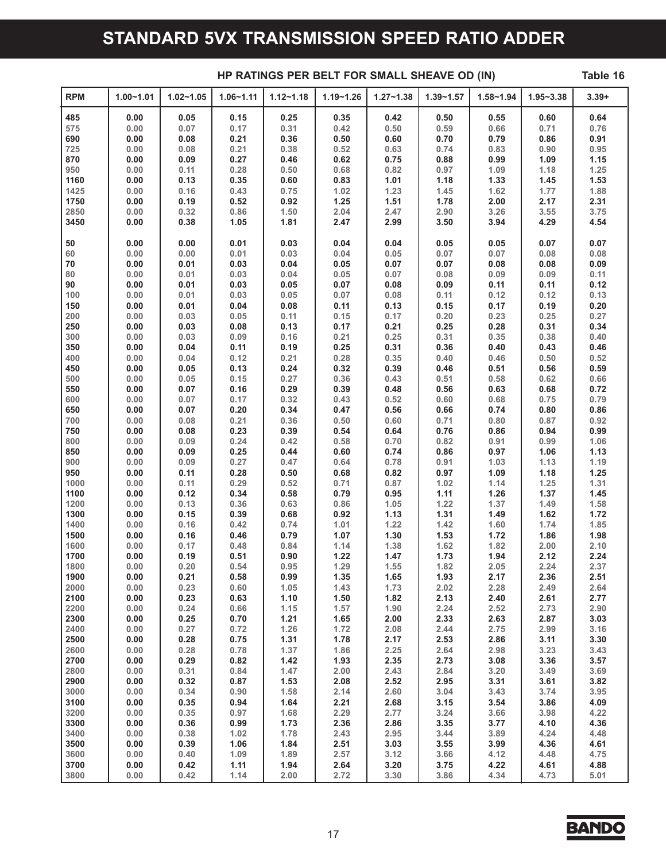### **STANDARD 5VX TRANSMISSION SPEED RATIO ADDER**

#### **HP RATINGS PER BELT FOR SMALL SHEAVE OD (IN) Table 16**

| <b>RPM</b>   | $1.00 - 1.01$ | $1.02 - 1.05$ | $1.06 - 1.11$    | $1.12 - 1.18$ | $1.19 - 1.26$ | $1.27 - 1.38$ | $1.39 - 1.57$ | $1.58 - 1.94$ | $1.95 - 3.38$ | $3.39+$      |
|--------------|---------------|---------------|------------------|---------------|---------------|---------------|---------------|---------------|---------------|--------------|
| 485          | 0.00          | 0.05          | 0.15             | 0.25          | 0.35          | 0.42          | 0.50          | 0.55          | 0.60          | 0.64         |
| 575          | 0.00          | 0.07          | 0.17             | 0.31          | 0.42          | 0.50          | 0.59          | 0.66          | 0.71          | 0.76         |
| 690          | 0.00          | 0.08          | 0.21             | 0.36          | 0.50          | 0.60          | 0.70          | 0.79          | 0.86          | 0.91         |
| 725          | 0.00          | 0.08          | 0.21             | 0.38          | 0.52          | 0.63          | 0.74          | 0.83          | 0.90          | 0.95         |
| 870          | 0.00          | 0.09          | 0.27             | 0.46          | 0.62          | 0.75          | 0.88          | 0.99          | 1.09          | 1.15         |
| 950          | 0.00          | 0.11          | 0.28             | 0.50          | 0.68          | 0.82          | 0.97          | 1.09          | 1.18          | 1.25         |
| 1160<br>1425 | 0.00<br>0.00  | 0.13<br>0.16  | 0.35<br>0.43     | 0.60<br>0.75  | 0.83<br>1.02  | 1.01<br>1.23  | 1.18<br>1.45  | 1.33<br>1.62  | 1.45<br>1.77  | 1.53<br>1.88 |
| 1750         | 0.00          | 0.19          | 0.52             | 0.92          | 1.25          | 1.51          | 1.78          | 2.00          | 2.17          | 2.31         |
| 2850         | 0.00          | 0.32          | 0.86             | 1.50          | 2.04          | 2.47          | 2.90          | 3.26          | 3.55          | 3.75         |
| 3450         | 0.00          | 0.38          | 1.05             | 1.81          | 2.47          | 2.99          | 3.50          | 3.94          | 4.29          | 4.54         |
|              |               |               |                  |               |               |               |               |               |               |              |
| 50           | 0.00          | 0.00          | 0.01             | 0.03          | 0.04          | 0.04          | 0.05          | 0.05          | 0.07          | 0.07         |
| 60           | 0.00          | 0.00          | 0.01             | 0.03          | 0.04          | 0.05          | 0.07          | 0.07          | 0.08          | 0.08         |
| $70\,$       | 0.00          | 0.01          | 0.03             | 0.04          | 0.05          | 0.07          | 0.07          | 0.08          | 0.08          | 0.09         |
| 80           | 0.00          | 0.01          | 0.03             | 0.04          | 0.05          | 0.07          | 0.08          | 0.09          | 0.09          | 0.11         |
| 90<br>100    | 0.00<br>0.00  | 0.01<br>0.01  | 0.03<br>0.03     | 0.05<br>0.05  | 0.07<br>0.07  | 0.08<br>0.08  | 0.09<br>0.11  | 0.11<br>0.12  | 0.11<br>0.12  | 0.12<br>0.13 |
| 150          | 0.00          | 0.01          | 0.04             | 0.08          | 0.11          | 0.13          | 0.15          | 0.17          | 0.19          | 0.20         |
| 200          | 0.00          | 0.03          | 0.05             | 0.11          | 0.15          | 0.17          | 0.20          | 0.23          | 0.25          | 0.27         |
| 250          | 0.00          | 0.03          | 0.08             | 0.13          | 0.17          | 0.21          | 0.25          | 0.28          | 0.31          | 0.34         |
| 300          | 0.00          | 0.03          | 0.09             | 0.16          | 0.21          | 0.25          | 0.31          | 0.35          | 0.38          | 0.40         |
| 350          | 0.00          | 0.04          | 0.11             | 0.19          | 0.25          | 0.31          | 0.36          | 0.40          | 0.43          | 0.46         |
| 400          | 0.00          | 0.04          | 0.12             | 0.21          | 0.28          | 0.35          | 0.40          | 0.46          | 0.50          | 0.52         |
| 450          | 0.00          | 0.05          | 0.13             | 0.24          | 0.32          | 0.39          | 0.46          | 0.51          | 0.56          | 0.59         |
| 500          | 0.00          | 0.05          | 0.15             | 0.27          | 0.36          | 0.43          | 0.51          | 0.58          | 0.62          | 0.66         |
| 550          | 0.00          | 0.07          | 0.16             | 0.29          | 0.39          | 0.48          | 0.56          | 0.63          | 0.68          | 0.72         |
| 600          | 0.00          | 0.07          | 0.17             | 0.32          | 0.43          | 0.52          | 0.60          | 0.68          | 0.75          | 0.79         |
| 650<br>700   | 0.00<br>0.00  | 0.07<br>0.08  | $0.20\,$<br>0.21 | 0.34<br>0.36  | 0.47<br>0.50  | 0.56<br>0.60  | 0.66<br>0.71  | 0.74<br>0.80  | 0.80<br>0.87  | 0.86<br>0.92 |
| 750          | 0.00          | 0.08          | 0.23             | 0.39          | 0.54          | 0.64          | 0.76          | 0.86          | 0.94          | 0.99         |
| 800          | 0.00          | 0.09          | 0.24             | 0.42          | 0.58          | 0.70          | 0.82          | 0.91          | 0.99          | 1.06         |
| 850          | 0.00          | 0.09          | 0.25             | 0.44          | 0.60          | 0.74          | 0.86          | 0.97          | 1.06          | 1.13         |
| 900          | 0.00          | 0.09          | 0.27             | 0.47          | 0.64          | 0.78          | 0.91          | 1.03          | 1.13          | 1.19         |
| 950          | 0.00          | 0.11          | 0.28             | 0.50          | 0.68          | 0.82          | 0.97          | 1.09          | 1.18          | 1.25         |
| 1000         | 0.00          | 0.11          | 0.29             | 0.52          | 0.71          | 0.87          | 1.02          | 1.14          | 1.25          | 1.31         |
| 1100         | 0.00          | 0.12          | 0.34             | 0.58          | 0.79          | 0.95          | 1.11          | 1.26          | 1.37          | 1.45         |
| 1200         | 0.00          | 0.13          | 0.36             | 0.63          | 0.86          | 1.05          | 1.22          | 1.37          | 1.49          | 1.58         |
| 1300<br>1400 | 0.00<br>0.00  | 0.15          | 0.39<br>0.42     | 0.68<br>0.74  | 0.92          | 1.13<br>1.22  | 1.31          | 1.49          | 1.62<br>1.74  | 1.72         |
| 1500         | 0.00          | 0.16<br>0.16  | 0.46             | 0.79          | 1.01<br>1.07  | 1.30          | 1.42<br>1.53  | 1.60<br>1.72  | 1.86          | 1.85<br>1.98 |
| 1600         | 0.00          | 0.17          | 0.48             | 0.84          | 1.14          | 1.38          | 1.62          | 1.82          | 2.00          | 2.10         |
| 1700         | 0.00          | 0.19          | 0.51             | 0.90          | 1.22          | 1.47          | 1.73          | 1.94          | 2.12          | 2.24         |
| 1800         | 0.00          | 0.20          | 0.54             | 0.95          | 1.29          | 1.55          | 1.82          | 2.05          | 2.24          | 2.37         |
| 1900         | 0.00          | 0.21          | 0.58             | 0.99          | 1.35          | 1.65          | 1.93          | 2.17          | 2.36          | 2.51         |
| 2000         | 0.00          | 0.23          | 0.60             | 1.05          | 1.43          | 1.73          | 2.02          | 2.28          | 2.49          | 2.64         |
| 2100         | 0.00          | 0.23          | 0.63             | 1.10          | 1.50          | 1.82          | 2.13          | 2.40          | 2.61          | 2.77         |
| 2200         | 0.00          | 0.24          | 0.66             | 1.15          | 1.57          | 1.90          | 2.24          | 2.52          | 2.73          | 2.90         |
| 2300         | 0.00          | 0.25          | 0.70             | 1.21          | 1.65          | 2.00          | 2.33          | 2.63          | 2.87          | 3.03         |
| 2400<br>2500 | 0.00<br>0.00  | 0.27<br>0.28  | 0.72<br>0.75     | 1.26<br>1.31  | 1.72<br>1.78  | 2.08<br>2.17  | 2.44<br>2.53  | 2.75<br>2.86  | 2.99<br>3.11  | 3.16<br>3.30 |
| 2600         | 0.00          | 0.28          | 0.78             | 1.37          | 1.86          | 2.25          | 2.64          | 2.98          | 3.23          | 3.43         |
| 2700         | 0.00          | 0.29          | 0.82             | 1.42          | 1.93          | 2.35          | 2.73          | 3.08          | 3.36          | 3.57         |
| 2800         | 0.00          | 0.31          | 0.84             | 1.47          | 2.00          | 2.43          | 2.84          | 3.20          | 3.49          | 3.69         |
| 2900         | 0.00          | 0.32          | 0.87             | 1.53          | 2.08          | 2.52          | 2.95          | 3.31          | 3.61          | 3.82         |
| 3000         | 0.00          | 0.34          | 0.90             | 1.58          | 2.14          | 2.60          | 3.04          | 3.43          | 3.74          | 3.95         |
| 3100         | 0.00          | 0.35          | 0.94             | 1.64          | 2.21          | 2.68          | 3.15          | 3.54          | 3.86          | 4.09         |
| 3200         | 0.00          | 0.35          | 0.97             | 1.68          | 2.29          | 2.77          | 3.24          | 3.66          | 3.98          | 4.22         |
| 3300         | 0.00          | 0.36          | 0.99             | 1.73          | 2.36          | 2.86          | 3.35          | 3.77          | 4.10          | 4.36         |
| 3400         | 0.00          | 0.38          | 1.02             | 1.78          | 2.43          | 2.95          | 3.44          | 3.89          | 4.24          | 4.48         |
| 3500<br>3600 | 0.00          | 0.39          | 1.06<br>1.09     | 1.84<br>1.89  | 2.51          | 3.03          | 3.55          | 3.99          | 4.36          | 4.61         |
| 3700         | 0.00<br>0.00  | 0.40<br>0.42  | 1.11             | 1.94          | 2.57<br>2.64  | 3.12<br>3.20  | 3.66<br>3.75  | 4.12<br>4.22  | 4.48<br>4.61  | 4.75<br>4.88 |
| 3800         | 0.00          | 0.42          | 1.14             | 2.00          | 2.72          | 3.30          | 3.86          | 4.34          | 4.73          | 5.01         |

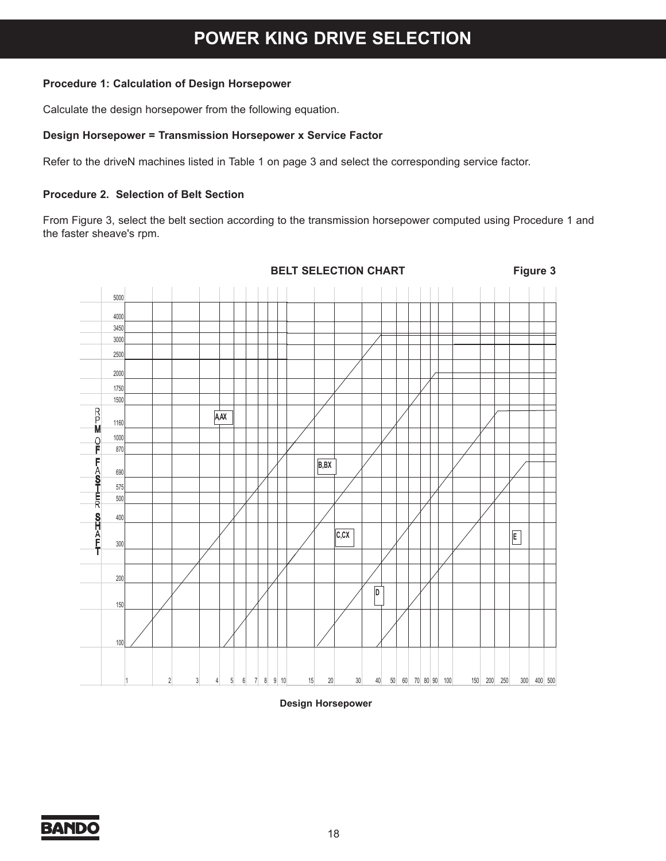### **POWER KING DRIVE SELECTION**

#### **Procedure 1: Calculation of Design Horsepower**

Calculate the design horsepower from the following equation.

#### **Design Horsepower = Transmission Horsepower x Service Factor**

Refer to the driveN machines listed in Table 1 on page 3 and select the corresponding service factor.

#### **Procedure 2. Selection of Belt Section**

From Figure 3, select the belt section according to the transmission horsepower computed using Procedure 1 and the faster sheave's rpm.



**Design Horsepower**

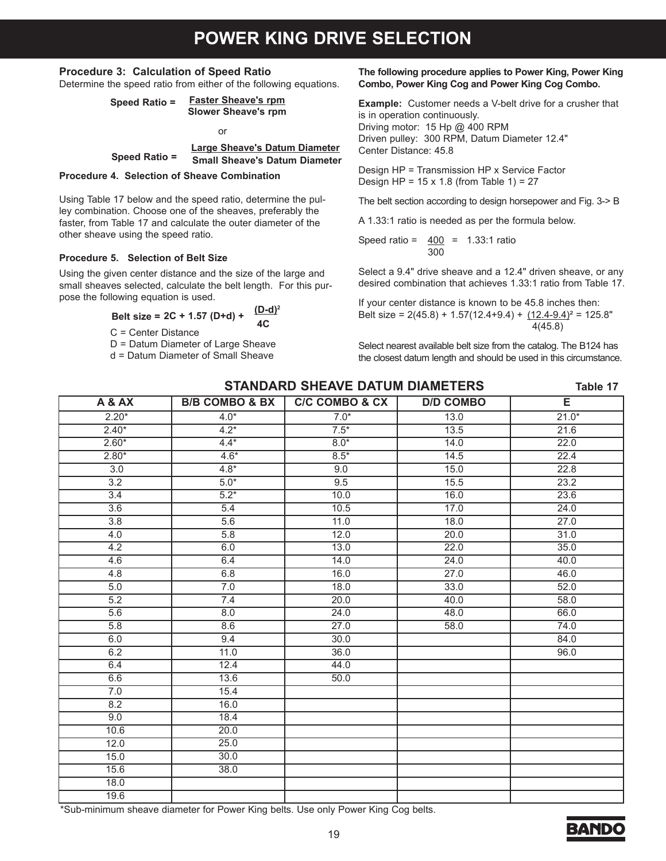### **POWER KING DRIVE SELECTION**

#### **Procedure 3: Calculation of Speed Ratio**

Determine the speed ratio from either of the following equations.

| Speed Ratio = | <b>Faster Sheave's rpm</b><br><b>Slower Sheave's rpm</b> |
|---------------|----------------------------------------------------------|
|               |                                                          |

or

#### **Speed Ratio = Large Sheave's Datum Diameter Small Sheave's Datum Diameter**

#### **Procedure 4. Selection of Sheave Combination**

Using Table 17 below and the speed ratio, determine the pulley combination. Choose one of the sheaves, preferably the faster, from Table 17 and calculate the outer diameter of the other sheave using the speed ratio.

#### **Procedure 5. Selection of Belt Size**

Using the given center distance and the size of the large and small sheaves selected, calculate the belt length. For this purpose the following equation is used.

Belt size = 2C + 1.57 (D+d) + 
$$
\frac{(D-d)^2}{4C}
$$

C = Center Distance

- D = Datum Diameter of Large Sheave
- d = Datum Diameter of Small Sheave

#### **The following procedure applies to Power King, Power King Combo, Power King Cog and Power King Cog Combo.**

**Example:** Customer needs a V-belt drive for a crusher that is in operation continuously. Driving motor: 15 Hp @ 400 RPM Driven pulley: 300 RPM, Datum Diameter 12.4" Center Distance: 45.8

Design HP = Transmission HP x Service Factor Design HP =  $15 \times 1.8$  (from Table 1) = 27

The belt section according to design horsepower and Fig. 3-> B

A 1.33:1 ratio is needed as per the formula below.

Speed ratio =  $400 = 1.33:1$  ratio 300

Select a 9.4" drive sheave and a 12.4" driven sheave, or any desired combination that achieves 1.33:1 ratio from Table 17.

If your center distance is known to be 45.8 inches then: Belt size =  $2(45.8) + 1.57(12.4+9.4) + (12.4-9.4)^2 = 125.8$ " 4(45.8)

Select nearest available belt size from the catalog. The B124 has the closest datum length and should be used in this circumstance.

|                  |                | STANDARD SHEAVE DATUM DIAMETERS |                  | Table 17 |
|------------------|----------------|---------------------------------|------------------|----------|
| A & AX           | B/B COMBO & BX | <b>C/C COMBO &amp; CX</b>       | <b>D/D COMBO</b> | Е        |
| $2.20*$          | $4.0*$         | $7.0*$                          | 13.0             | $21.0*$  |
| $2.40*$          | $4.2*$         | $7.5*$                          | 13.5             | 21.6     |
| $2.60*$          | $4.4*$         | $8.0*$                          | 14.0             | 22.0     |
| $2.80*$          | $4.6*$         | $8.5*$                          | 14.5             | 22.4     |
| $\overline{3.0}$ | $4.8*$         | 9.0                             | 15.0             | 22.8     |
| 3.2              | $5.0*$         | 9.5                             | 15.5             | 23.2     |
| $\overline{3.4}$ | $5.2*$         | 10.0                            | 16.0             | 23.6     |
| 3.6              | 5.4            | 10.5                            | 17.0             | 24.0     |
| 3.8              | 5.6            | 11.0                            | 18.0             | 27.0     |
| 4.0              | 5.8            | 12.0                            | 20.0             | 31.0     |
| 4.2              | 6.0            | 13.0                            | 22.0             | 35.0     |
| 4.6              | 6.4            | 14.0                            | 24.0             | 40.0     |
| 4.8              | 6.8            | 16.0                            | 27.0             | 46.0     |
| 5.0              | 7.0            | 18.0                            | 33.0             | 52.0     |
| 5.2              | 7.4            | 20.0                            | 40.0             | 58.0     |
| 5.6              | 8.0            | 24.0                            | 48.0             | 66.0     |
| 5.8              | 8.6            | 27.0                            | 58.0             | 74.0     |
| 6.0              | 9.4            | 30.0                            |                  | 84.0     |
| 6.2              | 11.0           | 36.0                            |                  | 96.0     |
| 6.4              | 12.4           | 44.0                            |                  |          |
| 6.6              | 13.6           | 50.0                            |                  |          |
| 7.0              | 15.4           |                                 |                  |          |
| 8.2              | 16.0           |                                 |                  |          |
| 9.0              | 18.4           |                                 |                  |          |
| 10.6             | 20.0           |                                 |                  |          |
| 12.0             | 25.0           |                                 |                  |          |
| 15.0             | 30.0           |                                 |                  |          |
| 15.6             | 38.0           |                                 |                  |          |
| 18.0             |                |                                 |                  |          |
| 19.6             |                |                                 |                  |          |

**STANDARD SHEAVE DATUM DIAMETERS Table 17**

\*Sub-minimum sheave diameter for Power King belts. Use only Power King Cog belts.

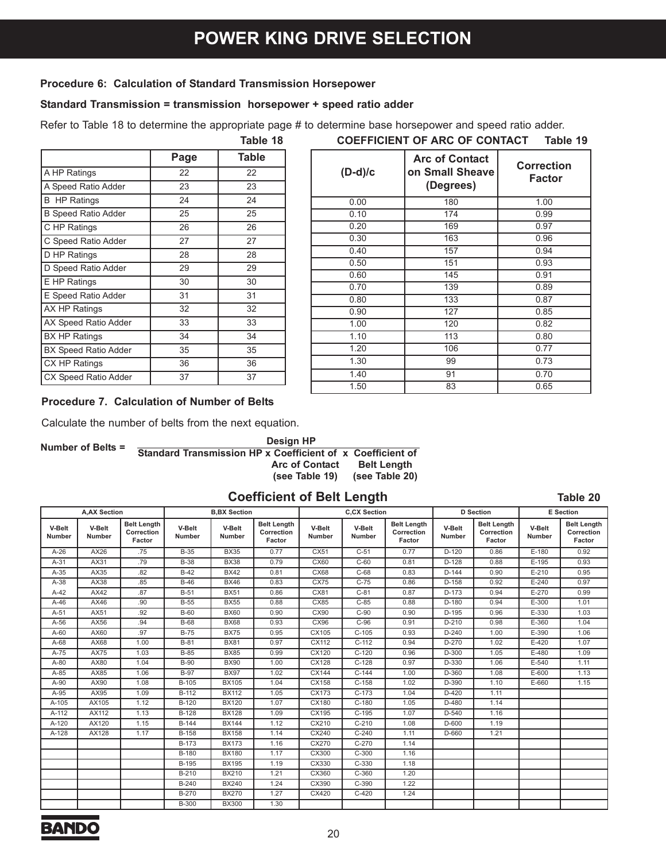#### **Procedure 6: Calculation of Standard Transmission Horsepower**

#### **Standard Transmission = transmission horsepower + speed ratio adder**

Refer to Table 18 to determine the appropriate page # to determine base horsepower and speed ratio adder.

|                             |      | Table 18 |
|-----------------------------|------|----------|
|                             | Page | Table    |
| A HP Ratings                | 22   | 22       |
| A Speed Ratio Adder         | 23   | 23       |
| <b>B</b> HP Ratings         | 24   | 24       |
| <b>B Speed Ratio Adder</b>  | 25   | 25       |
| C HP Ratings                | 26   | 26       |
| C Speed Ratio Adder         | 27   | 27       |
| D HP Ratings                | 28   | 28       |
| D Speed Ratio Adder         | 29   | 29       |
| E HP Ratings                | 30   | 30       |
| E Speed Ratio Adder         | 31   | 31       |
| AX HP Ratings               | 32   | 32       |
| AX Speed Ratio Adder        | 33   | 33       |
| <b>BX HP Ratings</b>        | 34   | 34       |
| <b>BX Speed Ratio Adder</b> | 35   | 35       |
| CX HP Ratings               | 36   | 36       |
| CX Speed Ratio Adder        | 37   | 37       |

| $(D-d)/c$ | <b>Arc of Contact</b><br>on Small Sheave<br>(Degrees) | <b>Correction</b><br><b>Factor</b> |
|-----------|-------------------------------------------------------|------------------------------------|
| 0.00      | 180                                                   | 1.00                               |
| 0.10      | 174                                                   | 0.99                               |
| 0.20      | 169                                                   | 0.97                               |
| 0.30      | 163                                                   | 0.96                               |
| 0.40      | 157                                                   | 0.94                               |
| 0.50      | 151                                                   | 0.93                               |
| 0.60      | 145                                                   | 0.91                               |
| 0.70      | 139                                                   | 0.89                               |
| 0.80      | 133                                                   | 0.87                               |
| 0.90      | 127                                                   | 0.85                               |
| 1.00      | 120                                                   | 0.82                               |
| 1.10      | 113                                                   | 0.80                               |
| 1.20      | 106                                                   | 0.77                               |
| 1.30      | 99                                                    | 0.73                               |
| 1.40      | 91                                                    | 0.70                               |
| 1.50      | 83                                                    | 0.65                               |

**Table 18 COEFFICIENT OF ARC OF CONTACT Table 19**

#### **Procedure 7. Calculation of Number of Belts**

Calculate the number of belts from the next equation.

### **Number of Belts = Design HP Standard Transmission HP x Coefficient of x Coefficient of Arc of Contact Belt Length (see Table 19) (see Table 20)**

#### **Coefficient of Belt Length Table 20**

|                  | <b>A,AX Section</b> |                                            |                  | <b>B,BX Section</b> |                                            |                  | <b>C,CX Section</b> |                                            | <b>D</b> Section        |                                            | E Section        |                                            |
|------------------|---------------------|--------------------------------------------|------------------|---------------------|--------------------------------------------|------------------|---------------------|--------------------------------------------|-------------------------|--------------------------------------------|------------------|--------------------------------------------|
| V-Belt<br>Number | V-Belt<br>Number    | <b>Belt Length</b><br>Correction<br>Factor | V-Belt<br>Number | V-Belt<br>Number    | <b>Belt Length</b><br>Correction<br>Factor | V-Belt<br>Number | V-Belt<br>Number    | <b>Belt Length</b><br>Correction<br>Factor | V-Belt<br><b>Number</b> | <b>Belt Length</b><br>Correction<br>Factor | V-Belt<br>Number | <b>Belt Length</b><br>Correction<br>Factor |
| $A-26$           | $\overline{AX}26$   | .75                                        | $B-35$           | <b>BX35</b>         | 0.77                                       | CX51             | $C-51$              | 0.77                                       | $D-120$                 | 0.86                                       | $E-180$          | 0.92                                       |
| $A-31$           | AX31                | .79                                        | <b>B-38</b>      | <b>BX38</b>         | 0.79                                       | CX60             | $C-60$              | 0.81                                       | $D-128$                 | 0.88                                       | $E-195$          | 0.93                                       |
| $A-35$           | AX35                | .82                                        | $B-42$           | <b>BX42</b>         | 0.81                                       | CX68             | $C-68$              | 0.83                                       | $D-144$                 | 0.90                                       | $E-210$          | 0.95                                       |
| $A-38$           | AX38                | .85                                        | $B-46$           | <b>BX46</b>         | 0.83                                       | CX75             | $C-75$              | 0.86                                       | $D-158$                 | 0.92                                       | $E-240$          | 0.97                                       |
| $A-42$           | AX42                | .87                                        | $B-51$           | <b>BX51</b>         | 0.86                                       | CX81             | $C-81$              | 0.87                                       | D-173                   | 0.94                                       | $E-270$          | 0.99                                       |
| $A-46$           | AX46                | .90                                        | $B-55$           | <b>BX55</b>         | 0.88                                       | CX85             | $C-85$              | 0.88                                       | $D-180$                 | 0.94                                       | $E - 300$        | 1.01                                       |
| $A-51$           | AX51                | .92                                        | $B-60$           | <b>BX60</b>         | 0.90                                       | CX90             | $C-90$              | 0.90                                       | $D-195$                 | 0.96                                       | E-330            | 1.03                                       |
| $A-56$           | AX56                | .94                                        | <b>B-68</b>      | <b>BX68</b>         | 0.93                                       | CX96             | $C-96$              | 0.91                                       | $D-210$                 | 0.98                                       | E-360            | 1.04                                       |
| $A-60$           | AX60                | .97                                        | $B-75$           | <b>BX75</b>         | 0.95                                       | CX105            | $C-105$             | 0.93                                       | $D-240$                 | 1.00                                       | E-390            | 1.06                                       |
| $A-68$           | AX68                | 1.00                                       | $B-81$           | <b>BX81</b>         | 0.97                                       | CX112            | $C-112$             | 0.94                                       | $D-270$                 | 1.02                                       | $E-420$          | 1.07                                       |
| $A-75$           | <b>AX75</b>         | 1.03                                       | $B-85$           | <b>BX85</b>         | 0.99                                       | CX120            | $C-120$             | 0.96                                       | $D-300$                 | 1.05                                       | $E-480$          | 1.09                                       |
| $A-80$           | AX80                | 1.04                                       | <b>B-90</b>      | <b>BX90</b>         | 1.00                                       | CX128            | $C-128$             | 0.97                                       | D-330                   | 1.06                                       | $E - 540$        | 1.11                                       |
| $A-85$           | AX85                | 1.06                                       | $B-97$           | <b>BX97</b>         | 1.02                                       | CX144            | $C-144$             | 1.00                                       | $D-360$                 | 1.08                                       | $E-600$          | 1.13                                       |
| A-90             | AX90                | 1.08                                       | B-105            | <b>BX105</b>        | 1.04                                       | CX158            | $C-158$             | 1.02                                       | D-390                   | 1.10                                       | E-660            | 1.15                                       |
| $A-95$           | AX95                | 1.09                                       | $B-112$          | <b>BX112</b>        | 1.05                                       | CX173            | $C-173$             | 1.04                                       | $D-420$                 | 1.11                                       |                  |                                            |
| A-105            | AX105               | 1.12                                       | $B-120$          | <b>BX120</b>        | 1.07                                       | CX180            | $C-180$             | 1.05                                       | $D-480$                 | 1.14                                       |                  |                                            |
| $A-112$          | AX112               | 1.13                                       | B-128            | <b>BX128</b>        | 1.09                                       | CX195            | $C-195$             | 1.07                                       | $D-540$                 | 1.16                                       |                  |                                            |
| $A-120$          | AX120               | 1.15                                       | <b>B-144</b>     | <b>BX144</b>        | 1.12                                       | CX210            | $C-210$             | 1.08                                       | D-600                   | 1.19                                       |                  |                                            |
| $A-128$          | <b>AX128</b>        | 1.17                                       | $B-158$          | <b>BX158</b>        | 1.14                                       | CX240            | $C-240$             | 1.11                                       | D-660                   | 1.21                                       |                  |                                            |
|                  |                     |                                            | <b>B-173</b>     | <b>BX173</b>        | 1.16                                       | CX270            | $C-270$             | 1.14                                       |                         |                                            |                  |                                            |
|                  |                     |                                            | B-180            | <b>BX180</b>        | 1.17                                       | CX300            | $C-300$             | 1.16                                       |                         |                                            |                  |                                            |
|                  |                     |                                            | <b>B-195</b>     | <b>BX195</b>        | 1.19                                       | CX330            | $C-330$             | 1.18                                       |                         |                                            |                  |                                            |
|                  |                     |                                            | $B-210$          | <b>BX210</b>        | 1.21                                       | CX360            | $C-360$             | 1.20                                       |                         |                                            |                  |                                            |
|                  |                     |                                            | $B-240$          | <b>BX240</b>        | 1.24                                       | CX390            | $C-390$             | 1.22                                       |                         |                                            |                  |                                            |
|                  |                     |                                            | B-270            | <b>BX270</b>        | 1.27                                       | CX420            | $C-420$             | 1.24                                       |                         |                                            |                  |                                            |
|                  |                     |                                            | <b>B-300</b>     | <b>BX300</b>        | 1.30                                       |                  |                     |                                            |                         |                                            |                  |                                            |

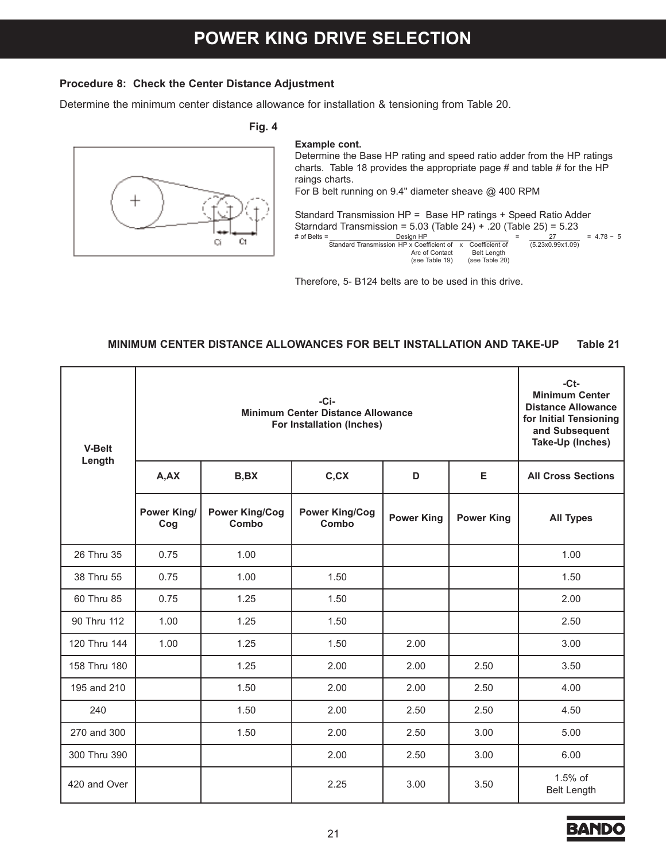### **POWER KING DRIVE SELECTION**

#### **Procedure 8: Check the Center Distance Adjustment**

Determine the minimum center distance allowance for installation & tensioning from Table 20.

#### **Fig. 4**



#### **Example cont.**

Determine the Base HP rating and speed ratio adder from the HP ratings charts. Table 18 provides the appropriate page # and table # for the HP raings charts.

For B belt running on 9.4" diameter sheave @ 400 RPM

Standard Transmission HP = Base HP ratings + Speed Ratio Adder Starndard Transmission = 5.03 (Table 24) + .20 (Table 25) = 5.23<br>
# of Belts =  $\frac{\text{Design HP}}{\text{Standard Transmission HP} \times \text{Coefficient of x} - \text{Coefficient of}} = \frac{27}{(5.23 \times 0.99 \times 1.09)}$ 

# of Belts =  $\frac{\text{Design HP}}{\text{Standard Transmission HP x Coefficient of x Coefficient of x}} = \frac{27}{(5.23 \times 0.99 \times 1.09)} = 4.78 \approx 5$ Arc of Contact Belt Length<br>
(see Table 19) (see Table 20) (see Table 20)

Therefore, 5- B124 belts are to be used in this drive.

#### **MINIMUM CENTER DISTANCE ALLOWANCES FOR BELT INSTALLATION AND TAKE-UP Table 21**

| <b>V-Belt</b><br>Length |                           |                                | -Ci-<br>Minimum Center Distance Allowance<br>For Installation (Inches) |                   |                   | $-ct$<br><b>Minimum Center</b><br><b>Distance Allowance</b><br>for Initial Tensioning<br>and Subsequent<br>Take-Up (Inches) |  |  |
|-------------------------|---------------------------|--------------------------------|------------------------------------------------------------------------|-------------------|-------------------|-----------------------------------------------------------------------------------------------------------------------------|--|--|
|                         | A,AX                      | B,BX                           | C, CX                                                                  | D                 | Е                 | <b>All Cross Sections</b>                                                                                                   |  |  |
|                         | <b>Power King/</b><br>Cog | <b>Power King/Cog</b><br>Combo | <b>Power King/Cog</b><br>Combo                                         | <b>Power King</b> | <b>Power King</b> | <b>All Types</b>                                                                                                            |  |  |
| 26 Thru 35              | 0.75                      | 1.00                           |                                                                        |                   |                   | 1.00                                                                                                                        |  |  |
| 38 Thru 55              | 0.75                      | 1.00                           | 1.50                                                                   |                   |                   | 1.50                                                                                                                        |  |  |
| 60 Thru 85              | 0.75                      | 1.25                           | 1.50                                                                   |                   |                   | 2.00                                                                                                                        |  |  |
| 90 Thru 112             | 1.00                      | 1.25                           | 1.50                                                                   |                   |                   | 2.50                                                                                                                        |  |  |
| 120 Thru 144            | 1.00                      | 1.25                           | 1.50                                                                   | 2.00              |                   | 3.00                                                                                                                        |  |  |
| 158 Thru 180            |                           | 1.25                           | 2.00                                                                   | 2.00              | 2.50              | 3.50                                                                                                                        |  |  |
| 195 and 210             |                           | 1.50                           | 2.00                                                                   | 2.00              | 2.50              | 4.00                                                                                                                        |  |  |
| 240                     |                           | 1.50                           | 2.00                                                                   | 2.50              | 2.50              | 4.50                                                                                                                        |  |  |
| 270 and 300             |                           | 1.50                           | 2.00                                                                   | 2.50              | 3.00              | 5.00                                                                                                                        |  |  |
| 300 Thru 390            |                           |                                | 2.00                                                                   | 2.50              | 3.00              | 6.00                                                                                                                        |  |  |
| 420 and Over            |                           |                                | 2.25                                                                   | 3.00              | 3.50              | $1.5%$ of<br><b>Belt Length</b>                                                                                             |  |  |

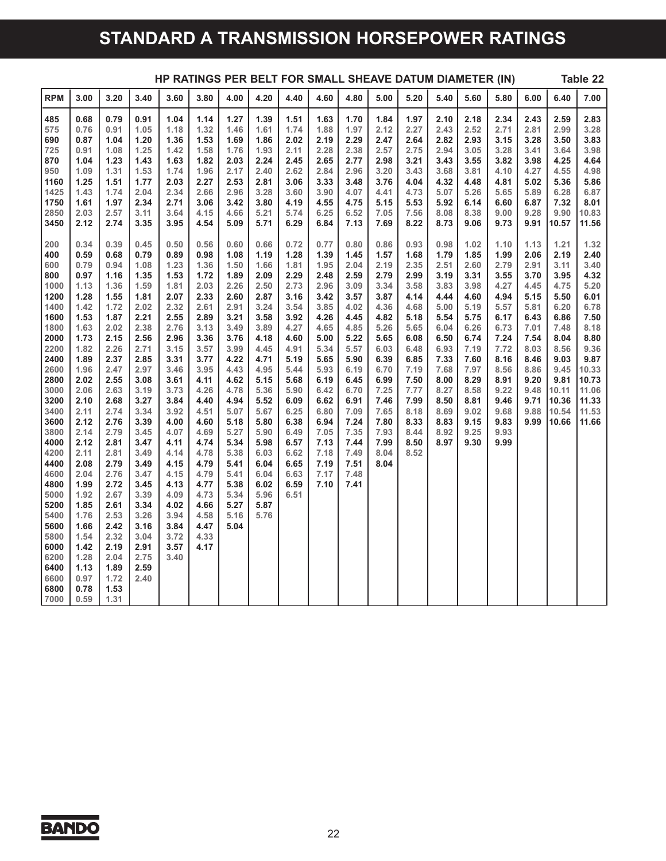### **STANDARD A TRANSMISSION HORSEPOWER RATINGS**

|                                                                                                                                      |                                                                                                                                      |                                                                                                                                      |                                                                                                                      | HP RATINGS PER BELT FOR SMALL SHEAVE DATUM DIAMETER (IN)                                             |                                                                                              |                                                                              |                                                                      |                                                      |                                              |                                              |                              |                      |              |              |              |      |       | Table 22 |
|--------------------------------------------------------------------------------------------------------------------------------------|--------------------------------------------------------------------------------------------------------------------------------------|--------------------------------------------------------------------------------------------------------------------------------------|----------------------------------------------------------------------------------------------------------------------|------------------------------------------------------------------------------------------------------|----------------------------------------------------------------------------------------------|------------------------------------------------------------------------------|----------------------------------------------------------------------|------------------------------------------------------|----------------------------------------------|----------------------------------------------|------------------------------|----------------------|--------------|--------------|--------------|------|-------|----------|
| <b>RPM</b>                                                                                                                           | 3.00                                                                                                                                 | 3.20                                                                                                                                 | 3.40                                                                                                                 | 3.60                                                                                                 | 3.80                                                                                         | 4.00                                                                         | 4.20                                                                 | 4.40                                                 | 4.60                                         | 4.80                                         | 5.00                         | 5.20                 | 5.40         | 5.60         | 5.80         | 6.00 | 6.40  | 7.00     |
| 485                                                                                                                                  | 0.68                                                                                                                                 | 0.79                                                                                                                                 | 0.91                                                                                                                 | 1.04                                                                                                 | 1.14                                                                                         | 1.27                                                                         | 1.39                                                                 | 1.51                                                 | 1.63                                         | 1.70                                         | 1.84                         | 1.97                 | 2.10         | 2.18         | 2.34         | 2.43 | 2.59  | 2.83     |
| 575                                                                                                                                  | 0.76                                                                                                                                 | 0.91                                                                                                                                 | 1.05                                                                                                                 | 1.18                                                                                                 | 1.32                                                                                         | 1.46                                                                         | 1.61                                                                 | 1.74                                                 | 1.88                                         | 1.97                                         | 2.12                         | 2.27                 | 2.43         | 2.52         | 2.71         | 2.81 | 2.99  | 3.28     |
| 690                                                                                                                                  | 0.87                                                                                                                                 | 1.04                                                                                                                                 | 1.20                                                                                                                 | 1.36                                                                                                 | 1.53                                                                                         | 1.69                                                                         | 1.86                                                                 | 2.02                                                 | 2.19                                         | 2.29                                         | 2.47                         | 2.64                 | 2.82         | 2.93         | 3.15         | 3.28 | 3.50  | 3.83     |
| 725                                                                                                                                  | 0.91                                                                                                                                 | 1.08                                                                                                                                 | 1.25                                                                                                                 | 1.42                                                                                                 | 1.58                                                                                         | 1.76                                                                         | 1.93                                                                 | 2.11                                                 | 2.28                                         | 2.38                                         | 2.57                         | 2.75                 | 2.94         | 3.05         | 3.28         | 3.41 | 3.64  | 3.98     |
| 870                                                                                                                                  | 1.04                                                                                                                                 | 1.23                                                                                                                                 | 1.43                                                                                                                 | 1.63                                                                                                 | 1.82                                                                                         | 2.03                                                                         | 2.24                                                                 | 2.45                                                 | 2.65                                         | 2.77                                         | 2.98                         | 3.21                 | 3.43         | 3.55         | 3.82         | 3.98 | 4.25  | 4.64     |
| 950                                                                                                                                  | 1.09                                                                                                                                 | 1.31                                                                                                                                 | 1.53                                                                                                                 | 1.74                                                                                                 | 1.96                                                                                         | 2.17                                                                         | 2.40                                                                 | 2.62                                                 | 2.84                                         | 2.96                                         | 3.20                         | 3.43                 | 3.68         | 3.81         | 4.10         | 4.27 | 4.55  | 4.98     |
| 1160                                                                                                                                 | 1.25                                                                                                                                 | 1.51                                                                                                                                 | 1.77                                                                                                                 | 2.03                                                                                                 | 2.27                                                                                         | 2.53                                                                         | 2.81                                                                 | 3.06                                                 | 3.33                                         | 3.48                                         | 3.76                         | 4.04                 | 4.32         | 4.48         | 4.81         | 5.02 | 5.36  | 5.86     |
| 1425                                                                                                                                 | 1.43                                                                                                                                 | 1.74                                                                                                                                 | 2.04                                                                                                                 | 2.34                                                                                                 | 2.66                                                                                         | 2.96                                                                         | 3.28                                                                 | 3.60                                                 | 3.90                                         | 4.07                                         | 4.41                         | 4.73                 | 5.07         | 5.26         | 5.65         | 5.89 | 6.28  | 6.87     |
| 1750                                                                                                                                 | 1.61                                                                                                                                 | 1.97                                                                                                                                 | 2.34                                                                                                                 | 2.71                                                                                                 | 3.06                                                                                         | 3.42                                                                         | 3.80                                                                 | 4.19                                                 | 4.55                                         | 4.75                                         | 5.15                         | 5.53                 | 5.92         | 6.14         | 6.60         | 6.87 | 7.32  | 8.01     |
| 2850                                                                                                                                 | 2.03                                                                                                                                 | 2.57                                                                                                                                 | 3.11                                                                                                                 | 3.64                                                                                                 | 4.15                                                                                         | 4.66                                                                         | 5.21                                                                 | 5.74                                                 | 6.25                                         | 6.52                                         | 7.05                         | 7.56                 | 8.08         | 8.38         | 9.00         | 9.28 | 9.90  | 10.83    |
| 3450                                                                                                                                 | 2.12                                                                                                                                 | 2.74                                                                                                                                 | 3.35                                                                                                                 | 3.95                                                                                                 | 4.54                                                                                         | 5.09                                                                         | 5.71                                                                 | 6.29                                                 | 6.84                                         | 7.13                                         | 7.69                         | 8.22                 | 8.73         | 9.06         | 9.73         | 9.91 | 10.57 | 11.56    |
| 200                                                                                                                                  | 0.34                                                                                                                                 | 0.39                                                                                                                                 | 0.45                                                                                                                 | 0.50                                                                                                 | 0.56                                                                                         | 0.60                                                                         | 0.66                                                                 | 0.72                                                 | 0.77                                         | 0.80                                         | 0.86                         | 0.93                 | 0.98         | 1.02         | 1.10         | 1.13 | 1.21  | 1.32     |
| 400                                                                                                                                  | 0.59                                                                                                                                 | 0.68                                                                                                                                 | 0.79                                                                                                                 | 0.89                                                                                                 | 0.98                                                                                         | 1.08                                                                         | 1.19                                                                 | 1.28                                                 | 1.39                                         | 1.45                                         | 1.57                         | 1.68                 | 1.79         | 1.85         | 1.99         | 2.06 | 2.19  | 2.40     |
| 600                                                                                                                                  | 0.79                                                                                                                                 | 0.94                                                                                                                                 | 1.08                                                                                                                 | 1.23                                                                                                 | 1.36                                                                                         | 1.50                                                                         | 1.66                                                                 | 1.81                                                 | 1.95                                         | 2.04                                         | 2.19                         | 2.35                 | 2.51         | 2.60         | 2.79         | 2.91 | 3.11  | 3.40     |
| 800                                                                                                                                  | 0.97                                                                                                                                 | 1.16                                                                                                                                 | 1.35                                                                                                                 | 1.53                                                                                                 | 1.72                                                                                         | 1.89                                                                         | 2.09                                                                 | 2.29                                                 | 2.48                                         | 2.59                                         | 2.79                         | 2.99                 | 3.19         | 3.31         | 3.55         | 3.70 | 3.95  | 4.32     |
| 1000                                                                                                                                 | 1.13                                                                                                                                 | 1.36                                                                                                                                 | 1.59                                                                                                                 | 1.81                                                                                                 | 2.03                                                                                         | 2.26                                                                         | 2.50                                                                 | 2.73                                                 | 2.96                                         | 3.09                                         | 3.34                         | 3.58                 | 3.83         | 3.98         | 4.27         | 4.45 | 4.75  | 5.20     |
| 1200                                                                                                                                 | 1.28                                                                                                                                 | 1.55                                                                                                                                 | 1.81                                                                                                                 | 2.07                                                                                                 | 2.33                                                                                         | 2.60                                                                         | 2.87                                                                 | 3.16                                                 | 3.42                                         | 3.57                                         | 3.87                         | 4.14                 | 4.44         | 4.60         | 4.94         | 5.15 | 5.50  | 6.01     |
| 1400                                                                                                                                 | 1.42                                                                                                                                 | 1.72                                                                                                                                 | 2.02                                                                                                                 | 2.32                                                                                                 | 2.61                                                                                         | 2.91                                                                         | 3.24                                                                 | 3.54                                                 | 3.85                                         | 4.02                                         | 4.36                         | 4.68                 | 5.00         | 5.19         | 5.57         | 5.81 | 6.20  | 6.78     |
| 1600                                                                                                                                 | 1.53                                                                                                                                 | 1.87                                                                                                                                 | 2.21                                                                                                                 | 2.55                                                                                                 | 2.89                                                                                         | 3.21                                                                         | 3.58                                                                 | 3.92                                                 | 4.26                                         | 4.45                                         | 4.82                         | 5.18                 | 5.54         | 5.75         | 6.17         | 6.43 | 6.86  | 7.50     |
| 1800                                                                                                                                 | 1.63                                                                                                                                 | 2.02                                                                                                                                 | 2.38                                                                                                                 | 2.76                                                                                                 | 3.13                                                                                         | 3.49                                                                         | 3.89                                                                 | 4.27                                                 | 4.65                                         | 4.85                                         | 5.26                         | 5.65                 | 6.04         | 6.26         | 6.73         | 7.01 | 7.48  | 8.18     |
| 2000                                                                                                                                 | 1.73                                                                                                                                 | 2.15                                                                                                                                 | 2.56                                                                                                                 | 2.96                                                                                                 | 3.36                                                                                         | 3.76                                                                         | 4.18                                                                 | 4.60                                                 | 5.00                                         | 5.22                                         | 5.65                         | 6.08                 | 6.50         | 6.74         | 7.24         | 7.54 | 8.04  | 8.80     |
| 2200                                                                                                                                 | 1.82                                                                                                                                 | 2.26                                                                                                                                 | 2.71                                                                                                                 | 3.15                                                                                                 | 3.57                                                                                         | 3.99                                                                         | 4.45                                                                 | 4.91                                                 | 5.34                                         | 5.57                                         | 6.03                         | 6.48                 | 6.93         | 7.19         | 7.72         | 8.03 | 8.56  | 9.36     |
| 2400                                                                                                                                 | 1.89                                                                                                                                 | 2.37                                                                                                                                 | 2.85                                                                                                                 | 3.31                                                                                                 | 3.77                                                                                         | 4.22                                                                         | 4.71                                                                 | 5.19                                                 | 5.65                                         | 5.90                                         | 6.39                         | 6.85                 | 7.33         | 7.60         | 8.16         | 8.46 | 9.03  | 9.87     |
| 2600                                                                                                                                 | 1.96                                                                                                                                 | 2.47                                                                                                                                 | 2.97                                                                                                                 | 3.46                                                                                                 | 3.95                                                                                         | 4.43                                                                         | 4.95                                                                 | 5.44                                                 | 5.93                                         | 6.19                                         | 6.70                         | 7.19                 | 7.68         | 7.97         | 8.56         | 8.86 | 9.45  | 10.33    |
| 2800                                                                                                                                 | 2.02                                                                                                                                 | 2.55                                                                                                                                 | 3.08                                                                                                                 | 3.61                                                                                                 | 4.11                                                                                         | 4.62                                                                         | 5.15                                                                 | 5.68                                                 | 6.19                                         | 6.45                                         | 6.99                         | 7.50                 | 8.00         | 8.29         | 8.91         | 9.20 | 9.81  | 10.73    |
| 3000                                                                                                                                 | 2.06                                                                                                                                 | 2.63                                                                                                                                 | 3.19                                                                                                                 | 3.73                                                                                                 | 4.26                                                                                         | 4.78                                                                         | 5.36                                                                 | 5.90                                                 | 6.42                                         | 6.70                                         | 7.25                         | 7.77                 | 8.27         | 8.58         | 9.22         | 9.48 | 10.11 | 11.06    |
| 3200                                                                                                                                 | 2.10                                                                                                                                 | 2.68                                                                                                                                 | 3.27                                                                                                                 | 3.84                                                                                                 | 4.40                                                                                         | 4.94                                                                         | 5.52                                                                 | 6.09                                                 | 6.62                                         | 6.91                                         | 7.46                         | 7.99                 | 8.50         | 8.81         | 9.46         | 9.71 | 10.36 | 11.33    |
| 3400                                                                                                                                 | 2.11                                                                                                                                 | 2.74                                                                                                                                 | 3.34                                                                                                                 | 3.92                                                                                                 | 4.51                                                                                         | 5.07                                                                         | 5.67                                                                 | 6.25                                                 | 6.80                                         | 7.09                                         | 7.65                         | 8.18                 | 8.69         | 9.02         | 9.68         | 9.88 | 10.54 | 11.53    |
| 3600                                                                                                                                 | 2.12                                                                                                                                 | 2.76                                                                                                                                 | 3.39                                                                                                                 | 4.00                                                                                                 | 4.60                                                                                         | 5.18                                                                         | 5.80                                                                 | 6.38                                                 | 6.94                                         | 7.24                                         | 7.80                         | 8.33                 | 8.83         | 9.15         | 9.83         | 9.99 | 10.66 | 11.66    |
| 3800<br>4000<br>4200<br>4400<br>4600<br>4800<br>5000<br>5200<br>5400<br>5600<br>5800<br>6000<br>6200<br>6400<br>6600<br>6800<br>7000 | 2.14<br>2.12<br>2.11<br>2.08<br>2.04<br>1.99<br>1.92<br>1.85<br>1.76<br>1.66<br>1.54<br>1.42<br>1.28<br>1.13<br>0.97<br>0.78<br>0.59 | 2.79<br>2.81<br>2.81<br>2.79<br>2.76<br>2.72<br>2.67<br>2.61<br>2.53<br>2.42<br>2.32<br>2.19<br>2.04<br>1.89<br>1.72<br>1.53<br>1.31 | 3.45<br>3.47<br>3.49<br>3.49<br>3.47<br>3.45<br>3.39<br>3.34<br>3.26<br>3.16<br>3.04<br>2.91<br>2.75<br>2.59<br>2.40 | 4.07<br>4.11<br>4.14<br>4.15<br>4.15<br>4.13<br>4.09<br>4.02<br>3.94<br>3.84<br>3.72<br>3.57<br>3.40 | 4.69<br>4.74<br>4.78<br>4.79<br>4.79<br>4.77<br>4.73<br>4.66<br>4.58<br>4.47<br>4.33<br>4.17 | 5.27<br>5.34<br>5.38<br>5.41<br>5.41<br>5.38<br>5.34<br>5.27<br>5.16<br>5.04 | 5.90<br>5.98<br>6.03<br>6.04<br>6.04<br>6.02<br>5.96<br>5.87<br>5.76 | 6.49<br>6.57<br>6.62<br>6.65<br>6.63<br>6.59<br>6.51 | 7.05<br>7.13<br>7.18<br>7.19<br>7.17<br>7.10 | 7.35<br>7.44<br>7.49<br>7.51<br>7.48<br>7.41 | 7.93<br>7.99<br>8.04<br>8.04 | 8.44<br>8.50<br>8.52 | 8.92<br>8.97 | 9.25<br>9.30 | 9.93<br>9.99 |      |       |          |

**BANDO**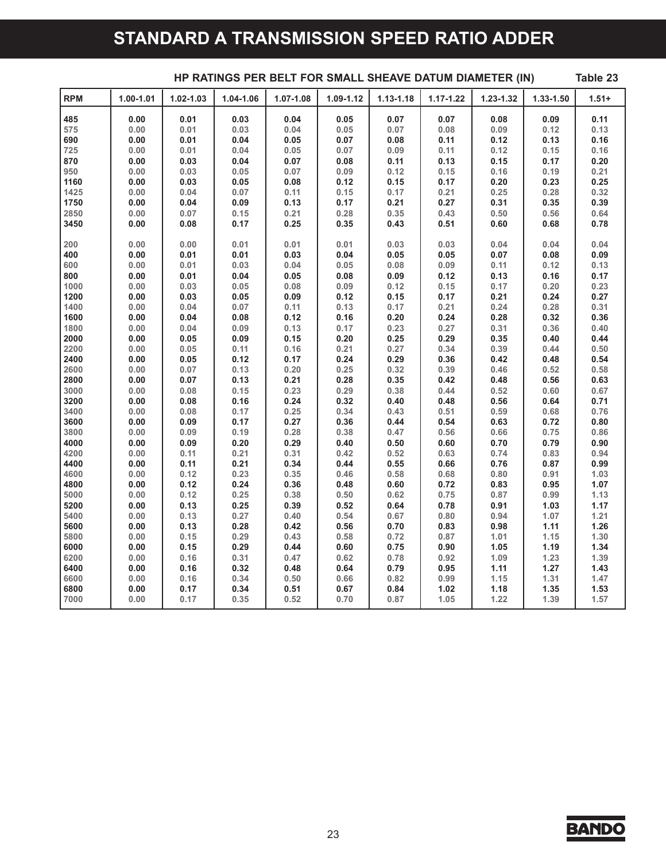### **STANDARD A TRANSMISSION SPEED RATIO ADDER**

|            |           |               | HP RATINGS PER BELT FOR SMALL SHEAVE DATUM DIAMETER (IN) |               |               |               |               |               |               | Table 23 |
|------------|-----------|---------------|----------------------------------------------------------|---------------|---------------|---------------|---------------|---------------|---------------|----------|
| <b>RPM</b> | 1.00-1.01 | $1.02 - 1.03$ | 1.04-1.06                                                | $1.07 - 1.08$ | $1.09 - 1.12$ | $1.13 - 1.18$ | $1.17 - 1.22$ | $1.23 - 1.32$ | $1.33 - 1.50$ | $1.51 +$ |
| 485        | 0.00      | 0.01          | 0.03                                                     | 0.04          | 0.05          | 0.07          | 0.07          | 0.08          | 0.09          | 0.11     |
| 575        | 0.00      | 0.01          | 0.03                                                     | 0.04          | 0.05          | 0.07          | 0.08          | 0.09          | 0.12          | 0.13     |
| 690        | 0.00      | 0.01          | 0.04                                                     | 0.05          | 0.07          | 0.08          | 0.11          | 0.12          | 0.13          | 0.16     |
| 725        | 0.00      | 0.01          | 0.04                                                     | 0.05          | 0.07          | 0.09          | 0.11          | 0.12          | 0.15          | 0.16     |
| 870        | 0.00      | 0.03          | 0.04                                                     | 0.07          | 0.08          | 0.11          | 0.13          | 0.15          | 0.17          | 0.20     |
| 950        | 0.00      | 0.03          | 0.05                                                     | 0.07          | 0.09          | 0.12          | 0.15          | 0.16          | 0.19          | 0.21     |
| 1160       | 0.00      | 0.03          | 0.05                                                     | 0.08          | 0.12          | 0.15          | 0.17          | 0.20          | 0.23          | 0.25     |
| 1425       | 0.00      | 0.04          | 0.07                                                     | 0.11          | 0.15          | 0.17          | 0.21          | 0.25          | 0.28          | 0.32     |
| 1750       | 0.00      | 0.04          | 0.09                                                     | 0.13          | 0.17          | 0.21          | 0.27          | 0.31          | 0.35          | 0.39     |
| 2850       | 0.00      | 0.07          | 0.15                                                     | 0.21          | 0.28          | 0.35          | 0.43          | 0.50          | 0.56          | 0.64     |
| 3450       | 0.00      | 0.08          | 0.17                                                     | 0.25          | 0.35          | 0.43          | 0.51          | 0.60          | 0.68          | 0.78     |
| 200        | 0.00      | 0.00          | 0.01                                                     | 0.01          | 0.01          | 0.03          | 0.03          | 0.04          | 0.04          | 0.04     |
| 400        | 0.00      | 0.01          | 0.01                                                     | 0.03          | 0.04          | 0.05          | 0.05          | 0.07          | 0.08          | 0.09     |
| 600        | 0.00      | 0.01          | 0.03                                                     | 0.04          | 0.05          | 0.08          | 0.09          | 0.11          | 0.12          | 0.13     |
| 800        | 0.00      | 0.01          | 0.04                                                     | 0.05          | 0.08          | 0.09          | 0.12          | 0.13          | 0.16          | 0.17     |
| 1000       | 0.00      | 0.03          | 0.05                                                     | 0.08          | 0.09          | 0.12          | 0.15          | 0.17          | 0.20          | 0.23     |
| 1200       | 0.00      | 0.03          | 0.05                                                     | 0.09          | 0.12          | 0.15          | 0.17          | 0.21          | 0.24          | 0.27     |
| 1400       | 0.00      | 0.04          | 0.07                                                     | 0.11          | 0.13          | 0.17          | 0.21          | 0.24          | 0.28          | 0.31     |
| 1600       | 0.00      | 0.04          | 0.08                                                     | 0.12          | 0.16          | 0.20          | 0.24          | 0.28          | 0.32          | 0.36     |
| 1800       | 0.00      | 0.04          | 0.09                                                     | 0.13          | 0.17          | 0.23          | 0.27          | 0.31          | 0.36          | 0.40     |
| 2000       | 0.00      | 0.05          | 0.09                                                     | 0.15          | 0.20          | 0.25          | 0.29          | 0.35          | 0.40          | 0.44     |
| 2200       | 0.00      | 0.05          | 0.11                                                     | 0.16          | 0.21          | 0.27          | 0.34          | 0.39          | 0.44          | 0.50     |
| 2400       | 0.00      | 0.05          | 0.12                                                     | 0.17          | 0.24          | 0.29          | 0.36          | 0.42          | 0.48          | 0.54     |
| 2600       | 0.00      | 0.07          | 0.13                                                     | 0.20          | 0.25          | 0.32          | 0.39          | 0.46          | 0.52          | 0.58     |
| 2800       | 0.00      | 0.07          | 0.13                                                     | 0.21          | 0.28          | 0.35          | 0.42          | 0.48          | 0.56          | 0.63     |
| 3000       | 0.00      | 0.08          | 0.15                                                     | 0.23          | 0.29          | 0.38          | 0.44          | 0.52          | 0.60          | 0.67     |
| 3200       | 0.00      | 0.08          | 0.16                                                     | 0.24          | 0.32          | 0.40          | 0.48          | 0.56          | 0.64          | 0.71     |
| 3400       | 0.00      | 0.08          | 0.17                                                     | 0.25          | 0.34          | 0.43          | 0.51          | 0.59          | 0.68          | 0.76     |
| 3600       | 0.00      | 0.09          | 0.17                                                     | 0.27          | 0.36          | 0.44          | 0.54          | 0.63          | 0.72          | 0.80     |
| 3800       | 0.00      | 0.09          | 0.19                                                     | 0.28          | 0.38          | 0.47          | 0.56          | 0.66          | 0.75          | 0.86     |
| 4000       | 0.00      | 0.09          | 0.20                                                     | 0.29          | 0.40          | 0.50          | 0.60          | 0.70          | 0.79          | 0.90     |
| 4200       | 0.00      | 0.11          | 0.21                                                     | 0.31          | 0.42          | 0.52          | 0.63          | 0.74          | 0.83          | 0.94     |
| 4400       | 0.00      | 0.11          | 0.21                                                     | 0.34          | 0.44          | 0.55          | 0.66          | 0.76          | 0.87          | 0.99     |
| 4600       | 0.00      | 0.12          | 0.23                                                     | 0.35          | 0.46          | 0.58          | 0.68          | 0.80          | 0.91          | 1.03     |
| 4800       | 0.00      | 0.12          | 0.24                                                     | 0.36          | 0.48          | 0.60          | 0.72          | 0.83          | 0.95          | 1.07     |
| 5000       | 0.00      | 0.12          | 0.25                                                     | 0.38          | 0.50          | 0.62          | 0.75          | 0.87          | 0.99          | 1.13     |
| 5200       | 0.00      | 0.13          | 0.25                                                     | 0.39          | 0.52          | 0.64          | 0.78          | 0.91          | 1.03          | 1.17     |
| 5400       | 0.00      | 0.13          | 0.27                                                     | 0.40          | 0.54          | 0.67          | 0.80          | 0.94          | 1.07          | 1.21     |
| 5600       | 0.00      | 0.13          | 0.28                                                     | 0.42          | 0.56          | 0.70          | 0.83          | 0.98          | 1.11          | 1.26     |
| 5800       | 0.00      | 0.15          | 0.29                                                     | 0.43          | 0.58          | 0.72          | 0.87          | 1.01          | 1.15          | 1.30     |
| 6000       | 0.00      | 0.15          | 0.29                                                     | 0.44          | 0.60          | 0.75          | 0.90          | 1.05          | 1.19          | 1.34     |
| 6200       | 0.00      | 0.16          | 0.31                                                     | 0.47          | 0.62          | 0.78          | 0.92          | 1.09          | 1.23          | 1.39     |
| 6400       | 0.00      | 0.16          | 0.32                                                     | 0.48          | 0.64          | 0.79          | 0.95          | 1.11          | 1.27          | 1.43     |
| 6600       | 0.00      | 0.16          | 0.34                                                     | 0.50          | 0.66          | 0.82          | 0.99          | 1.15          | 1.31          | 1.47     |
| 6800       | 0.00      | 0.17          | 0.34                                                     | 0.51          | 0.67          | 0.84          | 1.02          | 1.18          | 1.35          | 1.53     |
| 7000       | 0.00      | 0.17          | 0.35                                                     | 0.52          | 0.70          | 0.87          | 1.05          | 1.22          | 1.39          | 1.57     |

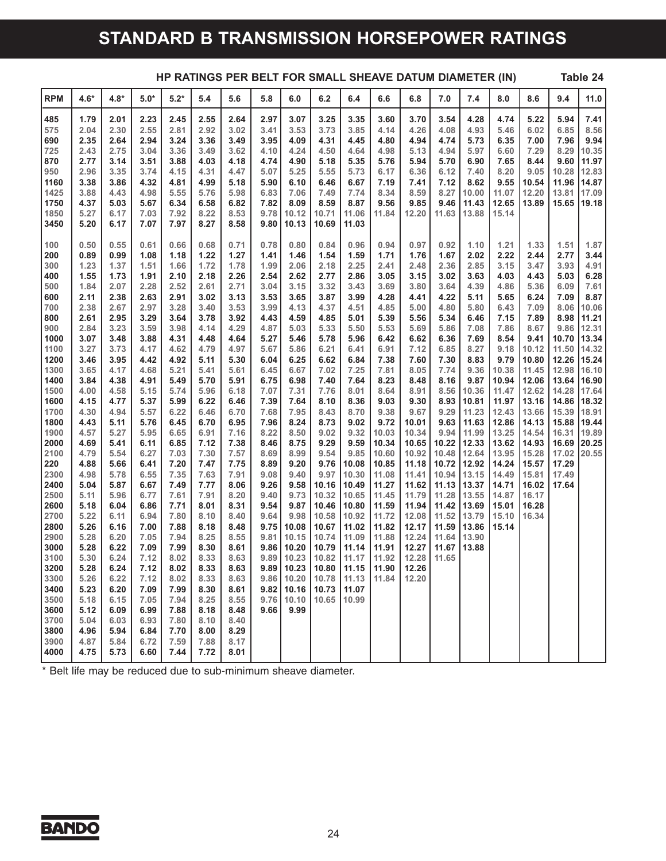### **STANDARD B TRANSMISSION HORSEPOWER RATINGS**

|              |              |              |              |              |              |              |              |                                |                |                |                | HP RATINGS PER BELT FOR SMALL SHEAVE DATUM DIAMETER (IN) |               |                |                |                |                | Table 24       |
|--------------|--------------|--------------|--------------|--------------|--------------|--------------|--------------|--------------------------------|----------------|----------------|----------------|----------------------------------------------------------|---------------|----------------|----------------|----------------|----------------|----------------|
| <b>RPM</b>   | $4.6*$       | $4.8*$       | $5.0*$       | $5.2*$       | 5.4          | 5.6          | 5.8          | 6.0                            | 6.2            | 6.4            | 6.6            | 6.8                                                      | 7.0           | 7.4            | 8.0            | 8.6            | 9.4            | 11.0           |
| 485          | 1.79         | 2.01         | 2.23         | 2.45         | 2.55         | 2.64         | 2.97         | 3.07                           | 3.25           | 3.35           | 3.60           | 3.70                                                     | 3.54          | 4.28           | 4.74           | 5.22           | 5.94           | 7.41           |
| 575          | 2.04         | 2.30         | 2.55         | 2.81         | 2.92         | 3.02         | 3.41         | 3.53                           | 3.73           | 3.85           | 4.14           | 4.26                                                     | 4.08          | 4.93           | 5.46           | 6.02           | 6.85           | 8.56           |
| 690          | 2.35         | 2.64         | 2.94         | 3.24         | 3.36         | 3.49         | 3.95         | 4.09                           | 4.31           | 4.45           | 4.80           | 4.94                                                     | 4.74          | 5.73           | 6.35           | 7.00           | 7.96           | 9.94           |
| 725          | 2.43         | 2.75         | 3.04         | 3.36         | 3.49         | 3.62         | 4.10         | 4.24                           | 4.50           | 4.64           | 4.98           | 5.13                                                     | 4.94          | 5.97           | 6.60           | 7.29           | 8.29           | 10.35          |
| 870          | 2.77         | 3.14         | 3.51         | 3.88         | 4.03         | 4.18         | 4.74         | 4.90                           | 5.18           | 5.35           | 5.76           | 5.94                                                     | 5.70          | 6.90           | 7.65           | 8.44           | 9.60           | 11.97          |
| 950          | 2.96         | 3.35         | 3.74         | 4.15         | 4.31         | 4.47         | 5.07         | 5.25                           | 5.55           | 5.73           | 6.17           | 6.36                                                     | 6.12          | 7.40           | 8.20           | 9.05           | 10.28          | 12.83          |
| 1160         | 3.38         | 3.86         | 4.32         | 4.81         | 4.99         | 5.18         | 5.90         | 6.10                           | 6.46           | 6.67           | 7.19           | 7.41                                                     | 7.12          | 8.62           | 9.55           | 10.54          | 11.96          | 14.87          |
| 1425         | 3.88         | 4.43         | 4.98         | 5.55         | 5.76         | 5.98         | 6.83         | 7.06                           | 7.49           | 7.74           | 8.34           | 8.59                                                     | 8.27          | 10.00          | 11.07          | 12.20          | 13.81          | 17.09          |
| 1750         | 4.37         | 5.03         | 5.67         | 6.34<br>7.92 | 6.58         | 6.82         | 7.82         | 8.09                           | 8.59           | 8.87           | 9.56           | 9.85<br>12.20                                            | 9.46          | 11.43<br>13.88 | 12.65          | 13.89          | 15.65          | 19.18          |
| 1850<br>3450 | 5.27<br>5.20 | 6.17<br>6.17 | 7.03<br>7.07 | 7.97         | 8.22<br>8.27 | 8.53<br>8.58 | 9.78<br>9.80 | 10.12<br>10.13                 | 10.71<br>10.69 | 11.06<br>11.03 | 11.84          |                                                          | 11.63         |                | 15.14          |                |                |                |
|              |              |              |              |              |              |              |              |                                |                |                |                |                                                          |               |                |                |                |                |                |
| 100          | 0.50         | 0.55         | 0.61         | 0.66         | 0.68         | 0.71         | 0.78         | 0.80                           | 0.84           | 0.96           | 0.94           | 0.97                                                     | 0.92          | 1.10           | 1.21           | 1.33           | 1.51           | 1.87           |
| 200          | 0.89         | 0.99         | 1.08         | 1.18         | 1.22         | 1.27         | 1.41         | 1.46                           | 1.54           | 1.59           | 1.71           | 1.76                                                     | 1.67          | 2.02           | 2.22           | 2.44           | 2.77           | 3.44           |
| 300          | 1.23         | 1.37         | 1.51         | 1.66         | 1.72         | 1.78         | 1.99         | 2.06                           | 2.18           | 2.25           | 2.41           | 2.48                                                     | 2.36          | 2.85           | 3.15           | 3.47           | 3.93           | 4.91           |
| 400          | 1.55         | 1.73         | 1.91         | 2.10         | 2.18         | 2.26         | 2.54         | 2.62                           | 2.77           | 2.86           | 3.05           | 3.15                                                     | 3.02          | 3.63           | 4.03           | 4.43           | 5.03           | 6.28           |
| 500          | 1.84         | 2.07         | 2.28         | 2.52         | 2.61         | 2.71         | 3.04         | 3.15                           | 3.32           | 3.43           | 3.69           | 3.80                                                     | 3.64          | 4.39           | 4.86           | 5.36           | 6.09           | 7.61           |
| 600          | 2.11<br>2.38 | 2.38<br>2.67 | 2.63<br>2.97 | 2.91<br>3.28 | 3.02<br>3.40 | 3.13<br>3.53 | 3.53<br>3.99 | 3.65<br>4.13                   | 3.87<br>4.37   | 3.99<br>4.51   | 4.28<br>4.85   | 4.41<br>5.00                                             | 4.22<br>4.80  | 5.11<br>5.80   | 5.65<br>6.43   | 6.24<br>7.09   | 7.09<br>8.06   | 8.87<br>10.06  |
| 700<br>800   | 2.61         | 2.95         | 3.29         | 3.64         | 3.78         | 3.92         | 4.43         | 4.59                           | 4.85           | 5.01           | 5.39           | 5.56                                                     | 5.34          | 6.46           | 7.15           | 7.89           | 8.98           | 11.21          |
| 900          | 2.84         | 3.23         | 3.59         | 3.98         | 4.14         | 4.29         | 4.87         | 5.03                           | 5.33           | 5.50           | 5.53           | 5.69                                                     | 5.86          | 7.08           | 7.86           | 8.67           | 9.86           | 12.31          |
| 1000         | 3.07         | 3.48         | 3.88         | 4.31         | 4.48         | 4.64         | 5.27         | 5.46                           | 5.78           | 5.96           | 6.42           | 6.62                                                     | 6.36          | 7.69           | 8.54           | 9.41           | 10.70          | 13.34          |
| 1100         | 3.27         | 3.73         | 4.17         | 4.62         | 4.79         | 4.97         | 5.67         | 5.86                           | 6.21           | 6.41           | 6.91           | 7.12                                                     | 6.85          | 8.27           | 9.18           | 10.12          | 11.50          | 14.32          |
| 1200         | 3.46         | 3.95         | 4.42         | 4.92         | 5.11         | 5.30         | 6.04         | 6.25                           | 6.62           | 6.84           | 7.38           | 7.60                                                     | 7.30          | 8.83           | 9.79           | 10.80          | 12.26          | 15.24          |
| 1300         | 3.65         | 4.17         | 4.68         | 5.21         | 5.41         | 5.61         | 6.45         | 6.67                           | 7.02           | 7.25           | 7.81           | 8.05                                                     | 7.74          | 9.36           | 10.38          | 11.45          | 12.98          | 16.10          |
| 1400         | 3.84         | 4.38         | 4.91         | 5.49         | 5.70         | 5.91         | 6.75         | 6.98                           | 7.40           | 7.64           | 8.23           | 8.48                                                     | 8.16          | 9.87           | 10.94          | 12.06          | 13.64          | 16.90          |
| 1500         | 4.00         | 4.58         | 5.15         | 5.74         | 5.96         | 6.18         | 7.07         | 7.31                           | 7.76           | 8.01           | 8.64           | 8.91                                                     | 8.56          | 10.36          | 11.47          | 12.62          | 14.28          | 17.64          |
| 1600         | 4.15         | 4.77         | 5.37         | 5.99         | 6.22         | 6.46         | 7.39         | 7.64                           | 8.10           | 8.36           | 9.03           | 9.30                                                     | 8.93          | 10.81          | 11.97          | 13.16          | 14.86          | 18.32          |
| 1700         | 4.30         | 4.94         | 5.57         | 6.22         | 6.46         | 6.70         | 7.68         | 7.95                           | 8.43           | 8.70           | 9.38           | 9.67                                                     | 9.29          | 11.23          | 12.43          | 13.66          | 15.39          | 18.91          |
| 1800         | 4.43         | 5.11<br>5.27 | 5.76         | 6.45         | 6.70         | 6.95         | 7.96         | 8.24                           | 8.73           | 9.02<br>9.32   | 9.72           | 10.01                                                    | 9.63          | 11.63<br>11.99 | 12.86<br>13.25 | 14.13<br>14.54 | 15.88          | 19.44          |
| 1900<br>2000 | 4.57<br>4.69 | 5.41         | 5.95<br>6.11 | 6.65<br>6.85 | 6.91<br>7.12 | 7.16<br>7.38 | 8.22<br>8.46 | 8.50<br>8.75                   | 9.02<br>9.29   | 9.59           | 10.03<br>10.34 | 10.34<br>10.65                                           | 9.94<br>10.22 | 12.33          | 13.62          | 14.93          | 16.31<br>16.69 | 19.89<br>20.25 |
| 2100         | 4.79         | 5.54         | 6.27         | 7.03         | 7.30         | 7.57         | 8.69         | 8.99                           | 9.54           | 9.85           | 10.60          | 10.92                                                    | 10.48         | 12.64          | 13.95          | 15.28          | 17.02          | 20.55          |
| 220          | 4.88         | 5.66         | 6.41         | 7.20         | 7.47         | 7.75         | 8.89         | 9.20                           | 9.76           | 10.08          | 10.85          | 11.18                                                    | 10.72         | 12.92          | 14.24          | 15.57          | 17.29          |                |
| 2300         | 4.98         | 5.78         | 6.55         | 7.35         | 7.63         | 7.91         | 9.08         | 9.40                           | 9.97           | 10.30          | 11.08          | 11.41                                                    | 10.94         | 13.15          | 14.49          | 15.81          | 17.49          |                |
| 2400         | 5.04         | 5.87         | 6.67         | 7.49         | 7.77         | 8.06         | 9.26         | 9.58                           | 10.16          | 10.49          | 11.27          | 11.62                                                    | 11.13         | 13.37          | 14.71          | 16.02          | 17.64          |                |
| 2500         | 5.11         | 5.96         | 6.77         | 7.61         | 7.91         | 8.20         | 9.40         | 9.73                           | 10.32          | 10.65          | 11.45          | 11.79                                                    | 11.28         | 13.55          | 14.87          | 16.17          |                |                |
| 2600         | 5.18         | 6.04         | 6.86         | 7.71         | 8.01         | 8.31         | 9.54         | 9.87                           | 10.46          | 10.80          | 11.59          | 11.94                                                    | 11.42         | 13.69          | 15.01          | 16.28          |                |                |
| 2700         | 5.22         | 6.11         | 6.94         | 7.80         | 8.10         | 8.40         | 9.64         | 9.98                           | 10.58          | 10.92          | 11.72          | 12.08                                                    | 11.52         | 13.79          | 15.10          | 16.34          |                |                |
| 2800         | 5.26         | 6.16         | 7.00         | 7.88         | 8.18         | 8.48         | 9.75         | 10.08                          | 10.67          | 11.02          | 11.82          | 12.17                                                    | 11.59         | 13.86          | 15.14          |                |                |                |
| 2900         | 5.28         | 6.20         | 7.05         | 7.94         | 8.25         | 8.55         | 9.81         | 10.15                          | 10.74          | 11.09          | 11.88          | 12.24                                                    | 11.64         | 13.90          |                |                |                |                |
| 3000         | 5.28         | 6.22         | 7.09         | 7.99         | 8.30         | 8.61         |              | $9.86$   10.20                 | 10.79          | 11.14          | 11.91          | 12.27                                                    | 11.67 13.88   |                |                |                |                |                |
| 3100<br>3200 | 5.30<br>5.28 | 6.24<br>6.24 | 7.12<br>7.12 | 8.02         | 8.33<br>8.33 | 8.63         |              | $9.89$ 10.23<br>$9.89$   10.23 | 10.82          | 11.17          | 11.92          | 12.28<br>12.26                                           | 11.65         |                |                |                |                |                |
| 3300         | 5.26         | 6.22         | 7.12         | 8.02<br>8.02 | 8.33         | 8.63<br>8.63 |              | $9.86$ 10.20                   | 10.80<br>10.78 | 11.15<br>11.13 | 11.90<br>11.84 | 12.20                                                    |               |                |                |                |                |                |
| 3400         | 5.23         | 6.20         | 7.09         | 7.99         | 8.30         | 8.61         |              | $9.82$   10.16                 | 10.73          | 11.07          |                |                                                          |               |                |                |                |                |                |
| 3500         | 5.18         | 6.15         | 7.05         | 7.94         | 8.25         | 8.55         |              | $9.76$ 10.10                   | 10.65          | 10.99          |                |                                                          |               |                |                |                |                |                |
| 3600         | 5.12         | 6.09         | 6.99         | 7.88         | 8.18         | 8.48         | 9.66         | 9.99                           |                |                |                |                                                          |               |                |                |                |                |                |
| 3700         | 5.04         | 6.03         | 6.93         | 7.80         | 8.10         | 8.40         |              |                                |                |                |                |                                                          |               |                |                |                |                |                |
| 3800         | 4.96         | 5.94         | 6.84         | 7.70         | 8.00         | 8.29         |              |                                |                |                |                |                                                          |               |                |                |                |                |                |
| 3900         | 4.87         | 5.84         | 6.72         | 7.59         | 7.88         | 8.17         |              |                                |                |                |                |                                                          |               |                |                |                |                |                |
| 4000         | 4.75         | 5.73         | 6.60         | 7.44         | 7.72         | 8.01         |              |                                |                |                |                |                                                          |               |                |                |                |                |                |

\* Belt life may be reduced due to sub-minimum sheave diameter.

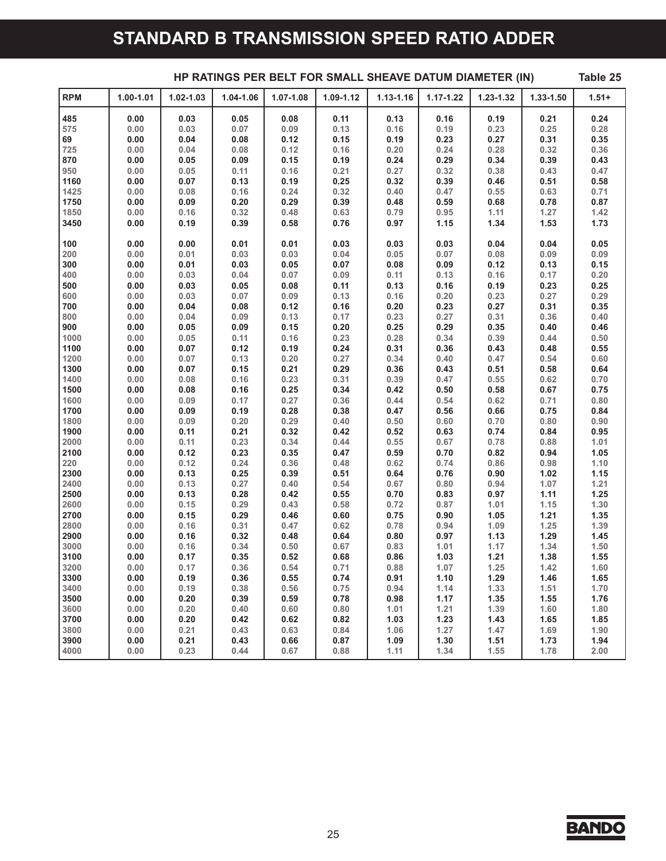### **STANDARD B TRANSMISSION SPEED RATIO ADDER**

|              |               |               |              |               |               | HP RATINGS PER BELT FOR SMALL SHEAVE DATUM DIAMETER (IN) |               |               |               | Table 25     |
|--------------|---------------|---------------|--------------|---------------|---------------|----------------------------------------------------------|---------------|---------------|---------------|--------------|
| <b>RPM</b>   | $1.00 - 1.01$ | $1.02 - 1.03$ | 1.04-1.06    | $1.07 - 1.08$ | $1.09 - 1.12$ | $1.13 - 1.16$                                            | $1.17 - 1.22$ | $1.23 - 1.32$ | $1.33 - 1.50$ | $1.51 +$     |
| 485          | 0.00          | 0.03          | 0.05         | 0.08          | 0.11          | 0.13                                                     | 0.16          | 0.19          | 0.21          | 0.24         |
| 575          | 0.00          | 0.03          | 0.07         | 0.09          | 0.13          | 0.16                                                     | 0.19          | 0.23          | 0.25          | 0.28         |
| 69           | 0.00          | 0.04          | 0.08         | 0.12          | 0.15          | 0.19                                                     | 0.23          | 0.27          | 0.31          | 0.35         |
| 725          | 0.00          | 0.04          | 0.08         | 0.12          | 0.16          | 0.20                                                     | 0.24          | 0.28          | 0.32          | 0.36         |
| 870          | 0.00          | 0.05          | 0.09         | 0.15          | 0.19          | 0.24                                                     | 0.29          | 0.34          | 0.39          | 0.43         |
| 950          | 0.00          | 0.05          | 0.11         | 0.16          | 0.21          | 0.27                                                     | 0.32          | 0.38          | 0.43          | 0.47         |
| 1160         | 0.00          | 0.07          | 0.13         | 0.19          | 0.25          | 0.32                                                     | 0.39          | 0.46          | 0.51          | 0.58         |
| 1425         | 0.00          | 0.08          | 0.16         | 0.24          | 0.32          | 0.40                                                     | 0.47          | 0.55          | 0.63          | 0.71         |
| 1750         | 0.00          | 0.09          | 0.20         | 0.29          | 0.39          | 0.48                                                     | 0.59          | 0.68          | 0.78          | 0.87         |
| 1850         | 0.00          | 0.16          | 0.32         | 0.48          | 0.63          | 0.79                                                     | 0.95          | 1.11          | 1.27          | 1.42         |
| 3450         | 0.00          | 0.19          | 0.39         | 0.58          | 0.76          | 0.97                                                     | 1.15          | 1.34          | 1.53          | 1.73         |
| 100          | 0.00          | 0.00          | 0.01         | 0.01          | 0.03          | 0.03                                                     | 0.03          | 0.04          | 0.04          | 0.05         |
| 200          | 0.00          | 0.01          | 0.03         | 0.03          | 0.04          | 0.05                                                     | 0.07          | 0.08          | 0.09          | 0.09         |
| 300          | 0.00          | 0.01          | 0.03         | 0.05          | 0.07          | 0.08                                                     | 0.09          | 0.12          | 0.13          | 0.15         |
| 400          | 0.00          | 0.03          | 0.04         | 0.07          | 0.09          | 0.11                                                     | 0.13          | 0.16          | 0.17          | 0.20         |
| 500          | 0.00          | 0.03          | 0.05         | 0.08          | 0.11          | 0.13                                                     | 0.16          | 0.19          | 0.23          | 0.25         |
| 600          | 0.00          | 0.03          | 0.07         | 0.09          | 0.13          | 0.16                                                     | 0.20          | 0.23          | 0.27          | 0.29         |
| 700          | 0.00          | 0.04          | 0.08         | 0.12          | 0.16          | 0.20                                                     | 0.23          | 0.27          | 0.31          | 0.35         |
| 800          | 0.00          | 0.04          | 0.09         | 0.13          | 0.17          | 0.23                                                     | 0.27          | 0.31          | 0.36          | 0.40         |
| 900          | 0.00          | 0.05          | 0.09         | 0.15          | 0.20          | 0.25                                                     | 0.29          | 0.35          | 0.40          | 0.46         |
| 1000         | 0.00          | 0.05          | 0.11         | 0.16          | 0.23          | 0.28                                                     | 0.34          | 0.39          | 0.44          | 0.50         |
| 1100         | 0.00          | 0.07          | 0.12         | 0.19          | 0.24          | 0.31                                                     | 0.36          | 0.43          | 0.48          | 0.55         |
| 1200         | 0.00          | 0.07          | 0.13         | 0.20          | 0.27          | 0.34                                                     | 0.40          | 0.47          | 0.54          | 0.60         |
| 1300         | 0.00          | 0.07          | 0.15         | 0.21          | 0.29          | 0.36                                                     | 0.43          | 0.51          | 0.58          | 0.64         |
| 1400<br>1500 | 0.00<br>0.00  | 0.08          | 0.16         | 0.23          | 0.31<br>0.34  | 0.39<br>0.42                                             | 0.47<br>0.50  | 0.55          | 0.62          | 0.70<br>0.75 |
|              | 0.00          | 0.08<br>0.09  | 0.16<br>0.17 | 0.25<br>0.27  | 0.36          | 0.44                                                     | 0.54          | 0.58<br>0.62  | 0.67<br>0.71  | 0.80         |
| 1600<br>1700 |               | 0.09          | 0.19         | 0.28          |               | 0.47                                                     |               | 0.66          |               | 0.84         |
| 1800         | 0.00<br>0.00  | 0.09          | 0.20         | 0.29          | 0.38<br>0.40  | 0.50                                                     | 0.56<br>0.60  | 0.70          | 0.75<br>0.80  | 0.90         |
| 1900         | 0.00          | 0.11          | 0.21         | 0.32          | 0.42          | 0.52                                                     | 0.63          | 0.74          | 0.84          | 0.95         |
| 2000         | 0.00          | 0.11          | 0.23         | 0.34          | 0.44          | 0.55                                                     | 0.67          | 0.78          | 0.88          | 1.01         |
| 2100         | 0.00          | 0.12          | 0.23         | 0.35          | 0.47          | 0.59                                                     | 0.70          | 0.82          | 0.94          | 1.05         |
| 220          | 0.00          | 0.12          | 0.24         | 0.36          | 0.48          | 0.62                                                     | 0.74          | 0.86          | 0.98          | 1.10         |
| 2300         | 0.00          | 0.13          | 0.25         | 0.39          | 0.51          | 0.64                                                     | 0.76          | 0.90          | 1.02          | 1.15         |
| 2400         | 0.00          | 0.13          | 0.27         | 0.40          | 0.54          | 0.67                                                     | 0.80          | 0.94          | 1.07          | 1.21         |
| 2500         | 0.00          | 0.13          | 0.28         | 0.42          | 0.55          | 0.70                                                     | 0.83          | 0.97          | 1.11          | 1.25         |
| 2600         | 0.00          | 0.15          | 0.29         | 0.43          | 0.58          | 0.72                                                     | 0.87          | 1.01          | 1.15          | 1.30         |
| 2700         | 0.00          | 0.15          | 0.29         | 0.46          | 0.60          | 0.75                                                     | 0.90          | 1.05          | 1.21          | 1.35         |
| 2800         | 0.00          | 0.16          | 0.31         | 0.47          | 0.62          | 0.78                                                     | 0.94          | 1.09          | 1.25          | 1.39         |
| 2900         | 0.00          | 0.16          | 0.32         | 0.48          | 0.64          | 0.80                                                     | 0.97          | 1.13          | 1.29          | 1.45         |
| 3000         | 0.00          | 0.16          | 0.34         | 0.50          | 0.67          | 0.83                                                     | 1.01          | 1.17          | 1.34          | 1.50         |
| 3100         | 0.00          | 0.17          | 0.35         | 0.52          | 0.68          | 0.86                                                     | 1.03          | 1.21          | 1.38          | 1.55         |
| 3200         | 0.00          | 0.17          | 0.36         | 0.54          | 0.71          | 0.88                                                     | 1.07          | 1.25          | 1.42          | 1.60         |
| 3300         | 0.00          | 0.19          | 0.36         | 0.55          | 0.74          | 0.91                                                     | 1.10          | 1.29          | 1.46          | 1.65         |
| 3400         | 0.00          | 0.19          | 0.38         | 0.56          | 0.75          | 0.94                                                     | 1.14          | 1.33          | 1.51          | 1.70         |
| 3500         | 0.00          | 0.20          | 0.39         | 0.59          | 0.78          | 0.98                                                     | 1.17          | 1.35          | 1.55          | 1.76         |
| 3600         | 0.00          | 0.20          | 0.40         | 0.60          | 0.80          | 1.01                                                     | 1.21          | 1.39          | 1.60          | 1.80         |
| 3700         | 0.00          | 0.20          | 0.42         | 0.62          | 0.82          | 1.03                                                     | 1.23          | 1.43          | 1.65          | 1.85         |
| 3800         | 0.00          | 0.21          | 0.43         | 0.63          | 0.84          | 1.06                                                     | 1.27          | 1.47          | 1.69          | 1.90         |
| 3900         | 0.00          | 0.21          | 0.43         | 0.66          | 0.87          | 1.09                                                     | 1.30          | 1.51          | 1.73          | 1.94         |
| 4000         | 0.00          | 0.23          | 0.44         | 0.67          | 0.88          | 1.11                                                     | 1.34          | 1.55          | 1.78          | 2.00         |

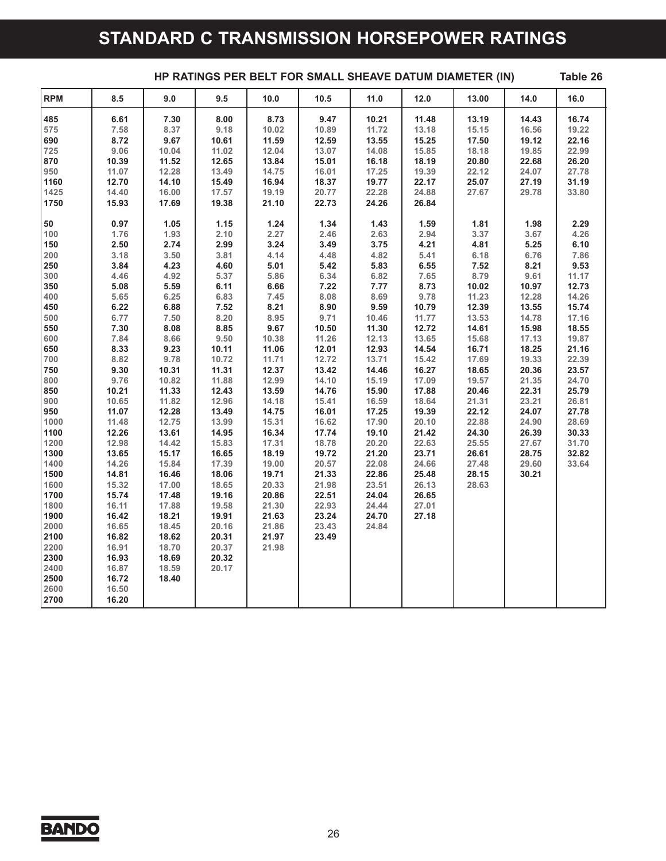### **STANDARD C TRANSMISSION HORSEPOWER RATINGS**

|            |       |       | HP RATINGS PER BELT FOR SMALL SHEAVE DATUM DIAMETER (IN) |       |       |       |       |       |       | Table 26 |
|------------|-------|-------|----------------------------------------------------------|-------|-------|-------|-------|-------|-------|----------|
| <b>RPM</b> | 8.5   | 9.0   | 9.5                                                      | 10.0  | 10.5  | 11.0  | 12.0  | 13.00 | 14.0  | 16.0     |
| 485        | 6.61  | 7.30  | 8.00                                                     | 8.73  | 9.47  | 10.21 | 11.48 | 13.19 | 14.43 | 16.74    |
| 575        | 7.58  | 8.37  | 9.18                                                     | 10.02 | 10.89 | 11.72 | 13.18 | 15.15 | 16.56 | 19.22    |
| 690        | 8.72  | 9.67  | 10.61                                                    | 11.59 | 12.59 | 13.55 | 15.25 | 17.50 | 19.12 | 22.16    |
| 725        | 9.06  | 10.04 | 11.02                                                    | 12.04 | 13.07 | 14.08 | 15.85 | 18.18 | 19.85 | 22.99    |
| 870        | 10.39 | 11.52 | 12.65                                                    | 13.84 | 15.01 | 16.18 | 18.19 | 20.80 | 22.68 | 26.20    |
| 950        | 11.07 | 12.28 | 13.49                                                    | 14.75 | 16.01 | 17.25 | 19.39 | 22.12 | 24.07 | 27.78    |
| 1160       | 12.70 | 14.10 | 15.49                                                    | 16.94 | 18.37 | 19.77 | 22.17 | 25.07 | 27.19 | 31.19    |
| 1425       | 14.40 | 16.00 | 17.57                                                    | 19.19 | 20.77 | 22.28 | 24.88 | 27.67 | 29.78 | 33.80    |
| 1750       | 15.93 | 17.69 | 19.38                                                    | 21.10 | 22.73 | 24.26 | 26.84 |       |       |          |
| 50         | 0.97  | 1.05  | 1.15                                                     | 1.24  | 1.34  | 1.43  | 1.59  | 1.81  | 1.98  | 2.29     |
| 100        | 1.76  | 1.93  | 2.10                                                     | 2.27  | 2.46  | 2.63  | 2.94  | 3.37  | 3.67  | 4.26     |
| 150        | 2.50  | 2.74  | 2.99                                                     | 3.24  | 3.49  | 3.75  | 4.21  | 4.81  | 5.25  | 6.10     |
| 200        | 3.18  | 3.50  | 3.81                                                     | 4.14  | 4.48  | 4.82  | 5.41  | 6.18  | 6.76  | 7.86     |
| 250        | 3.84  | 4.23  | 4.60                                                     | 5.01  | 5.42  | 5.83  | 6.55  | 7.52  | 8.21  | 9.53     |
| 300        | 4.46  | 4.92  | 5.37                                                     | 5.86  | 6.34  | 6.82  | 7.65  | 8.79  | 9.61  | 11.17    |
| 350        | 5.08  | 5.59  | 6.11                                                     | 6.66  | 7.22  | 7.77  | 8.73  | 10.02 | 10.97 | 12.73    |
| 400        | 5.65  | 6.25  | 6.83                                                     | 7.45  | 8.08  | 8.69  | 9.78  | 11.23 | 12.28 | 14.26    |
| 450        | 6.22  | 6.88  | 7.52                                                     | 8.21  | 8.90  | 9.59  | 10.79 | 12.39 | 13.55 | 15.74    |
| 500        | 6.77  | 7.50  | 8.20                                                     | 8.95  | 9.71  | 10.46 | 11.77 | 13.53 | 14.78 | 17.16    |
| 550        | 7.30  | 8.08  | 8.85                                                     | 9.67  | 10.50 | 11.30 | 12.72 | 14.61 | 15.98 | 18.55    |
| 600        | 7.84  | 8.66  | 9.50                                                     | 10.38 | 11.26 | 12.13 | 13.65 | 15.68 | 17.13 | 19.87    |
| 650        | 8.33  | 9.23  | 10.11                                                    | 11.06 | 12.01 | 12.93 | 14.54 | 16.71 | 18.25 | 21.16    |
| 700        | 8.82  | 9.78  | 10.72                                                    | 11.71 | 12.72 | 13.71 | 15.42 | 17.69 | 19.33 | 22.39    |
| 750        | 9.30  | 10.31 | 11.31                                                    | 12.37 | 13.42 | 14.46 | 16.27 | 18.65 | 20.36 | 23.57    |
| 800        | 9.76  | 10.82 | 11.88                                                    | 12.99 | 14.10 | 15.19 | 17.09 | 19.57 | 21.35 | 24.70    |
| 850        | 10.21 | 11.33 | 12.43                                                    | 13.59 | 14.76 | 15.90 | 17.88 | 20.46 | 22.31 | 25.79    |
| 900        | 10.65 | 11.82 | 12.96                                                    | 14.18 | 15.41 | 16.59 | 18.64 | 21.31 | 23.21 | 26.81    |
| 950        | 11.07 | 12.28 | 13.49                                                    | 14.75 | 16.01 | 17.25 | 19.39 | 22.12 | 24.07 | 27.78    |
| 1000       | 11.48 | 12.75 | 13.99                                                    | 15.31 | 16.62 | 17.90 | 20.10 | 22.88 | 24.90 | 28.69    |
| 1100       | 12.26 | 13.61 | 14.95                                                    | 16.34 | 17.74 | 19.10 | 21.42 | 24.30 | 26.39 | 30.33    |
| 1200       | 12.98 | 14.42 | 15.83                                                    | 17.31 | 18.78 | 20.20 | 22.63 | 25.55 | 27.67 | 31.70    |
| 1300       | 13.65 | 15.17 | 16.65                                                    | 18.19 | 19.72 | 21.20 | 23.71 | 26.61 | 28.75 | 32.82    |
| 1400       | 14.26 | 15.84 | 17.39                                                    | 19.00 | 20.57 | 22.08 | 24.66 | 27.48 | 29.60 | 33.64    |
| 1500       | 14.81 | 16.46 | 18.06                                                    | 19.71 | 21.33 | 22.86 | 25.48 | 28.15 | 30.21 |          |
| 1600       | 15.32 | 17.00 | 18.65                                                    | 20.33 | 21.98 | 23.51 | 26.13 | 28.63 |       |          |
| 1700       | 15.74 | 17.48 | 19.16                                                    | 20.86 | 22.51 | 24.04 | 26.65 |       |       |          |
| 1800       | 16.11 | 17.88 | 19.58                                                    | 21.30 | 22.93 | 24.44 | 27.01 |       |       |          |
| 1900       | 16.42 | 18.21 | 19.91                                                    | 21.63 | 23.24 | 24.70 | 27.18 |       |       |          |
| 2000       | 16.65 | 18.45 | 20.16                                                    | 21.86 | 23.43 | 24.84 |       |       |       |          |
| 2100       | 16.82 | 18.62 | 20.31                                                    | 21.97 | 23.49 |       |       |       |       |          |
| 2200       | 16.91 | 18.70 | 20.37                                                    | 21.98 |       |       |       |       |       |          |
| 2300       | 16.93 | 18.69 | 20.32                                                    |       |       |       |       |       |       |          |
| 2400       | 16.87 | 18.59 | 20.17                                                    |       |       |       |       |       |       |          |
| 2500       | 16.72 | 18.40 |                                                          |       |       |       |       |       |       |          |
| 2600       | 16.50 |       |                                                          |       |       |       |       |       |       |          |
| 2700       | 16.20 |       |                                                          |       |       |       |       |       |       |          |

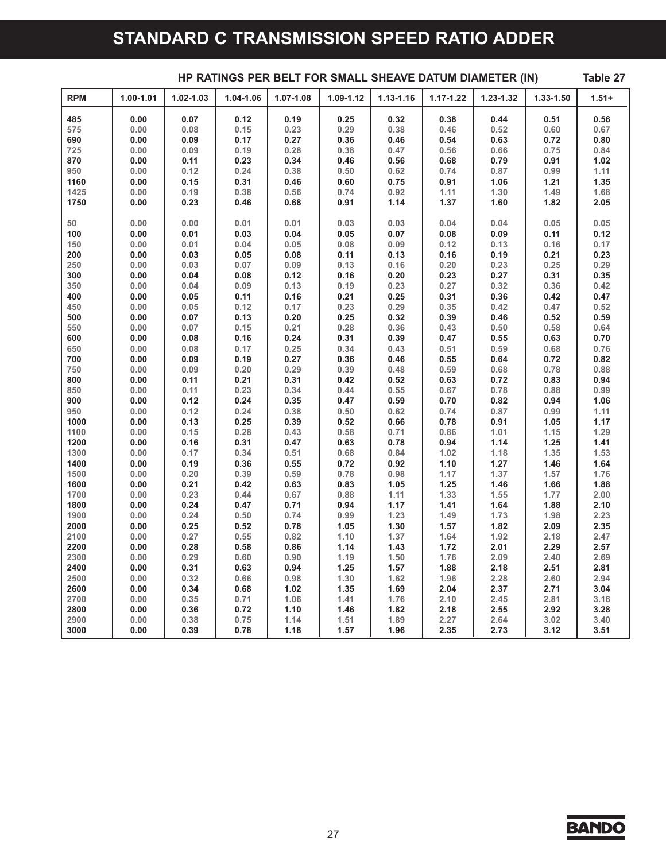### **STANDARD C TRANSMISSION SPEED RATIO ADDER**

|            |               |           |           |           |           | HP RATINGS PER BELT FOR SMALL SHEAVE DATUM DIAMETER (IN) |               |                |               | Table 27 |
|------------|---------------|-----------|-----------|-----------|-----------|----------------------------------------------------------|---------------|----------------|---------------|----------|
| <b>RPM</b> | $1.00 - 1.01$ | 1.02-1.03 | 1.04-1.06 | 1.07-1.08 | 1.09-1.12 | 1.13-1.16                                                | $1.17 - 1.22$ | 1.23-1.32      | $1.33 - 1.50$ | $1.51 +$ |
| 485        | 0.00          | 0.07      | 0.12      | 0.19      | 0.25      | 0.32                                                     | 0.38          | 0.44           | 0.51          | 0.56     |
| 575        | 0.00          | 0.08      | 0.15      | 0.23      | 0.29      | 0.38                                                     | 0.46          | 0.52           | 0.60          | 0.67     |
| 690        | 0.00          | 0.09      | 0.17      | 0.27      | 0.36      | 0.46                                                     | 0.54          | 0.63           | 0.72          | 0.80     |
| 725        | 0.00          | 0.09      | 0.19      | 0.28      | 0.38      | 0.47                                                     | 0.56          | 0.66           | 0.75          | 0.84     |
| 870        | 0.00          | 0.11      | 0.23      | 0.34      | 0.46      | 0.56                                                     | 0.68          | 0.79           | 0.91          | 1.02     |
| 950        | 0.00          | 0.12      | 0.24      | 0.38      | 0.50      | 0.62                                                     | 0.74          | 0.87           | 0.99          | 1.11     |
| 1160       | 0.00          | 0.15      | 0.31      | 0.46      | 0.60      | 0.75                                                     | 0.91          | 1.06           | 1.21          | 1.35     |
| 1425       | 0.00          | 0.19      | 0.38      | 0.56      | 0.74      | 0.92                                                     | 1.11          | 1.30           | 1.49          | 1.68     |
| 1750       | 0.00          | 0.23      | 0.46      | 0.68      | 0.91      | 1.14                                                     | 1.37          | 1.60           | 1.82          | 2.05     |
| 50         | 0.00          | 0.00      | 0.01      | 0.01      | 0.03      | 0.03                                                     | 0.04          | 0.04           | 0.05          | 0.05     |
| 100        | 0.00          | 0.01      | 0.03      | 0.04      | 0.05      | 0.07                                                     | 0.08          | 0.09           | 0.11          | 0.12     |
| 150        | 0.00          | 0.01      | 0.04      | 0.05      | 0.08      | 0.09                                                     | 0.12          | 0.13           | 0.16          | 0.17     |
| 200        | 0.00          | 0.03      | 0.05      | 0.08      | 0.11      | 0.13                                                     | 0.16          | 0.19           | 0.21          | 0.23     |
| 250        | 0.00          | 0.03      | 0.07      | 0.09      | 0.13      | 0.16                                                     | 0.20          | 0.23           | 0.25          | 0.29     |
| 300        | 0.00          | 0.04      | 0.08      | 0.12      | 0.16      | 0.20                                                     | 0.23          | 0.27           | 0.31          | 0.35     |
| 350        | 0.00          | 0.04      | 0.09      | 0.13      | 0.19      | 0.23                                                     | 0.27          | 0.32           | 0.36          | 0.42     |
| 400        | 0.00          | 0.05      | 0.11      | 0.16      | 0.21      | 0.25                                                     | 0.31          | 0.36           | 0.42          | 0.47     |
| 450        | 0.00          | 0.05      | 0.12      | 0.17      | 0.23      | 0.29                                                     | 0.35          | 0.42           | 0.47          | 0.52     |
| 500        | 0.00          | 0.07      | 0.13      | 0.20      | 0.25      | 0.32                                                     | 0.39          | 0.46           | 0.52          | 0.59     |
| 550        | 0.00          | 0.07      | 0.15      | 0.21      | 0.28      | 0.36                                                     | 0.43          | 0.50           | 0.58          | 0.64     |
| 600        | 0.00          | 0.08      | 0.16      | 0.24      | 0.31      | 0.39                                                     | 0.47          | 0.55           | 0.63          | 0.70     |
| 650        | 0.00          | 0.08      | 0.17      | 0.25      | 0.34      | 0.43                                                     | 0.51          | 0.59           | 0.68          | 0.76     |
| 700        | 0.00          | 0.09      | 0.19      | 0.27      | 0.36      | 0.46                                                     | 0.55          | 0.64           | 0.72          | 0.82     |
| 750        | 0.00          | 0.09      | 0.20      | 0.29      | 0.39      | 0.48                                                     | 0.59          | 0.68           | 0.78          | 0.88     |
| 800        | 0.00          | 0.11      | 0.21      | 0.31      | 0.42      | 0.52                                                     | 0.63          | 0.72           | 0.83          | 0.94     |
| 850        | 0.00          | 0.11      | 0.23      | 0.34      | 0.44      | 0.55                                                     | 0.67          | 0.78           | 0.88          | 0.99     |
| 900        | 0.00          | 0.12      | 0.24      | 0.35      | 0.47      | 0.59                                                     | 0.70          | 0.82           | 0.94          | 1.06     |
| 950        | 0.00          | 0.12      | 0.24      | 0.38      | 0.50      | 0.62                                                     | 0.74          | 0.87           | 0.99          | 1.11     |
| 1000       | 0.00          | 0.13      | 0.25      | 0.39      | 0.52      | 0.66                                                     | 0.78          | 0.91           | 1.05          | 1.17     |
| 1100       | 0.00          | 0.15      | 0.28      | 0.43      | 0.58      | 0.71                                                     | 0.86          | 1.01           | 1.15          | 1.29     |
| 1200       | 0.00          | 0.16      | 0.31      | 0.47      | 0.63      | 0.78                                                     | 0.94          | 1.14           | 1.25          | 1.41     |
| 1300       | 0.00          | 0.17      | 0.34      | 0.51      | 0.68      | 0.84                                                     | 1.02          | 1.18           | 1.35          | 1.53     |
| 1400       | 0.00          | 0.19      | 0.36      | 0.55      | 0.72      | 0.92                                                     | 1.10          | 1.27           | 1.46          | 1.64     |
| 1500       | 0.00          | 0.20      | 0.39      | 0.59      | 0.78      | 0.98                                                     | 1.17          | 1.37           | 1.57          | 1.76     |
| 1600       | 0.00          | 0.21      | 0.42      | 0.63      | 0.83      | 1.05                                                     | 1.25          | 1.46           | 1.66          | 1.88     |
| 1700       | 0.00          | 0.23      | 0.44      | 0.67      | 0.88      | $1.11$<br>$1.17$                                         | 1.33          | $1.55$<br>1.64 | 1.77          | 2.00     |
| 1800       | 0.00          | 0.24      | 0.47      | 0.71      | 0.94      |                                                          | 1.41          |                | 1.88          | 2.10     |
| 1900       | 0.00          | 0.24      | 0.50      | 0.74      | 0.99      | 1.23                                                     | 1.49          | 1.73           | 1.98          | 2.23     |
| 2000       | 0.00          | 0.25      | 0.52      | 0.78      | 1.05      | 1.30                                                     | 1.57          | 1.82           | 2.09          | 2.35     |
| 2100       | 0.00          | 0.27      | 0.55      | 0.82      | 1.10      | 1.37                                                     | 1.64          | 1.92           | 2.18          | 2.47     |
| 2200       | 0.00          | 0.28      | 0.58      | 0.86      | 1.14      | 1.43                                                     | 1.72          | 2.01           | 2.29          | 2.57     |
| 2300       | 0.00          | 0.29      | 0.60      | 0.90      | 1.19      | 1.50                                                     | 1.76          | 2.09           | 2.40          | 2.69     |
| 2400       | 0.00          | 0.31      | 0.63      | 0.94      | 1.25      | 1.57                                                     | 1.88          | 2.18           | 2.51          | 2.81     |
| 2500       | 0.00          | 0.32      | 0.66      | 0.98      | 1.30      | 1.62                                                     | 1.96          | 2.28           | 2.60          | 2.94     |
| 2600       | 0.00          | 0.34      | 0.68      | 1.02      | 1.35      | 1.69                                                     | 2.04          | 2.37           | 2.71          | 3.04     |
| 2700       | 0.00          | 0.35      | 0.71      | 1.06      | 1.41      | 1.76                                                     | 2.10          | 2.45           | 2.81          | 3.16     |
| 2800       | 0.00          | 0.36      | 0.72      | 1.10      | 1.46      | 1.82                                                     | 2.18          | 2.55           | 2.92          | 3.28     |
| 2900       | 0.00          | 0.38      | 0.75      | 1.14      | 1.51      | 1.89                                                     | 2.27          | 2.64           | 3.02          | 3.40     |
| 3000       | 0.00          | 0.39      | 0.78      | 1.18      | 1.57      | 1.96                                                     | 2.35          | 2.73           | 3.12          | 3.51     |

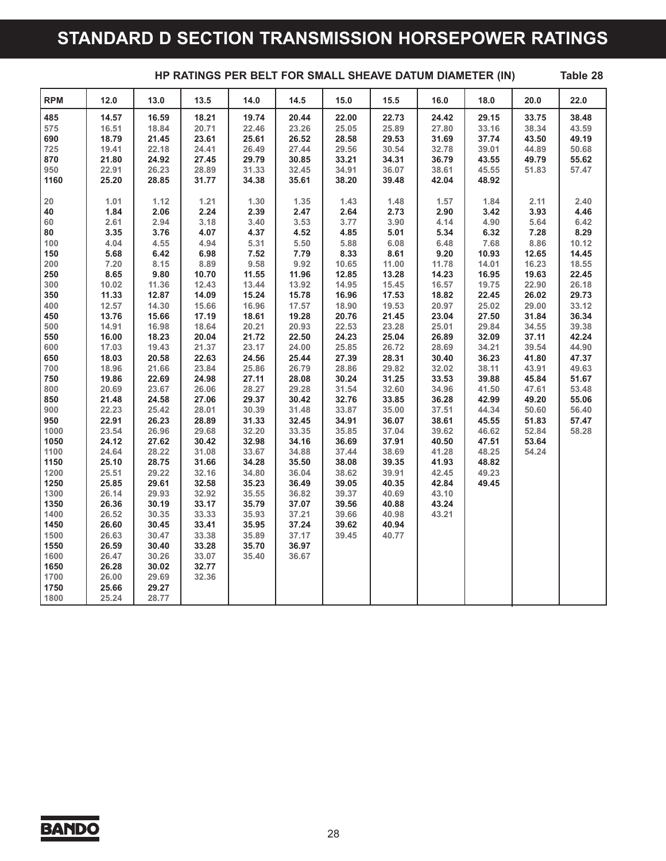### **STANDARD D SECTION TRANSMISSION HORSEPOWER RATINGS**

| <b>RPM</b><br>15.0<br>15.5<br>16.0<br>18.0<br>20.0<br>22.0<br>12.0<br>13.0<br>13.5<br>14.0<br>14.5<br>485<br>14.57<br>16.59<br>18.21<br>19.74<br>20.44<br>22.00<br>22.73<br>24.42<br>29.15<br>33.75<br>38.48<br>575<br>16.51<br>18.84<br>20.71<br>22.46<br>23.26<br>25.05<br>25.89<br>27.80<br>33.16<br>38.34<br>43.59<br>690<br>23.61<br>25.61<br>26.52<br>31.69<br>37.74<br>49.19<br>18.79<br>21.45<br>28.58<br>29.53<br>43.50<br>725<br>19.41<br>22.18<br>24.41<br>26.49<br>27.44<br>29.56<br>30.54<br>32.78<br>39.01<br>44.89<br>50.68<br>870<br>21.80<br>24.92<br>29.79<br>34.31<br>55.62<br>27.45<br>30.85<br>33.21<br>36.79<br>43.55<br>49.79<br>950<br>22.91<br>26.23<br>28.89<br>31.33<br>32.45<br>36.07<br>38.61<br>45.55<br>51.83<br>57.47<br>34.91<br>1160<br>25.20<br>28.85<br>34.38<br>35.61<br>38.20<br>39.48<br>42.04<br>48.92<br>31.77<br>20<br>1.30<br>1.35<br>1.43<br>1.84<br>2.40<br>1.01<br>1.12<br>1.21<br>1.48<br>1.57<br>2.11<br>40<br>2.06<br>2.24<br>2.39<br>2.47<br>2.73<br>2.90<br>3.42<br>3.93<br>4.46<br>1.84<br>2.64<br>60<br>2.61<br>2.94<br>3.18<br>3.40<br>3.53<br>3.77<br>3.90<br>4.14<br>4.90<br>5.64<br>6.42<br>5.34<br>6.32<br>8.29<br>80<br>3.35<br>3.76<br>4.07<br>4.37<br>4.52<br>4.85<br>5.01<br>7.28<br>100<br>4.04<br>4.55<br>4.94<br>5.31<br>5.50<br>5.88<br>6.08<br>6.48<br>7.68<br>8.86<br>10.12<br>150<br>6.98<br>7.52<br>7.79<br>9.20<br>14.45<br>5.68<br>6.42<br>8.33<br>8.61<br>10.93<br>12.65<br>200<br>7.20<br>8.15<br>8.89<br>9.58<br>9.92<br>10.65<br>11.00<br>11.78<br>14.01<br>16.23<br>18.55<br>250<br>10.70<br>11.96<br>12.85<br>14.23<br>16.95<br>19.63<br>22.45<br>8.65<br>9.80<br>11.55<br>13.28<br>300<br>12.43<br>13.44<br>13.92<br>14.95<br>16.57<br>19.75<br>22.90<br>26.18<br>10.02<br>11.36<br>15.45<br>29.73<br>350<br>11.33<br>14.09<br>15.24<br>15.78<br>16.96<br>18.82<br>22.45<br>26.02<br>12.87<br>17.53<br>400<br>17.57<br>25.02<br>33.12<br>12.57<br>14.30<br>15.66<br>16.96<br>18.90<br>19.53<br>20.97<br>29.00<br>450<br>13.76<br>17.19<br>18.61<br>19.28<br>20.76<br>21.45<br>23.04<br>27.50<br>36.34<br>15.66<br>31.84<br>500<br>14.91<br>16.98<br>18.64<br>20.21<br>20.93<br>22.53<br>23.28<br>25.01<br>29.84<br>34.55<br>39.38<br>21.72<br>22.50<br>24.23<br>32.09<br>42.24<br>550<br>16.00<br>18.23<br>20.04<br>25.04<br>26.89<br>37.11<br>19.43<br>21.37<br>23.17<br>24.00<br>25.85<br>26.72<br>28.69<br>34.21<br>44.90<br>600<br>17.03<br>39.54<br>650<br>18.03<br>22.63<br>24.56<br>25.44<br>27.39<br>28.31<br>30.40<br>36.23<br>41.80<br>47.37<br>20.58<br>700<br>18.96<br>21.66<br>23.84<br>25.86<br>26.79<br>28.86<br>29.82<br>32.02<br>38.11<br>43.91<br>49.63<br>750<br>19.86<br>22.69<br>24.98<br>27.11<br>28.08<br>30.24<br>31.25<br>33.53<br>39.88<br>45.84<br>51.67<br>26.06<br>28.27<br>29.28<br>31.54<br>32.60<br>34.96<br>41.50<br>800<br>20.69<br>23.67<br>47.61<br>53.48<br>850<br>21.48<br>24.58<br>27.06<br>29.37<br>30.42<br>32.76<br>33.85<br>36.28<br>42.99<br>49.20<br>55.06<br>44.34<br>900<br>22.23<br>25.42<br>28.01<br>30.39<br>31.48<br>33.87<br>35.00<br>37.51<br>50.60<br>56.40<br>950<br>22.91<br>26.23<br>28.89<br>31.33<br>32.45<br>34.91<br>36.07<br>38.61<br>45.55<br>51.83<br>57.47<br>1000<br>23.54<br>29.68<br>32.20<br>33.35<br>35.85<br>37.04<br>39.62<br>46.62<br>26.96<br>52.84<br>58.28<br>1050<br>24.12<br>30.42<br>32.98<br>34.16<br>36.69<br>37.91<br>40.50<br>47.51<br>53.64<br>27.62<br>1100<br>24.64<br>28.22<br>31.08<br>33.67<br>34.88<br>37.44<br>38.69<br>41.28<br>48.25<br>54.24<br>1150<br>25.10<br>28.75<br>31.66<br>34.28<br>35.50<br>39.35<br>48.82<br>38.08<br>41.93<br>32.16<br>34.80<br>36.04<br>1200<br>25.51<br>29.22<br>38.62<br>39.91<br>42.45<br>49.23<br>1250<br>25.85<br>29.61<br>32.58<br>35.23<br>36.49<br>39.05<br>40.35<br>42.84<br>49.45<br>32.92<br>35.55<br>36.82<br>43.10<br>1300<br>26.14<br>29.93<br>39.37<br>40.69<br>1350<br>26.36<br>33.17<br>35.79<br>37.07<br>39.56<br>30.19<br>40.88<br>43.24<br>1400<br>26.52<br>33.33<br>35.93<br>37.21<br>39.66<br>40.98<br>43.21<br>30.35<br>1450<br>26.60<br>35.95<br>37.24<br>30.45<br>33.41<br>39.62<br>40.94<br>1500<br>26.63<br>33.38<br>35.89<br>37.17<br>39.45<br>40.77<br>30.47<br>1550<br>26.59<br>30.40<br>33.28<br>35.70<br>36.97<br>1600<br>26.47<br>33.07<br>30.26<br>35.40<br>36.67<br>1650<br>26.28<br>30.02<br>32.77<br>1700<br>32.36<br>26.00<br>29.69<br>1750<br>25.66<br>29.27 |      |       |       |  | HP RATINGS PER BELT FOR SMALL SHEAVE DATUM DIAMETER (IN) |  |  | Table 28 |
|--------------------------------------------------------------------------------------------------------------------------------------------------------------------------------------------------------------------------------------------------------------------------------------------------------------------------------------------------------------------------------------------------------------------------------------------------------------------------------------------------------------------------------------------------------------------------------------------------------------------------------------------------------------------------------------------------------------------------------------------------------------------------------------------------------------------------------------------------------------------------------------------------------------------------------------------------------------------------------------------------------------------------------------------------------------------------------------------------------------------------------------------------------------------------------------------------------------------------------------------------------------------------------------------------------------------------------------------------------------------------------------------------------------------------------------------------------------------------------------------------------------------------------------------------------------------------------------------------------------------------------------------------------------------------------------------------------------------------------------------------------------------------------------------------------------------------------------------------------------------------------------------------------------------------------------------------------------------------------------------------------------------------------------------------------------------------------------------------------------------------------------------------------------------------------------------------------------------------------------------------------------------------------------------------------------------------------------------------------------------------------------------------------------------------------------------------------------------------------------------------------------------------------------------------------------------------------------------------------------------------------------------------------------------------------------------------------------------------------------------------------------------------------------------------------------------------------------------------------------------------------------------------------------------------------------------------------------------------------------------------------------------------------------------------------------------------------------------------------------------------------------------------------------------------------------------------------------------------------------------------------------------------------------------------------------------------------------------------------------------------------------------------------------------------------------------------------------------------------------------------------------------------------------------------------------------------------------------------------------------------------------------------------------------------------------------------------------------------------------------------------------------------------------------------------------------------------------------------------------------------------------------------------------------------------------------------------------------------------------------------------------------------------------------------------------------------------------------------------------------------------------------------------------------------------------------------------------------------------------------------------------------------------------------------------------------------------------------------------------------------------------------------------------|------|-------|-------|--|----------------------------------------------------------|--|--|----------|
|                                                                                                                                                                                                                                                                                                                                                                                                                                                                                                                                                                                                                                                                                                                                                                                                                                                                                                                                                                                                                                                                                                                                                                                                                                                                                                                                                                                                                                                                                                                                                                                                                                                                                                                                                                                                                                                                                                                                                                                                                                                                                                                                                                                                                                                                                                                                                                                                                                                                                                                                                                                                                                                                                                                                                                                                                                                                                                                                                                                                                                                                                                                                                                                                                                                                                                                                                                                                                                                                                                                                                                                                                                                                                                                                                                                                                                                                                                                                                                                                                                                                                                                                                                                                                                                                                                                                                                                                              |      |       |       |  |                                                          |  |  |          |
|                                                                                                                                                                                                                                                                                                                                                                                                                                                                                                                                                                                                                                                                                                                                                                                                                                                                                                                                                                                                                                                                                                                                                                                                                                                                                                                                                                                                                                                                                                                                                                                                                                                                                                                                                                                                                                                                                                                                                                                                                                                                                                                                                                                                                                                                                                                                                                                                                                                                                                                                                                                                                                                                                                                                                                                                                                                                                                                                                                                                                                                                                                                                                                                                                                                                                                                                                                                                                                                                                                                                                                                                                                                                                                                                                                                                                                                                                                                                                                                                                                                                                                                                                                                                                                                                                                                                                                                                              |      |       |       |  |                                                          |  |  |          |
|                                                                                                                                                                                                                                                                                                                                                                                                                                                                                                                                                                                                                                                                                                                                                                                                                                                                                                                                                                                                                                                                                                                                                                                                                                                                                                                                                                                                                                                                                                                                                                                                                                                                                                                                                                                                                                                                                                                                                                                                                                                                                                                                                                                                                                                                                                                                                                                                                                                                                                                                                                                                                                                                                                                                                                                                                                                                                                                                                                                                                                                                                                                                                                                                                                                                                                                                                                                                                                                                                                                                                                                                                                                                                                                                                                                                                                                                                                                                                                                                                                                                                                                                                                                                                                                                                                                                                                                                              |      |       |       |  |                                                          |  |  |          |
|                                                                                                                                                                                                                                                                                                                                                                                                                                                                                                                                                                                                                                                                                                                                                                                                                                                                                                                                                                                                                                                                                                                                                                                                                                                                                                                                                                                                                                                                                                                                                                                                                                                                                                                                                                                                                                                                                                                                                                                                                                                                                                                                                                                                                                                                                                                                                                                                                                                                                                                                                                                                                                                                                                                                                                                                                                                                                                                                                                                                                                                                                                                                                                                                                                                                                                                                                                                                                                                                                                                                                                                                                                                                                                                                                                                                                                                                                                                                                                                                                                                                                                                                                                                                                                                                                                                                                                                                              |      |       |       |  |                                                          |  |  |          |
|                                                                                                                                                                                                                                                                                                                                                                                                                                                                                                                                                                                                                                                                                                                                                                                                                                                                                                                                                                                                                                                                                                                                                                                                                                                                                                                                                                                                                                                                                                                                                                                                                                                                                                                                                                                                                                                                                                                                                                                                                                                                                                                                                                                                                                                                                                                                                                                                                                                                                                                                                                                                                                                                                                                                                                                                                                                                                                                                                                                                                                                                                                                                                                                                                                                                                                                                                                                                                                                                                                                                                                                                                                                                                                                                                                                                                                                                                                                                                                                                                                                                                                                                                                                                                                                                                                                                                                                                              |      |       |       |  |                                                          |  |  |          |
|                                                                                                                                                                                                                                                                                                                                                                                                                                                                                                                                                                                                                                                                                                                                                                                                                                                                                                                                                                                                                                                                                                                                                                                                                                                                                                                                                                                                                                                                                                                                                                                                                                                                                                                                                                                                                                                                                                                                                                                                                                                                                                                                                                                                                                                                                                                                                                                                                                                                                                                                                                                                                                                                                                                                                                                                                                                                                                                                                                                                                                                                                                                                                                                                                                                                                                                                                                                                                                                                                                                                                                                                                                                                                                                                                                                                                                                                                                                                                                                                                                                                                                                                                                                                                                                                                                                                                                                                              |      |       |       |  |                                                          |  |  |          |
|                                                                                                                                                                                                                                                                                                                                                                                                                                                                                                                                                                                                                                                                                                                                                                                                                                                                                                                                                                                                                                                                                                                                                                                                                                                                                                                                                                                                                                                                                                                                                                                                                                                                                                                                                                                                                                                                                                                                                                                                                                                                                                                                                                                                                                                                                                                                                                                                                                                                                                                                                                                                                                                                                                                                                                                                                                                                                                                                                                                                                                                                                                                                                                                                                                                                                                                                                                                                                                                                                                                                                                                                                                                                                                                                                                                                                                                                                                                                                                                                                                                                                                                                                                                                                                                                                                                                                                                                              |      |       |       |  |                                                          |  |  |          |
|                                                                                                                                                                                                                                                                                                                                                                                                                                                                                                                                                                                                                                                                                                                                                                                                                                                                                                                                                                                                                                                                                                                                                                                                                                                                                                                                                                                                                                                                                                                                                                                                                                                                                                                                                                                                                                                                                                                                                                                                                                                                                                                                                                                                                                                                                                                                                                                                                                                                                                                                                                                                                                                                                                                                                                                                                                                                                                                                                                                                                                                                                                                                                                                                                                                                                                                                                                                                                                                                                                                                                                                                                                                                                                                                                                                                                                                                                                                                                                                                                                                                                                                                                                                                                                                                                                                                                                                                              |      |       |       |  |                                                          |  |  |          |
|                                                                                                                                                                                                                                                                                                                                                                                                                                                                                                                                                                                                                                                                                                                                                                                                                                                                                                                                                                                                                                                                                                                                                                                                                                                                                                                                                                                                                                                                                                                                                                                                                                                                                                                                                                                                                                                                                                                                                                                                                                                                                                                                                                                                                                                                                                                                                                                                                                                                                                                                                                                                                                                                                                                                                                                                                                                                                                                                                                                                                                                                                                                                                                                                                                                                                                                                                                                                                                                                                                                                                                                                                                                                                                                                                                                                                                                                                                                                                                                                                                                                                                                                                                                                                                                                                                                                                                                                              |      |       |       |  |                                                          |  |  |          |
|                                                                                                                                                                                                                                                                                                                                                                                                                                                                                                                                                                                                                                                                                                                                                                                                                                                                                                                                                                                                                                                                                                                                                                                                                                                                                                                                                                                                                                                                                                                                                                                                                                                                                                                                                                                                                                                                                                                                                                                                                                                                                                                                                                                                                                                                                                                                                                                                                                                                                                                                                                                                                                                                                                                                                                                                                                                                                                                                                                                                                                                                                                                                                                                                                                                                                                                                                                                                                                                                                                                                                                                                                                                                                                                                                                                                                                                                                                                                                                                                                                                                                                                                                                                                                                                                                                                                                                                                              |      |       |       |  |                                                          |  |  |          |
|                                                                                                                                                                                                                                                                                                                                                                                                                                                                                                                                                                                                                                                                                                                                                                                                                                                                                                                                                                                                                                                                                                                                                                                                                                                                                                                                                                                                                                                                                                                                                                                                                                                                                                                                                                                                                                                                                                                                                                                                                                                                                                                                                                                                                                                                                                                                                                                                                                                                                                                                                                                                                                                                                                                                                                                                                                                                                                                                                                                                                                                                                                                                                                                                                                                                                                                                                                                                                                                                                                                                                                                                                                                                                                                                                                                                                                                                                                                                                                                                                                                                                                                                                                                                                                                                                                                                                                                                              |      |       |       |  |                                                          |  |  |          |
|                                                                                                                                                                                                                                                                                                                                                                                                                                                                                                                                                                                                                                                                                                                                                                                                                                                                                                                                                                                                                                                                                                                                                                                                                                                                                                                                                                                                                                                                                                                                                                                                                                                                                                                                                                                                                                                                                                                                                                                                                                                                                                                                                                                                                                                                                                                                                                                                                                                                                                                                                                                                                                                                                                                                                                                                                                                                                                                                                                                                                                                                                                                                                                                                                                                                                                                                                                                                                                                                                                                                                                                                                                                                                                                                                                                                                                                                                                                                                                                                                                                                                                                                                                                                                                                                                                                                                                                                              |      |       |       |  |                                                          |  |  |          |
|                                                                                                                                                                                                                                                                                                                                                                                                                                                                                                                                                                                                                                                                                                                                                                                                                                                                                                                                                                                                                                                                                                                                                                                                                                                                                                                                                                                                                                                                                                                                                                                                                                                                                                                                                                                                                                                                                                                                                                                                                                                                                                                                                                                                                                                                                                                                                                                                                                                                                                                                                                                                                                                                                                                                                                                                                                                                                                                                                                                                                                                                                                                                                                                                                                                                                                                                                                                                                                                                                                                                                                                                                                                                                                                                                                                                                                                                                                                                                                                                                                                                                                                                                                                                                                                                                                                                                                                                              |      |       |       |  |                                                          |  |  |          |
|                                                                                                                                                                                                                                                                                                                                                                                                                                                                                                                                                                                                                                                                                                                                                                                                                                                                                                                                                                                                                                                                                                                                                                                                                                                                                                                                                                                                                                                                                                                                                                                                                                                                                                                                                                                                                                                                                                                                                                                                                                                                                                                                                                                                                                                                                                                                                                                                                                                                                                                                                                                                                                                                                                                                                                                                                                                                                                                                                                                                                                                                                                                                                                                                                                                                                                                                                                                                                                                                                                                                                                                                                                                                                                                                                                                                                                                                                                                                                                                                                                                                                                                                                                                                                                                                                                                                                                                                              |      |       |       |  |                                                          |  |  |          |
|                                                                                                                                                                                                                                                                                                                                                                                                                                                                                                                                                                                                                                                                                                                                                                                                                                                                                                                                                                                                                                                                                                                                                                                                                                                                                                                                                                                                                                                                                                                                                                                                                                                                                                                                                                                                                                                                                                                                                                                                                                                                                                                                                                                                                                                                                                                                                                                                                                                                                                                                                                                                                                                                                                                                                                                                                                                                                                                                                                                                                                                                                                                                                                                                                                                                                                                                                                                                                                                                                                                                                                                                                                                                                                                                                                                                                                                                                                                                                                                                                                                                                                                                                                                                                                                                                                                                                                                                              |      |       |       |  |                                                          |  |  |          |
|                                                                                                                                                                                                                                                                                                                                                                                                                                                                                                                                                                                                                                                                                                                                                                                                                                                                                                                                                                                                                                                                                                                                                                                                                                                                                                                                                                                                                                                                                                                                                                                                                                                                                                                                                                                                                                                                                                                                                                                                                                                                                                                                                                                                                                                                                                                                                                                                                                                                                                                                                                                                                                                                                                                                                                                                                                                                                                                                                                                                                                                                                                                                                                                                                                                                                                                                                                                                                                                                                                                                                                                                                                                                                                                                                                                                                                                                                                                                                                                                                                                                                                                                                                                                                                                                                                                                                                                                              |      |       |       |  |                                                          |  |  |          |
|                                                                                                                                                                                                                                                                                                                                                                                                                                                                                                                                                                                                                                                                                                                                                                                                                                                                                                                                                                                                                                                                                                                                                                                                                                                                                                                                                                                                                                                                                                                                                                                                                                                                                                                                                                                                                                                                                                                                                                                                                                                                                                                                                                                                                                                                                                                                                                                                                                                                                                                                                                                                                                                                                                                                                                                                                                                                                                                                                                                                                                                                                                                                                                                                                                                                                                                                                                                                                                                                                                                                                                                                                                                                                                                                                                                                                                                                                                                                                                                                                                                                                                                                                                                                                                                                                                                                                                                                              |      |       |       |  |                                                          |  |  |          |
|                                                                                                                                                                                                                                                                                                                                                                                                                                                                                                                                                                                                                                                                                                                                                                                                                                                                                                                                                                                                                                                                                                                                                                                                                                                                                                                                                                                                                                                                                                                                                                                                                                                                                                                                                                                                                                                                                                                                                                                                                                                                                                                                                                                                                                                                                                                                                                                                                                                                                                                                                                                                                                                                                                                                                                                                                                                                                                                                                                                                                                                                                                                                                                                                                                                                                                                                                                                                                                                                                                                                                                                                                                                                                                                                                                                                                                                                                                                                                                                                                                                                                                                                                                                                                                                                                                                                                                                                              |      |       |       |  |                                                          |  |  |          |
|                                                                                                                                                                                                                                                                                                                                                                                                                                                                                                                                                                                                                                                                                                                                                                                                                                                                                                                                                                                                                                                                                                                                                                                                                                                                                                                                                                                                                                                                                                                                                                                                                                                                                                                                                                                                                                                                                                                                                                                                                                                                                                                                                                                                                                                                                                                                                                                                                                                                                                                                                                                                                                                                                                                                                                                                                                                                                                                                                                                                                                                                                                                                                                                                                                                                                                                                                                                                                                                                                                                                                                                                                                                                                                                                                                                                                                                                                                                                                                                                                                                                                                                                                                                                                                                                                                                                                                                                              |      |       |       |  |                                                          |  |  |          |
|                                                                                                                                                                                                                                                                                                                                                                                                                                                                                                                                                                                                                                                                                                                                                                                                                                                                                                                                                                                                                                                                                                                                                                                                                                                                                                                                                                                                                                                                                                                                                                                                                                                                                                                                                                                                                                                                                                                                                                                                                                                                                                                                                                                                                                                                                                                                                                                                                                                                                                                                                                                                                                                                                                                                                                                                                                                                                                                                                                                                                                                                                                                                                                                                                                                                                                                                                                                                                                                                                                                                                                                                                                                                                                                                                                                                                                                                                                                                                                                                                                                                                                                                                                                                                                                                                                                                                                                                              |      |       |       |  |                                                          |  |  |          |
|                                                                                                                                                                                                                                                                                                                                                                                                                                                                                                                                                                                                                                                                                                                                                                                                                                                                                                                                                                                                                                                                                                                                                                                                                                                                                                                                                                                                                                                                                                                                                                                                                                                                                                                                                                                                                                                                                                                                                                                                                                                                                                                                                                                                                                                                                                                                                                                                                                                                                                                                                                                                                                                                                                                                                                                                                                                                                                                                                                                                                                                                                                                                                                                                                                                                                                                                                                                                                                                                                                                                                                                                                                                                                                                                                                                                                                                                                                                                                                                                                                                                                                                                                                                                                                                                                                                                                                                                              |      |       |       |  |                                                          |  |  |          |
|                                                                                                                                                                                                                                                                                                                                                                                                                                                                                                                                                                                                                                                                                                                                                                                                                                                                                                                                                                                                                                                                                                                                                                                                                                                                                                                                                                                                                                                                                                                                                                                                                                                                                                                                                                                                                                                                                                                                                                                                                                                                                                                                                                                                                                                                                                                                                                                                                                                                                                                                                                                                                                                                                                                                                                                                                                                                                                                                                                                                                                                                                                                                                                                                                                                                                                                                                                                                                                                                                                                                                                                                                                                                                                                                                                                                                                                                                                                                                                                                                                                                                                                                                                                                                                                                                                                                                                                                              |      |       |       |  |                                                          |  |  |          |
|                                                                                                                                                                                                                                                                                                                                                                                                                                                                                                                                                                                                                                                                                                                                                                                                                                                                                                                                                                                                                                                                                                                                                                                                                                                                                                                                                                                                                                                                                                                                                                                                                                                                                                                                                                                                                                                                                                                                                                                                                                                                                                                                                                                                                                                                                                                                                                                                                                                                                                                                                                                                                                                                                                                                                                                                                                                                                                                                                                                                                                                                                                                                                                                                                                                                                                                                                                                                                                                                                                                                                                                                                                                                                                                                                                                                                                                                                                                                                                                                                                                                                                                                                                                                                                                                                                                                                                                                              |      |       |       |  |                                                          |  |  |          |
|                                                                                                                                                                                                                                                                                                                                                                                                                                                                                                                                                                                                                                                                                                                                                                                                                                                                                                                                                                                                                                                                                                                                                                                                                                                                                                                                                                                                                                                                                                                                                                                                                                                                                                                                                                                                                                                                                                                                                                                                                                                                                                                                                                                                                                                                                                                                                                                                                                                                                                                                                                                                                                                                                                                                                                                                                                                                                                                                                                                                                                                                                                                                                                                                                                                                                                                                                                                                                                                                                                                                                                                                                                                                                                                                                                                                                                                                                                                                                                                                                                                                                                                                                                                                                                                                                                                                                                                                              |      |       |       |  |                                                          |  |  |          |
|                                                                                                                                                                                                                                                                                                                                                                                                                                                                                                                                                                                                                                                                                                                                                                                                                                                                                                                                                                                                                                                                                                                                                                                                                                                                                                                                                                                                                                                                                                                                                                                                                                                                                                                                                                                                                                                                                                                                                                                                                                                                                                                                                                                                                                                                                                                                                                                                                                                                                                                                                                                                                                                                                                                                                                                                                                                                                                                                                                                                                                                                                                                                                                                                                                                                                                                                                                                                                                                                                                                                                                                                                                                                                                                                                                                                                                                                                                                                                                                                                                                                                                                                                                                                                                                                                                                                                                                                              |      |       |       |  |                                                          |  |  |          |
|                                                                                                                                                                                                                                                                                                                                                                                                                                                                                                                                                                                                                                                                                                                                                                                                                                                                                                                                                                                                                                                                                                                                                                                                                                                                                                                                                                                                                                                                                                                                                                                                                                                                                                                                                                                                                                                                                                                                                                                                                                                                                                                                                                                                                                                                                                                                                                                                                                                                                                                                                                                                                                                                                                                                                                                                                                                                                                                                                                                                                                                                                                                                                                                                                                                                                                                                                                                                                                                                                                                                                                                                                                                                                                                                                                                                                                                                                                                                                                                                                                                                                                                                                                                                                                                                                                                                                                                                              |      |       |       |  |                                                          |  |  |          |
|                                                                                                                                                                                                                                                                                                                                                                                                                                                                                                                                                                                                                                                                                                                                                                                                                                                                                                                                                                                                                                                                                                                                                                                                                                                                                                                                                                                                                                                                                                                                                                                                                                                                                                                                                                                                                                                                                                                                                                                                                                                                                                                                                                                                                                                                                                                                                                                                                                                                                                                                                                                                                                                                                                                                                                                                                                                                                                                                                                                                                                                                                                                                                                                                                                                                                                                                                                                                                                                                                                                                                                                                                                                                                                                                                                                                                                                                                                                                                                                                                                                                                                                                                                                                                                                                                                                                                                                                              |      |       |       |  |                                                          |  |  |          |
|                                                                                                                                                                                                                                                                                                                                                                                                                                                                                                                                                                                                                                                                                                                                                                                                                                                                                                                                                                                                                                                                                                                                                                                                                                                                                                                                                                                                                                                                                                                                                                                                                                                                                                                                                                                                                                                                                                                                                                                                                                                                                                                                                                                                                                                                                                                                                                                                                                                                                                                                                                                                                                                                                                                                                                                                                                                                                                                                                                                                                                                                                                                                                                                                                                                                                                                                                                                                                                                                                                                                                                                                                                                                                                                                                                                                                                                                                                                                                                                                                                                                                                                                                                                                                                                                                                                                                                                                              |      |       |       |  |                                                          |  |  |          |
|                                                                                                                                                                                                                                                                                                                                                                                                                                                                                                                                                                                                                                                                                                                                                                                                                                                                                                                                                                                                                                                                                                                                                                                                                                                                                                                                                                                                                                                                                                                                                                                                                                                                                                                                                                                                                                                                                                                                                                                                                                                                                                                                                                                                                                                                                                                                                                                                                                                                                                                                                                                                                                                                                                                                                                                                                                                                                                                                                                                                                                                                                                                                                                                                                                                                                                                                                                                                                                                                                                                                                                                                                                                                                                                                                                                                                                                                                                                                                                                                                                                                                                                                                                                                                                                                                                                                                                                                              |      |       |       |  |                                                          |  |  |          |
|                                                                                                                                                                                                                                                                                                                                                                                                                                                                                                                                                                                                                                                                                                                                                                                                                                                                                                                                                                                                                                                                                                                                                                                                                                                                                                                                                                                                                                                                                                                                                                                                                                                                                                                                                                                                                                                                                                                                                                                                                                                                                                                                                                                                                                                                                                                                                                                                                                                                                                                                                                                                                                                                                                                                                                                                                                                                                                                                                                                                                                                                                                                                                                                                                                                                                                                                                                                                                                                                                                                                                                                                                                                                                                                                                                                                                                                                                                                                                                                                                                                                                                                                                                                                                                                                                                                                                                                                              |      |       |       |  |                                                          |  |  |          |
|                                                                                                                                                                                                                                                                                                                                                                                                                                                                                                                                                                                                                                                                                                                                                                                                                                                                                                                                                                                                                                                                                                                                                                                                                                                                                                                                                                                                                                                                                                                                                                                                                                                                                                                                                                                                                                                                                                                                                                                                                                                                                                                                                                                                                                                                                                                                                                                                                                                                                                                                                                                                                                                                                                                                                                                                                                                                                                                                                                                                                                                                                                                                                                                                                                                                                                                                                                                                                                                                                                                                                                                                                                                                                                                                                                                                                                                                                                                                                                                                                                                                                                                                                                                                                                                                                                                                                                                                              |      |       |       |  |                                                          |  |  |          |
|                                                                                                                                                                                                                                                                                                                                                                                                                                                                                                                                                                                                                                                                                                                                                                                                                                                                                                                                                                                                                                                                                                                                                                                                                                                                                                                                                                                                                                                                                                                                                                                                                                                                                                                                                                                                                                                                                                                                                                                                                                                                                                                                                                                                                                                                                                                                                                                                                                                                                                                                                                                                                                                                                                                                                                                                                                                                                                                                                                                                                                                                                                                                                                                                                                                                                                                                                                                                                                                                                                                                                                                                                                                                                                                                                                                                                                                                                                                                                                                                                                                                                                                                                                                                                                                                                                                                                                                                              |      |       |       |  |                                                          |  |  |          |
|                                                                                                                                                                                                                                                                                                                                                                                                                                                                                                                                                                                                                                                                                                                                                                                                                                                                                                                                                                                                                                                                                                                                                                                                                                                                                                                                                                                                                                                                                                                                                                                                                                                                                                                                                                                                                                                                                                                                                                                                                                                                                                                                                                                                                                                                                                                                                                                                                                                                                                                                                                                                                                                                                                                                                                                                                                                                                                                                                                                                                                                                                                                                                                                                                                                                                                                                                                                                                                                                                                                                                                                                                                                                                                                                                                                                                                                                                                                                                                                                                                                                                                                                                                                                                                                                                                                                                                                                              |      |       |       |  |                                                          |  |  |          |
|                                                                                                                                                                                                                                                                                                                                                                                                                                                                                                                                                                                                                                                                                                                                                                                                                                                                                                                                                                                                                                                                                                                                                                                                                                                                                                                                                                                                                                                                                                                                                                                                                                                                                                                                                                                                                                                                                                                                                                                                                                                                                                                                                                                                                                                                                                                                                                                                                                                                                                                                                                                                                                                                                                                                                                                                                                                                                                                                                                                                                                                                                                                                                                                                                                                                                                                                                                                                                                                                                                                                                                                                                                                                                                                                                                                                                                                                                                                                                                                                                                                                                                                                                                                                                                                                                                                                                                                                              |      |       |       |  |                                                          |  |  |          |
|                                                                                                                                                                                                                                                                                                                                                                                                                                                                                                                                                                                                                                                                                                                                                                                                                                                                                                                                                                                                                                                                                                                                                                                                                                                                                                                                                                                                                                                                                                                                                                                                                                                                                                                                                                                                                                                                                                                                                                                                                                                                                                                                                                                                                                                                                                                                                                                                                                                                                                                                                                                                                                                                                                                                                                                                                                                                                                                                                                                                                                                                                                                                                                                                                                                                                                                                                                                                                                                                                                                                                                                                                                                                                                                                                                                                                                                                                                                                                                                                                                                                                                                                                                                                                                                                                                                                                                                                              |      |       |       |  |                                                          |  |  |          |
|                                                                                                                                                                                                                                                                                                                                                                                                                                                                                                                                                                                                                                                                                                                                                                                                                                                                                                                                                                                                                                                                                                                                                                                                                                                                                                                                                                                                                                                                                                                                                                                                                                                                                                                                                                                                                                                                                                                                                                                                                                                                                                                                                                                                                                                                                                                                                                                                                                                                                                                                                                                                                                                                                                                                                                                                                                                                                                                                                                                                                                                                                                                                                                                                                                                                                                                                                                                                                                                                                                                                                                                                                                                                                                                                                                                                                                                                                                                                                                                                                                                                                                                                                                                                                                                                                                                                                                                                              |      |       |       |  |                                                          |  |  |          |
|                                                                                                                                                                                                                                                                                                                                                                                                                                                                                                                                                                                                                                                                                                                                                                                                                                                                                                                                                                                                                                                                                                                                                                                                                                                                                                                                                                                                                                                                                                                                                                                                                                                                                                                                                                                                                                                                                                                                                                                                                                                                                                                                                                                                                                                                                                                                                                                                                                                                                                                                                                                                                                                                                                                                                                                                                                                                                                                                                                                                                                                                                                                                                                                                                                                                                                                                                                                                                                                                                                                                                                                                                                                                                                                                                                                                                                                                                                                                                                                                                                                                                                                                                                                                                                                                                                                                                                                                              |      |       |       |  |                                                          |  |  |          |
|                                                                                                                                                                                                                                                                                                                                                                                                                                                                                                                                                                                                                                                                                                                                                                                                                                                                                                                                                                                                                                                                                                                                                                                                                                                                                                                                                                                                                                                                                                                                                                                                                                                                                                                                                                                                                                                                                                                                                                                                                                                                                                                                                                                                                                                                                                                                                                                                                                                                                                                                                                                                                                                                                                                                                                                                                                                                                                                                                                                                                                                                                                                                                                                                                                                                                                                                                                                                                                                                                                                                                                                                                                                                                                                                                                                                                                                                                                                                                                                                                                                                                                                                                                                                                                                                                                                                                                                                              |      |       |       |  |                                                          |  |  |          |
|                                                                                                                                                                                                                                                                                                                                                                                                                                                                                                                                                                                                                                                                                                                                                                                                                                                                                                                                                                                                                                                                                                                                                                                                                                                                                                                                                                                                                                                                                                                                                                                                                                                                                                                                                                                                                                                                                                                                                                                                                                                                                                                                                                                                                                                                                                                                                                                                                                                                                                                                                                                                                                                                                                                                                                                                                                                                                                                                                                                                                                                                                                                                                                                                                                                                                                                                                                                                                                                                                                                                                                                                                                                                                                                                                                                                                                                                                                                                                                                                                                                                                                                                                                                                                                                                                                                                                                                                              |      |       |       |  |                                                          |  |  |          |
|                                                                                                                                                                                                                                                                                                                                                                                                                                                                                                                                                                                                                                                                                                                                                                                                                                                                                                                                                                                                                                                                                                                                                                                                                                                                                                                                                                                                                                                                                                                                                                                                                                                                                                                                                                                                                                                                                                                                                                                                                                                                                                                                                                                                                                                                                                                                                                                                                                                                                                                                                                                                                                                                                                                                                                                                                                                                                                                                                                                                                                                                                                                                                                                                                                                                                                                                                                                                                                                                                                                                                                                                                                                                                                                                                                                                                                                                                                                                                                                                                                                                                                                                                                                                                                                                                                                                                                                                              |      |       |       |  |                                                          |  |  |          |
|                                                                                                                                                                                                                                                                                                                                                                                                                                                                                                                                                                                                                                                                                                                                                                                                                                                                                                                                                                                                                                                                                                                                                                                                                                                                                                                                                                                                                                                                                                                                                                                                                                                                                                                                                                                                                                                                                                                                                                                                                                                                                                                                                                                                                                                                                                                                                                                                                                                                                                                                                                                                                                                                                                                                                                                                                                                                                                                                                                                                                                                                                                                                                                                                                                                                                                                                                                                                                                                                                                                                                                                                                                                                                                                                                                                                                                                                                                                                                                                                                                                                                                                                                                                                                                                                                                                                                                                                              |      |       |       |  |                                                          |  |  |          |
|                                                                                                                                                                                                                                                                                                                                                                                                                                                                                                                                                                                                                                                                                                                                                                                                                                                                                                                                                                                                                                                                                                                                                                                                                                                                                                                                                                                                                                                                                                                                                                                                                                                                                                                                                                                                                                                                                                                                                                                                                                                                                                                                                                                                                                                                                                                                                                                                                                                                                                                                                                                                                                                                                                                                                                                                                                                                                                                                                                                                                                                                                                                                                                                                                                                                                                                                                                                                                                                                                                                                                                                                                                                                                                                                                                                                                                                                                                                                                                                                                                                                                                                                                                                                                                                                                                                                                                                                              |      |       |       |  |                                                          |  |  |          |
|                                                                                                                                                                                                                                                                                                                                                                                                                                                                                                                                                                                                                                                                                                                                                                                                                                                                                                                                                                                                                                                                                                                                                                                                                                                                                                                                                                                                                                                                                                                                                                                                                                                                                                                                                                                                                                                                                                                                                                                                                                                                                                                                                                                                                                                                                                                                                                                                                                                                                                                                                                                                                                                                                                                                                                                                                                                                                                                                                                                                                                                                                                                                                                                                                                                                                                                                                                                                                                                                                                                                                                                                                                                                                                                                                                                                                                                                                                                                                                                                                                                                                                                                                                                                                                                                                                                                                                                                              |      |       |       |  |                                                          |  |  |          |
|                                                                                                                                                                                                                                                                                                                                                                                                                                                                                                                                                                                                                                                                                                                                                                                                                                                                                                                                                                                                                                                                                                                                                                                                                                                                                                                                                                                                                                                                                                                                                                                                                                                                                                                                                                                                                                                                                                                                                                                                                                                                                                                                                                                                                                                                                                                                                                                                                                                                                                                                                                                                                                                                                                                                                                                                                                                                                                                                                                                                                                                                                                                                                                                                                                                                                                                                                                                                                                                                                                                                                                                                                                                                                                                                                                                                                                                                                                                                                                                                                                                                                                                                                                                                                                                                                                                                                                                                              |      |       |       |  |                                                          |  |  |          |
|                                                                                                                                                                                                                                                                                                                                                                                                                                                                                                                                                                                                                                                                                                                                                                                                                                                                                                                                                                                                                                                                                                                                                                                                                                                                                                                                                                                                                                                                                                                                                                                                                                                                                                                                                                                                                                                                                                                                                                                                                                                                                                                                                                                                                                                                                                                                                                                                                                                                                                                                                                                                                                                                                                                                                                                                                                                                                                                                                                                                                                                                                                                                                                                                                                                                                                                                                                                                                                                                                                                                                                                                                                                                                                                                                                                                                                                                                                                                                                                                                                                                                                                                                                                                                                                                                                                                                                                                              |      |       |       |  |                                                          |  |  |          |
|                                                                                                                                                                                                                                                                                                                                                                                                                                                                                                                                                                                                                                                                                                                                                                                                                                                                                                                                                                                                                                                                                                                                                                                                                                                                                                                                                                                                                                                                                                                                                                                                                                                                                                                                                                                                                                                                                                                                                                                                                                                                                                                                                                                                                                                                                                                                                                                                                                                                                                                                                                                                                                                                                                                                                                                                                                                                                                                                                                                                                                                                                                                                                                                                                                                                                                                                                                                                                                                                                                                                                                                                                                                                                                                                                                                                                                                                                                                                                                                                                                                                                                                                                                                                                                                                                                                                                                                                              |      |       |       |  |                                                          |  |  |          |
|                                                                                                                                                                                                                                                                                                                                                                                                                                                                                                                                                                                                                                                                                                                                                                                                                                                                                                                                                                                                                                                                                                                                                                                                                                                                                                                                                                                                                                                                                                                                                                                                                                                                                                                                                                                                                                                                                                                                                                                                                                                                                                                                                                                                                                                                                                                                                                                                                                                                                                                                                                                                                                                                                                                                                                                                                                                                                                                                                                                                                                                                                                                                                                                                                                                                                                                                                                                                                                                                                                                                                                                                                                                                                                                                                                                                                                                                                                                                                                                                                                                                                                                                                                                                                                                                                                                                                                                                              | 1800 | 25.24 | 28.77 |  |                                                          |  |  |          |

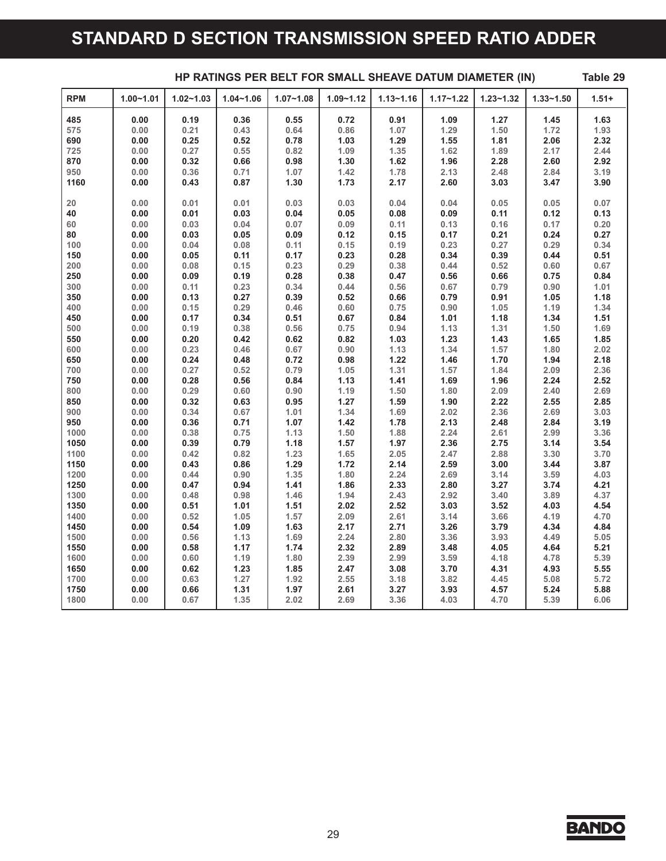### **STANDARD D SECTION TRANSMISSION SPEED RATIO ADDER**

| <b>RPM</b> | $1.00 - 1.01$ | $1.02 - 1.03$ | $1.04 - 1.06$ | $1.07 - 1.08$ | $1.09 - 1.12$ | $1.13 - 1.16$ | $1.17 - 1.22$ | $1.23 - 1.32$ | $1.33 - 1.50$ | $1.51 +$ |
|------------|---------------|---------------|---------------|---------------|---------------|---------------|---------------|---------------|---------------|----------|
| 485        | 0.00          | 0.19          | 0.36          | 0.55          | 0.72          | 0.91          | 1.09          | 1.27          | 1.45          | 1.63     |
| 575        | 0.00          | 0.21          | 0.43          | 0.64          | 0.86          | 1.07          | 1.29          | 1.50          | 1.72          | 1.93     |
| 690        | 0.00          | 0.25          | 0.52          | 0.78          | 1.03          | 1.29          | 1.55          | 1.81          | 2.06          | 2.32     |
| 725        | 0.00          | 0.27          | 0.55          | 0.82          | 1.09          | 1.35          | 1.62          | 1.89          | 2.17          | 2.44     |
| 870        | 0.00          | 0.32          | 0.66          | 0.98          | 1.30          | 1.62          | 1.96          | 2.28          | 2.60          | 2.92     |
| 950        | 0.00          | 0.36          | 0.71          | 1.07          | 1.42          | 1.78          | 2.13          | 2.48          | 2.84          | 3.19     |
| 1160       | 0.00          | 0.43          | 0.87          | 1.30          | 1.73          | 2.17          | 2.60          | 3.03          | 3.47          | 3.90     |
|            |               |               |               |               |               |               |               |               |               |          |
| 20         | 0.00          | 0.01          | 0.01          | 0.03          | 0.03          | 0.04          | 0.04          | 0.05          | 0.05          | 0.07     |
| 40         | 0.00          | 0.01          | 0.03          | 0.04          | 0.05          | 0.08          | 0.09          | 0.11          | 0.12          | 0.13     |
| 60         | 0.00          | 0.03          | 0.04          | 0.07          | 0.09          | 0.11          | 0.13          | 0.16          | 0.17          | 0.20     |
| 80         | 0.00          | 0.03          | 0.05          | 0.09          | 0.12          | 0.15          | 0.17          | 0.21          | 0.24          | 0.27     |
| 100        | 0.00          | 0.04          | 0.08          | 0.11          | 0.15          | 0.19          | 0.23          | 0.27          | 0.29          | 0.34     |
| 150        | 0.00          | 0.05          | 0.11          | 0.17          | 0.23          | 0.28          | 0.34          | 0.39          | 0.44          | 0.51     |
| 200        | 0.00          | 0.08          | 0.15          | 0.23          | 0.29          | 0.38          | 0.44          | 0.52          | 0.60          | 0.67     |
| 250        | 0.00          | 0.09          | 0.19          | 0.28          | 0.38          | 0.47          | 0.56          | 0.66          | 0.75          | 0.84     |
| 300        | 0.00          | 0.11          | 0.23          | 0.34          | 0.44          | 0.56          | 0.67          | 0.79          | 0.90          | 1.01     |
| 350        | 0.00          | 0.13          | 0.27          | 0.39          | 0.52          | 0.66          | 0.79          | 0.91          | 1.05          | 1.18     |
| 400        | 0.00          | 0.15          | 0.29          | 0.46          | 0.60          | 0.75          | 0.90          | 1.05          | 1.19          | 1.34     |
| 450        | 0.00          | 0.17          | 0.34          | 0.51          | 0.67          | 0.84          | 1.01          | 1.18          | 1.34          | 1.51     |
| 500        | 0.00          | 0.19          | 0.38          | 0.56          | 0.75          | 0.94          | 1.13          | 1.31          | 1.50          | 1.69     |
| 550        | 0.00          | 0.20          | 0.42          | 0.62          | 0.82          | 1.03          | 1.23          | 1.43          | 1.65          | 1.85     |
| 600        | 0.00          | 0.23          | 0.46          | 0.67          | 0.90          | 1.13          | 1.34          | 1.57          | 1.80          | 2.02     |
| 650        | 0.00          | 0.24          | 0.48          | 0.72          | 0.98          | 1.22          | 1.46          | 1.70          | 1.94          | 2.18     |
| 700        | 0.00          | 0.27          | 0.52          | 0.79          | 1.05          | 1.31          | 1.57          | 1.84          | 2.09          | 2.36     |
| 750        | 0.00          | 0.28          | 0.56          | 0.84          | 1.13          | 1.41          | 1.69          | 1.96          | 2.24          | 2.52     |
| 800        | 0.00          | 0.29          | 0.60          | 0.90          | 1.19          | 1.50          | 1.80          | 2.09          | 2.40          | 2.69     |
| 850        | 0.00          | 0.32          | 0.63          | 0.95          | 1.27          | 1.59          | 1.90          | 2.22          | 2.55          | 2.85     |
| 900        | 0.00          | 0.34          | 0.67          | 1.01          | 1.34          | 1.69          | 2.02          | 2.36          | 2.69          | 3.03     |
| 950        | 0.00          | 0.36          | 0.71          | 1.07          | 1.42          | 1.78          | 2.13          | 2.48          | 2.84          | 3.19     |
| 1000       | 0.00          | 0.38          | 0.75          | 1.13          | 1.50          | 1.88          | 2.24          | 2.61          | 2.99          | 3.36     |
| 1050       | 0.00          | 0.39          | 0.79          | 1.18          | 1.57          | 1.97          | 2.36          | 2.75          | 3.14          | 3.54     |
| 1100       | 0.00          | 0.42          | 0.82          | 1.23          | 1.65          | 2.05          | 2.47          | 2.88          | 3.30          | 3.70     |
| 1150       | 0.00          | 0.43          | 0.86          | 1.29          | 1.72          | 2.14          | 2.59          | 3.00          | 3.44          | 3.87     |
| 1200       | 0.00          | 0.44          | 0.90          | 1.35          | 1.80          | 2.24          | 2.69          | 3.14          | 3.59          | 4.03     |
| 1250       | 0.00          | 0.47          | 0.94          | 1.41          | 1.86          | 2.33          | 2.80          | 3.27          | 3.74          | 4.21     |
| 1300       | 0.00          | 0.48          | 0.98          | 1.46          | 1.94          | 2.43          | 2.92          | 3.40          | 3.89          | 4.37     |
| 1350       | 0.00          | 0.51          | 1.01          | 1.51          | 2.02          | 2.52          | 3.03          | 3.52          | 4.03          | 4.54     |
| 1400       | 0.00          | 0.52          | 1.05          | 1.57          | 2.09          | 2.61          | 3.14          | 3.66          | 4.19          | 4.70     |
| 1450       | 0.00          | 0.54          | 1.09          | 1.63          | 2.17          | 2.71          | 3.26          | 3.79          | 4.34          | 4.84     |
| 1500       | 0.00          | 0.56          | 1.13          | 1.69          | 2.24          | 2.80          | 3.36          | 3.93          | 4.49          | 5.05     |
| 1550       | 0.00          | 0.58          | 1.17          | 1.74          | 2.32          | 2.89          | 3.48          | 4.05          | 4.64          | 5.21     |
| 1600       | 0.00          | 0.60          | 1.19          | 1.80          | 2.39          | 2.99          | 3.59          | 4.18          | 4.78          | 5.39     |
| 1650       | 0.00          | 0.62          | 1.23          | 1.85          | 2.47          | 3.08          | 3.70          | 4.31          | 4.93          | 5.55     |
| 1700       | 0.00          | 0.63          | 1.27          | 1.92          | 2.55          | 3.18          | 3.82          | 4.45          | 5.08          | 5.72     |
| 1750       | 0.00          | 0.66          | 1.31          | 1.97          | 2.61          | 3.27          | 3.93          | 4.57          | 5.24          | 5.88     |
| 1800       | 0.00          | 0.67          | 1.35          | 2.02          | 2.69          | 3.36          | 4.03          | 4.70          | 5.39          | 6.06     |
|            |               |               |               |               |               |               |               |               |               |          |

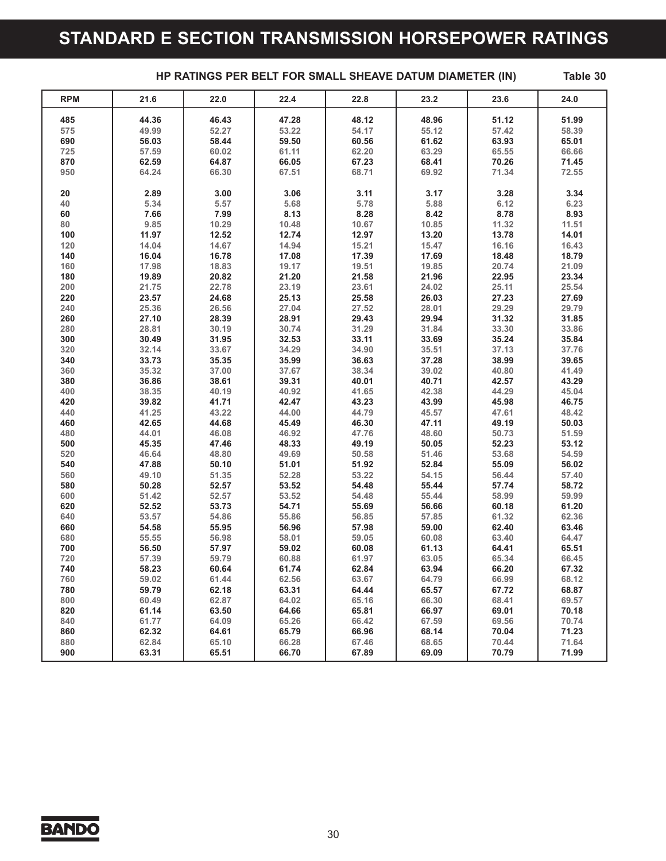### **STANDARD E SECTION TRANSMISSION HORSEPOWER RATINGS**

#### **HP RATINGS PER BELT FOR SMALL SHEAVE DATUM DIAMETER (IN) Table 30**

| <b>RPM</b> | 21.6           | 22.0           | 22.4           | 22.8           | 23.2           | 23.6           | 24.0           |
|------------|----------------|----------------|----------------|----------------|----------------|----------------|----------------|
| 485        | 44.36          | 46.43          | 47.28          | 48.12          | 48.96          | 51.12          | 51.99          |
| 575        | 49.99          | 52.27          | 53.22          | 54.17          | 55.12          | 57.42          | 58.39          |
| 690        | 56.03          | 58.44          | 59.50          | 60.56          | 61.62          | 63.93          | 65.01          |
| 725        | 57.59          | 60.02          | 61.11          | 62.20          | 63.29          | 65.55          | 66.66          |
| 870        | 62.59          | 64.87          | 66.05          | 67.23          | 68.41          | 70.26          | 71.45          |
| 950        | 64.24          | 66.30          | 67.51          | 68.71          | 69.92          | 71.34          | 72.55          |
|            |                |                |                |                |                |                |                |
| 20         | 2.89           | 3.00           | 3.06           | 3.11           | 3.17           | 3.28           | 3.34           |
| 40         | 5.34           | 5.57           | 5.68           | 5.78           | 5.88           | 6.12           | 6.23           |
| 60         | 7.66           | 7.99           | 8.13           | 8.28           | 8.42           | 8.78           | 8.93           |
| 80         | 9.85           | 10.29          | 10.48          | 10.67          | 10.85          | 11.32          | 11.51          |
| 100        | 11.97          | 12.52          | 12.74          | 12.97          | 13.20          | 13.78          | 14.01          |
| 120        | 14.04          | 14.67          | 14.94          | 15.21          | 15.47          | 16.16          | 16.43          |
| 140        | 16.04          | 16.78          | 17.08          | 17.39          | 17.69          | 18.48          | 18.79          |
| 160        | 17.98          | 18.83          | 19.17          | 19.51          | 19.85          | 20.74          | 21.09          |
| 180        | 19.89          | 20.82          | 21.20          | 21.58          | 21.96          | 22.95          | 23.34          |
| 200        | 21.75          | 22.78          | 23.19          | 23.61          | 24.02          | 25.11          | 25.54          |
| 220        | 23.57          | 24.68          | 25.13          | 25.58          | 26.03          | 27.23          | 27.69          |
| 240        | 25.36          | 26.56          | 27.04          | 27.52          | 28.01          | 29.29          | 29.79          |
| 260        | 27.10          | 28.39          | 28.91          | 29.43          | 29.94          | 31.32          | 31.85          |
| 280        | 28.81          | 30.19          | 30.74          | 31.29          | 31.84          | 33.30          | 33.86          |
| 300        | 30.49          | 31.95          | 32.53          | 33.11          | 33.69          | 35.24          | 35.84          |
| 320        | 32.14          | 33.67          | 34.29          | 34.90          | 35.51          | 37.13          | 37.76          |
| 340        | 33.73          | 35.35          | 35.99          | 36.63          | 37.28          | 38.99          | 39.65          |
| 360        | 35.32          | 37.00          | 37.67          | 38.34          | 39.02          | 40.80          | 41.49          |
| 380        | 36.86          | 38.61          | 39.31          | 40.01          | 40.71          | 42.57          | 43.29          |
| 400        | 38.35          | 40.19          | 40.92          | 41.65          | 42.38          | 44.29          | 45.04          |
| 420        | 39.82          | 41.71          | 42.47          | 43.23          | 43.99          | 45.98          | 46.75          |
| 440        | 41.25          | 43.22<br>44.68 | 44.00<br>45.49 | 44.79          | 45.57<br>47.11 | 47.61          | 48.42<br>50.03 |
| 460<br>480 | 42.65<br>44.01 | 46.08          | 46.92          | 46.30<br>47.76 | 48.60          | 49.19<br>50.73 | 51.59          |
| 500        | 45.35          | 47.46          | 48.33          | 49.19          | 50.05          | 52.23          | 53.12          |
| 520        | 46.64          | 48.80          | 49.69          | 50.58          | 51.46          | 53.68          | 54.59          |
| 540        | 47.88          | 50.10          | 51.01          | 51.92          | 52.84          | 55.09          | 56.02          |
| 560        | 49.10          | 51.35          | 52.28          | 53.22          | 54.15          | 56.44          | 57.40          |
| 580        | 50.28          | 52.57          | 53.52          | 54.48          | 55.44          | 57.74          | 58.72          |
| 600        | 51.42          | 52.57          | 53.52          | 54.48          | 55.44          | 58.99          | 59.99          |
| 620        | 52.52          | 53.73          | 54.71          | 55.69          | 56.66          | 60.18          | 61.20          |
| 640        | 53.57          | 54.86          | 55.86          | 56.85          | 57.85          | 61.32          | 62.36          |
| 660        | 54.58          | 55.95          | 56.96          | 57.98          | 59.00          | 62.40          | 63.46          |
| 680        | 55.55          | 56.98          | 58.01          | 59.05          | 60.08          | 63.40          | 64.47          |
| 700        | 56.50          | 57.97          | 59.02          | 60.08          | 61.13          | 64.41          | 65.51          |
| 720        | 57.39          | 59.79          | 60.88          | 61.97          | 63.05          | 65.34          | 66.45          |
| 740        | 58.23          | 60.64          | 61.74          | 62.84          | 63.94          | 66.20          | 67.32          |
| 760        | 59.02          | 61.44          | 62.56          | 63.67          | 64.79          | 66.99          | 68.12          |
| 780        | 59.79          | 62.18          | 63.31          | 64.44          | 65.57          | 67.72          | 68.87          |
| 800        | 60.49          | 62.87          | 64.02          | 65.16          | 66.30          | 68.41          | 69.57          |
| 820        | 61.14          | 63.50          | 64.66          | 65.81          | 66.97          | 69.01          | 70.18          |
| 840        | 61.77          | 64.09          | 65.26          | 66.42          | 67.59          | 69.56          | 70.74          |
| 860        | 62.32          | 64.61          | 65.79          | 66.96          | 68.14          | 70.04          | 71.23          |
| 880        | 62.84          | 65.10          | 66.28          | 67.46          | 68.65          | 70.44          | 71.64          |
| 900        | 63.31          | 65.51          | 66.70          | 67.89          | 69.09          | 70.79          | 71.99          |

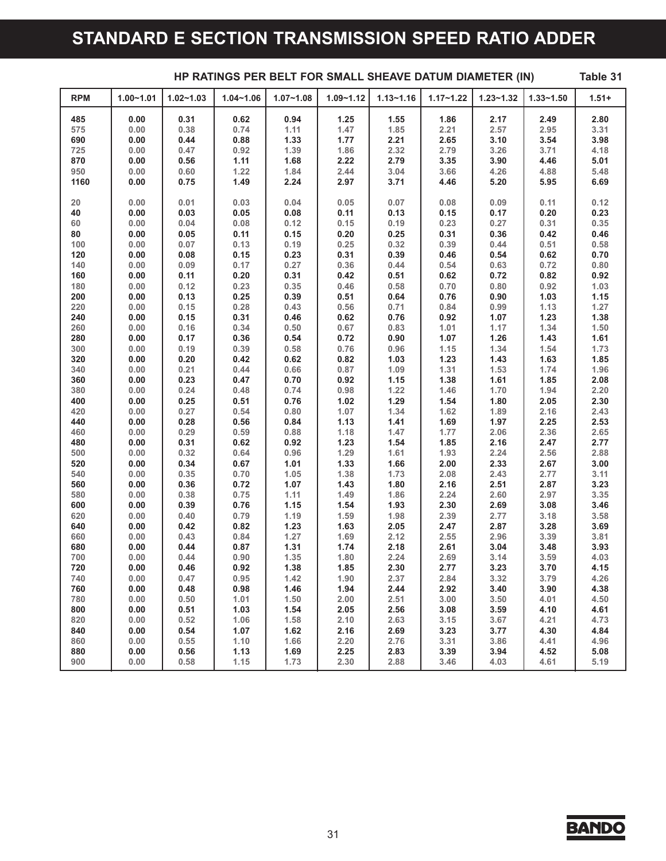### **STANDARD E SECTION TRANSMISSION SPEED RATIO ADDER**

#### **HP RATINGS PER BELT FOR SMALL SHEAVE DATUM DIAMETER (IN) Table 31**

| <b>RPM</b> | $1.00 - 1.01$ | $1.02 - 1.03$ | $1.04 - 1.06$ | $1.07 - 1.08$ | $1.09 - 1.12$ | $1.13 - 1.16$ | $1.17 - 1.22$ | $1.23 - 1.32$ | $1.33 - 1.50$ | $1.51 +$ |
|------------|---------------|---------------|---------------|---------------|---------------|---------------|---------------|---------------|---------------|----------|
| 485        | 0.00          | 0.31          | 0.62          | 0.94          | 1.25          | 1.55          | 1.86          | 2.17          | 2.49          | 2.80     |
| 575        | 0.00          | 0.38          | 0.74          | 1.11          | 1.47          | 1.85          | 2.21          | 2.57          | 2.95          | 3.31     |
| 690        | 0.00          | 0.44          | 0.88          | 1.33          | 1.77          | 2.21          | 2.65          | 3.10          | 3.54          | 3.98     |
| 725        | 0.00          | 0.47          | 0.92          | 1.39          | 1.86          | 2.32          | 2.79          | 3.26          | 3.71          | 4.18     |
| 870        | 0.00          | 0.56          | 1.11          | 1.68          | 2.22          | 2.79          | 3.35          | 3.90          | 4.46          | 5.01     |
| 950        | 0.00          | 0.60          | 1.22          | 1.84          | 2.44          | 3.04          | 3.66          | 4.26          | 4.88          | 5.48     |
| 1160       | 0.00          | 0.75          | 1.49          | 2.24          | 2.97          | 3.71          | 4.46          | 5.20          | 5.95          | 6.69     |
| 20         | 0.00          | 0.01          | 0.03          | 0.04          | 0.05          | 0.07          | 0.08          | 0.09          | 0.11          | 0.12     |
| 40         | 0.00          | 0.03          | 0.05          | 0.08          | 0.11          | 0.13          | 0.15          | 0.17          | 0.20          | 0.23     |
| 60         | 0.00          | 0.04          | 0.08          | 0.12          | 0.15          | 0.19          | 0.23          | 0.27          | 0.31          | 0.35     |
| 80         | 0.00          | 0.05          | 0.11          | 0.15          | 0.20          | 0.25          | 0.31          | 0.36          | 0.42          | 0.46     |
| 100        | 0.00          | 0.07          | 0.13          | 0.19          | 0.25          | 0.32          | 0.39          | 0.44          | 0.51          | 0.58     |
| 120        | 0.00          | 0.08          | 0.15          | 0.23          | 0.31          | 0.39          | 0.46          | 0.54          | 0.62          | 0.70     |
| 140        | 0.00          | 0.09          | 0.17          | 0.27          | 0.36          | 0.44          | 0.54          | 0.63          | 0.72          | 0.80     |
| 160        | 0.00          | 0.11          | 0.20          | 0.31          | 0.42          | 0.51          | 0.62          | 0.72          | 0.82          | 0.92     |
| 180        | 0.00          | 0.12          | 0.23          | 0.35          | 0.46          | 0.58          | 0.70          | 0.80          | 0.92          | 1.03     |
| 200        | 0.00          | 0.13          | 0.25          | 0.39          | 0.51          | 0.64          | 0.76          | 0.90          | 1.03          | 1.15     |
| 220        | 0.00          | 0.15          | 0.28          | 0.43          | 0.56          | 0.71          | 0.84          | 0.99          | 1.13          | 1.27     |
| 240        | 0.00          | 0.15          | 0.31          | 0.46          | 0.62          | 0.76          | 0.92          | 1.07          | 1.23          | 1.38     |
| 260        | 0.00          | 0.16          | 0.34          | 0.50          | 0.67          | 0.83          | 1.01          | 1.17          | 1.34          | 1.50     |
| 280        | 0.00          | 0.17          | 0.36          | 0.54          | 0.72          | 0.90          | 1.07          | 1.26          | 1.43          | 1.61     |
| 300        | 0.00          | 0.19          | 0.39          | 0.58          | 0.76          | 0.96          | 1.15          | 1.34          | 1.54          | 1.73     |
| 320        | 0.00          | 0.20          | 0.42          | 0.62          | 0.82          | 1.03          | 1.23          | 1.43          | 1.63          | 1.85     |
| 340        | 0.00          | 0.21          | 0.44          | 0.66          | 0.87          | 1.09          | 1.31          | 1.53          | 1.74          | 1.96     |
| 360        | 0.00          | 0.23          | 0.47          | 0.70          | 0.92          | 1.15          | 1.38          | 1.61          | 1.85          | 2.08     |
| 380        | 0.00          | 0.24          | 0.48          | 0.74          | 0.98          | 1.22          | 1.46          | 1.70          | 1.94          | 2.20     |
| 400        | 0.00          | 0.25          | 0.51          | 0.76          | 1.02          | 1.29          | 1.54          | 1.80          | 2.05          | 2.30     |
| 420        | 0.00          | 0.27          | 0.54          | 0.80          | 1.07          | 1.34          | 1.62          | 1.89          | 2.16          | 2.43     |
| 440        | 0.00          | 0.28          | 0.56          | 0.84          | 1.13          | 1.41          | 1.69          | 1.97          | 2.25          | 2.53     |
| 460        | 0.00          | 0.29          | 0.59          | 0.88          | 1.18          | 1.47          | 1.77          | 2.06          | 2.36          | 2.65     |
| 480        | 0.00          | 0.31          | 0.62          | 0.92          | 1.23          | 1.54          | 1.85          | 2.16          | 2.47          | 2.77     |
| 500        | 0.00          | 0.32          | 0.64          | 0.96          | 1.29          | 1.61          | 1.93          | 2.24          | 2.56          | 2.88     |
| 520        | 0.00          | 0.34          | 0.67          | 1.01          | 1.33          | 1.66          | 2.00          | 2.33          | 2.67          | 3.00     |
| 540        | 0.00          | 0.35          | 0.70          | 1.05          | 1.38          | 1.73          | 2.08          | 2.43          | 2.77          | 3.11     |
| 560        | 0.00          | 0.36          | 0.72          | 1.07          | 1.43          | 1.80          | 2.16          | 2.51          | 2.87          | 3.23     |
| 580        | 0.00          | 0.38          | 0.75          | 1.11          | 1.49          | 1.86          | 2.24          | 2.60          | 2.97          | 3.35     |
| 600        | 0.00          | 0.39          | 0.76          | 1.15          | 1.54          | 1.93          | 2.30          | 2.69          | 3.08          | 3.46     |
| 620        | 0.00          | 0.40          | 0.79          | 1.19          | 1.59          | 1.98          | 2.39          | 2.77          | 3.18          | 3.58     |
| 640        | 0.00          | 0.42          | 0.82          | 1.23          | 1.63          | 2.05          | 2.47          | 2.87          | 3.28          | 3.69     |
| 660        | 0.00          | 0.43          | 0.84          | 1.27          | 1.69          | 2.12          | 2.55          | 2.96          | 3.39          | 3.81     |
| 680        | 0.00          | 0.44          | 0.87          | 1.31          | 1.74          | 2.18          | 2.61          | 3.04          | 3.48          | 3.93     |
| 700        | 0.00          | 0.44          | 0.90          | 1.35          | 1.80          | 2.24          | 2.69          | 3.14          | 3.59          | 4.03     |
| 720        | 0.00          | 0.46          | 0.92          | 1.38          | 1.85          | 2.30          | 2.77          | 3.23          | 3.70          | 4.15     |
| 740        | 0.00          | 0.47          | 0.95          | 1.42          | 1.90          | 2.37          | 2.84          | 3.32          | 3.79          | 4.26     |
| 760        | 0.00          | 0.48          | 0.98          | 1.46          | 1.94          | 2.44          | 2.92          | 3.40          | 3.90          | 4.38     |
| 780        | 0.00          | 0.50          | 1.01          | 1.50          | 2.00          | 2.51          | 3.00          | 3.50          | 4.01          | 4.50     |
| 800        | 0.00          | 0.51          | 1.03          | 1.54          | 2.05          | 2.56          | 3.08          | 3.59          | 4.10          | 4.61     |
| 820        | 0.00          | 0.52          | 1.06          | 1.58          | 2.10          | 2.63          | 3.15          | 3.67          | 4.21          | 4.73     |
| 840        | 0.00          | 0.54          | 1.07          | 1.62          | 2.16          | 2.69          | 3.23          | 3.77          | 4.30          | 4.84     |
| 860        | 0.00          | 0.55          | 1.10          | 1.66          | 2.20          | 2.76          | 3.31          | 3.86          | 4.41          | 4.96     |
| 880        | 0.00          | 0.56          | 1.13          | 1.69          | 2.25          | 2.83          | 3.39          | 3.94          | 4.52          | 5.08     |
| 900        | 0.00          | 0.58          | 1.15          | 1.73          | 2.30          | 2.88          | 3.46          | 4.03          | 4.61          | 5.19     |

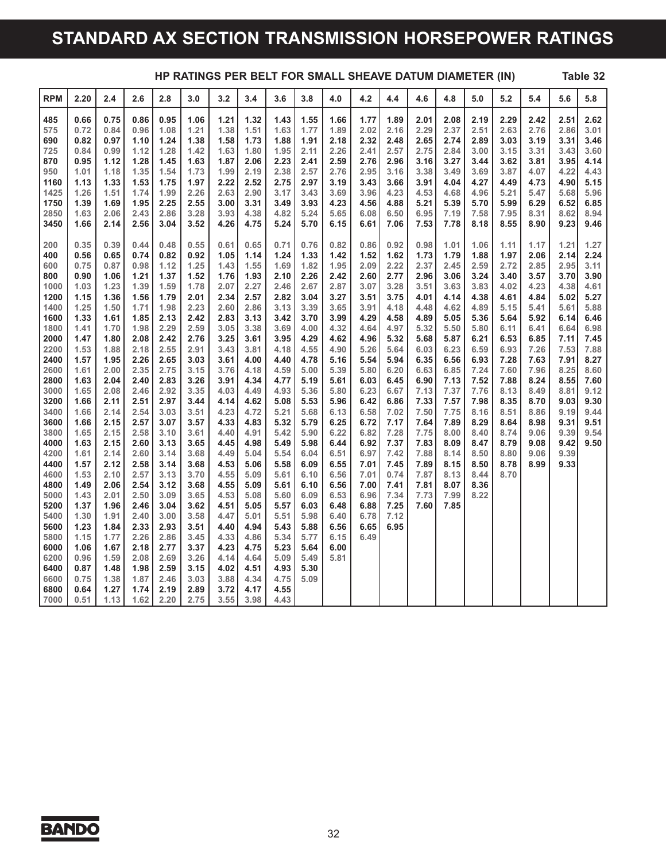### **STANDARD AX SECTION TRANSMISSION HORSEPOWER RATINGS**

|                                                |                                                      |                                                      |                                                      |                                                      |                                                      | HP RATINGS PER BELT FOR SMALL SHEAVE DATUM DIAMETER (IN) |                                                      |                                                      |                                                      |                                                      |                                                      |                                                      |                                                      |                                                      |                                                      |                                                      |                                                      |                                                      | Table 32                                             |
|------------------------------------------------|------------------------------------------------------|------------------------------------------------------|------------------------------------------------------|------------------------------------------------------|------------------------------------------------------|----------------------------------------------------------|------------------------------------------------------|------------------------------------------------------|------------------------------------------------------|------------------------------------------------------|------------------------------------------------------|------------------------------------------------------|------------------------------------------------------|------------------------------------------------------|------------------------------------------------------|------------------------------------------------------|------------------------------------------------------|------------------------------------------------------|------------------------------------------------------|
| <b>RPM</b>                                     | 2.20                                                 | 2.4                                                  | 2.6                                                  | 2.8                                                  | 3.0                                                  | 3.2                                                      | 3.4                                                  | 3.6                                                  | 3.8                                                  | 4.0                                                  | 4.2                                                  | 4.4                                                  | 4.6                                                  | 4.8                                                  | 5.0                                                  | 5.2                                                  | 5.4                                                  | 5.6                                                  | 5.8                                                  |
| 485<br>575<br>690<br>725<br>870<br>950<br>1160 | 0.66<br>0.72<br>0.82<br>0.84<br>0.95<br>1.01<br>1.13 | 0.75<br>0.84<br>0.97<br>0.99<br>1.12<br>1.18<br>1.33 | 0.86<br>0.96<br>1.10<br>1.12<br>1.28<br>1.35<br>1.53 | 0.95<br>1.08<br>1.24<br>1.28<br>1.45<br>1.54<br>1.75 | 1.06<br>1.21<br>1.38<br>1.42<br>1.63<br>1.73<br>1.97 | 1.21<br>1.38<br>1.58<br>1.63<br>1.87<br>1.99<br>2.22     | 1.32<br>1.51<br>1.73<br>1.80<br>2.06<br>2.19<br>2.52 | 1.43<br>1.63<br>1.88<br>1.95<br>2.23<br>2.38<br>2.75 | 1.55<br>1.77<br>1.91<br>2.11<br>2.41<br>2.57<br>2.97 | 1.66<br>1.89<br>2.18<br>2.26<br>2.59<br>2.76<br>3.19 | 1.77<br>2.02<br>2.32<br>2.41<br>2.76<br>2.95<br>3.43 | 1.89<br>2.16<br>2.48<br>2.57<br>2.96<br>3.16<br>3.66 | 2.01<br>2.29<br>2.65<br>2.75<br>3.16<br>3.38<br>3.91 | 2.08<br>2.37<br>2.74<br>2.84<br>3.27<br>3.49<br>4.04 | 2.19<br>2.51<br>2.89<br>3.00<br>3.44<br>3.69<br>4.27 | 2.29<br>2.63<br>3.03<br>3.15<br>3.62<br>3.87<br>4.49 | 2.42<br>2.76<br>3.19<br>3.31<br>3.81<br>4.07<br>4.73 | 2.51<br>2.86<br>3.31<br>3.43<br>3.95<br>4.22<br>4.90 | 2.62<br>3.01<br>3.46<br>3.60<br>4.14<br>4.43<br>5.15 |
| 1425<br>1750<br>2850<br>3450<br>200            | 1.26<br>1.39<br>1.63<br>1.66<br>0.35                 | 1.51<br>1.69<br>2.06<br>2.14<br>0.39                 | 1.74<br>1.95<br>2.43<br>2.56<br>0.44                 | 1.99<br>2.25<br>2.86<br>3.04<br>0.48                 | 2.26<br>2.55<br>3.28<br>3.52<br>0.55                 | 2.63<br>3.00<br>3.93<br>4.26<br>0.61                     | 2.90<br>3.31<br>4.38<br>4.75<br>0.65                 | 3.17<br>3.49<br>4.82<br>5.24<br>0.71                 | 3.43<br>3.93<br>5.24<br>5.70<br>0.76                 | 3.69<br>4.23<br>5.65<br>6.15<br>0.82                 | 3.96<br>4.56<br>6.08<br>6.61<br>0.86                 | 4.23<br>4.88<br>6.50<br>7.06<br>0.92                 | 4.53<br>5.21<br>6.95<br>7.53<br>0.98                 | 4.68<br>5.39<br>7.19<br>7.78<br>1.01                 | 4.96<br>5.70<br>7.58<br>8.18<br>1.06                 | 5.21<br>5.99<br>7.95<br>8.55<br>1.11                 | 5.47<br>6.29<br>8.31<br>8.90<br>1.17                 | 5.68<br>6.52<br>8.62<br>9.23<br>1.21                 | 5.96<br>6.85<br>8.94<br>9.46<br>1.27                 |
| 400<br>600<br>800<br>1000<br>1200              | 0.56<br>0.75<br>0.90<br>1.03<br>1.15                 | 0.65<br>0.87<br>1.06<br>1.23<br>1.36                 | 0.74<br>0.98<br>1.21<br>1.39<br>1.56                 | 0.82<br>1.12<br>1.37<br>1.59<br>1.79                 | 0.92<br>1.25<br>1.52<br>1.78<br>2.01                 | 1.05<br>1.43<br>1.76<br>2.07<br>2.34                     | 1.14<br>1.55<br>1.93<br>2.27<br>2.57                 | 1.24<br>1.69<br>2.10<br>2.46<br>2.82                 | 1.33<br>1.82<br>2.26<br>2.67<br>3.04                 | 1.42<br>1.95<br>2.42<br>2.87<br>3.27                 | 1.52<br>2.09<br>2.60<br>3.07<br>3.51                 | 1.62<br>2.22<br>2.77<br>3.28<br>3.75                 | 1.73<br>2.37<br>2.96<br>3.51<br>4.01                 | 1.79<br>2.45<br>3.06<br>3.63<br>4.14                 | 1.88<br>2.59<br>3.24<br>3.83<br>4.38                 | 1.97<br>2.72<br>3.40<br>4.02<br>4.61                 | 2.06<br>2.85<br>3.57<br>4.23<br>4.84                 | 2.14<br>2.95<br>3.70<br>4.38<br>5.02                 | 2.24<br>3.11<br>3.90<br>4.61<br>5.27                 |
| 1400<br>1600<br>1800<br>2000<br>2200           | 1.25<br>1.33<br>1.41<br>1.47<br>1.53                 | 1.50<br>1.61<br>1.70<br>1.80<br>1.88                 | 1.71<br>1.85<br>1.98<br>2.08<br>2.18                 | 1.98<br>2.13<br>2.29<br>2.42<br>2.55                 | 2.23<br>2.42<br>2.59<br>2.76<br>2.91                 | 2.60<br>2.83<br>3.05<br>3.25<br>3.43                     | 2.86<br>3.13<br>3.38<br>3.61<br>3.81                 | 3.13<br>3.42<br>3.69<br>3.95<br>4.18                 | 3.39<br>3.70<br>4.00<br>4.29<br>4.55                 | 3.65<br>3.99<br>4.32<br>4.62<br>4.90                 | 3.91<br>4.29<br>4.64<br>4.96<br>5.26                 | 4.18<br>4.58<br>4.97<br>5.32<br>5.64                 | 4.48<br>4.89<br>5.32<br>5.68<br>6.03                 | 4.62<br>5.05<br>5.50<br>5.87<br>6.23                 | 4.89<br>5.36<br>5.80<br>6.21<br>6.59                 | 5.15<br>5.64<br>6.11<br>6.53<br>6.93                 | 5.41<br>5.92<br>6.41<br>6.85<br>7.26                 | 5.61<br>6.14<br>6.64<br>7.11<br>7.53                 | 5.88<br>6.46<br>6.98<br>7.45<br>7.88                 |
| 2400<br>2600<br>2800<br>3000<br>3200           | 1.57<br>1.61<br>1.63<br>1.65<br>1.66                 | 1.95<br>2.00<br>2.04<br>2.08<br>2.11                 | 2.26<br>2.35<br>2.40<br>2.46<br>2.51                 | 2.65<br>2.75<br>2.83<br>2.92<br>2.97                 | 3.03<br>3.15<br>3.26<br>3.35<br>3.44                 | 3.61<br>3.76<br>3.91<br>4.03<br>4.14                     | 4.00<br>4.18<br>4.34<br>4.49<br>4.62                 | 4.40<br>4.59<br>4.77<br>4.93<br>5.08                 | 4.78<br>5.00<br>5.19<br>5.36<br>5.53                 | 5.16<br>5.39<br>5.61<br>5.80<br>5.96                 | 5.54<br>5.80<br>6.03<br>6.23<br>6.42                 | 5.94<br>6.20<br>6.45<br>6.67<br>6.86                 | 6.35<br>6.63<br>6.90<br>7.13<br>7.33                 | 6.56<br>6.85<br>7.13<br>7.37<br>7.57                 | 6.93<br>7.24<br>7.52<br>7.76<br>7.98                 | 7.28<br>7.60<br>7.88<br>8.13<br>8.35                 | 7.63<br>7.96<br>8.24<br>8.49<br>8.70                 | 7.91<br>8.25<br>8.55<br>8.81<br>9.03                 | 8.27<br>8.60<br>7.60<br>9.12<br>9.30                 |
| 3400<br>3600<br>3800<br>4000<br>4200           | 1.66<br>1.66<br>1.65<br>1.63<br>1.61                 | 2.14<br>2.15<br>2.15<br>2.15<br>2.14                 | 2.54<br>2.57<br>2.58<br>2.60<br>2.60                 | 3.03<br>3.07<br>3.10<br>3.13<br>3.14                 | 3.51<br>3.57<br>3.61<br>3.65<br>3.68                 | 4.23<br>4.33<br>4.40<br>4.45<br>4.49                     | 4.72<br>4.83<br>4.91<br>4.98<br>5.04                 | 5.21<br>5.32<br>5.42<br>5.49<br>5.54                 | 5.68<br>5.79<br>5.90<br>5.98<br>6.04                 | 6.13<br>6.25<br>6.22<br>6.44<br>6.51                 | 6.58<br>6.72<br>6.82<br>6.92<br>6.97                 | 7.02<br>7.17<br>7.28<br>7.37<br>7.42                 | 7.50<br>7.64<br>7.75<br>7.83<br>7.88                 | 7.75<br>7.89<br>8.00<br>8.09<br>8.14                 | 8.16<br>8.29<br>8.40<br>8.47<br>8.50                 | 8.51<br>8.64<br>8.74<br>8.79<br>8.80                 | 8.86<br>8.98<br>9.06<br>9.08<br>9.06                 | 9.19<br>9.31<br>9.39<br>9.42<br>9.39                 | 9.44<br>9.51<br>9.54<br>9.50                         |
| 4400<br>4600<br>4800<br>5000<br>5200           | 1.57<br>1.53<br>1.49<br>1.43<br>1.37                 | 2.12<br>2.10<br>2.06<br>2.01<br>1.96                 | 2.58<br>2.57<br>2.54<br>2.50<br>2.46                 | 3.14<br>3.13<br>3.12<br>3.09<br>3.04                 | 3.68<br>3.70<br>3.68<br>3.65<br>3.62                 | 4.53<br>4.55<br>4.55<br>4.53<br>4.51                     | 5.06<br>5.09<br>5.09<br>5.08<br>5.05                 | 5.58<br>5.61<br>5.61<br>5.60<br>5.57                 | 6.09<br>6.10<br>6.10<br>6.09<br>6.03                 | 6.55<br>6.56<br>6.56<br>6.53<br>6.48                 | 7.01<br>7.01<br>7.00<br>6.96<br>6.88                 | 7.45<br>0.74<br>7.41<br>7.34<br>7.25                 | 7.89<br>7.87<br>7.81<br>7.73<br>7.60                 | 8.15<br>8.13<br>8.07<br>7.99<br>7.85                 | 8.50<br>8.44<br>8.36<br>8.22                         | 8.78<br>8.70                                         | 8.99                                                 | 9.33                                                 |                                                      |
| 5400<br>5600<br>5800<br>6000<br>6200           | 1.30<br>1.23<br>1.15<br>1.06<br>0.96                 | 1.91<br>1.84<br>1.77<br>1.67<br>1.59                 | 2.40<br>2.33<br>2.26<br>2.18<br>2.08                 | 3.00<br>2.93<br>2.86<br>2.77<br>2.69                 | 3.58<br>3.51<br>3.45<br>3.37<br>3.26                 | 4.47<br>4.40<br>4.33<br>4.23<br>4.14                     | 5.01<br>4.94<br>4.86<br>4.75<br>4.64                 | 5.51<br>5.43<br>5.34<br>5.23<br>5.09                 | 5.98<br>5.88<br>5.77<br>5.64<br>5.49                 | 6.40<br>6.56<br>6.15<br>6.00<br>5.81                 | 6.78<br>6.65<br>6.49                                 | 7.12<br>6.95                                         |                                                      |                                                      |                                                      |                                                      |                                                      |                                                      |                                                      |
| 6400<br>6600<br>6800<br>7000                   | 0.87<br>0.75<br>0.64<br>0.51                         | 1.48<br>1.38<br>1.27<br>1.13                         | 1.98<br>1.87<br>1.74<br>1.62                         | 2.59<br>2.46<br>2.19<br>2.20                         | 3.15<br>3.03<br>2.89<br>2.75                         | 4.02<br>3.88<br>3.72<br>3.55                             | 4.51<br>4.34<br>4.17<br>3.98                         | 4.93<br>4.75<br>4.55<br>4.43                         | 5.30<br>5.09                                         |                                                      |                                                      |                                                      |                                                      |                                                      |                                                      |                                                      |                                                      |                                                      |                                                      |

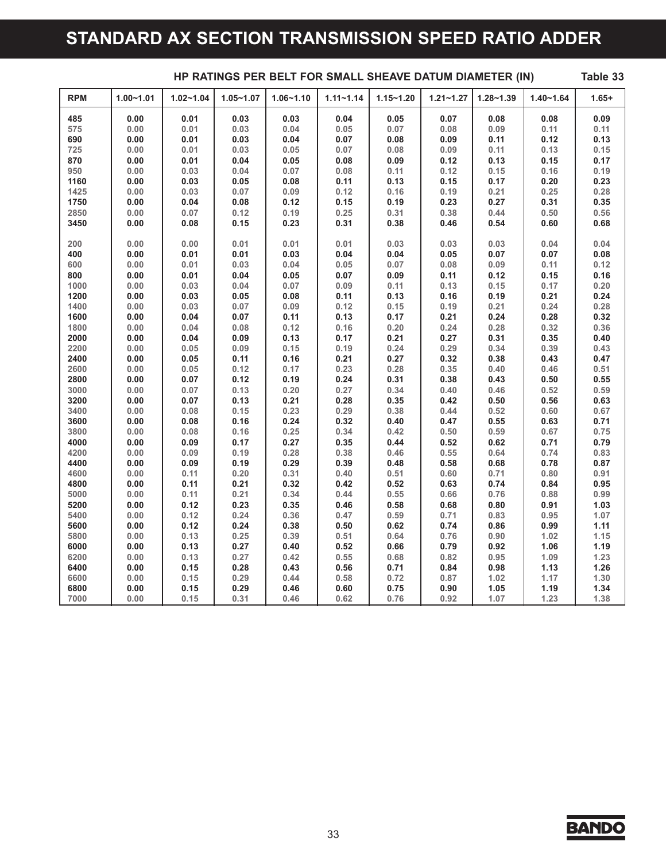### **STANDARD AX SECTION TRANSMISSION SPEED RATIO ADDER**

| <b>RPM</b> | $1.00 - 1.01$ | $1.02 - 1.04$ | $1.05 - 1.07$ | $1.06 - 1.10$ | $1.11 - 1.14$ | $1.15 - 1.20$ | $1.21 - 1.27$ | $1.28 - 1.39$ | $1.40 - 1.64$ | $1.65+$ |
|------------|---------------|---------------|---------------|---------------|---------------|---------------|---------------|---------------|---------------|---------|
| 485        | 0.00          | 0.01          | 0.03          | 0.03          | 0.04          | 0.05          | 0.07          | 0.08          | 0.08          | 0.09    |
| 575        | 0.00          | 0.01          | 0.03          | 0.04          | 0.05          | 0.07          | 0.08          | 0.09          | 0.11          | 0.11    |
| 690        | 0.00          | 0.01          | 0.03          | 0.04          | 0.07          | 0.08          | 0.09          | 0.11          | 0.12          | 0.13    |
| 725        | 0.00          | 0.01          | 0.03          | 0.05          | 0.07          | 0.08          | 0.09          | 0.11          | 0.13          | 0.15    |
| 870        | 0.00          | 0.01          | 0.04          | 0.05          | 0.08          | 0.09          | 0.12          | 0.13          | 0.15          | 0.17    |
| 950        | 0.00          | 0.03          | 0.04          | 0.07          | 0.08          | 0.11          | 0.12          | 0.15          | 0.16          | 0.19    |
| 1160       | 0.00          | 0.03          | 0.05          | 0.08          | 0.11          | 0.13          | 0.15          | 0.17          | 0.20          | 0.23    |
| 1425       | 0.00          | 0.03          | 0.07          | 0.09          | 0.12          | 0.16          | 0.19          | 0.21          | 0.25          | 0.28    |
|            |               |               |               |               | 0.15          |               | 0.23          |               |               | 0.35    |
| 1750       | 0.00<br>0.00  | 0.04          | 0.08<br>0.12  | 0.12          |               | 0.19          |               | 0.27          | 0.31          | 0.56    |
| 2850       |               | 0.07          |               | 0.19          | 0.25          | 0.31          | 0.38          | 0.44          | 0.50          |         |
| 3450       | 0.00          | 0.08          | 0.15          | 0.23          | 0.31          | 0.38          | 0.46          | 0.54          | 0.60          | 0.68    |
| 200        | 0.00          | 0.00          | 0.01          | 0.01          | 0.01          | 0.03          | 0.03          | 0.03          | 0.04          | 0.04    |
| 400        | 0.00          | 0.01          | 0.01          | 0.03          | 0.04          | 0.04          | 0.05          | 0.07          | 0.07          | 0.08    |
| 600        | 0.00          | 0.01          | 0.03          | 0.04          | 0.05          | 0.07          | 0.08          | 0.09          | 0.11          | 0.12    |
| 800        | 0.00          | 0.01          | 0.04          | 0.05          | 0.07          | 0.09          | 0.11          | 0.12          | 0.15          | 0.16    |
| 1000       | 0.00          | 0.03          | 0.04          | 0.07          | 0.09          | 0.11          | 0.13          | 0.15          | 0.17          | 0.20    |
| 1200       | 0.00          | 0.03          | 0.05          | 0.08          | 0.11          | 0.13          | 0.16          | 0.19          | 0.21          | 0.24    |
| 1400       | 0.00          | 0.03          | 0.07          | 0.09          | 0.12          | 0.15          | 0.19          | 0.21          | 0.24          | 0.28    |
| 1600       | 0.00          | 0.04          | 0.07          | 0.11          | 0.13          | 0.17          | 0.21          | 0.24          | 0.28          | 0.32    |
| 1800       | 0.00          | 0.04          | 0.08          | 0.12          | 0.16          | 0.20          | 0.24          | 0.28          | 0.32          | 0.36    |
| 2000       | 0.00          | 0.04          | 0.09          | 0.13          | 0.17          | 0.21          | 0.27          | 0.31          | 0.35          | 0.40    |
| 2200       | 0.00          | 0.05          | 0.09          | 0.15          | 0.19          | 0.24          | 0.29          | 0.34          | 0.39          | 0.43    |
| 2400       | 0.00          | 0.05          | 0.11          | 0.16          | 0.21          | 0.27          | 0.32          | 0.38          | 0.43          | 0.47    |
| 2600       | 0.00          | 0.05          | 0.12          | 0.17          | 0.23          | 0.28          | 0.35          | 0.40          | 0.46          | 0.51    |
| 2800       | 0.00          | 0.07          | 0.12          | 0.19          | 0.24          | 0.31          | 0.38          | 0.43          | 0.50          | 0.55    |
| 3000       | 0.00          | 0.07          | 0.13          | 0.20          | 0.27          | 0.34          | 0.40          | 0.46          | 0.52          | 0.59    |
| 3200       | 0.00          | 0.07          | 0.13          | 0.21          | 0.28          | 0.35          | 0.42          | 0.50          | 0.56          | 0.63    |
| 3400       | 0.00          | 0.08          | 0.15          | 0.23          | 0.29          | 0.38          | 0.44          | 0.52          | 0.60          | 0.67    |
| 3600       | 0.00          | 0.08          | 0.16          | 0.24          | 0.32          | 0.40          | 0.47          | 0.55          | 0.63          | 0.71    |
| 3800       | 0.00          | 0.08          | 0.16          | 0.25          | 0.34          | 0.42          | 0.50          | 0.59          | 0.67          | 0.75    |
| 4000       | 0.00          | 0.09          | 0.17          | 0.27          | 0.35          | 0.44          | 0.52          | 0.62          | 0.71          | 0.79    |
| 4200       | 0.00          | 0.09          | 0.19          | 0.28          | 0.38          | 0.46          | 0.55          | 0.64          | 0.74          | 0.83    |
| 4400       | 0.00          | 0.09          | 0.19          | 0.29          | 0.39          | 0.48          | 0.58          | 0.68          | 0.78          | 0.87    |
| 4600       | 0.00          | 0.11          | 0.20          | 0.31          | 0.40          | 0.51          | 0.60          | 0.71          | 0.80          | 0.91    |
| 4800       | 0.00          | 0.11          | 0.21          | 0.32          | 0.42          | 0.52          | 0.63          | 0.74          | 0.84          | 0.95    |
| 5000       | 0.00          | 0.11          | 0.21          | 0.34          | 0.44          | 0.55          | 0.66          | 0.76          | 0.88          | 0.99    |
| 5200       | 0.00          | 0.12          | 0.23          | 0.35          | 0.46          | 0.58          | 0.68          | 0.80          | 0.91          | 1.03    |
| 5400       | 0.00          | 0.12          | 0.24          | 0.36          | 0.47          | 0.59          | 0.71          | 0.83          | 0.95          | 1.07    |
| 5600       | 0.00          | 0.12          | 0.24          | 0.38          | 0.50          | 0.62          | 0.74          | 0.86          | 0.99          | 1.11    |
| 5800       | 0.00          | 0.13          | 0.25          | 0.39          | 0.51          | 0.64          | 0.76          | 0.90          | 1.02          | 1.15    |
| 6000       | 0.00          | 0.13          | 0.27          | 0.40          | 0.52          | 0.66          | 0.79          | 0.92          | 1.06          | 1.19    |
| 6200       | 0.00          | 0.13          | 0.27          | 0.42          | 0.55          | 0.68          | 0.82          | 0.95          | 1.09          | 1.23    |
| 6400       | 0.00          | 0.15          | 0.28          | 0.43          | 0.56          | 0.71          | 0.84          | 0.98          | 1.13          | 1.26    |
| 6600       | 0.00          | 0.15          | 0.29          | 0.44          | 0.58          | 0.72          | 0.87          | 1.02          | 1.17          | 1.30    |
| 6800       | 0.00          | 0.15          | 0.29          | 0.46          | 0.60          | 0.75          | 0.90          | 1.05          | 1.19          | 1.34    |
| 7000       | 0.00          | 0.15          | 0.31          | 0.46          | 0.62          | 0.76          | 0.92          | 1.07          | 1.23          | 1.38    |

**HP RATINGS PER BELT FOR SMALL SHEAVE DATUM DIAMETER (IN) Table 33**

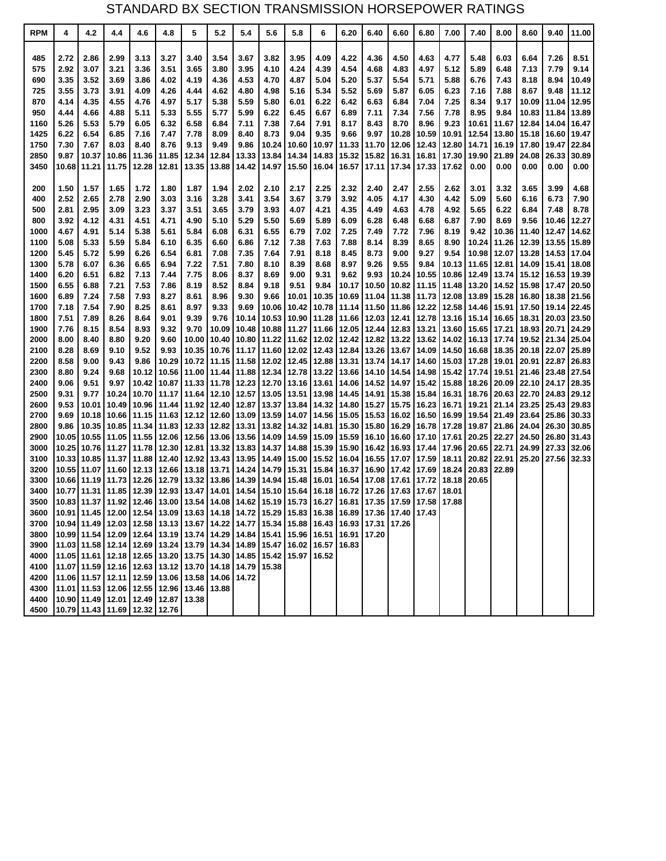### STANDARD BX SECTION TRANSMISSION HORSEPOWER RATINGS

| <b>RPM</b>   | 4              | 4.2            | 4.4                                                                                                                          | 4.6          | 4.8            | 5            | 5.2                  | 5.4            | 5.6            | 5.8            | 6                    | 6.20           | 6.40           | 6.60                       | 6.80         | 7.00           | 7.40           | 8.00           | 8.60           | 9.40           | 11.00          |
|--------------|----------------|----------------|------------------------------------------------------------------------------------------------------------------------------|--------------|----------------|--------------|----------------------|----------------|----------------|----------------|----------------------|----------------|----------------|----------------------------|--------------|----------------|----------------|----------------|----------------|----------------|----------------|
|              |                |                |                                                                                                                              |              |                |              |                      |                |                |                |                      |                |                |                            |              |                |                |                |                |                |                |
| 485          | 2.72           | 2.86           | 2.99                                                                                                                         | 3.13         | 3.27           | 3.40         | 3.54                 | 3.67           | 3.82           | 3.95           | 4.09                 | 4.22           | 4.36           | 4.50                       | 4.63         | 4.77           | 5.48           | 6.03           | 6.64           | 7.26           | 8.51           |
| 575          | 2.92           | 3.07           | 3.21                                                                                                                         | 3.36         | 3.51           | 3.65         | 3.80                 | 3.95           | 4.10           | 4.24           | 4.39                 | 4.54           | 4.68           | 4.83                       | 4.97         | 5.12           | 5.89           | 6.48           | 7.13           | 7.79           | 9.14           |
| 690          | 3.35           | 3.52<br>3.73   | 3.69                                                                                                                         | 3.86         | 4.02           | 4.19         | 4.36<br>4.62         | 4.53           | 4.70           | 4.87<br>5.16   | 5.04                 | 5.20           | 5.37           | 5.54                       | 5.71         | 5.88           | 6.76           | 7.43<br>7.88   | 8.18<br>8.67   | 8.94           | 10.49          |
| 725<br>870   | 3.55<br>4.14   | 4.35           | 3.91<br>4.55                                                                                                                 | 4.09<br>4.76 | 4.26<br>4.97   | 4.44<br>5.17 | 5.38                 | 4.80<br>5.59   | 4.98<br>5.80   | 6.01           | 5.34<br>6.22         | 5.52<br>6.42   | 5.69<br>6.63   | 5.87<br>6.84               | 6.05<br>7.04 | 6.23<br>7.25   | 7.16<br>8.34   | 9.17           | 10.09          | 9.48<br>11.04  | 11.12<br>12.95 |
| 950          | 4.44           | 4.66           | 4.88                                                                                                                         | 5.11         | 5.33           | 5.55         | 5.77                 | 5.99           | 6.22           | 6.45           | 6.67                 | 6.89           | 7.11           | 7.34                       | 7.56         | 7.78           | 8.95           | 9.84           | 10.83          | 11.84          | 13.89          |
| 1160         | 5.26           | 5.53           | 5.79                                                                                                                         | 6.05         | 6.32           | 6.58         | 6.84                 | 7.11           | 7.38           | 7.64           | 7.91                 | 8.17           | 8.43           | 8.70                       | 8.96         | 9.23           | 10.61          | 11.67          | 12.84          | 14.04          | 16.47          |
| 1425         | 6.22           | 6.54           | 6.85                                                                                                                         | 7.16         | 7.47           | 7.78         | 8.09                 | 8.40           | 8.73           | 9.04           | 9.35                 | 9.66           | 9.97           | 10.28                      | 10.59        | 10.91          | 12.54          | 13.80          | 15.18          | 16.60          | 19.47          |
| 1750         | 7.30           | 7.67           | 8.03                                                                                                                         | 8.40         | 8.76           | 9.13         | 9.49                 | 9.86           | 10.24          | 10.60          | 10.97                | 11.33          | 11.70          | 12.06                      | 12.43        | 12.80          | 14.71          | 16.19          | 17.80          | 19.47          | 22.84          |
| 2850         | 9.87           | 10.37          | 10.86                                                                                                                        | 11.36        | 11.85          | 12.34        | 12.84                | 13.33          | 13.84          | 14.34          | 14.83                | 15.32          | 15.82          | 16.31                      | 16.81        | 17.30          | 19.90          | 21.89          | 24.08          | 26.33          | 30.89          |
| 3450         | 10.68          | 11.21          | 11.75                                                                                                                        | 12.28        | 12.81          | 13.35        | 13.88                | 14.42          | 14.97          | 15.50          | 16.04                | 16.57          | 17.11          | 17.34                      | 17.33        | 17.62          | 0.00           | 0.00           | 0.00           | 0.00           | 0.00           |
| 200          | 1.50           | 1.57           | 1.65                                                                                                                         | 1.72         | 1.80           | 1.87         | 1.94                 | 2.02           | 2.10           | 2.17           | 2.25                 | 2.32           | 2.40           | 2.47                       | 2.55         | 2.62           | 3.01           | 3.32           | 3.65           | 3.99           | 4.68           |
| 400          | 2.52           | 2.65           | 2.78                                                                                                                         | 2.90         | 3.03           | 3.16         | 3.28                 | 3.41           | 3.54           | 3.67           | 3.79                 | 3.92           | 4.05           | 4.17                       | 4.30         | 4.42           | 5.09           | 5.60           | 6.16           | 6.73           | 7.90           |
| 500          | 2.81           | 2.95           | 3.09                                                                                                                         | 3.23         | 3.37           | 3.51         | 3.65                 | 3.79           | 3.93           | 4.07           | 4.21                 | 4.35           | 4.49           | 4.63                       | 4.78         | 4.92           | 5.65           | 6.22           | 6.84           | 7.48           | 8.78           |
| 800          | 3.92           | 4.12           | 4.31                                                                                                                         | 4.51         | 4.71           | 4.90         | 5.10                 | 5.29           | 5.50           | 5.69           | 5.89                 | 6.09           | 6.28           | 6.48                       | 6.68         | 6.87           | 7.90           | 8.69           | 9.56           | 10.46          | 12.27          |
| 1000         | 4.67           | 4.91           | 5.14                                                                                                                         | 5.38         | 5.61           | 5.84         | 6.08                 | 6.31           | 6.55           | 6.79           | 7.02                 | 7.25           | 7.49           | 7.72                       | 7.96         | 8.19           | 9.42           | 10.36          | 11.40          | 12.47          | 14.62          |
| 1100         | 5.08           | 5.33           | 5.59                                                                                                                         | 5.84         | 6.10           | 6.35         | 6.60                 | 6.86           | 7.12           | 7.38           | 7.63                 | 7.88           | 8.14           | 8.39                       | 8.65         | 8.90           | 10.24          | 11.26          | 12.39          | 13.55          | 15.89          |
| 1200         | 5.45           | 5.72           | 5.99                                                                                                                         | 6.26         | 6.54           | 6.81         | 7.08                 | 7.35           | 7.64           | 7.91           | 8.18                 | 8.45           | 8.73           | 9.00                       | 9.27         | 9.54           | 10.98          | 12.07          | 13.28          | 14.53          | 17.04          |
| 1300         | 5.78           | 6.07           | 6.36                                                                                                                         | 6.65         | 6.94           | 7.22         | 7.51                 | 7.80           | 8.10           | 8.39           | 8.68                 | 8.97           | 9.26           | 9.55                       | 9.84         | 10.13          | 11.65          | 12.81          | 14.09          | 15.41          | 18.08          |
| 1400         | 6.20           | 6.51           | 6.82                                                                                                                         | 7.13         | 7.44           | 7.75         | 8.06                 | 8.37           | 8.69           | 9.00           | 9.31                 | 9.62           | 9.93           | 10.24                      | 10.55        | 10.86          | 12.49          | 13.74          | 15.12          | 16.53          | 19.39          |
| 1500         | 6.55           | 6.88           | 7.21                                                                                                                         | 7.53         | 7.86           | 8.19         | 8.52                 | 8.84           | 9.18           | 9.51           | 9.84                 | 10.17          | 10.50          | 10.82                      | 11.15        | 11.48          | 13.20          | 14.52          | 15.98          | 17.47          | 20.50          |
| 1600         | 6.89           | 7.24           | 7.58                                                                                                                         | 7.93         | 8.27           | 8.61         | 8.96                 | 9.30           | 9.66           | 10.01          | 10.35                | 10.69          | 11.04          | 11.38 11.73                |              | 12.08          | 13.89          | 15.28          | 16.80          | 18.38          | 21.56          |
| 1700<br>1800 | 7.18<br>7.51   | 7.54<br>7.89   | 7.90<br>8.26                                                                                                                 | 8.25<br>8.64 | 8.61<br>9.01   | 8.97<br>9.39 | 9.33<br>9.76         | 9.69<br>10.14  | 10.06<br>10.53 | 10.42<br>10.90 | 10.78<br>11.28       | 11.14<br>11.66 | 11.50<br>12.03 | 11.86 12.22<br>12.41       | 12.78        | 12.58<br>13.16 | 14.46<br>15.14 | 15.91<br>16.65 | 17.50<br>18.31 | 19.14<br>20.03 | 22.45<br>23.50 |
| 1900         | 7.76           | 8.15           | 8.54                                                                                                                         | 8.93         | 9.32           | 9.70         | 10.09                | 10.48          | 10.88          | 11.27          | 11.66 12.05          |                | 12.44          | 12.83 13.21                |              | 13.60          | 15.65 17.21    |                | 18.93          | 20.71          | 24.29          |
| 2000         | 8.00           | 8.40           | 8.80                                                                                                                         | 9.20         | 9.60           | 10.00        | 10.40                | 10.80          | 11.22          | 11.62          | 12.02 12.42          |                | 12.82          | 13.22                      | 13.62        | 14.02          | 16.13          | 17.74          | 19.52          | 21.34          | 25.04          |
| 2100         | 8.28           | 8.69           | 9.10                                                                                                                         | 9.52         | 9.93           | 10.35        | 10.76                | 11.17          | 11.60          | 12.02          | 12.43                | 12.84          | 13.26          | 13.67                      | 14.09        | 14.50          | 16.68          | 18.35          | 20.18          | 22.07          | 25.89          |
| 2200         | 8.58           | 9.00           | 9.43                                                                                                                         | 9.86         | 10.29          |              | 10.72 11.15          | 11.58          | 12.02          | 12.45          | 12.88 13.31          |                | 13.74          | 14.17 14.60                |              | 15.03          | 17.28          | 19.01          | 20.91          | 22.87          | 26.83          |
| 2300         | 8.80           | 9.24           | 9.68                                                                                                                         | 10.12        | 10.56          | 11.00        | 11.44                | 11.88          | 12.34          | 12.78          | 13.22 13.66          |                | 14.10          | 14.54 14.98                |              | 15.42          | 17.74          | 19.51          | 21.46          | 23.48          | 27.54          |
| 2400         | 9.06           | 9.51           | 9.97                                                                                                                         | 10.42        | 10.87          | 11.33 11.78  |                      | 12.23          | 12.70          | 13.16          | 13.61                | 14.06          | 14.52          | 14.97 15.42                |              | 15.88          | 18.26          | 20.09          | 22.10          | 24.17          | 28.35          |
| 2500         | 9.31           | 9.77           | 10.24                                                                                                                        | 10.70        | 11.17          | 11.64 12.10  |                      | 12.57          | 13.05          | 13.51          |                      | 13.98 14.45    | 14.91          | 15.38 15.84                |              | 16.31          |                | 18.76 20.63    | 22.70          | 24.83          | 29.12          |
| 2600         | 9.53           | 10.01          | 10.49                                                                                                                        | 10.96        | 11.44          |              | 11.92 12.40          | 12.87          | 13.37          | 13.84          |                      | 14.32 14.80    | 15.27          | 15.75 16.23                |              | 16.71          | 19.21          | 21.14          | 23.25          | 25.43          | 29.83          |
| 2700         | 9.69           | 10.18          | 10.66 11.15                                                                                                                  |              | 11.63          | 12.12 12.60  |                      | 13.09          | 13.59          | 14.07          | 14.56 15.05          |                | 15.53          | 16.02 16.50                |              | 16.99          | 19.54          | 21.49          | 23.64          | 25.86          | 30.33          |
| 2800         | 9.86           | 10.35          |                                                                                                                              | 10.85 11.34  | 11.83          | 12.33 12.82  |                      | 13.31          | 13.82          | 14.32          |                      | 14.81 15.30    | 15.80          | 16.29 16.78                |              | 17.28          | 19.87 21.86    |                | 24.04          | 26.30          | 30.85          |
| 2900<br>3000 | 10.05<br>10.25 | 10.55<br>10.76 | 11.05 11.55<br>11.27   11.78                                                                                                 |              | 12.06<br>12.30 | 12.56        | 13.06<br>12.81 13.32 | 13.56          | 14.09          | 14.59<br>14.88 | 15.09                | 15.59          | 16.10<br>16.42 | 16.60 17.10<br>16.93 17.44 |              | 17.61          | 20.25<br>20.65 | 22.27<br>22.71 | 24.50<br>24.99 | 26.80<br>27.33 | 31.43<br>32.06 |
| 3100         | 10.33 10.85    |                | 11.37 11.88                                                                                                                  |              | 12.40          |              | 12.92 13.43          | 13.83<br>13.95 | 14.37<br>14.49 | 15.00          | 15.39<br>15.52 16.04 | 15.90          | 16.55          | 17.07 17.59                |              | 17.96<br>18.11 | 20.82          | 22.91          | 25.20          | 27.56          | 32.33          |
| 3200         | 10.55          | 11.07          | 11.60                                                                                                                        | 12.13        | 12.66          | 13.18 13.71  |                      | 14.24          | 14.79          | 15.31          | 15.84                | 16.37          | 16.90          | 17.42 17.69                |              | 18.24          | 20.83          | 22.89          |                |                |                |
| 3300         |                | 10.66 11.19    | 11.73 12.26                                                                                                                  |              | 12.79          | 13.32        | 13.86                | 14.39          | 14.94          | 15.48          | 16.01                | 16.54          | 17.08          | 17.61 17.72                |              | 18.18          | 20.65          |                |                |                |                |
| 3400         | 10.77          | 11.31          | 11.85 12.39                                                                                                                  |              | 12.93          |              | 13.47   14.01        | 14.54          | 15.10          | 15.64          | 16.18                | 16.72          | 17.26          | 17.63                      | 17.67        | 18.01          |                |                |                |                |                |
| 3500         |                | 10.83 11.37    | 11.92 12.46                                                                                                                  |              | 13.00          |              | 13.54 14.08          | 14.62          | 15.19          | 15.73          | 16.27                | 16.81          | 17.35          | 17.59                      | 17.58        | 17.88          |                |                |                |                |                |
|              |                |                | 3600   10.91   11.45   12.00   12.54   13.09   13.63   14.18   14.72   15.29   15.83   16.38   16.89   17.36   17.40   17.43 |              |                |              |                      |                |                |                |                      |                |                |                            |              |                |                |                |                |                |                |
|              |                |                | 3700   10.94   11.49   12.03   12.58   13.13   13.67   14.22   14.77   15.34   15.88   16.43   16.93   17.31   17.26         |              |                |              |                      |                |                |                |                      |                |                |                            |              |                |                |                |                |                |                |
|              |                |                | 3800  10.99  11.54  12.09   12.64   13.19   13.74   14.29   14.84   15.41   15.96   16.51   16.91                            |              |                |              |                      |                |                |                |                      |                | 17.20          |                            |              |                |                |                |                |                |                |
|              |                |                | 3900 11.03 11.58 12.14 12.69 13.24 13.79 14.34 14.89 15.47 16.02 16.57 16.83                                                 |              |                |              |                      |                |                |                |                      |                |                |                            |              |                |                |                |                |                |                |
|              |                |                | 4000 11.05 11.61 12.18 12.65 13.20 13.75 14.30 14.85 15.42 15.97 16.52                                                       |              |                |              |                      |                |                |                |                      |                |                |                            |              |                |                |                |                |                |                |
|              |                |                | 4100 11.07 11.59 12.16 12.63 13.12 13.70 14.18 14.79 15.38<br>4200 11.06 11.57 12.11 12.59 13.06 13.58 14.06 14.72           |              |                |              |                      |                |                |                |                      |                |                |                            |              |                |                |                |                |                |                |
|              |                |                | 4300 11.01 11.53 12.06 12.55 12.96 13.46 13.88                                                                               |              |                |              |                      |                |                |                |                      |                |                |                            |              |                |                |                |                |                |                |
| 4400         |                |                | 10.90 11.49 12.01 12.49 12.87 13.38                                                                                          |              |                |              |                      |                |                |                |                      |                |                |                            |              |                |                |                |                |                |                |
|              |                |                | 4500 10.79 11.43 11.69 12.32 12.76                                                                                           |              |                |              |                      |                |                |                |                      |                |                |                            |              |                |                |                |                |                |                |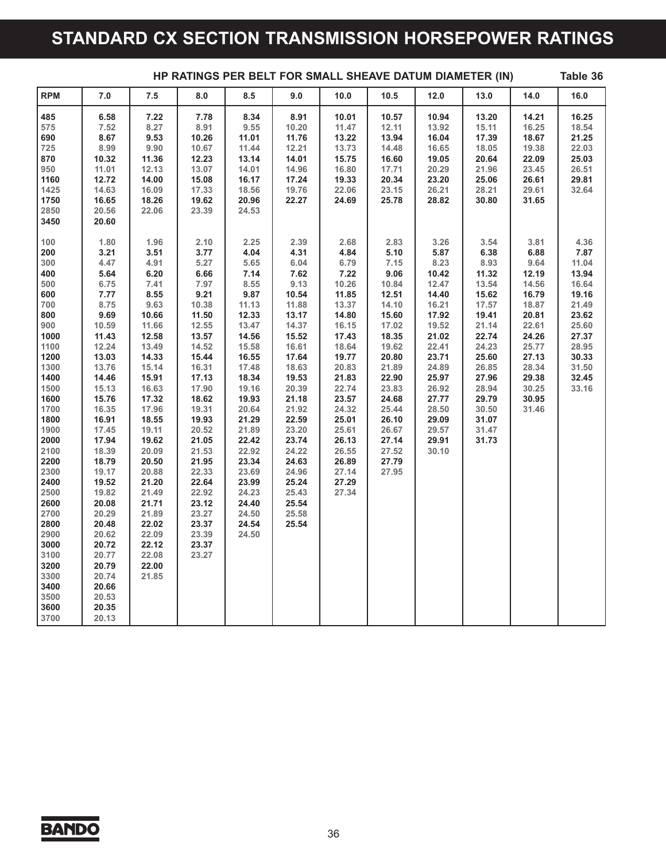### **STANDARD CX SECTION TRANSMISSION HORSEPOWER RATINGS**

| HP RATINGS PER BELT FOR SMALL SHEAVE DATUM DIAMETER (IN) |                |                |                |                |                |                |                |                |                | Table 36       |                |
|----------------------------------------------------------|----------------|----------------|----------------|----------------|----------------|----------------|----------------|----------------|----------------|----------------|----------------|
| <b>RPM</b>                                               | 7.0            | 7.5            | 8.0            | 8.5            | 9.0            | 10.0           | 10.5           | 12.0           | 13.0           | 14.0           | 16.0           |
| 485                                                      | 6.58           | 7.22           | 7.78           | 8.34           | 8.91           | 10.01          | 10.57          | 10.94          | 13.20          | 14.21          | 16.25          |
| 575                                                      | 7.52           | 8.27           | 8.91           | 9.55           | 10.20          | 11.47          | 12.11          | 13.92          | 15.11          | 16.25          | 18.54          |
| 690                                                      | 8.67           | 9.53           | 10.26          | 11.01          | 11.76          | 13.22          | 13.94          | 16.04          | 17.39          | 18.67          | 21.25          |
| 725                                                      | 8.99           | 9.90           | 10.67          | 11.44          | 12.21          | 13.73          | 14.48          | 16.65          | 18.05          | 19.38          | 22.03          |
| 870                                                      | 10.32          | 11.36          | 12.23          | 13.14          | 14.01          | 15.75          | 16.60          | 19.05          | 20.64          | 22.09          | 25.03          |
| 950                                                      | 11.01          | 12.13          | 13.07          | 14.01          | 14.96          | 16.80          | 17.71          | 20.29          | 21.96          | 23.45          | 26.51          |
| 1160                                                     | 12.72          | 14.00          | 15.08          | 16.17          | 17.24          | 19.33          | 20.34          | 23.20          | 25.06          | 26.61          | 29.81          |
| 1425                                                     | 14.63          | 16.09          | 17.33          | 18.56          | 19.76          | 22.06          | 23.15          | 26.21          | 28.21          | 29.61          | 32.64          |
| 1750                                                     | 16.65          | 18.26          | 19.62          | 20.96          | 22.27          | 24.69          | 25.78          | 28.82          | 30.80          | 31.65          |                |
| 2850                                                     | 20.56          | 22.06          | 23.39          | 24.53          |                |                |                |                |                |                |                |
| 3450                                                     | 20.60          |                |                |                |                |                |                |                |                |                |                |
| 100                                                      | 1.80           | 1.96           | 2.10           | 2.25           | 2.39           | 2.68           | 2.83           | 3.26           | 3.54           | 3.81           | 4.36           |
| 200                                                      | 3.21           | 3.51           | 3.77           | 4.04           | 4.31           | 4.84           | 5.10           | 5.87           | 6.38           | 6.88           | 7.87           |
| 300                                                      | 4.47           | 4.91           | 5.27           | 5.65           | 6.04           | 6.79           | 7.15           | 8.23           | 8.93           | 9.64           | 11.04          |
| 400                                                      | 5.64           | 6.20           | 6.66           | 7.14           | 7.62           | 7.22           | 9.06           | 10.42          | 11.32          | 12.19          | 13.94          |
| 500                                                      | 6.75           | 7.41           | 7.97           | 8.55           | 9.13           | 10.26          | 10.84          | 12.47          | 13.54          | 14.56          | 16.64          |
| 600                                                      | 7.77           | 8.55           | 9.21           | 9.87           | 10.54          | 11.85          | 12.51          | 14.40          | 15.62          | 16.79          | 19.16          |
| 700                                                      | 8.75           | 9.63           | 10.38          | 11.13          | 11.88          | 13.37          | 14.10          | 16.21          | 17.57          | 18.87          | 21.49          |
| 800                                                      | 9.69           | 10.66          | 11.50          | 12.33          | 13.17          | 14.80          | 15.60          | 17.92          | 19.41          | 20.81          | 23.62          |
| 900                                                      | 10.59          | 11.66          | 12.55          | 13.47          | 14.37          | 16.15          | 17.02          | 19.52          | 21.14          | 22.61          | 25.60          |
| 1000                                                     | 11.43          | 12.58          | 13.57          | 14.56          | 15.52          | 17.43          | 18.35          | 21.02          | 22.74          | 24.26          | 27.37          |
| 1100                                                     | 12.24          | 13.49          | 14.52          | 15.58          | 16.61          | 18.64          | 19.62          | 22.41          | 24.23          | 25.77          | 28.95          |
| 1200                                                     | 13.03          | 14.33          | 15.44          | 16.55          | 17.64          | 19.77          | 20.80          | 23.71          | 25.60          | 27.13          | 30.33          |
| 1300<br>1400                                             | 13.76<br>14.46 | 15.14<br>15.91 | 16.31<br>17.13 | 17.48<br>18.34 | 18.63<br>19.53 | 20.83<br>21.83 | 21.89<br>22.90 | 24.89<br>25.97 | 26.85<br>27.96 | 28.34<br>29.38 | 31.50<br>32.45 |
| 1500                                                     | 15.13          | 16.63          | 17.90          | 19.16          | 20.39          | 22.74          | 23.83          | 26.92          | 28.94          | 30.25          | 33.16          |
| 1600                                                     | 15.76          | 17.32          | 18.62          | 19.93          | 21.18          | 23.57          | 24.68          | 27.77          | 29.79          | 30.95          |                |
| 1700                                                     | 16.35          | 17.96          | 19.31          | 20.64          | 21.92          | 24.32          | 25.44          | 28.50          | 30.50          | 31.46          |                |
| 1800                                                     | 16.91          | 18.55          | 19.93          | 21.29          | 22.59          | 25.01          | 26.10          | 29.09          | 31.07          |                |                |
| 1900                                                     | 17.45          | 19.11          | 20.52          | 21.89          | 23.20          | 25.61          | 26.67          | 29.57          | 31.47          |                |                |
| 2000                                                     | 17.94          | 19.62          | 21.05          | 22.42          | 23.74          | 26.13          | 27.14          | 29.91          | 31.73          |                |                |
| 2100                                                     | 18.39          | 20.09          | 21.53          | 22.92          | 24.22          | 26.55          | 27.52          | 30.10          |                |                |                |
| 2200                                                     | 18.79          | 20.50          | 21.95          | 23.34          | 24.63          | 26.89          | 27.79          |                |                |                |                |
| 2300                                                     | 19.17          | 20.88          | 22.33          | 23.69          | 24.96          | 27.14          | 27.95          |                |                |                |                |
| 2400                                                     | 19.52          | 21.20          | 22.64          | 23.99          | 25.24          | 27.29          |                |                |                |                |                |
| 2500                                                     | 19.82          | 21.49          | 22.92          | 24.23          | 25.43          | 27.34          |                |                |                |                |                |
| 2600                                                     | 20.08          | 21.71          | 23.12          | 24.40          | 25.54          |                |                |                |                |                |                |
| 2700                                                     | 20.29          | 21.89          | 23.27          | 24.50          | 25.58          |                |                |                |                |                |                |
| 2800                                                     | 20.48          | 22.02          | 23.37          | 24.54          | 25.54          |                |                |                |                |                |                |
| 2900                                                     | 20.62          | 22.09          | 23.39          | 24.50          |                |                |                |                |                |                |                |
| 3000                                                     | 20.72          | 22.12          | 23.37          |                |                |                |                |                |                |                |                |
| 3100                                                     | 20.77          | 22.08          | 23.27          |                |                |                |                |                |                |                |                |
| 3200                                                     | 20.79          | 22.00          |                |                |                |                |                |                |                |                |                |
| 3300                                                     | 20.74          | 21.85          |                |                |                |                |                |                |                |                |                |
| 3400                                                     | 20.66          |                |                |                |                |                |                |                |                |                |                |
| 3500                                                     | 20.53          |                |                |                |                |                |                |                |                |                |                |
| 3600                                                     | 20.35          |                |                |                |                |                |                |                |                |                |                |
| 3700                                                     | 20.13          |                |                |                |                |                |                |                |                |                |                |